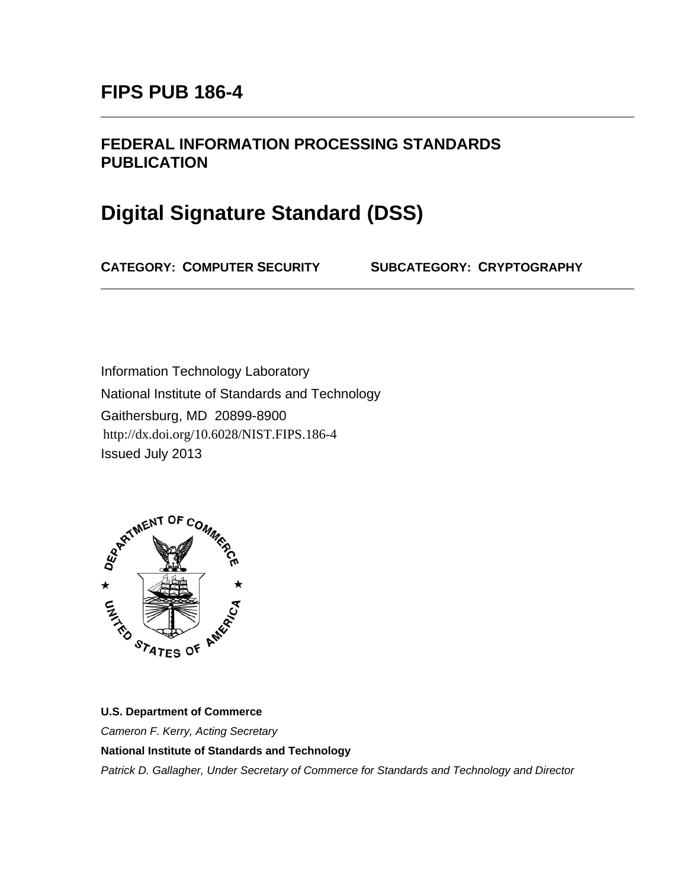## **FEDERAL INFORMATION PROCESSING STANDARDS PUBLICATION**

# **Digital Signature Standard (DSS)**

**CATEGORY: COMPUTER SECURITY SUBCATEGORY: CRYPTOGRAPHY**

Information Technology Laboratory National Institute of Standards and Technology Gaithersburg, MD 20899-8900 Issued July 2013 http://dx.doi.org/10.6028/NIST.FIPS.186-4



#### **U.S. Department of Commerce**

*Cameron F. Kerry, Acting Secretary*

**National Institute of Standards and Technology**

*Patrick D. Gallagher, Under Secretary of Commerce for Standards and Technology and Director*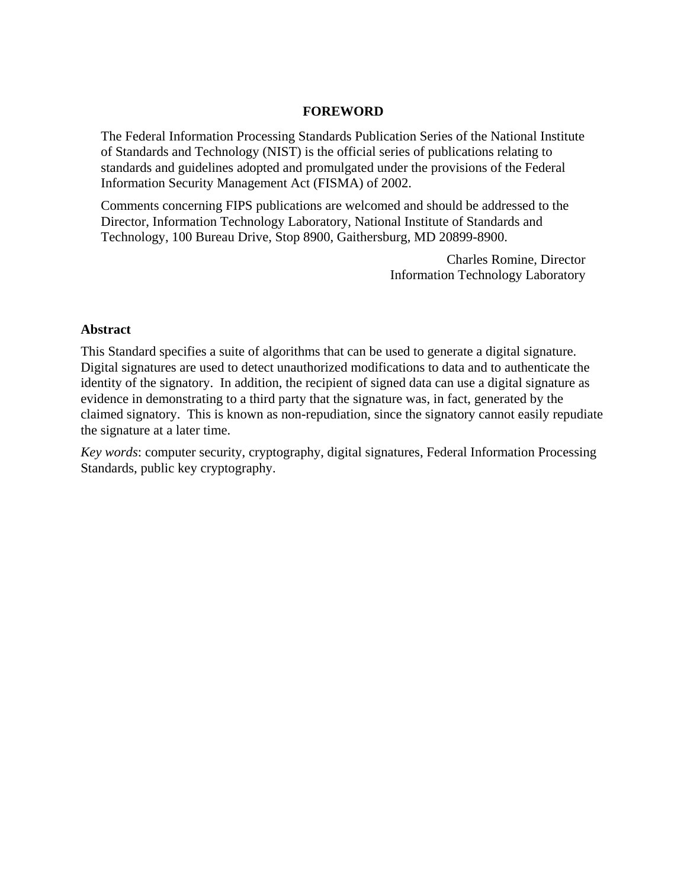#### **FOREWORD**

The Federal Information Processing Standards Publication Series of the National Institute of Standards and Technology (NIST) is the official series of publications relating to standards and guidelines adopted and promulgated under the provisions of the Federal Information Security Management Act (FISMA) of 2002.

Comments concerning FIPS publications are welcomed and should be addressed to the Director, Information Technology Laboratory, National Institute of Standards and Technology, 100 Bureau Drive, Stop 8900, Gaithersburg, MD 20899-8900.

> Charles Romine, Director Information Technology Laboratory

#### **Abstract**

This Standard specifies a suite of algorithms that can be used to generate a digital signature. Digital signatures are used to detect unauthorized modifications to data and to authenticate the identity of the signatory. In addition, the recipient of signed data can use a digital signature as evidence in demonstrating to a third party that the signature was, in fact, generated by the claimed signatory. This is known as non-repudiation, since the signatory cannot easily repudiate the signature at a later time.

*Key words*: computer security, cryptography, digital signatures, Federal Information Processing Standards, public key cryptography.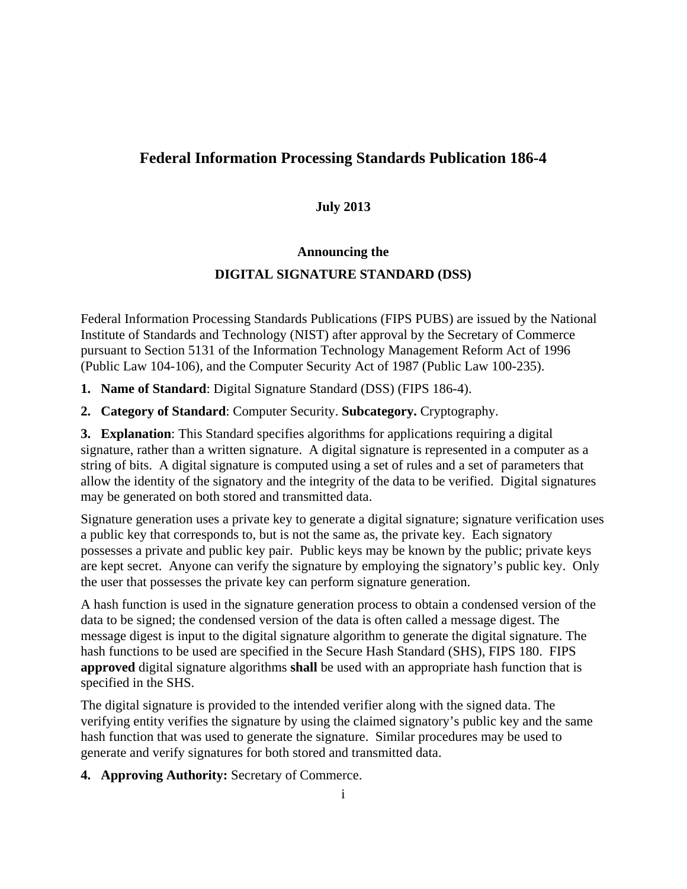## **Federal Information Processing Standards Publication 186-4**

#### **July 2013**

#### **Announcing the**

#### **DIGITAL SIGNATURE STANDARD (DSS)**

Federal Information Processing Standards Publications (FIPS PUBS) are issued by the National Institute of Standards and Technology (NIST) after approval by the Secretary of Commerce pursuant to Section 5131 of the Information Technology Management Reform Act of 1996 (Public Law 104-106), and the Computer Security Act of 1987 (Public Law 100-235).

**1. Name of Standard**: Digital Signature Standard (DSS) (FIPS 186-4).

**2. Category of Standard**: Computer Security. **Subcategory.** Cryptography.

**3. Explanation**: This Standard specifies algorithms for applications requiring a digital signature, rather than a written signature. A digital signature is represented in a computer as a string of bits. A digital signature is computed using a set of rules and a set of parameters that allow the identity of the signatory and the integrity of the data to be verified. Digital signatures may be generated on both stored and transmitted data.

Signature generation uses a private key to generate a digital signature; signature verification uses a public key that corresponds to, but is not the same as, the private key. Each signatory possesses a private and public key pair. Public keys may be known by the public; private keys are kept secret. Anyone can verify the signature by employing the signatory's public key. Only the user that possesses the private key can perform signature generation.

A hash function is used in the signature generation process to obtain a condensed version of the data to be signed; the condensed version of the data is often called a message digest. The message digest is input to the digital signature algorithm to generate the digital signature. The hash functions to be used are specified in the Secure Hash Standard (SHS), FIPS 180. FIPS **approved** digital signature algorithms **shall** be used with an appropriate hash function that is specified in the SHS.

The digital signature is provided to the intended verifier along with the signed data. The verifying entity verifies the signature by using the claimed signatory's public key and the same hash function that was used to generate the signature. Similar procedures may be used to generate and verify signatures for both stored and transmitted data.

**4. Approving Authority:** Secretary of Commerce.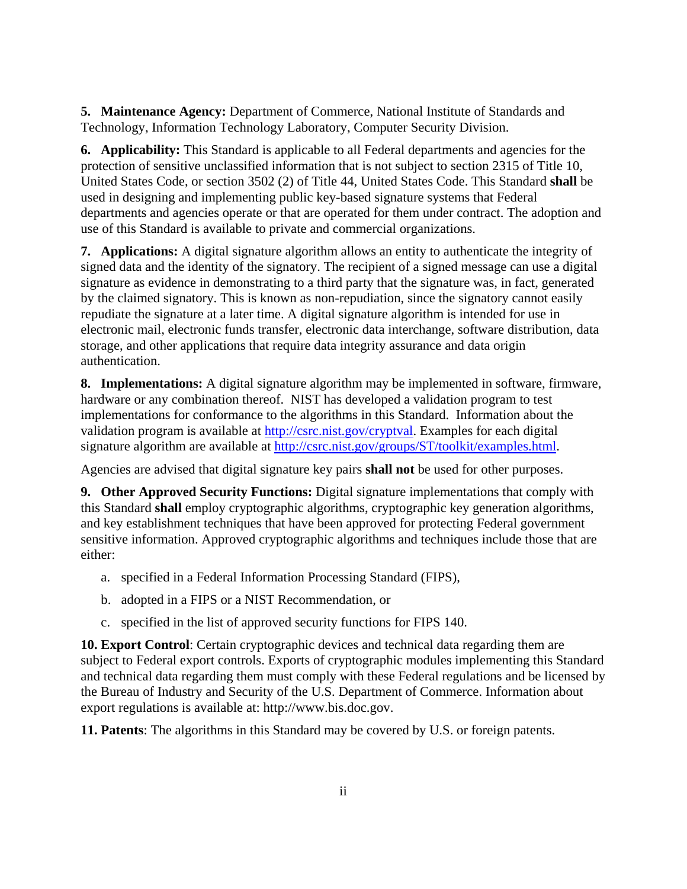**5. Maintenance Agency:** Department of Commerce, National Institute of Standards and Technology, Information Technology Laboratory, Computer Security Division.

**6. Applicability:** This Standard is applicable to all Federal departments and agencies for the protection of sensitive unclassified information that is not subject to section 2315 of Title 10, United States Code, or section 3502 (2) of Title 44, United States Code. This Standard **shall** be used in designing and implementing public key-based signature systems that Federal departments and agencies operate or that are operated for them under contract. The adoption and use of this Standard is available to private and commercial organizations.

**7. Applications:** A digital signature algorithm allows an entity to authenticate the integrity of signed data and the identity of the signatory. The recipient of a signed message can use a digital signature as evidence in demonstrating to a third party that the signature was, in fact, generated by the claimed signatory. This is known as non-repudiation, since the signatory cannot easily repudiate the signature at a later time. A digital signature algorithm is intended for use in electronic mail, electronic funds transfer, electronic data interchange, software distribution, data storage, and other applications that require data integrity assurance and data origin authentication.

**8. Implementations:** A digital signature algorithm may be implemented in software, firmware, hardware or any combination thereof. NIST has developed a validation program to test implementations for conformance to the algorithms in this Standard. Information about the validation program is available at [http://csrc.nist.gov/cryptval.](http://csrc.nist.gov/cryptval) Examples for each digital signature algorithm are available at [http://csrc.nist.gov/groups/ST/toolkit/examples.html.](http://csrc.nist.gov/groups/ST/toolkit/examples.html)

Agencies are advised that digital signature key pairs **shall not** be used for other purposes.

**9. Other Approved Security Functions:** Digital signature implementations that comply with this Standard **shall** employ cryptographic algorithms, cryptographic key generation algorithms, and key establishment techniques that have been approved for protecting Federal government sensitive information. Approved cryptographic algorithms and techniques include those that are either:

- a. specified in a Federal Information Processing Standard (FIPS),
- b. adopted in a FIPS or a NIST Recommendation, or
- c. specified in the list of approved security functions for FIPS 140.

**10. Export Control**: Certain cryptographic devices and technical data regarding them are subject to Federal export controls. Exports of cryptographic modules implementing this Standard and technical data regarding them must comply with these Federal regulations and be licensed by the Bureau of Industry and Security of the U.S. Department of Commerce. Information about export regulations is available at: http://www.bis.doc.gov.

**11. Patents**: The algorithms in this Standard may be covered by U.S. or foreign patents.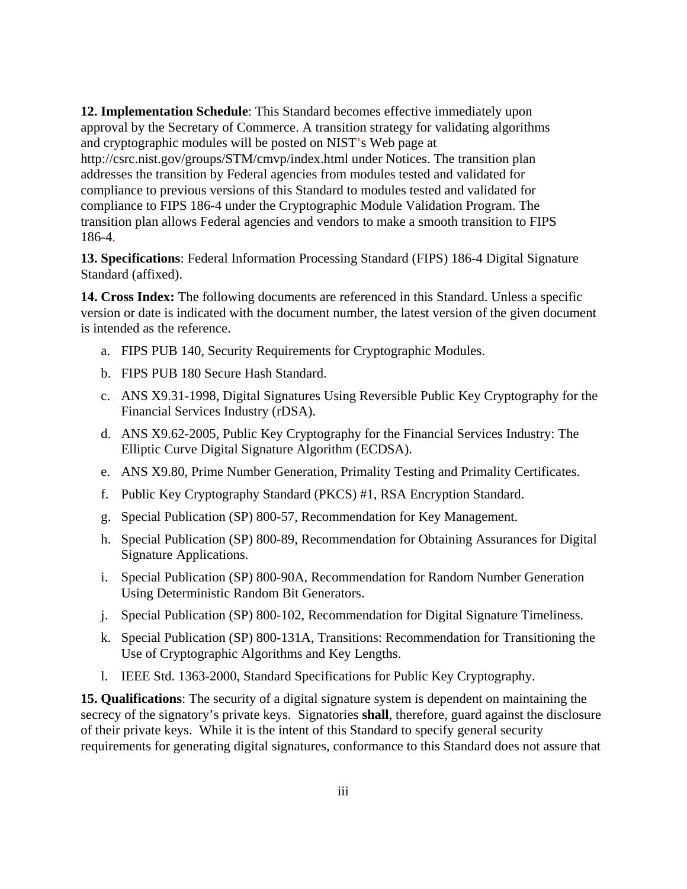**12. Implementation Schedule**: This Standard becomes effective immediately upon approval by the Secretary of Commerce. A transition strategy for validating algorithms and cryptographic modules will be posted on NIST's Web page at http://csrc.nist.gov/groups/STM/cmvp/index.html under Notices. The transition plan addresses the transition by Federal agencies from modules tested and validated for compliance to previous versions of this Standard to modules tested and validated for compliance to FIPS 186-4 under the Cryptographic Module Validation Program. The transition plan allows Federal agencies and vendors to make a smooth transition to FIPS 186-4.

**13. Specifications**: Federal Information Processing Standard (FIPS) 186-4 Digital Signature Standard (affixed).

**14. Cross Index:** The following documents are referenced in this Standard. Unless a specific version or date is indicated with the document number, the latest version of the given document is intended as the reference.

- a. FIPS PUB 140, Security Requirements for Cryptographic Modules.
- b. FIPS PUB 180 Secure Hash Standard.
- c. ANS X9.31-1998, Digital Signatures Using Reversible Public Key Cryptography for the Financial Services Industry (rDSA).
- d. ANS X9.62-2005, Public Key Cryptography for the Financial Services Industry: The Elliptic Curve Digital Signature Algorithm (ECDSA).
- e. ANS X9.80, Prime Number Generation, Primality Testing and Primality Certificates.
- f. Public Key Cryptography Standard (PKCS) #1, RSA Encryption Standard.
- g. Special Publication (SP) 800-57, Recommendation for Key Management.
- h. Special Publication (SP) 800-89, Recommendation for Obtaining Assurances for Digital Signature Applications.
- i. Special Publication (SP) 800-90A, Recommendation for Random Number Generation Using Deterministic Random Bit Generators.
- j. Special Publication (SP) 800-102, Recommendation for Digital Signature Timeliness.
- k. Special Publication (SP) 800-131A, Transitions: Recommendation for Transitioning the Use of Cryptographic Algorithms and Key Lengths.
- l. IEEE Std. 1363-2000, Standard Specifications for Public Key Cryptography.

**15. Qualifications**: The security of a digital signature system is dependent on maintaining the secrecy of the signatory's private keys. Signatories **shall**, therefore, guard against the disclosure of their private keys. While it is the intent of this Standard to specify general security requirements for generating digital signatures, conformance to this Standard does not assure that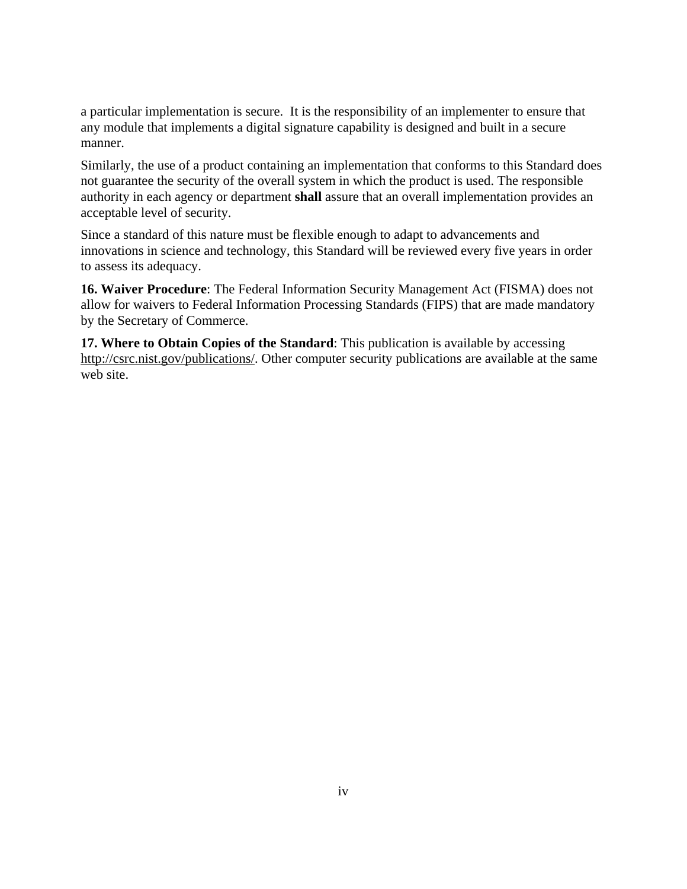a particular implementation is secure. It is the responsibility of an implementer to ensure that any module that implements a digital signature capability is designed and built in a secure manner.

Similarly, the use of a product containing an implementation that conforms to this Standard does not guarantee the security of the overall system in which the product is used. The responsible authority in each agency or department **shall** assure that an overall implementation provides an acceptable level of security.

Since a standard of this nature must be flexible enough to adapt to advancements and innovations in science and technology, this Standard will be reviewed every five years in order to assess its adequacy.

**16. Waiver Procedure**: The Federal Information Security Management Act (FISMA) does not allow for waivers to Federal Information Processing Standards (FIPS) that are made mandatory by the Secretary of Commerce.

**17. Where to Obtain Copies of the Standard**: This publication is available by accessing [http://csrc.nist.gov/publications/.](http://csrc.nist.gov/publications/) Other computer security publications are available at the same web site.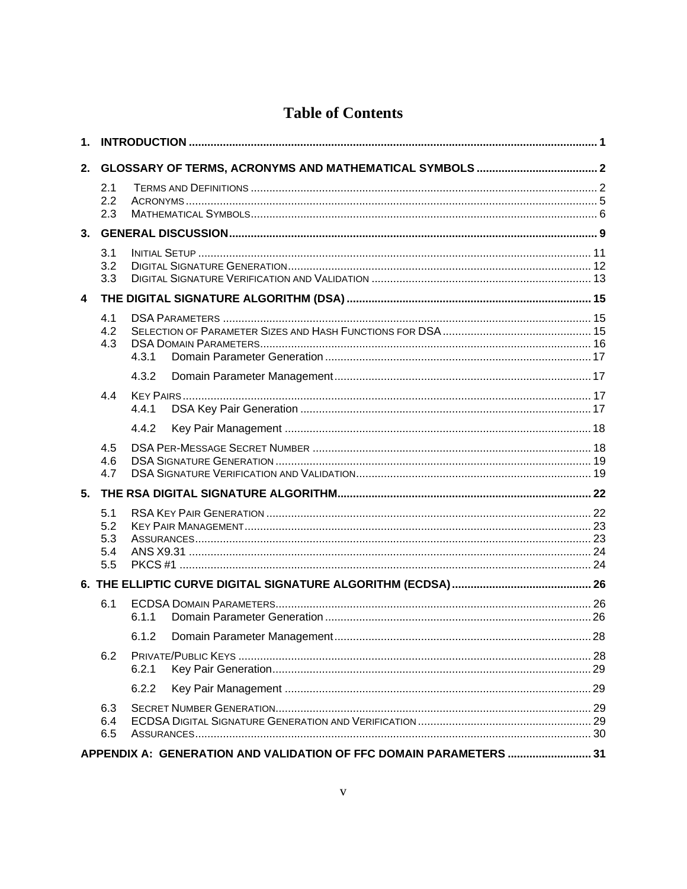# **Table of Contents**

| 2.                      |                                 |       |                                                                    |  |
|-------------------------|---------------------------------|-------|--------------------------------------------------------------------|--|
|                         | 2.1<br>2.2<br>2.3               |       |                                                                    |  |
| 3.                      |                                 |       |                                                                    |  |
|                         | 3.1<br>3.2<br>3.3               |       |                                                                    |  |
| $\overline{\mathbf{4}}$ |                                 |       |                                                                    |  |
|                         | 4.1<br>4.2<br>4.3               | 4.3.1 |                                                                    |  |
|                         |                                 | 4.3.2 |                                                                    |  |
|                         | 4.4                             | 4.4.1 |                                                                    |  |
|                         |                                 | 4.4.2 |                                                                    |  |
|                         | 4.5                             |       |                                                                    |  |
|                         | 4.6                             |       |                                                                    |  |
|                         | 4.7                             |       |                                                                    |  |
| 5.                      |                                 |       |                                                                    |  |
|                         | 5.1<br>5.2<br>5.3<br>5.4<br>5.5 |       |                                                                    |  |
|                         |                                 |       |                                                                    |  |
|                         | 6.1                             | 611   |                                                                    |  |
|                         |                                 |       |                                                                    |  |
|                         | 6.2                             | 6.2.1 |                                                                    |  |
|                         |                                 | 6.2.2 |                                                                    |  |
|                         | 6.3<br>6.4<br>6.5               |       |                                                                    |  |
|                         |                                 |       | APPENDIX A: GENERATION AND VALIDATION OF FFC DOMAIN PARAMETERS  31 |  |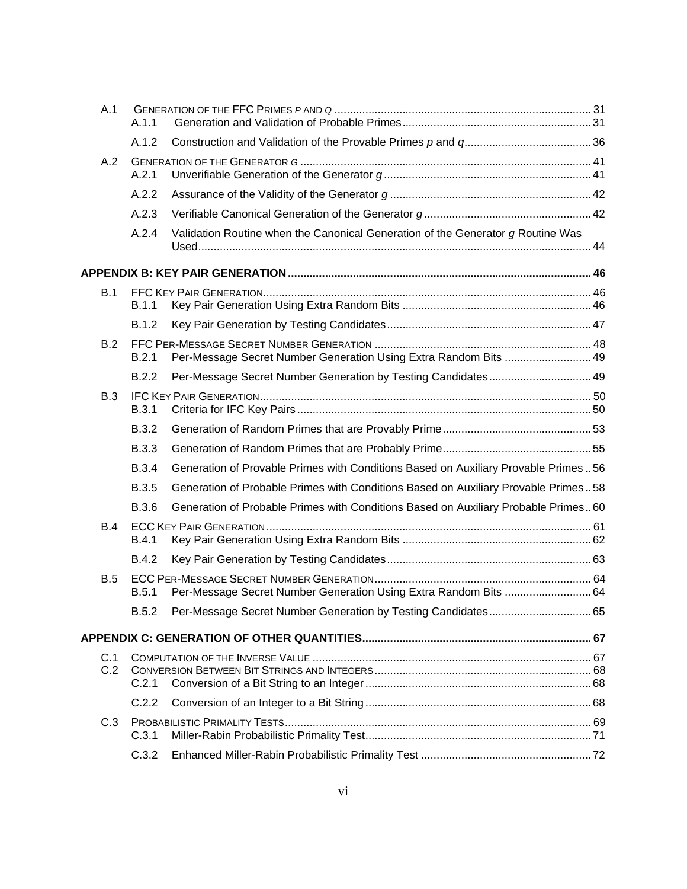| A.1        | A.1.1        |                                                                                    |  |
|------------|--------------|------------------------------------------------------------------------------------|--|
|            | A.1.2        |                                                                                    |  |
| A.2        | A.2.1        |                                                                                    |  |
|            | A.2.2        |                                                                                    |  |
|            | A.2.3        |                                                                                    |  |
|            | A.2.4        | Validation Routine when the Canonical Generation of the Generator g Routine Was    |  |
|            |              |                                                                                    |  |
| B.1        |              |                                                                                    |  |
|            | B.1.1        |                                                                                    |  |
|            | <b>B.1.2</b> |                                                                                    |  |
| B.2        | B.2.1        | Per-Message Secret Number Generation Using Extra Random Bits  49                   |  |
|            | B.2.2        | Per-Message Secret Number Generation by Testing Candidates 49                      |  |
| B.3        | <b>B.3.1</b> |                                                                                    |  |
|            | <b>B.3.2</b> |                                                                                    |  |
|            | <b>B.3.3</b> |                                                                                    |  |
|            | <b>B.3.4</b> | Generation of Provable Primes with Conditions Based on Auxiliary Provable Primes56 |  |
|            | <b>B.3.5</b> | Generation of Probable Primes with Conditions Based on Auxiliary Provable Primes58 |  |
|            | <b>B.3.6</b> | Generation of Probable Primes with Conditions Based on Auxiliary Probable Primes60 |  |
| B.4        |              |                                                                                    |  |
|            | B.4.1        |                                                                                    |  |
|            | <b>B.4.2</b> |                                                                                    |  |
| <b>B.5</b> | B.5.1        | Per-Message Secret Number Generation Using Extra Random Bits  64                   |  |
|            | B.5.2        |                                                                                    |  |
|            |              |                                                                                    |  |
| C.1        |              |                                                                                    |  |
| C.2        | C.2.1        |                                                                                    |  |
|            | C.2.2        |                                                                                    |  |
| C.3        | C.3.1        |                                                                                    |  |
|            | C.3.2        |                                                                                    |  |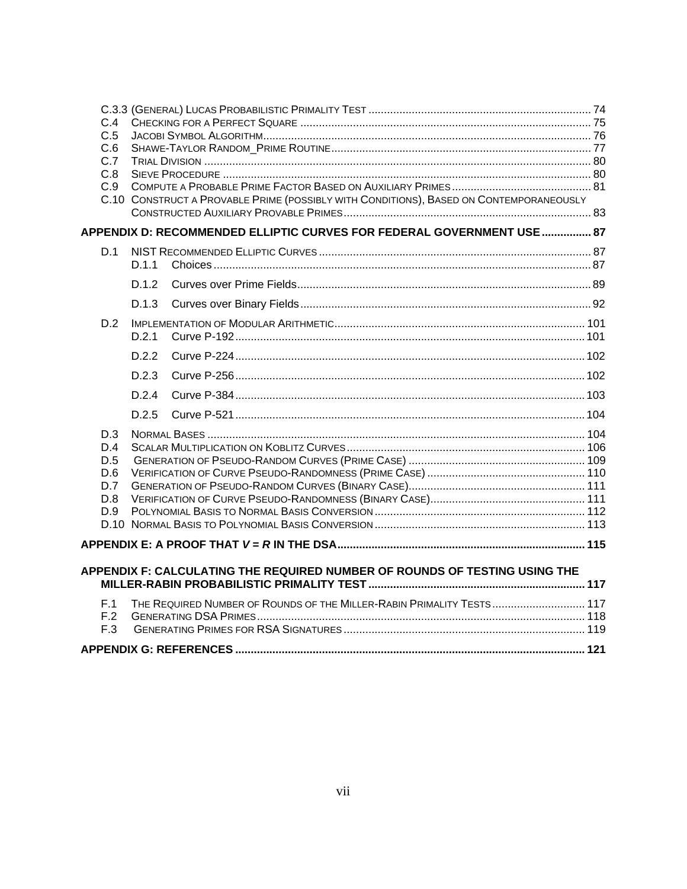| C.4        |       |                                                                                        |  |
|------------|-------|----------------------------------------------------------------------------------------|--|
| C.5        |       |                                                                                        |  |
| C.6        |       |                                                                                        |  |
| C.7        |       |                                                                                        |  |
| C.8        |       |                                                                                        |  |
| C.9        |       |                                                                                        |  |
|            |       | C.10 CONSTRUCT A PROVABLE PRIME (POSSIBLY WITH CONDITIONS), BASED ON CONTEMPORANEOUSLY |  |
|            |       | APPENDIX D: RECOMMENDED ELLIPTIC CURVES FOR FEDERAL GOVERNMENT USE  87                 |  |
| D.1        |       |                                                                                        |  |
|            | D.1.1 |                                                                                        |  |
|            | D.1.2 |                                                                                        |  |
|            | D.1.3 |                                                                                        |  |
| D.2        |       |                                                                                        |  |
|            | D.2.1 |                                                                                        |  |
|            | D22   |                                                                                        |  |
|            | D.2.3 |                                                                                        |  |
|            | D24   |                                                                                        |  |
|            | D.2.5 |                                                                                        |  |
| D.3        |       |                                                                                        |  |
| D.4        |       |                                                                                        |  |
| D.5        |       |                                                                                        |  |
| D.6        |       |                                                                                        |  |
| D.7<br>D.8 |       |                                                                                        |  |
| D.9        |       |                                                                                        |  |
|            |       |                                                                                        |  |
|            |       |                                                                                        |  |
|            |       |                                                                                        |  |
|            |       | APPENDIX F: CALCULATING THE REQUIRED NUMBER OF ROUNDS OF TESTING USING THE             |  |
| F.1        |       | THE REQUIRED NUMBER OF ROUNDS OF THE MILLER-RABIN PRIMALITY TESTS 117                  |  |
| F.2        |       |                                                                                        |  |
| F.3        |       |                                                                                        |  |
|            |       |                                                                                        |  |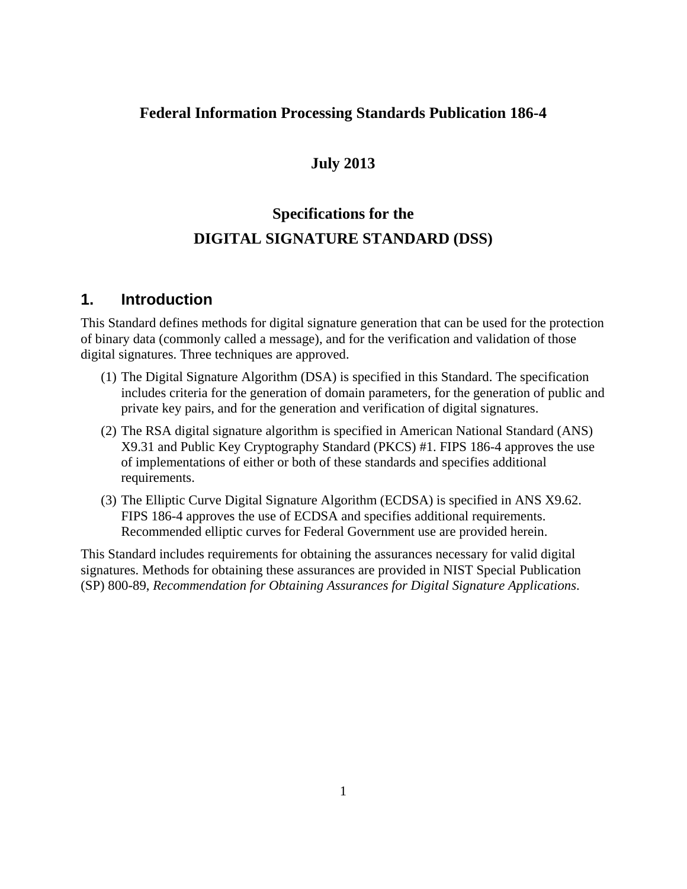## **Federal Information Processing Standards Publication 186-4**

## **July 2013**

# **Specifications for the DIGITAL SIGNATURE STANDARD (DSS)**

### <span id="page-9-0"></span>**1. Introduction**

This Standard defines methods for digital signature generation that can be used for the protection of binary data (commonly called a message), and for the verification and validation of those digital signatures. Three techniques are approved.

- (1) The Digital Signature Algorithm (DSA) is specified in this Standard. The specification includes criteria for the generation of domain parameters, for the generation of public and private key pairs, and for the generation and verification of digital signatures.
- (2) The RSA digital signature algorithm is specified in American National Standard (ANS) X9.31 and Public Key Cryptography Standard (PKCS) #1. FIPS 186-4 approves the use of implementations of either or both of these standards and specifies additional requirements.
- (3) The Elliptic Curve Digital Signature Algorithm (ECDSA) is specified in ANS X9.62. FIPS 186-4 approves the use of ECDSA and specifies additional requirements. Recommended elliptic curves for Federal Government use are provided herein.

This Standard includes requirements for obtaining the assurances necessary for valid digital signatures. Methods for obtaining these assurances are provided in NIST Special Publication (SP) 800-89, *Recommendation for Obtaining Assurances for Digital Signature Applications*.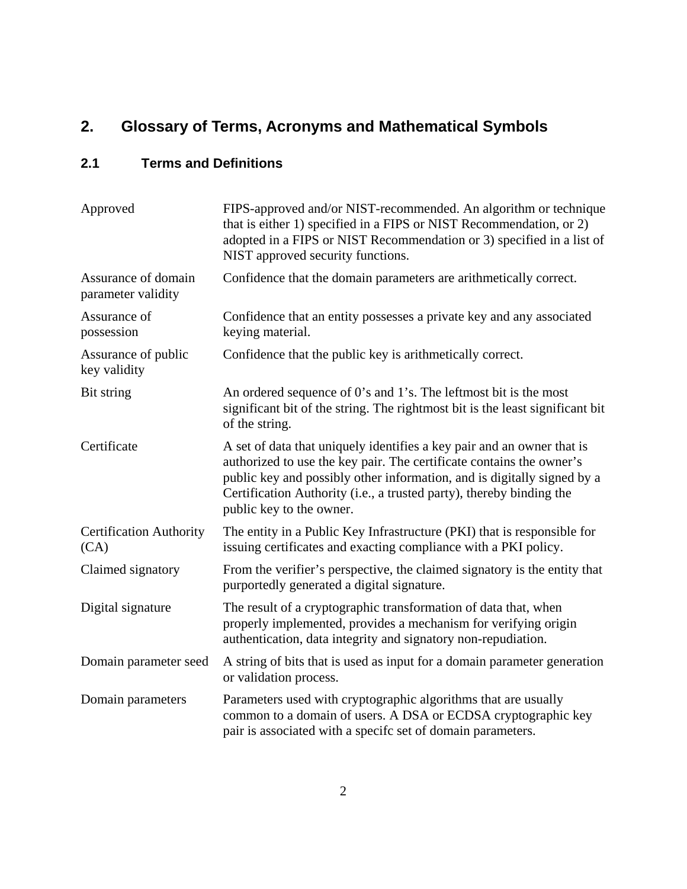# <span id="page-10-0"></span>**2. Glossary of Terms, Acronyms and Mathematical Symbols**

## <span id="page-10-1"></span>**2.1 Terms and Definitions**

| Approved                                  | FIPS-approved and/or NIST-recommended. An algorithm or technique<br>that is either 1) specified in a FIPS or NIST Recommendation, or 2)<br>adopted in a FIPS or NIST Recommendation or 3) specified in a list of<br>NIST approved security functions.                                                                         |  |
|-------------------------------------------|-------------------------------------------------------------------------------------------------------------------------------------------------------------------------------------------------------------------------------------------------------------------------------------------------------------------------------|--|
| Assurance of domain<br>parameter validity | Confidence that the domain parameters are arithmetically correct.                                                                                                                                                                                                                                                             |  |
| Assurance of<br>possession                | Confidence that an entity possesses a private key and any associated<br>keying material.                                                                                                                                                                                                                                      |  |
| Assurance of public<br>key validity       | Confidence that the public key is arithmetically correct.                                                                                                                                                                                                                                                                     |  |
| Bit string                                | An ordered sequence of 0's and 1's. The leftmost bit is the most<br>significant bit of the string. The rightmost bit is the least significant bit<br>of the string.                                                                                                                                                           |  |
| Certificate                               | A set of data that uniquely identifies a key pair and an owner that is<br>authorized to use the key pair. The certificate contains the owner's<br>public key and possibly other information, and is digitally signed by a<br>Certification Authority (i.e., a trusted party), thereby binding the<br>public key to the owner. |  |
| <b>Certification Authority</b><br>(CA)    | The entity in a Public Key Infrastructure (PKI) that is responsible for<br>issuing certificates and exacting compliance with a PKI policy.                                                                                                                                                                                    |  |
| Claimed signatory                         | From the verifier's perspective, the claimed signatory is the entity that<br>purportedly generated a digital signature.                                                                                                                                                                                                       |  |
| Digital signature                         | The result of a cryptographic transformation of data that, when<br>properly implemented, provides a mechanism for verifying origin<br>authentication, data integrity and signatory non-repudiation.                                                                                                                           |  |
| Domain parameter seed                     | A string of bits that is used as input for a domain parameter generation<br>or validation process.                                                                                                                                                                                                                            |  |
| Domain parameters                         | Parameters used with cryptographic algorithms that are usually<br>common to a domain of users. A DSA or ECDSA cryptographic key<br>pair is associated with a specifc set of domain parameters.                                                                                                                                |  |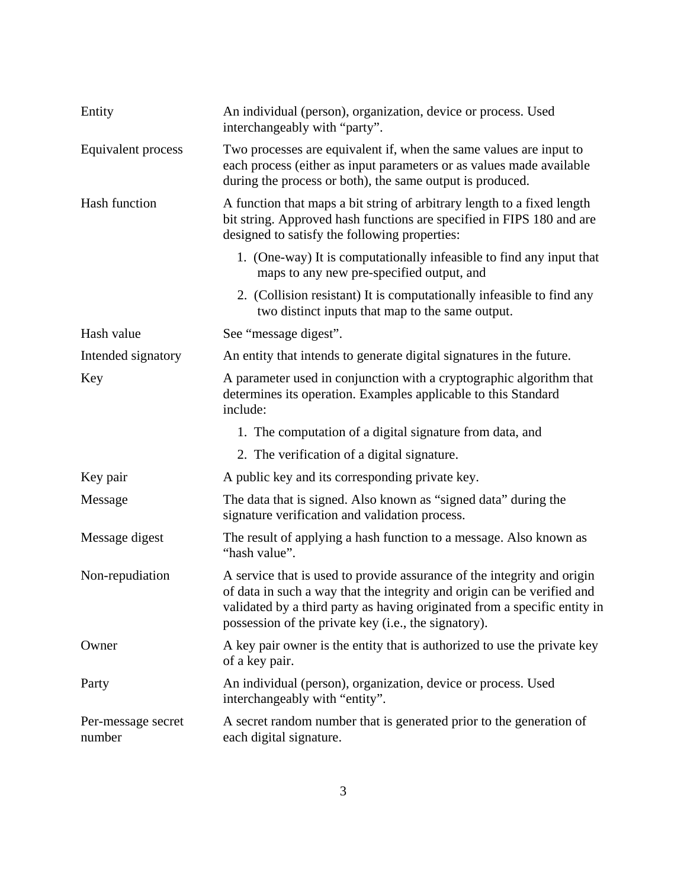| Entity                       | An individual (person), organization, device or process. Used<br>interchangeably with "party".                                                                                                                                                                                          |  |
|------------------------------|-----------------------------------------------------------------------------------------------------------------------------------------------------------------------------------------------------------------------------------------------------------------------------------------|--|
| Equivalent process           | Two processes are equivalent if, when the same values are input to<br>each process (either as input parameters or as values made available<br>during the process or both), the same output is produced.                                                                                 |  |
| Hash function                | A function that maps a bit string of arbitrary length to a fixed length<br>bit string. Approved hash functions are specified in FIPS 180 and are<br>designed to satisfy the following properties:                                                                                       |  |
|                              | 1. (One-way) It is computationally infeasible to find any input that<br>maps to any new pre-specified output, and                                                                                                                                                                       |  |
|                              | 2. (Collision resistant) It is computationally infeasible to find any<br>two distinct inputs that map to the same output.                                                                                                                                                               |  |
| Hash value                   | See "message digest".                                                                                                                                                                                                                                                                   |  |
| Intended signatory           | An entity that intends to generate digital signatures in the future.                                                                                                                                                                                                                    |  |
| Key                          | A parameter used in conjunction with a cryptographic algorithm that<br>determines its operation. Examples applicable to this Standard<br>include:                                                                                                                                       |  |
|                              | 1. The computation of a digital signature from data, and                                                                                                                                                                                                                                |  |
|                              | 2. The verification of a digital signature.                                                                                                                                                                                                                                             |  |
| Key pair                     | A public key and its corresponding private key.                                                                                                                                                                                                                                         |  |
| Message                      | The data that is signed. Also known as "signed data" during the<br>signature verification and validation process.                                                                                                                                                                       |  |
| Message digest               | The result of applying a hash function to a message. Also known as<br>"hash value".                                                                                                                                                                                                     |  |
| Non-repudiation              | A service that is used to provide assurance of the integrity and origin<br>of data in such a way that the integrity and origin can be verified and<br>validated by a third party as having originated from a specific entity in<br>possession of the private key (i.e., the signatory). |  |
| Owner                        | A key pair owner is the entity that is authorized to use the private key<br>of a key pair.                                                                                                                                                                                              |  |
| Party                        | An individual (person), organization, device or process. Used<br>interchangeably with "entity".                                                                                                                                                                                         |  |
| Per-message secret<br>number | A secret random number that is generated prior to the generation of<br>each digital signature.                                                                                                                                                                                          |  |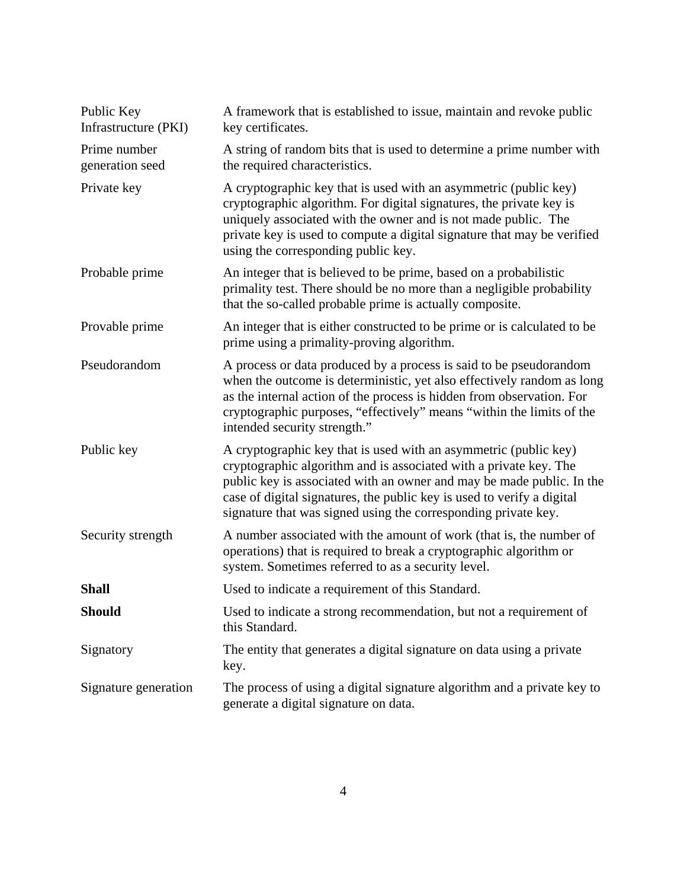| Public Key<br>A framework that is established to issue, maintain and revoke public<br>Infrastructure (PKI)<br>key certificates. |                                                                                                                                                                                                                                                                                                                                                            |
|---------------------------------------------------------------------------------------------------------------------------------|------------------------------------------------------------------------------------------------------------------------------------------------------------------------------------------------------------------------------------------------------------------------------------------------------------------------------------------------------------|
| Prime number<br>generation seed                                                                                                 | A string of random bits that is used to determine a prime number with<br>the required characteristics.                                                                                                                                                                                                                                                     |
| Private key                                                                                                                     | A cryptographic key that is used with an asymmetric (public key)<br>cryptographic algorithm. For digital signatures, the private key is<br>uniquely associated with the owner and is not made public. The<br>private key is used to compute a digital signature that may be verified<br>using the corresponding public key.                                |
| Probable prime                                                                                                                  | An integer that is believed to be prime, based on a probabilistic<br>primality test. There should be no more than a negligible probability<br>that the so-called probable prime is actually composite.                                                                                                                                                     |
| Provable prime                                                                                                                  | An integer that is either constructed to be prime or is calculated to be<br>prime using a primality-proving algorithm.                                                                                                                                                                                                                                     |
| Pseudorandom                                                                                                                    | A process or data produced by a process is said to be pseudorandom<br>when the outcome is deterministic, yet also effectively random as long<br>as the internal action of the process is hidden from observation. For<br>cryptographic purposes, "effectively" means "within the limits of the<br>intended security strength."                             |
| Public key                                                                                                                      | A cryptographic key that is used with an asymmetric (public key)<br>cryptographic algorithm and is associated with a private key. The<br>public key is associated with an owner and may be made public. In the<br>case of digital signatures, the public key is used to verify a digital<br>signature that was signed using the corresponding private key. |
| Security strength                                                                                                               | A number associated with the amount of work (that is, the number of<br>operations) that is required to break a cryptographic algorithm or<br>system. Sometimes referred to as a security level.                                                                                                                                                            |
| <b>Shall</b>                                                                                                                    | Used to indicate a requirement of this Standard.                                                                                                                                                                                                                                                                                                           |
| <b>Should</b>                                                                                                                   | Used to indicate a strong recommendation, but not a requirement of<br>this Standard.                                                                                                                                                                                                                                                                       |
| Signatory<br>The entity that generates a digital signature on data using a private<br>key.                                      |                                                                                                                                                                                                                                                                                                                                                            |
| Signature generation                                                                                                            | The process of using a digital signature algorithm and a private key to<br>generate a digital signature on data.                                                                                                                                                                                                                                           |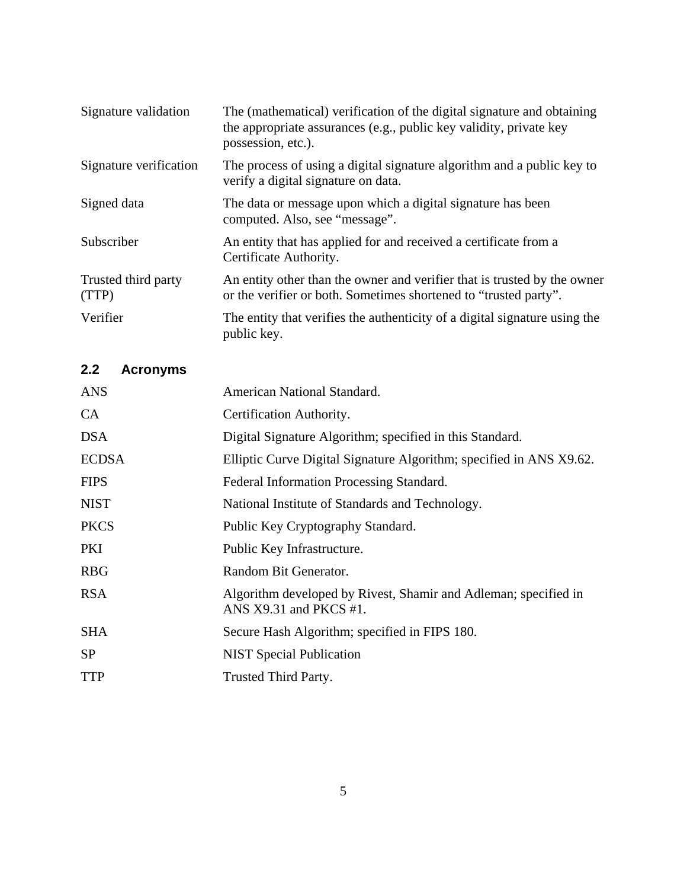| Signature validation         | The (mathematical) verification of the digital signature and obtaining<br>the appropriate assurances (e.g., public key validity, private key<br>possession, etc.). |
|------------------------------|--------------------------------------------------------------------------------------------------------------------------------------------------------------------|
| Signature verification       | The process of using a digital signature algorithm and a public key to<br>verify a digital signature on data.                                                      |
| Signed data                  | The data or message upon which a digital signature has been<br>computed. Also, see "message".                                                                      |
| Subscriber                   | An entity that has applied for and received a certificate from a<br>Certificate Authority.                                                                         |
| Trusted third party<br>(TTP) | An entity other than the owner and verifier that is trusted by the owner<br>or the verifier or both. Sometimes shortened to "trusted party".                       |
| Verifier                     | The entity that verifies the authenticity of a digital signature using the<br>public key.                                                                          |

# <span id="page-13-0"></span>**2.2 Acronyms**

| <b>ANS</b>   | American National Standard.                                                                 |  |
|--------------|---------------------------------------------------------------------------------------------|--|
| CA           | Certification Authority.                                                                    |  |
| <b>DSA</b>   | Digital Signature Algorithm; specified in this Standard.                                    |  |
| <b>ECDSA</b> | Elliptic Curve Digital Signature Algorithm; specified in ANS X9.62.                         |  |
| <b>FIPS</b>  | Federal Information Processing Standard.                                                    |  |
| <b>NIST</b>  | National Institute of Standards and Technology.                                             |  |
| <b>PKCS</b>  | Public Key Cryptography Standard.                                                           |  |
| <b>PKI</b>   | Public Key Infrastructure.                                                                  |  |
| <b>RBG</b>   | Random Bit Generator.                                                                       |  |
| <b>RSA</b>   | Algorithm developed by Rivest, Shamir and Adleman; specified in<br>ANS $X9.31$ and PKCS #1. |  |
| <b>SHA</b>   | Secure Hash Algorithm; specified in FIPS 180.                                               |  |
| <b>SP</b>    | <b>NIST</b> Special Publication                                                             |  |
| <b>TTP</b>   | Trusted Third Party.                                                                        |  |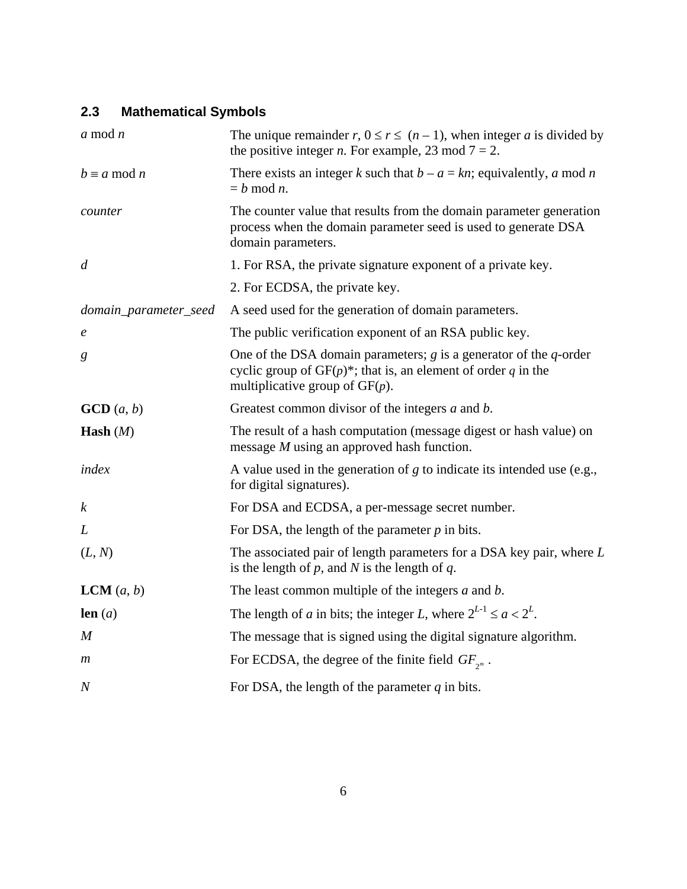## <span id="page-14-0"></span>**2.3 Mathematical Symbols**

| $a \mod n$                                                                                                                                                                            | The unique remainder r, $0 \le r \le (n-1)$ , when integer a is divided by<br>the positive integer <i>n</i> . For example, 23 mod $7 = 2$ .                 |  |
|---------------------------------------------------------------------------------------------------------------------------------------------------------------------------------------|-------------------------------------------------------------------------------------------------------------------------------------------------------------|--|
| $b \equiv a \mod n$                                                                                                                                                                   | There exists an integer k such that $b - a = kn$ ; equivalently, a mod n<br>$= h \mod n$ .                                                                  |  |
| counter                                                                                                                                                                               | The counter value that results from the domain parameter generation<br>process when the domain parameter seed is used to generate DSA<br>domain parameters. |  |
| $\overline{d}$                                                                                                                                                                        | 1. For RSA, the private signature exponent of a private key.                                                                                                |  |
|                                                                                                                                                                                       | 2. For ECDSA, the private key.                                                                                                                              |  |
| domain_parameter_seed                                                                                                                                                                 | A seed used for the generation of domain parameters.                                                                                                        |  |
| $\boldsymbol{e}$                                                                                                                                                                      | The public verification exponent of an RSA public key.                                                                                                      |  |
| One of the DSA domain parameters; $g$ is a generator of the $q$ -order<br>g<br>cyclic group of $GF(p)^*$ ; that is, an element of order q in the<br>multiplicative group of $GF(p)$ . |                                                                                                                                                             |  |
| $\text{GCD}(a, b)$                                                                                                                                                                    | Greatest common divisor of the integers a and b.                                                                                                            |  |
| The result of a hash computation (message digest or hash value) on<br><b>Hash</b> $(M)$<br>message <i>M</i> using an approved hash function.                                          |                                                                                                                                                             |  |
| index                                                                                                                                                                                 | A value used in the generation of $g$ to indicate its intended use (e.g.,<br>for digital signatures).                                                       |  |
| $\boldsymbol{k}$                                                                                                                                                                      | For DSA and ECDSA, a per-message secret number.                                                                                                             |  |
| L                                                                                                                                                                                     | For DSA, the length of the parameter $p$ in bits.                                                                                                           |  |
| (L, N)                                                                                                                                                                                | The associated pair of length parameters for a DSA key pair, where L<br>is the length of $p$ , and $N$ is the length of $q$ .                               |  |
| <b>LCM</b> $(a, b)$                                                                                                                                                                   | The least common multiple of the integers $a$ and $b$ .                                                                                                     |  |
| len $(a)$                                                                                                                                                                             | The length of a in bits; the integer L, where $2^{L-1} \le a < 2^L$ .                                                                                       |  |
| $\boldsymbol{M}$                                                                                                                                                                      | The message that is signed using the digital signature algorithm.                                                                                           |  |
| $\boldsymbol{m}$                                                                                                                                                                      | For ECDSA, the degree of the finite field $GF_{\gamma^m}$ .                                                                                                 |  |
| $\boldsymbol{N}$                                                                                                                                                                      | For DSA, the length of the parameter $q$ in bits.                                                                                                           |  |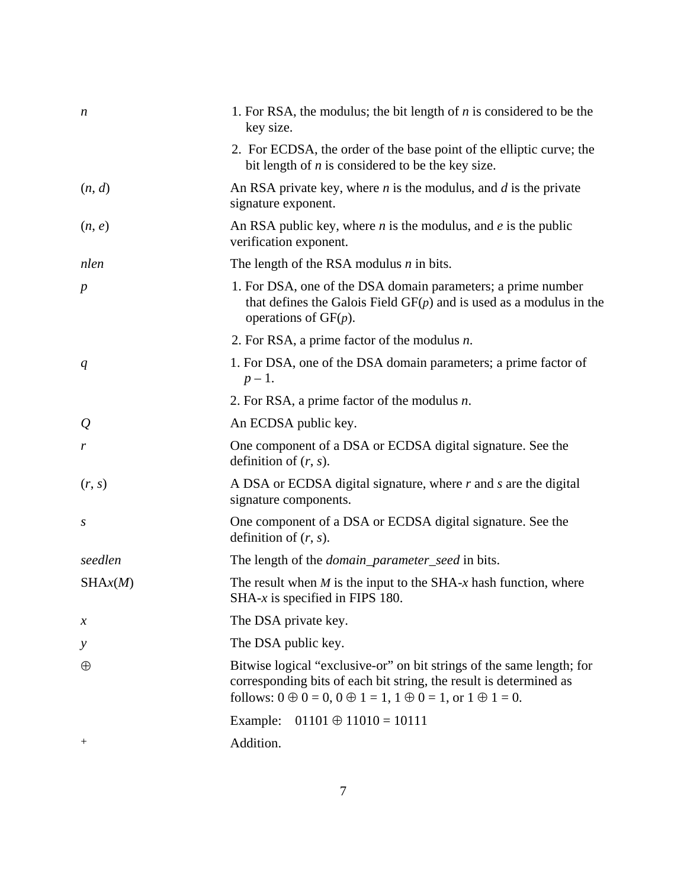| $\boldsymbol{n}$ | 1. For RSA, the modulus; the bit length of $n$ is considered to be the<br>key size.                                                                                                                                                    |
|------------------|----------------------------------------------------------------------------------------------------------------------------------------------------------------------------------------------------------------------------------------|
|                  | 2. For ECDSA, the order of the base point of the elliptic curve; the<br>bit length of $n$ is considered to be the key size.                                                                                                            |
| (n, d)           | An RSA private key, where $n$ is the modulus, and $d$ is the private<br>signature exponent.                                                                                                                                            |
| (n, e)           | An RSA public key, where $n$ is the modulus, and $e$ is the public<br>verification exponent.                                                                                                                                           |
| nlen             | The length of the RSA modulus $n$ in bits.                                                                                                                                                                                             |
| $\boldsymbol{p}$ | 1. For DSA, one of the DSA domain parameters; a prime number<br>that defines the Galois Field $GF(p)$ and is used as a modulus in the<br>operations of $GF(p)$ .                                                                       |
|                  | 2. For RSA, a prime factor of the modulus $n$ .                                                                                                                                                                                        |
| q                | 1. For DSA, one of the DSA domain parameters; a prime factor of<br>$p-1$ .                                                                                                                                                             |
|                  | 2. For RSA, a prime factor of the modulus $n$ .                                                                                                                                                                                        |
| $\mathcal{Q}$    | An ECDSA public key.                                                                                                                                                                                                                   |
| r                | One component of a DSA or ECDSA digital signature. See the<br>definition of $(r, s)$ .                                                                                                                                                 |
| (r, s)           | A DSA or ECDSA digital signature, where $r$ and $s$ are the digital<br>signature components.                                                                                                                                           |
| S                | One component of a DSA or ECDSA digital signature. See the<br>definition of $(r, s)$ .                                                                                                                                                 |
| seedlen          | The length of the <i>domain_parameter_seed</i> in bits.                                                                                                                                                                                |
| SHAx(M)          | The result when $M$ is the input to the SHA- $x$ hash function, where<br>SHA- $x$ is specified in FIPS 180.                                                                                                                            |
| $\mathcal{X}$    | The DSA private key.                                                                                                                                                                                                                   |
| у                | The DSA public key.                                                                                                                                                                                                                    |
| $\oplus$         | Bitwise logical "exclusive-or" on bit strings of the same length; for<br>corresponding bits of each bit string, the result is determined as<br>follows: $0 \oplus 0 = 0$ , $0 \oplus 1 = 1$ , $1 \oplus 0 = 1$ , or $1 \oplus 1 = 0$ . |
|                  | $01101 \oplus 11010 = 10111$<br>Example:                                                                                                                                                                                               |
| $^{+}$           | Addition.                                                                                                                                                                                                                              |
|                  |                                                                                                                                                                                                                                        |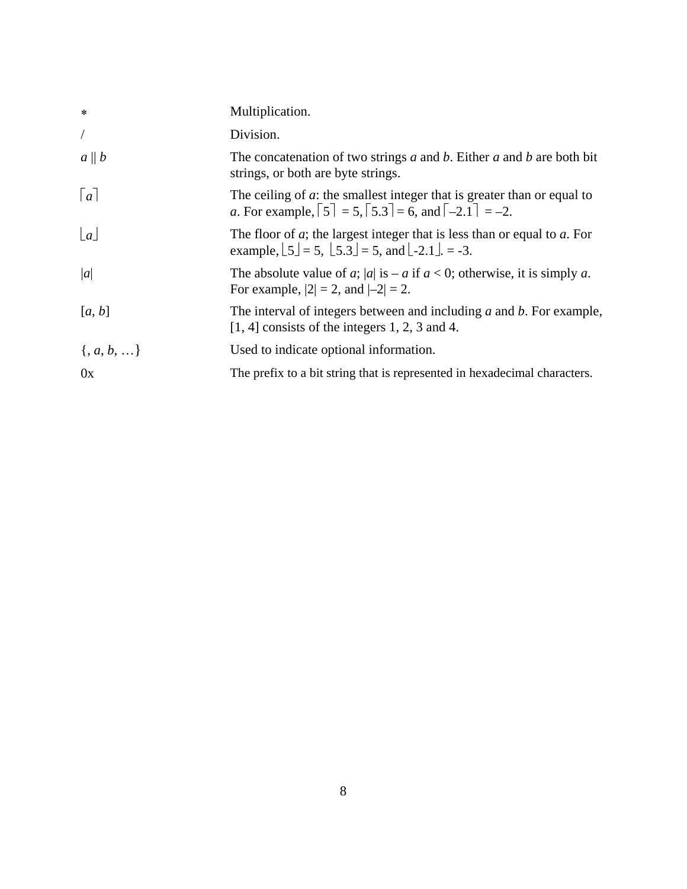| $\ast$              | Multiplication.                                                                                                                                                                    |
|---------------------|------------------------------------------------------------------------------------------------------------------------------------------------------------------------------------|
| $\sqrt{2}$          | Division.                                                                                                                                                                          |
| $a \parallel b$     | The concatenation of two strings $a$ and $b$ . Either $a$ and $b$ are both bit<br>strings, or both are byte strings.                                                               |
| $\lceil a \rceil$   | The ceiling of $a$ : the smallest integer that is greater than or equal to<br>a. For example, $\lceil 5 \rceil = 5$ , $\lceil 5.3 \rceil = 6$ , and $\lceil -2.1 \rceil = -2$ .    |
| $\lfloor a \rfloor$ | The floor of $a$ ; the largest integer that is less than or equal to $a$ . For<br>example, $\lfloor 5 \rfloor = 5$ , $\lfloor 5.3 \rfloor = 5$ , and $\lfloor -2.1 \rfloor = -3$ . |
| a                   | The absolute value of a;  a  is – a if $a < 0$ ; otherwise, it is simply a.<br>For example, $ 2  = 2$ , and $ -2  = 2$ .                                                           |
| [a, b]              | The interval of integers between and including a and b. For example,<br>$[1, 4]$ consists of the integers 1, 2, 3 and 4.                                                           |
| $\{, a, b, \}$      | Used to indicate optional information.                                                                                                                                             |
| 0x                  | The prefix to a bit string that is represented in hexadecimal characters.                                                                                                          |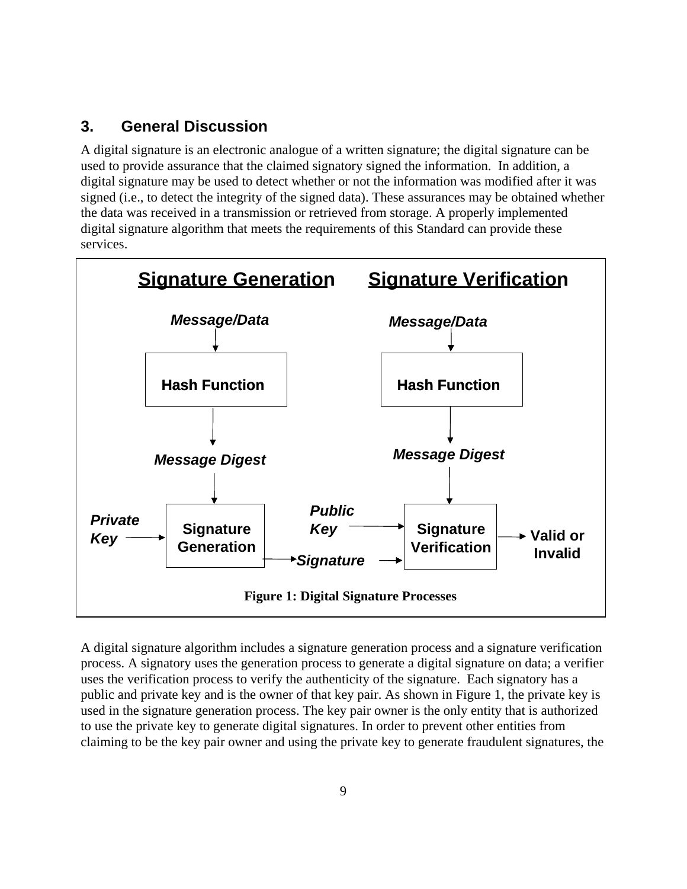## <span id="page-17-0"></span>**3. General Discussion**

A digital signature is an electronic analogue of a written signature; the digital signature can be used to provide assurance that the claimed signatory signed the information. In addition, a digital signature may be used to detect whether or not the information was modified after it was signed (i.e., to detect the integrity of the signed data). These assurances may be obtained whether the data was received in a transmission or retrieved from storage. A properly implemented digital signature algorithm that meets the requirements of this Standard can provide these services.



A digital signature algorithm includes a signature generation process and a signature verification process. A signatory uses the generation process to generate a digital signature on data; a verifier uses the verification process to verify the authenticity of the signature. Each signatory has a public and private key and is the owner of that key pair. As shown in Figure 1, the private key is used in the signature generation process. The key pair owner is the only entity that is authorized to use the private key to generate digital signatures. In order to prevent other entities from claiming to be the key pair owner and using the private key to generate fraudulent signatures, the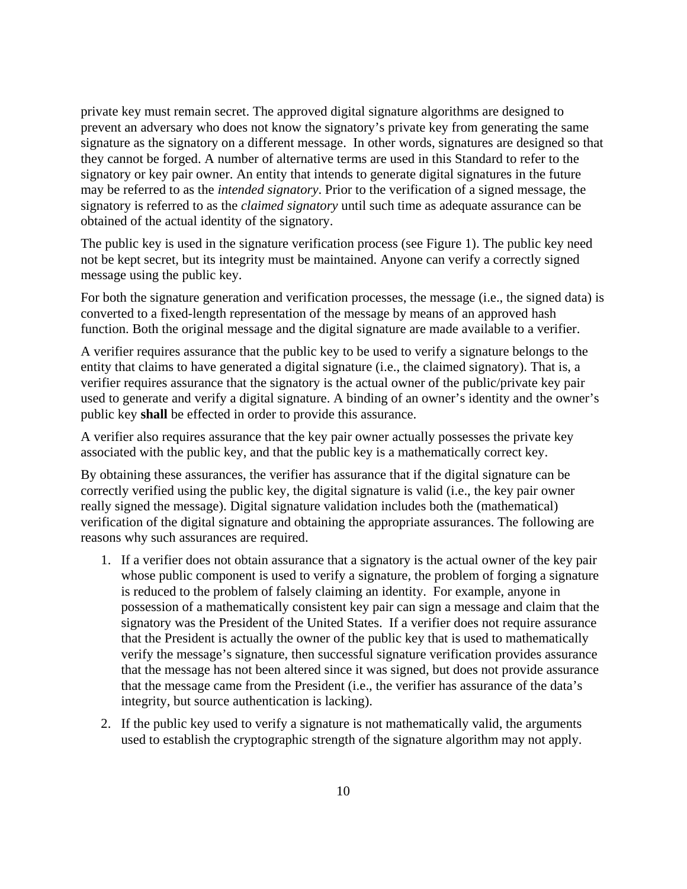private key must remain secret. The approved digital signature algorithms are designed to prevent an adversary who does not know the signatory's private key from generating the same signature as the signatory on a different message. In other words, signatures are designed so that they cannot be forged. A number of alternative terms are used in this Standard to refer to the signatory or key pair owner. An entity that intends to generate digital signatures in the future may be referred to as the *intended signatory*. Prior to the verification of a signed message, the signatory is referred to as the *claimed signatory* until such time as adequate assurance can be obtained of the actual identity of the signatory.

The public key is used in the signature verification process (see Figure 1). The public key need not be kept secret, but its integrity must be maintained. Anyone can verify a correctly signed message using the public key.

For both the signature generation and verification processes, the message (i.e., the signed data) is converted to a fixed-length representation of the message by means of an approved hash function. Both the original message and the digital signature are made available to a verifier.

A verifier requires assurance that the public key to be used to verify a signature belongs to the entity that claims to have generated a digital signature (i.e., the claimed signatory). That is, a verifier requires assurance that the signatory is the actual owner of the public/private key pair used to generate and verify a digital signature. A binding of an owner's identity and the owner's public key **shall** be effected in order to provide this assurance.

A verifier also requires assurance that the key pair owner actually possesses the private key associated with the public key, and that the public key is a mathematically correct key.

By obtaining these assurances, the verifier has assurance that if the digital signature can be correctly verified using the public key, the digital signature is valid (i.e., the key pair owner really signed the message). Digital signature validation includes both the (mathematical) verification of the digital signature and obtaining the appropriate assurances. The following are reasons why such assurances are required.

- 1. If a verifier does not obtain assurance that a signatory is the actual owner of the key pair whose public component is used to verify a signature, the problem of forging a signature is reduced to the problem of falsely claiming an identity. For example, anyone in possession of a mathematically consistent key pair can sign a message and claim that the signatory was the President of the United States. If a verifier does not require assurance that the President is actually the owner of the public key that is used to mathematically verify the message's signature, then successful signature verification provides assurance that the message has not been altered since it was signed, but does not provide assurance that the message came from the President (i.e., the verifier has assurance of the data's integrity, but source authentication is lacking).
- 2. If the public key used to verify a signature is not mathematically valid, the arguments used to establish the cryptographic strength of the signature algorithm may not apply.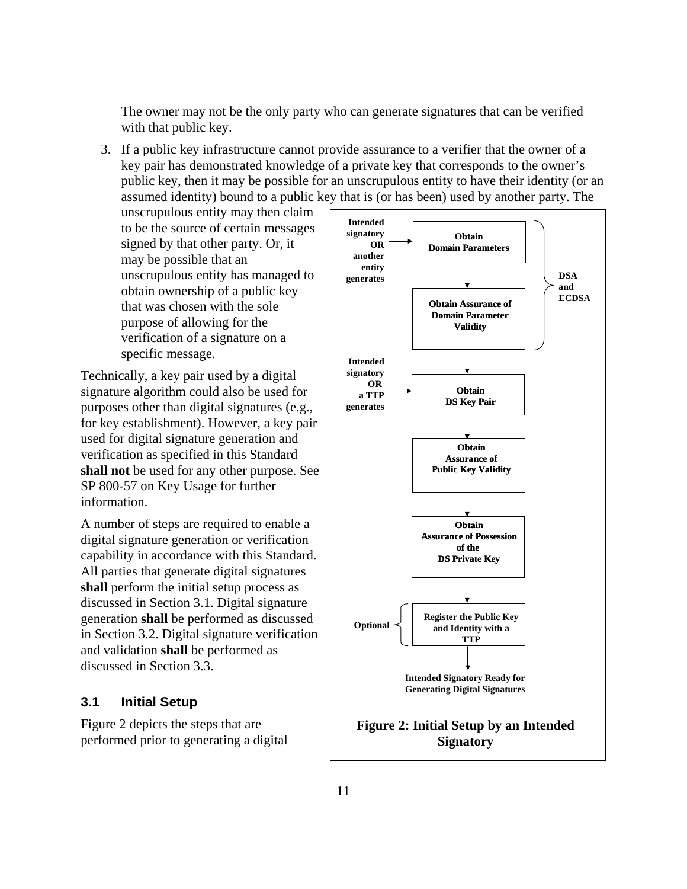The owner may not be the only party who can generate signatures that can be verified with that public key.

3. If a public key infrastructure cannot provide assurance to a verifier that the owner of a key pair has demonstrated knowledge of a private key that corresponds to the owner's public key, then it may be possible for an unscrupulous entity to have their identity (or an assumed identity) bound to a public key that is (or has been) used by another party. The

unscrupulous entity may then claim to be the source of certain messages signed by that other party. Or, it may be possible that an unscrupulous entity has managed to obtain ownership of a public key that was chosen with the sole purpose of allowing for the verification of a signature on a specific message.

Technically, a key pair used by a digital signature algorithm could also be used for purposes other than digital signatures (e.g., for key establishment). However, a key pair used for digital signature generation and verification as specified in this Standard **shall not** be used for any other purpose. See SP 800-57 on Key Usage for further information.

A number of steps are required to enable a digital signature generation or verification capability in accordance with this Standard. All parties that generate digital signatures **shall** perform the initial setup process as discussed in Section 3.1. Digital signature generation **shall** be performed as discussed in Section 3.2. Digital signature verification and validation **shall** be performed as discussed in Section 3.3.

#### <span id="page-19-0"></span>**3.1 Initial Setup**

Figure 2 depicts the steps that are performed prior to generating a digital

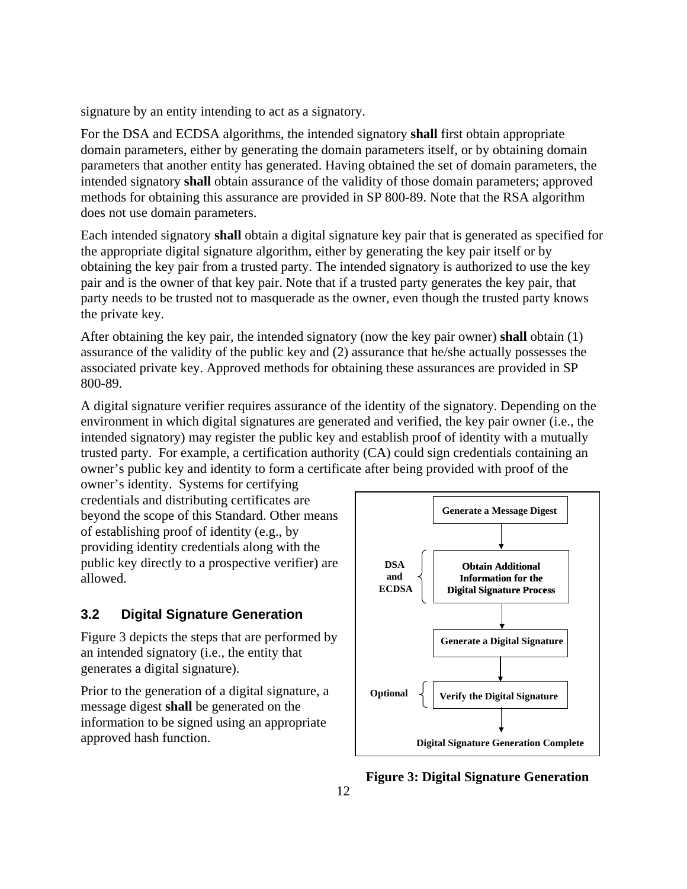signature by an entity intending to act as a signatory.

For the DSA and ECDSA algorithms, the intended signatory **shall** first obtain appropriate domain parameters, either by generating the domain parameters itself, or by obtaining domain parameters that another entity has generated. Having obtained the set of domain parameters, the intended signatory **shall** obtain assurance of the validity of those domain parameters; approved methods for obtaining this assurance are provided in SP 800-89. Note that the RSA algorithm does not use domain parameters.

Each intended signatory **shall** obtain a digital signature key pair that is generated as specified for the appropriate digital signature algorithm, either by generating the key pair itself or by obtaining the key pair from a trusted party. The intended signatory is authorized to use the key pair and is the owner of that key pair. Note that if a trusted party generates the key pair, that party needs to be trusted not to masquerade as the owner, even though the trusted party knows the private key.

After obtaining the key pair, the intended signatory (now the key pair owner) **shall** obtain (1) assurance of the validity of the public key and (2) assurance that he/she actually possesses the associated private key. Approved methods for obtaining these assurances are provided in SP 800-89.

A digital signature verifier requires assurance of the identity of the signatory. Depending on the environment in which digital signatures are generated and verified, the key pair owner (i.e., the intended signatory) may register the public key and establish proof of identity with a mutually trusted party. For example, a certification authority (CA) could sign credentials containing an owner's public key and identity to form a certificate after being provided with proof of the

owner's identity. Systems for certifying credentials and distributing certificates are beyond the scope of this Standard. Other means of establishing proof of identity (e.g., by providing identity credentials along with the public key directly to a prospective verifier) are allowed.

## <span id="page-20-0"></span>**3.2 Digital Signature Generation**

Figure 3 depicts the steps that are performed by an intended signatory (i.e., the entity that generates a digital signature).

Prior to the generation of a digital signature, a message digest **shall** be generated on the information to be signed using an appropriate approved hash function.



**Figure 3: Digital Signature Generation**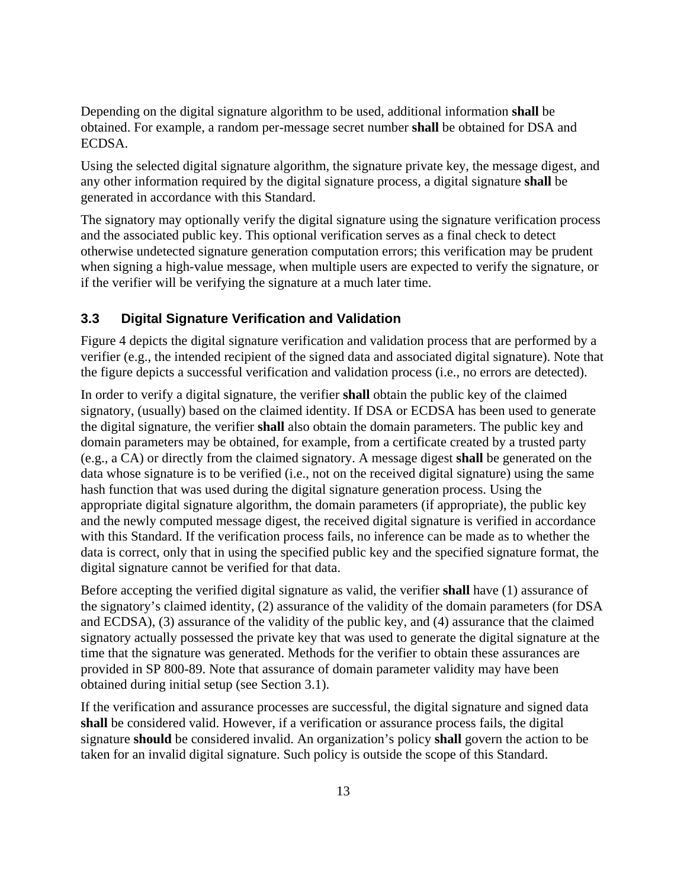Depending on the digital signature algorithm to be used, additional information **shall** be obtained. For example, a random per-message secret number **shall** be obtained for DSA and ECDSA.

Using the selected digital signature algorithm, the signature private key, the message digest, and any other information required by the digital signature process, a digital signature **shall** be generated in accordance with this Standard.

The signatory may optionally verify the digital signature using the signature verification process and the associated public key. This optional verification serves as a final check to detect otherwise undetected signature generation computation errors; this verification may be prudent when signing a high-value message, when multiple users are expected to verify the signature, or if the verifier will be verifying the signature at a much later time.

#### <span id="page-21-0"></span>**3.3 Digital Signature Verification and Validation**

Figure 4 depicts the digital signature verification and validation process that are performed by a verifier (e.g., the intended recipient of the signed data and associated digital signature). Note that the figure depicts a successful verification and validation process (i.e., no errors are detected).

In order to verify a digital signature, the verifier **shall** obtain the public key of the claimed signatory, (usually) based on the claimed identity. If DSA or ECDSA has been used to generate the digital signature, the verifier **shall** also obtain the domain parameters. The public key and domain parameters may be obtained, for example, from a certificate created by a trusted party (e.g., a CA) or directly from the claimed signatory. A message digest **shall** be generated on the data whose signature is to be verified (i.e., not on the received digital signature) using the same hash function that was used during the digital signature generation process. Using the appropriate digital signature algorithm, the domain parameters (if appropriate), the public key and the newly computed message digest, the received digital signature is verified in accordance with this Standard. If the verification process fails, no inference can be made as to whether the data is correct, only that in using the specified public key and the specified signature format, the digital signature cannot be verified for that data.

Before accepting the verified digital signature as valid, the verifier **shall** have (1) assurance of the signatory's claimed identity, (2) assurance of the validity of the domain parameters (for DSA and ECDSA), (3) assurance of the validity of the public key, and (4) assurance that the claimed signatory actually possessed the private key that was used to generate the digital signature at the time that the signature was generated. Methods for the verifier to obtain these assurances are provided in SP 800-89. Note that assurance of domain parameter validity may have been obtained during initial setup (see Section 3.1).

If the verification and assurance processes are successful, the digital signature and signed data **shall** be considered valid. However, if a verification or assurance process fails, the digital signature **should** be considered invalid. An organization's policy **shall** govern the action to be taken for an invalid digital signature. Such policy is outside the scope of this Standard.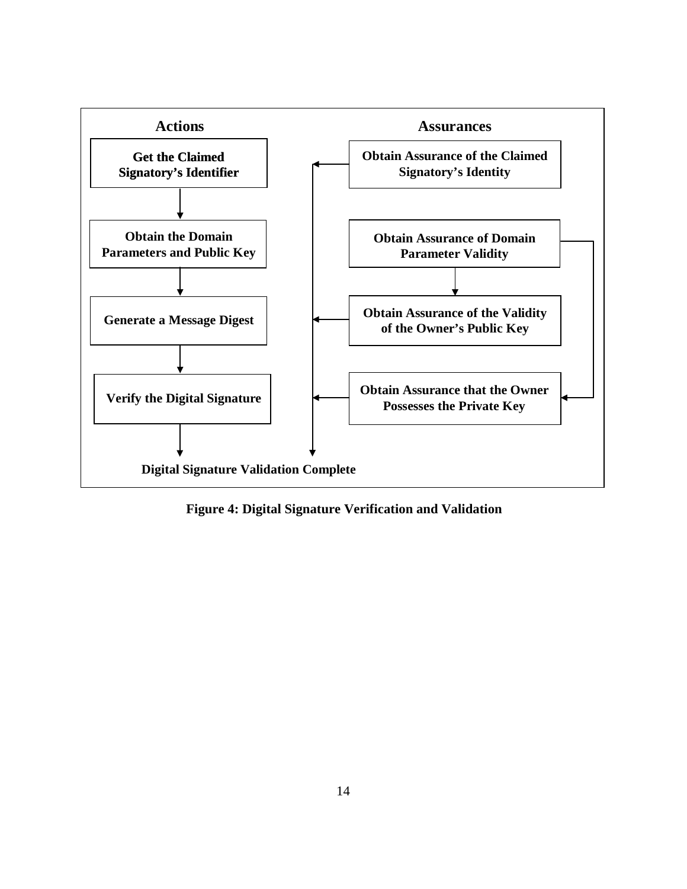

**Figure 4: Digital Signature Verification and Validation**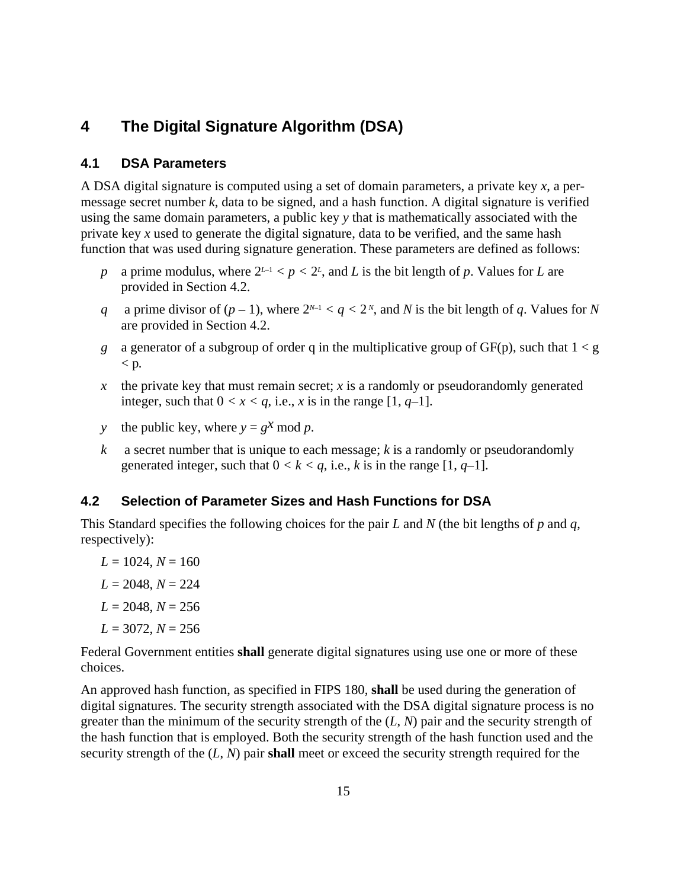## <span id="page-23-0"></span>**4 The Digital Signature Algorithm (DSA)**

#### <span id="page-23-1"></span>**4.1 DSA Parameters**

A DSA digital signature is computed using a set of domain parameters, a private key *x*, a permessage secret number *k*, data to be signed, and a hash function. A digital signature is verified using the same domain parameters, a public key *y* that is mathematically associated with the private key *x* used to generate the digital signature, data to be verified, and the same hash function that was used during signature generation. These parameters are defined as follows:

- *p* a prime modulus, where  $2^{L-1} < p < 2^L$ , and *L* is the bit length of *p*. Values for *L* are provided in Section 4.2.
- *q* a prime divisor of  $(p-1)$ , where  $2^{N-1} < q < 2^N$ , and *N* is the bit length of *q*. Values for *N* are provided in Section 4.2.
- *g* a generator of a subgroup of order q in the multiplicative group of  $GF(p)$ , such that  $1 < g$ < p*.*
- $x$  the private key that must remain secret;  $x$  is a randomly or pseudorandomly generated integer, such that  $0 < x < q$ , i.e., *x* is in the range [1, *q*-1].
- *y* the public key, where  $y = g^x \text{ mod } p$ .
- *k* a secret number that is unique to each message; *k* is a randomly or pseudorandomly generated integer, such that  $0 < k < q$ , i.e., *k* is in the range [1, *q*-1].

#### <span id="page-23-2"></span>**4.2 Selection of Parameter Sizes and Hash Functions for DSA**

This Standard specifies the following choices for the pair *L* and *N* (the bit lengths of *p* and *q*, respectively):

 $L = 1024, N = 160$  $L = 2048, N = 224$  $L = 2048, N = 256$  $L = 3072, N = 256$ 

Federal Government entities **shall** generate digital signatures using use one or more of these choices.

An approved hash function, as specified in FIPS 180, **shall** be used during the generation of digital signatures. The security strength associated with the DSA digital signature process is no greater than the minimum of the security strength of the (*L*, *N*) pair and the security strength of the hash function that is employed. Both the security strength of the hash function used and the security strength of the (*L*, *N*) pair **shall** meet or exceed the security strength required for the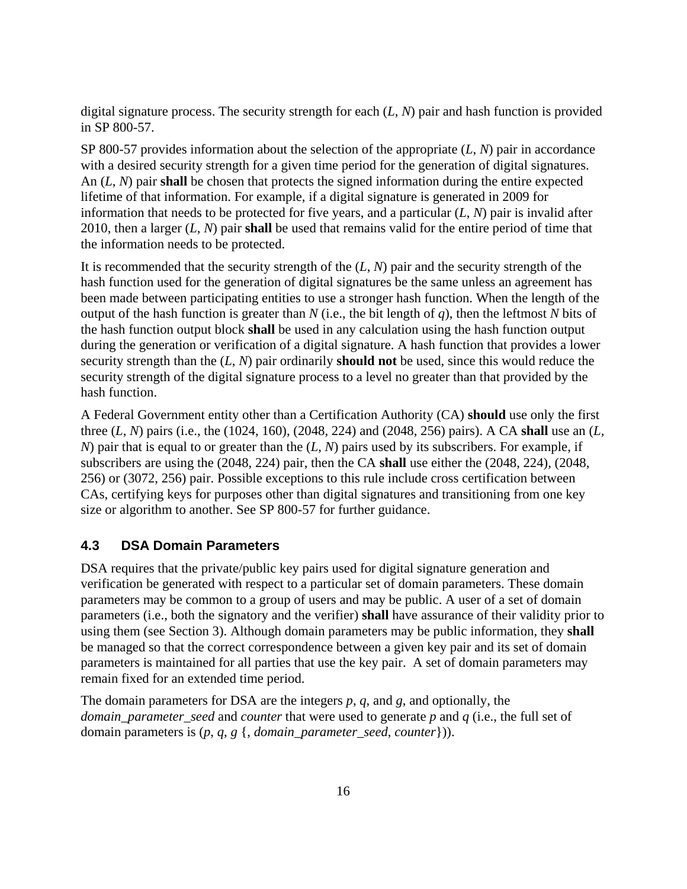digital signature process. The security strength for each (*L*, *N*) pair and hash function is provided in SP 800-57.

SP 800-57 provides information about the selection of the appropriate (*L*, *N*) pair in accordance with a desired security strength for a given time period for the generation of digital signatures. An (*L*, *N*) pair **shall** be chosen that protects the signed information during the entire expected lifetime of that information. For example, if a digital signature is generated in 2009 for information that needs to be protected for five years, and a particular (*L*, *N*) pair is invalid after 2010, then a larger (*L*, *N*) pair **shall** be used that remains valid for the entire period of time that the information needs to be protected.

It is recommended that the security strength of the (*L*, *N*) pair and the security strength of the hash function used for the generation of digital signatures be the same unless an agreement has been made between participating entities to use a stronger hash function. When the length of the output of the hash function is greater than *N* (i.e., the bit length of *q*), then the leftmost *N* bits of the hash function output block **shall** be used in any calculation using the hash function output during the generation or verification of a digital signature. A hash function that provides a lower security strength than the (*L*, *N*) pair ordinarily **should not** be used, since this would reduce the security strength of the digital signature process to a level no greater than that provided by the hash function.

A Federal Government entity other than a Certification Authority (CA) **should** use only the first three (*L*, *N*) pairs (i.e., the (1024, 160), (2048, 224) and (2048, 256) pairs). A CA **shall** use an (*L*, *N*) pair that is equal to or greater than the (*L*, *N*) pairs used by its subscribers. For example, if subscribers are using the (2048, 224) pair, then the CA **shall** use either the (2048, 224), (2048, 256) or (3072, 256) pair. Possible exceptions to this rule include cross certification between CAs, certifying keys for purposes other than digital signatures and transitioning from one key size or algorithm to another. See SP 800-57 for further guidance.

### <span id="page-24-0"></span>**4.3 DSA Domain Parameters**

DSA requires that the private/public key pairs used for digital signature generation and verification be generated with respect to a particular set of domain parameters. These domain parameters may be common to a group of users and may be public. A user of a set of domain parameters (i.e., both the signatory and the verifier) **shall** have assurance of their validity prior to using them (see Section 3). Although domain parameters may be public information, they **shall** be managed so that the correct correspondence between a given key pair and its set of domain parameters is maintained for all parties that use the key pair. A set of domain parameters may remain fixed for an extended time period.

The domain parameters for DSA are the integers *p*, *q*, and *g*, and optionally, the *domain\_parameter\_seed* and *counter* that were used to generate *p* and *q* (i.e., the full set of domain parameters is (*p*, *q*, *g* {, *domain\_parameter\_seed*, *counter*})).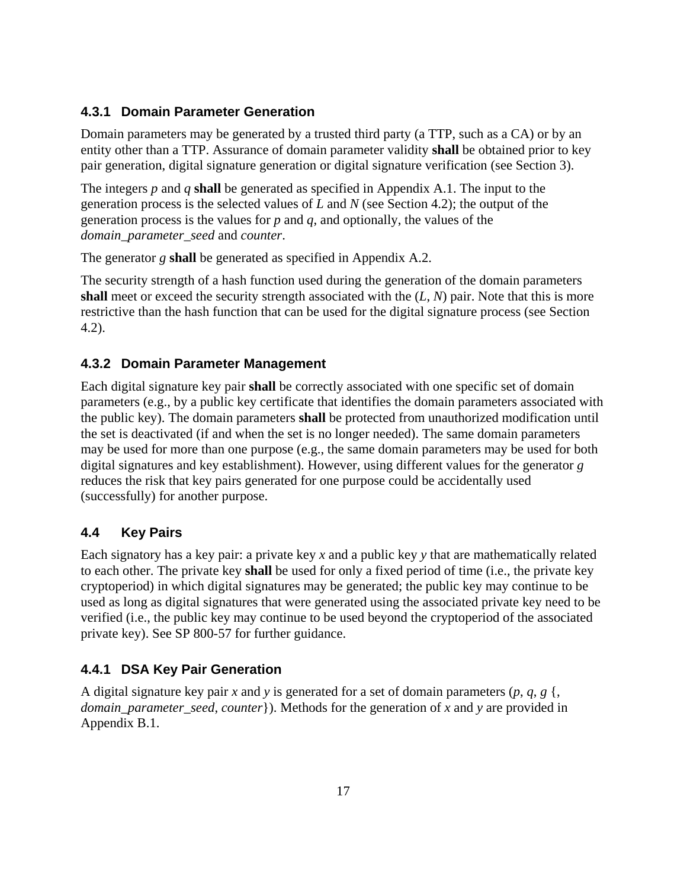#### <span id="page-25-0"></span>**4.3.1 Domain Parameter Generation**

Domain parameters may be generated by a trusted third party (a TTP, such as a CA) or by an entity other than a TTP. Assurance of domain parameter validity **shall** be obtained prior to key pair generation, digital signature generation or digital signature verification (see Section 3).

The integers *p* and *q* **shall** be generated as specified in Appendix A.1. The input to the generation process is the selected values of *L* and *N* (see Section 4.2); the output of the generation process is the values for *p* and *q*, and optionally, the values of the *domain\_parameter\_seed* and *counter*.

The generator *g* **shall** be generated as specified in Appendix A.2.

The security strength of a hash function used during the generation of the domain parameters **shall** meet or exceed the security strength associated with the (*L*, *N*) pair. Note that this is more restrictive than the hash function that can be used for the digital signature process (see Section 4.2).

#### <span id="page-25-1"></span>**4.3.2 Domain Parameter Management**

Each digital signature key pair **shall** be correctly associated with one specific set of domain parameters (e.g., by a public key certificate that identifies the domain parameters associated with the public key). The domain parameters **shall** be protected from unauthorized modification until the set is deactivated (if and when the set is no longer needed). The same domain parameters may be used for more than one purpose (e.g., the same domain parameters may be used for both digital signatures and key establishment). However, using different values for the generator *g* reduces the risk that key pairs generated for one purpose could be accidentally used (successfully) for another purpose.

#### <span id="page-25-2"></span>**4.4 Key Pairs**

Each signatory has a key pair: a private key *x* and a public key *y* that are mathematically related to each other. The private key **shall** be used for only a fixed period of time (i.e., the private key cryptoperiod) in which digital signatures may be generated; the public key may continue to be used as long as digital signatures that were generated using the associated private key need to be verified (i.e., the public key may continue to be used beyond the cryptoperiod of the associated private key). See SP 800-57 for further guidance.

#### <span id="page-25-3"></span>**4.4.1 DSA Key Pair Generation**

A digital signature key pair *x* and *y* is generated for a set of domain parameters  $(p, q, g)$ , *domain parameter seed, counter*}). Methods for the generation of *x* and *y* are provided in Appendix B.1.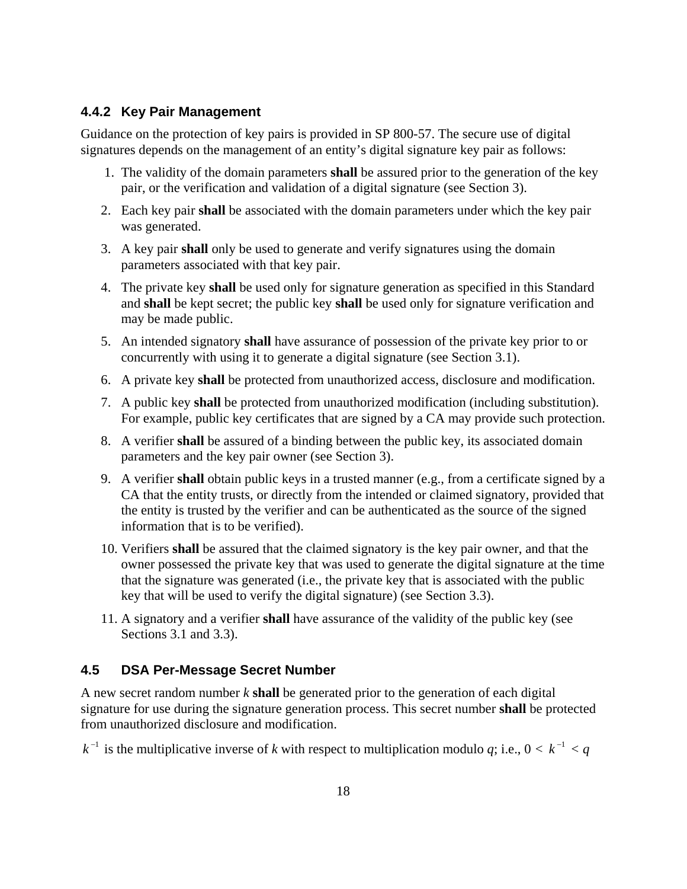#### <span id="page-26-0"></span>**4.4.2 Key Pair Management**

Guidance on the protection of key pairs is provided in SP 800-57. The secure use of digital signatures depends on the management of an entity's digital signature key pair as follows:

- 1. The validity of the domain parameters **shall** be assured prior to the generation of the key pair, or the verification and validation of a digital signature (see Section 3).
- 2. Each key pair **shall** be associated with the domain parameters under which the key pair was generated.
- 3. A key pair **shall** only be used to generate and verify signatures using the domain parameters associated with that key pair.
- 4. The private key **shall** be used only for signature generation as specified in this Standard and **shall** be kept secret; the public key **shall** be used only for signature verification and may be made public.
- 5. An intended signatory **shall** have assurance of possession of the private key prior to or concurrently with using it to generate a digital signature (see Section 3.1).
- 6. A private key **shall** be protected from unauthorized access, disclosure and modification.
- 7. A public key **shall** be protected from unauthorized modification (including substitution). For example, public key certificates that are signed by a CA may provide such protection.
- 8. A verifier **shall** be assured of a binding between the public key, its associated domain parameters and the key pair owner (see Section 3).
- 9. A verifier **shall** obtain public keys in a trusted manner (e.g., from a certificate signed by a CA that the entity trusts, or directly from the intended or claimed signatory, provided that the entity is trusted by the verifier and can be authenticated as the source of the signed information that is to be verified).
- 10. Verifiers **shall** be assured that the claimed signatory is the key pair owner, and that the owner possessed the private key that was used to generate the digital signature at the time that the signature was generated (i.e., the private key that is associated with the public key that will be used to verify the digital signature) (see Section 3.3).
- 11. A signatory and a verifier **shall** have assurance of the validity of the public key (see Sections 3.1 and 3.3).

### <span id="page-26-1"></span>**4.5 DSA Per-Message Secret Number**

A new secret random number *k* **shall** be generated prior to the generation of each digital signature for use during the signature generation process. This secret number **shall** be protected from unauthorized disclosure and modification.

 $k^{-1}$  is the multiplicative inverse of k with respect to multiplication modulo *q*; i.e.,  $0 < k^{-1} < q$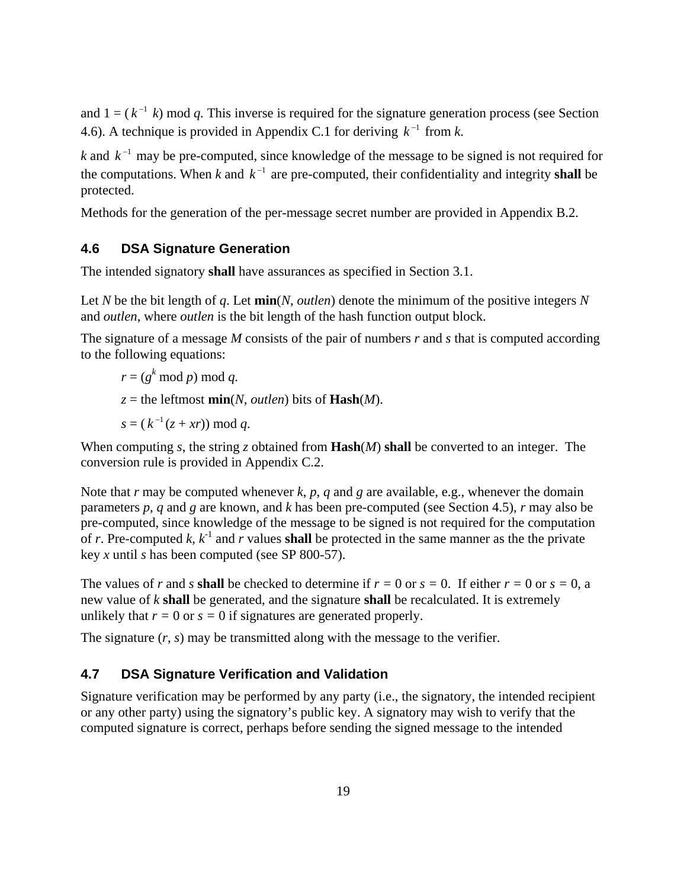and  $1 = (k^{-1} k)$  mod *q*. This inverse is required for the signature generation process (see Section 4.6). A technique is provided in Appendix C.1 for deriving  $k^{-1}$  from *k*.

*k* and  $k^{-1}$  may be pre-computed, since knowledge of the message to be signed is not required for the computations. When *k* and  $k^{-1}$  are pre-computed, their confidentiality and integrity **shall** be protected.

Methods for the generation of the per-message secret number are provided in Appendix B.2.

### <span id="page-27-0"></span>**4.6 DSA Signature Generation**

The intended signatory **shall** have assurances as specified in Section 3.1.

Let *N* be the bit length of *q*. Let **min**(*N*, *outlen*) denote the minimum of the positive integers *N* and *outlen*, where *outlen* is the bit length of the hash function output block.

The signature of a message *M* consists of the pair of numbers *r* and *s* that is computed according to the following equations:

 $r = (g^k \mod p) \mod q$ .

 $z =$  the leftmost **min**(*N, outlen*) bits of **Hash**(*M*).

 $s = (k^{-1}(z + xr)) \text{ mod } q.$ 

When computing *s*, the string *z* obtained from **Hash**(*M*) **shall** be converted to an integer. The conversion rule is provided in Appendix C.2.

Note that  $r$  may be computed whenever  $k$ ,  $p$ ,  $q$  and  $g$  are available, e.g., whenever the domain parameters *p*, *q* and *g* are known, and *k* has been pre-computed (see Section 4.5), *r* may also be pre-computed, since knowledge of the message to be signed is not required for the computation of *r*. Pre-computed  $k$ ,  $k^{-1}$  and  $r$  values **shall** be protected in the same manner as the the private key *x* until *s* has been computed (see SP 800-57).

The values of *r* and *s* **shall** be checked to determine if  $r = 0$  or  $s = 0$ . If either  $r = 0$  or  $s = 0$ , a new value of *k* **shall** be generated, and the signature **shall** be recalculated. It is extremely unlikely that  $r = 0$  or  $s = 0$  if signatures are generated properly.

The signature  $(r, s)$  may be transmitted along with the message to the verifier.

#### <span id="page-27-1"></span>**4.7 DSA Signature Verification and Validation**

Signature verification may be performed by any party (i.e., the signatory, the intended recipient or any other party) using the signatory's public key. A signatory may wish to verify that the computed signature is correct, perhaps before sending the signed message to the intended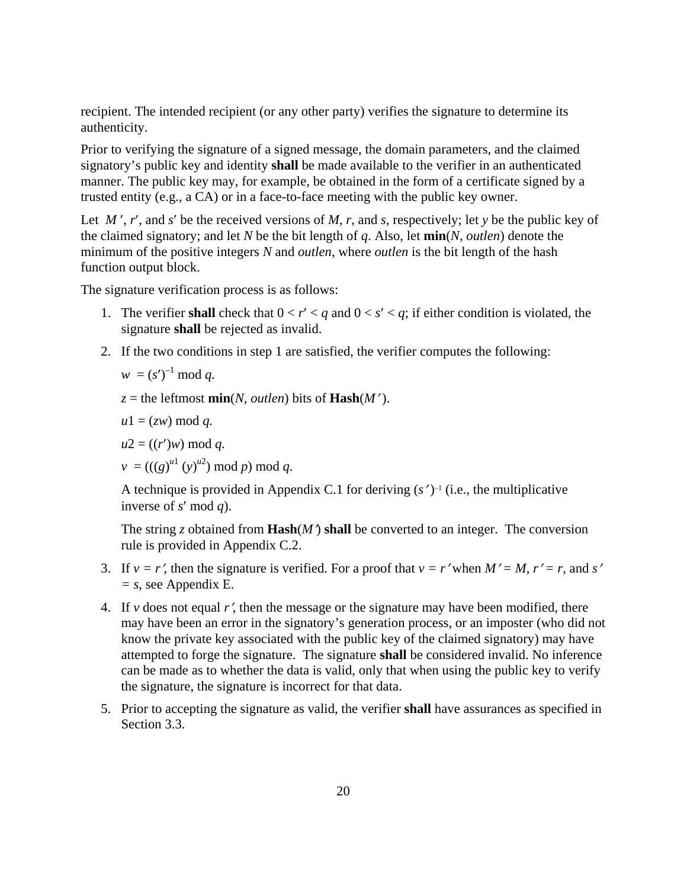recipient. The intended recipient (or any other party) verifies the signature to determine its authenticity.

Prior to verifying the signature of a signed message, the domain parameters, and the claimed signatory's public key and identity **shall** be made available to the verifier in an authenticated manner. The public key may, for example, be obtained in the form of a certificate signed by a trusted entity (e.g., a CA) or in a face-to-face meeting with the public key owner.

Let *M* ′, *r*′, and *s*′ be the received versions of *M*, *r*, and *s*, respectively; let *y* be the public key of the claimed signatory; and let *N* be the bit length of *q*. Also, let **min**(*N*, *outlen*) denote the minimum of the positive integers *N* and *outlen*, where *outlen* is the bit length of the hash function output block.

The signature verification process is as follows:

- 1. The verifier **shall** check that  $0 < r' < q$  and  $0 < s' < q$ ; if either condition is violated, the signature **shall** be rejected as invalid.
- 2. If the two conditions in step 1 are satisfied, the verifier computes the following:

$$
w = (s')^{-1} \bmod q.
$$

 $z =$  the leftmost **min**(*N, outlen*) bits of **Hash**( $M'$ ).

 $u1 = (zw) \bmod q$ .

 $u2 = ((r')w) \text{ mod } q.$ 

 $v = (((g)^{u1} (y)^{u2}) \bmod p) \bmod q.$ 

A technique is provided in Appendix C.1 for deriving (*s*′ )*–*<sup>1</sup> (i.e., the multiplicative inverse of *s*′ mod *q*).

The string *z* obtained from **Hash** $(M')$  shall be converted to an integer. The conversion rule is provided in Appendix C.2.

- 3. If  $v = r'$ , then the signature is verified. For a proof that  $v = r'$  when  $M' = M$ ,  $r' = r$ , and s' *= s*, see Appendix E.
- 4. If *v* does not equal  $r'$ , then the message or the signature may have been modified, there may have been an error in the signatory's generation process, or an imposter (who did not know the private key associated with the public key of the claimed signatory) may have attempted to forge the signature. The signature **shall** be considered invalid. No inference can be made as to whether the data is valid, only that when using the public key to verify the signature, the signature is incorrect for that data.
- 5. Prior to accepting the signature as valid, the verifier **shall** have assurances as specified in Section 3.3.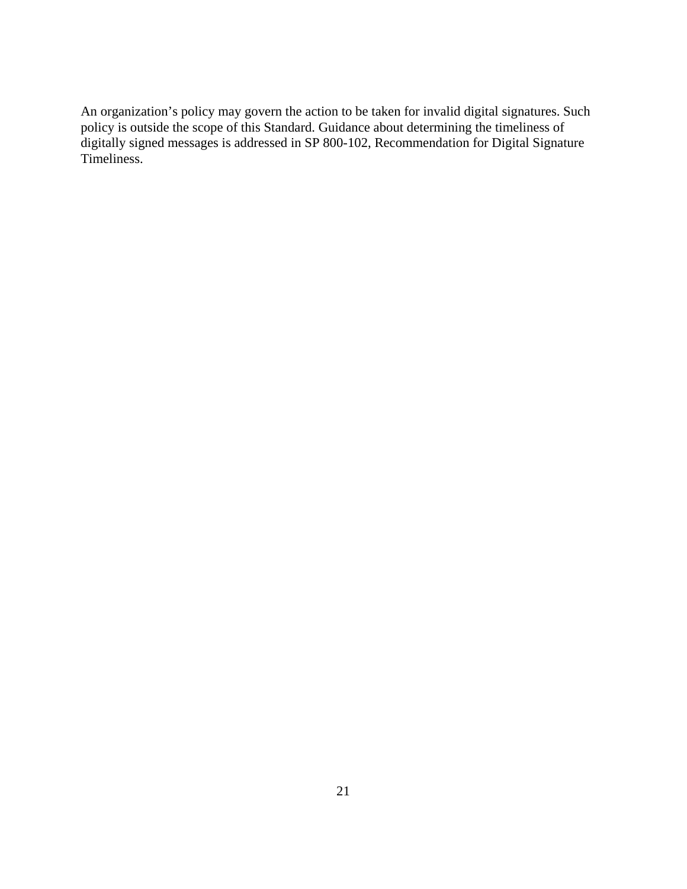An organization's policy may govern the action to be taken for invalid digital signatures. Such policy is outside the scope of this Standard. Guidance about determining the timeliness of digitally signed messages is addressed in SP 800-102, Recommendation for Digital Signature Timeliness.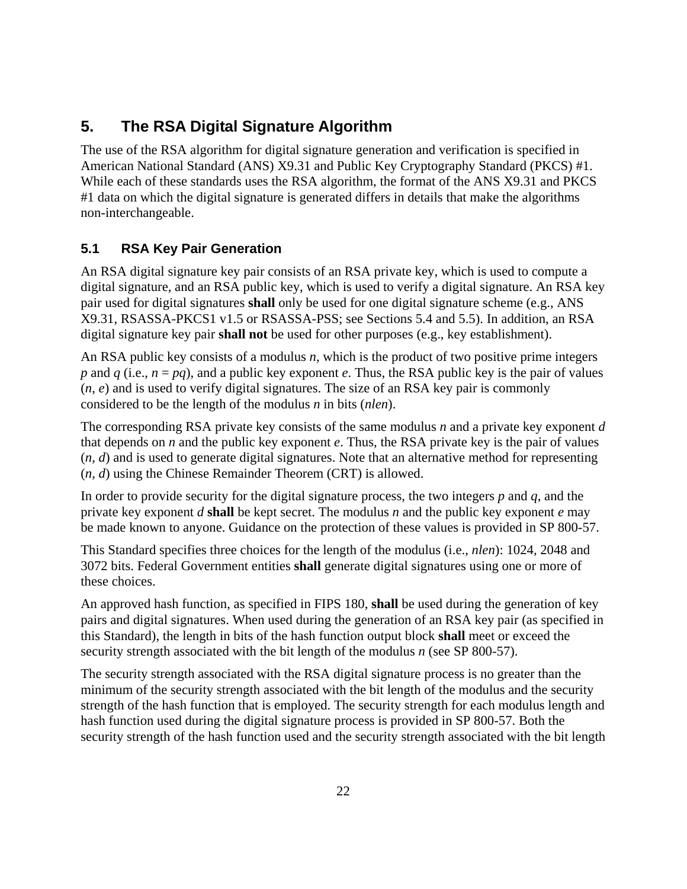## <span id="page-30-0"></span>**5. The RSA Digital Signature Algorithm**

The use of the RSA algorithm for digital signature generation and verification is specified in American National Standard (ANS) X9.31 and Public Key Cryptography Standard (PKCS) #1. While each of these standards uses the RSA algorithm, the format of the ANS X9.31 and PKCS #1 data on which the digital signature is generated differs in details that make the algorithms non-interchangeable.

## <span id="page-30-1"></span>**5.1 RSA Key Pair Generation**

An RSA digital signature key pair consists of an RSA private key, which is used to compute a digital signature, and an RSA public key, which is used to verify a digital signature. An RSA key pair used for digital signatures **shall** only be used for one digital signature scheme (e.g., ANS X9.31, RSASSA-PKCS1 v1.5 or RSASSA-PSS; see Sections 5.4 and 5.5). In addition, an RSA digital signature key pair **shall not** be used for other purposes (e.g., key establishment).

An RSA public key consists of a modulus *n*, which is the product of two positive prime integers *p* and *q* (i.e.,  $n = pq$ ), and a public key exponent *e*. Thus, the RSA public key is the pair of values  $(n, e)$  and is used to verify digital signatures. The size of an RSA key pair is commonly considered to be the length of the modulus *n* in bits (*nlen*).

The corresponding RSA private key consists of the same modulus *n* and a private key exponent *d* that depends on *n* and the public key exponent *e*. Thus, the RSA private key is the pair of values (*n*, *d*) and is used to generate digital signatures. Note that an alternative method for representing (*n*, *d*) using the Chinese Remainder Theorem (CRT) is allowed.

In order to provide security for the digital signature process, the two integers *p* and *q*, and the private key exponent *d* **shall** be kept secret. The modulus *n* and the public key exponent *e* may be made known to anyone. Guidance on the protection of these values is provided in SP 800-57.

This Standard specifies three choices for the length of the modulus (i.e., *nlen*): 1024, 2048 and 3072 bits. Federal Government entities **shall** generate digital signatures using one or more of these choices.

An approved hash function, as specified in FIPS 180, **shall** be used during the generation of key pairs and digital signatures. When used during the generation of an RSA key pair (as specified in this Standard), the length in bits of the hash function output block **shall** meet or exceed the security strength associated with the bit length of the modulus *n* (see SP 800-57).

The security strength associated with the RSA digital signature process is no greater than the minimum of the security strength associated with the bit length of the modulus and the security strength of the hash function that is employed. The security strength for each modulus length and hash function used during the digital signature process is provided in SP 800-57. Both the security strength of the hash function used and the security strength associated with the bit length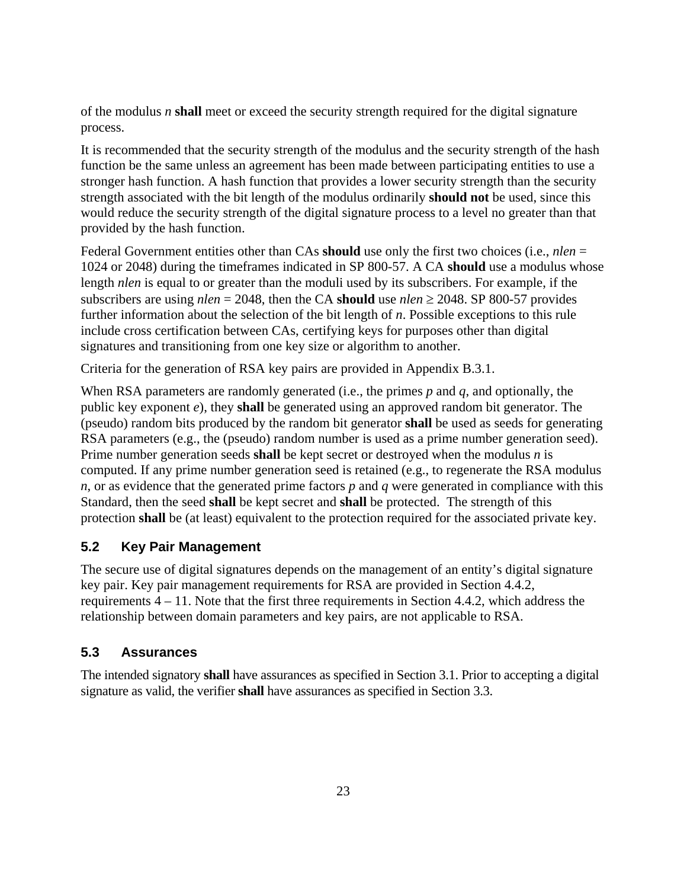of the modulus *n* **shall** meet or exceed the security strength required for the digital signature process.

It is recommended that the security strength of the modulus and the security strength of the hash function be the same unless an agreement has been made between participating entities to use a stronger hash function. A hash function that provides a lower security strength than the security strength associated with the bit length of the modulus ordinarily **should not** be used, since this would reduce the security strength of the digital signature process to a level no greater than that provided by the hash function.

Federal Government entities other than CAs **should** use only the first two choices (i.e., *nlen* = 1024 or 2048) during the timeframes indicated in SP 800-57. A CA **should** use a modulus whose length *nlen* is equal to or greater than the moduli used by its subscribers. For example, if the subscribers are using *nlen* = 2048, then the CA **should** use *nlen* ≥ 2048. SP 800-57 provides further information about the selection of the bit length of *n*. Possible exceptions to this rule include cross certification between CAs, certifying keys for purposes other than digital signatures and transitioning from one key size or algorithm to another.

Criteria for the generation of RSA key pairs are provided in Appendix B.3.1.

When RSA parameters are randomly generated (i.e., the primes *p* and *q*, and optionally, the public key exponent *e*), they **shall** be generated using an approved random bit generator. The (pseudo) random bits produced by the random bit generator **shall** be used as seeds for generating RSA parameters (e.g., the (pseudo) random number is used as a prime number generation seed). Prime number generation seeds **shall** be kept secret or destroyed when the modulus *n* is computed. If any prime number generation seed is retained (e.g., to regenerate the RSA modulus  $n$ , or as evidence that the generated prime factors  $p$  and  $q$  were generated in compliance with this Standard, then the seed **shall** be kept secret and **shall** be protected. The strength of this protection **shall** be (at least) equivalent to the protection required for the associated private key.

## <span id="page-31-0"></span>**5.2 Key Pair Management**

The secure use of digital signatures depends on the management of an entity's digital signature key pair. Key pair management requirements for RSA are provided in Section 4.4.2, requirements 4 – 11. Note that the first three requirements in Section 4.4.2, which address the relationship between domain parameters and key pairs, are not applicable to RSA.

### <span id="page-31-1"></span>**5.3 Assurances**

The intended signatory **shall** have assurances as specified in Section 3.1. Prior to accepting a digital signature as valid, the verifier **shall** have assurances as specified in Section 3.3.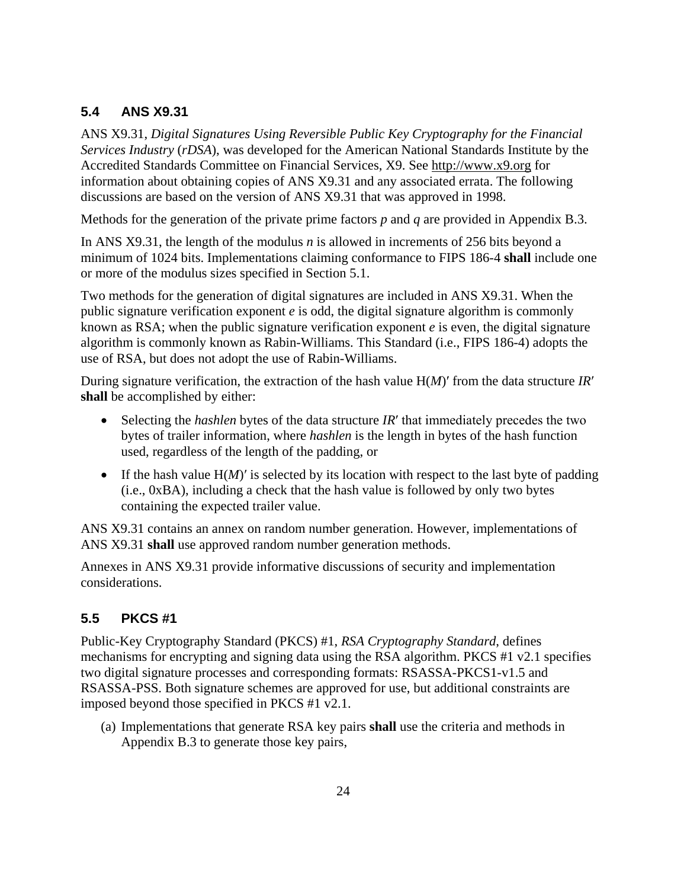## <span id="page-32-0"></span>**5.4 ANS X9.31**

ANS X9.31, *Digital Signatures Using Reversible Public Key Cryptography for the Financial Services Industry* (*rDSA*), was developed for the American National Standards Institute by the Accredited Standards Committee on Financial Services, X9. See [http://www.x9.org](http://www.x9.org/) for information about obtaining copies of ANS X9.31 and any associated errata. The following discussions are based on the version of ANS X9.31 that was approved in 1998.

Methods for the generation of the private prime factors *p* and *q* are provided in Appendix B.3.

In ANS X9.31, the length of the modulus *n* is allowed in increments of 256 bits beyond a minimum of 1024 bits. Implementations claiming conformance to FIPS 186-4 **shall** include one or more of the modulus sizes specified in Section 5.1.

Two methods for the generation of digital signatures are included in ANS X9.31. When the public signature verification exponent *e* is odd, the digital signature algorithm is commonly known as RSA; when the public signature verification exponent *e* is even, the digital signature algorithm is commonly known as Rabin-Williams. This Standard (i.e., FIPS 186-4) adopts the use of RSA, but does not adopt the use of Rabin-Williams.

During signature verification, the extraction of the hash value H(*M*)′ from the data structure *IR*′ **shall** be accomplished by either:

- Selecting the *hashlen* bytes of the data structure *IR'* that immediately precedes the two bytes of trailer information, where *hashlen* is the length in bytes of the hash function used, regardless of the length of the padding, or
- If the hash value  $H(M)'$  is selected by its location with respect to the last byte of padding (i.e., 0xBA), including a check that the hash value is followed by only two bytes containing the expected trailer value.

ANS X9.31 contains an annex on random number generation. However, implementations of ANS X9.31 **shall** use approved random number generation methods.

Annexes in ANS X9.31 provide informative discussions of security and implementation considerations.

## <span id="page-32-1"></span>**5.5 PKCS #1**

Public-Key Cryptography Standard (PKCS) #1, *RSA Cryptography Standard*, defines mechanisms for encrypting and signing data using the RSA algorithm. PKCS #1 v2.1 specifies two digital signature processes and corresponding formats: RSASSA-PKCS1-v1.5 and RSASSA-PSS. Both signature schemes are approved for use, but additional constraints are imposed beyond those specified in PKCS #1 v2.1.

(a) Implementations that generate RSA key pairs **shall** use the criteria and methods in Appendix B.3 to generate those key pairs,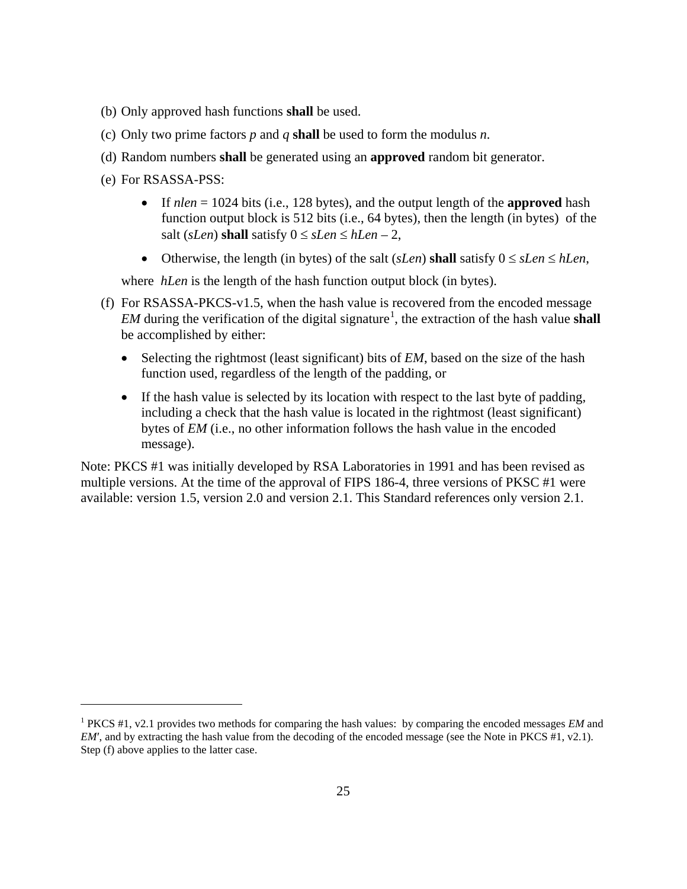- (b) Only approved hash functions **shall** be used.
- (c) Only two prime factors *p* and *q* **shall** be used to form the modulus *n*.
- (d) Random numbers **shall** be generated using an **approved** random bit generator.
- (e) For RSASSA-PSS:

 $\overline{a}$ 

- If  $nlen = 1024$  bits (i.e., 128 bytes), and the output length of the **approved** hash function output block is 512 bits (i.e., 64 bytes), then the length (in bytes) of the salt (*sLen*) **shall** satisfy  $0 \leq sLen \leq hLen - 2$ ,
- Otherwise, the length (in bytes) of the salt (*sLen*) **shall** satisfy  $0 \leq sLen \leq hLen$ ,

where *hLen* is the length of the hash function output block (in bytes).

- (f) For RSASSA-PKCS-v1.5, when the hash value is recovered from the encoded message *EM* during the verification of the digital signature<sup>[1](#page-33-0)</sup>, the extraction of the hash value **shall** be accomplished by either:
	- Selecting the rightmost (least significant) bits of *EM*, based on the size of the hash function used, regardless of the length of the padding, or
	- If the hash value is selected by its location with respect to the last byte of padding, including a check that the hash value is located in the rightmost (least significant) bytes of *EM* (i.e., no other information follows the hash value in the encoded message).

Note: PKCS #1 was initially developed by RSA Laboratories in 1991 and has been revised as multiple versions. At the time of the approval of FIPS 186-4, three versions of PKSC #1 were available: version 1.5, version 2.0 and version 2.1. This Standard references only version 2.1.

<span id="page-33-0"></span><sup>1</sup> PKCS #1, v2.1 provides two methods for comparing the hash values: by comparing the encoded messages *EM* and *EM'*, and by extracting the hash value from the decoding of the encoded message (see the Note in PKCS #1, v2.1). Step (f) above applies to the latter case.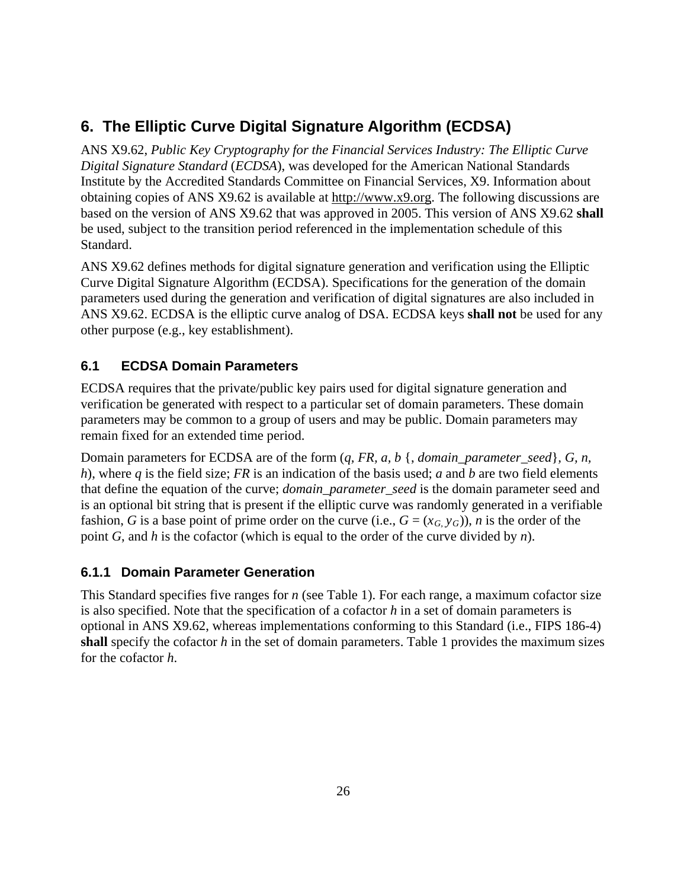## <span id="page-34-0"></span>**6. The Elliptic Curve Digital Signature Algorithm (ECDSA)**

ANS X9.62, *Public Key Cryptography for the Financial Services Industry: The Elliptic Curve Digital Signature Standard* (*ECDSA*), was developed for the American National Standards Institute by the Accredited Standards Committee on Financial Services, X9. Information about obtaining copies of ANS X9.62 is available at [http://www.x9.org.](http://www.x9.org/) The following discussions are based on the version of ANS X9.62 that was approved in 2005. This version of ANS X9.62 **shall** be used, subject to the transition period referenced in the implementation schedule of this Standard.

ANS X9.62 defines methods for digital signature generation and verification using the Elliptic Curve Digital Signature Algorithm (ECDSA). Specifications for the generation of the domain parameters used during the generation and verification of digital signatures are also included in ANS X9.62. ECDSA is the elliptic curve analog of DSA. ECDSA keys **shall not** be used for any other purpose (e.g., key establishment).

## <span id="page-34-1"></span>**6.1 ECDSA Domain Parameters**

ECDSA requires that the private/public key pairs used for digital signature generation and verification be generated with respect to a particular set of domain parameters. These domain parameters may be common to a group of users and may be public. Domain parameters may remain fixed for an extended time period.

Domain parameters for ECDSA are of the form (*q, FR, a, b* {, *domain\_parameter\_seed*}*, G, n, h*), where *q* is the field size; *FR* is an indication of the basis used; *a* and *b* are two field elements that define the equation of the curve; *domain\_parameter\_seed* is the domain parameter seed and is an optional bit string that is present if the elliptic curve was randomly generated in a verifiable fashion, *G* is a base point of prime order on the curve (i.e.,  $G = (x_G, y_G)$ ), *n* is the order of the point *G*, and *h* is the cofactor (which is equal to the order of the curve divided by *n*).

## <span id="page-34-2"></span>**6.1.1 Domain Parameter Generation**

This Standard specifies five ranges for *n* (see Table 1). For each range, a maximum cofactor size is also specified. Note that the specification of a cofactor *h* in a set of domain parameters is optional in ANS X9.62, whereas implementations conforming to this Standard (i.e., FIPS 186-4) **shall** specify the cofactor *h* in the set of domain parameters. Table 1 provides the maximum sizes for the cofactor *h*.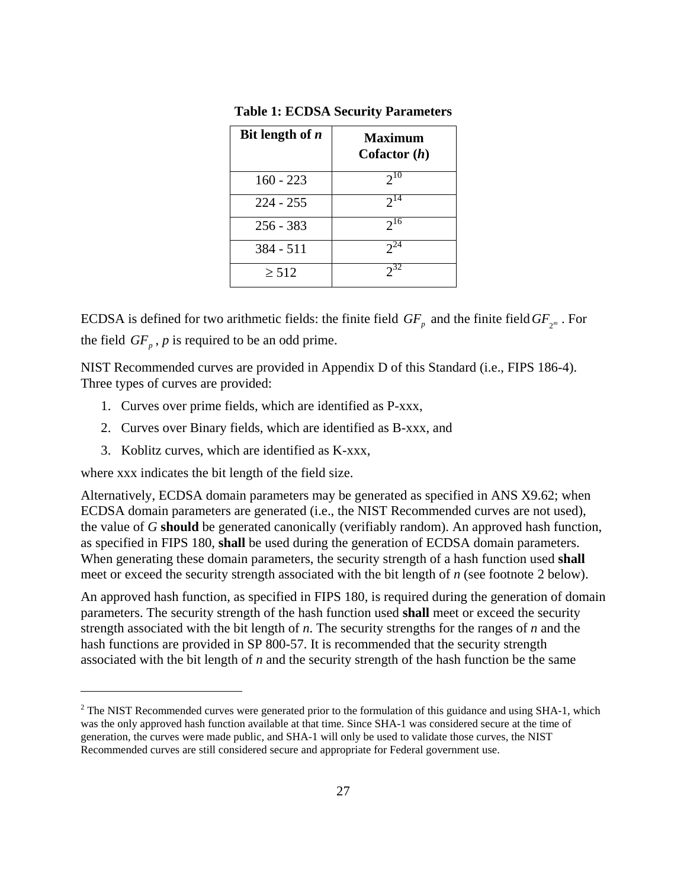| Bit length of $n$ | <b>Maximum</b><br>Cofactor $(h)$ |
|-------------------|----------------------------------|
| $160 - 223$       | $2^{10}$                         |
| $224 - 255$       | $2^{14}$                         |
| $256 - 383$       | $2^{16}$                         |
| 384 - 511         | $2^{24}$                         |
| $\geq 512$        | $2^{32}$                         |

**Table 1: ECDSA Security Parameters**

ECDSA is defined for two arithmetic fields: the finite field  $GF_p$  and the finite field  $GF_{p^m}$ . For the field  $GF_p$ ,  $p$  is required to be an odd prime.

NIST Recommended curves are provided in Appendix D of this Standard (i.e., FIPS 186-4). Three types of curves are provided:

- 1. Curves over prime fields, which are identified as P-xxx,
- 2. Curves over Binary fields, which are identified as B-xxx, and
- 3. Koblitz curves, which are identified as K-xxx,

where xxx indicates the bit length of the field size.

 $\overline{a}$ 

Alternatively, ECDSA domain parameters may be generated as specified in ANS X9.62; when ECDSA domain parameters are generated (i.e., the NIST Recommended curves are not used), the value of *G* **should** be generated canonically (verifiably random). An approved hash function, as specified in FIPS 180, **shall** be used during the generation of ECDSA domain parameters. When generating these domain parameters, the security strength of a hash function used **shall** meet or exceed the security strength associated with the bit length of *n* (see footnote [2](#page-35-0) below).

An approved hash function, as specified in FIPS 180, is required during the generation of domain parameters. The security strength of the hash function used **shall** meet or exceed the security strength associated with the bit length of *n*. The security strengths for the ranges of *n* and the hash functions are provided in SP 800-57. It is recommended that the security strength associated with the bit length of *n* and the security strength of the hash function be the same

<span id="page-35-0"></span><sup>&</sup>lt;sup>2</sup> The NIST Recommended curves were generated prior to the formulation of this guidance and using SHA-1, which was the only approved hash function available at that time. Since SHA-1 was considered secure at the time of generation, the curves were made public, and SHA-1 will only be used to validate those curves, the NIST Recommended curves are still considered secure and appropriate for Federal government use.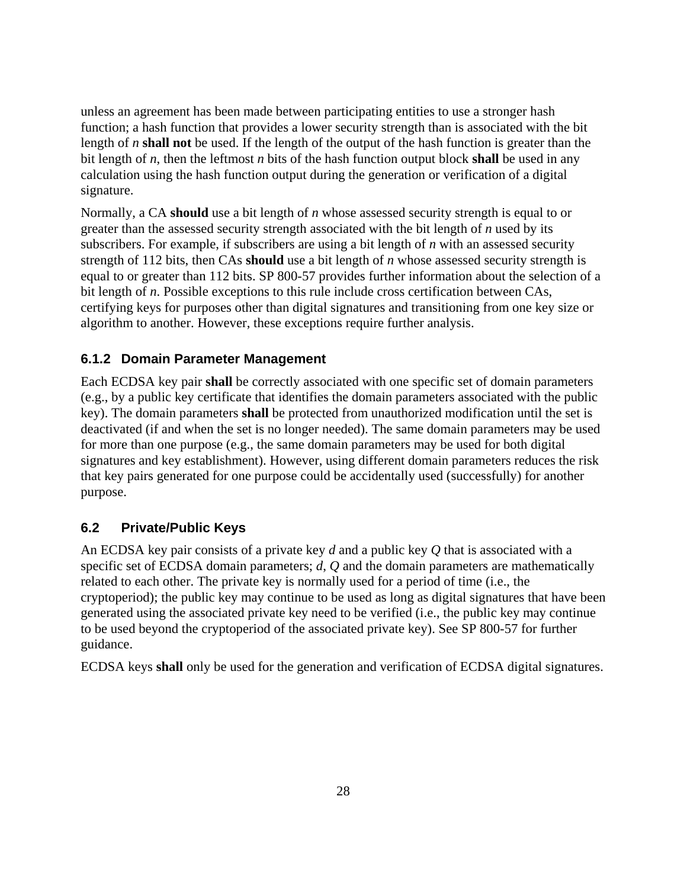unless an agreement has been made between participating entities to use a stronger hash function; a hash function that provides a lower security strength than is associated with the bit length of *n* **shall not** be used. If the length of the output of the hash function is greater than the bit length of *n*, then the leftmost *n* bits of the hash function output block **shall** be used in any calculation using the hash function output during the generation or verification of a digital signature.

Normally, a CA **should** use a bit length of *n* whose assessed security strength is equal to or greater than the assessed security strength associated with the bit length of *n* used by its subscribers. For example, if subscribers are using a bit length of *n* with an assessed security strength of 112 bits, then CAs **should** use a bit length of *n* whose assessed security strength is equal to or greater than 112 bits. SP 800-57 provides further information about the selection of a bit length of *n*. Possible exceptions to this rule include cross certification between CAs, certifying keys for purposes other than digital signatures and transitioning from one key size or algorithm to another. However, these exceptions require further analysis.

# **6.1.2 Domain Parameter Management**

Each ECDSA key pair **shall** be correctly associated with one specific set of domain parameters (e.g., by a public key certificate that identifies the domain parameters associated with the public key). The domain parameters **shall** be protected from unauthorized modification until the set is deactivated (if and when the set is no longer needed). The same domain parameters may be used for more than one purpose (e.g., the same domain parameters may be used for both digital signatures and key establishment). However, using different domain parameters reduces the risk that key pairs generated for one purpose could be accidentally used (successfully) for another purpose.

# **6.2 Private/Public Keys**

An ECDSA key pair consists of a private key *d* and a public key *Q* that is associated with a specific set of ECDSA domain parameters; *d*, *Q* and the domain parameters are mathematically related to each other. The private key is normally used for a period of time (i.e., the cryptoperiod); the public key may continue to be used as long as digital signatures that have been generated using the associated private key need to be verified (i.e., the public key may continue to be used beyond the cryptoperiod of the associated private key). See SP 800-57 for further guidance.

ECDSA keys **shall** only be used for the generation and verification of ECDSA digital signatures.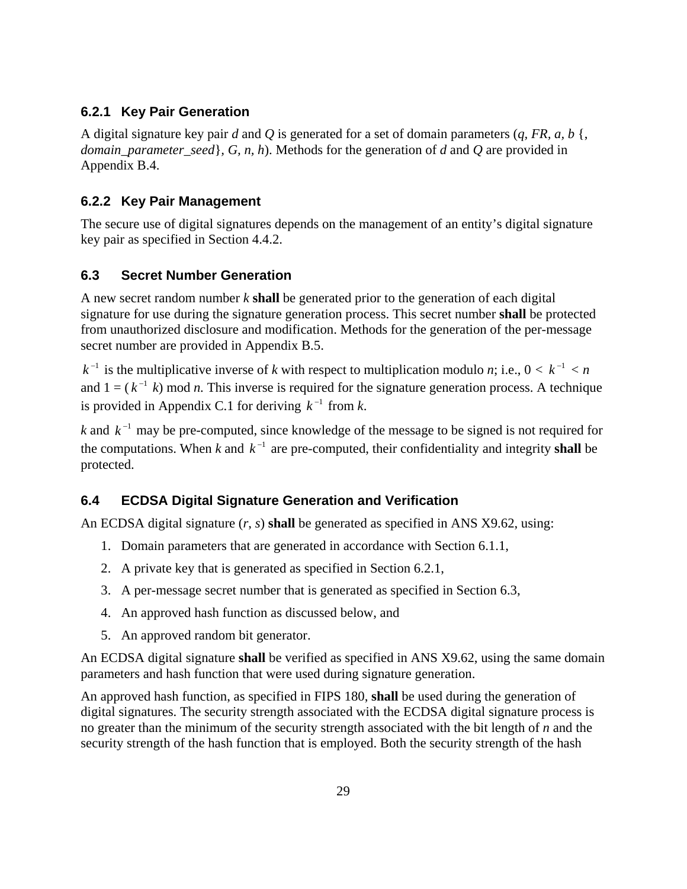# **6.2.1 Key Pair Generation**

A digital signature key pair *d* and *Q* is generated for a set of domain parameters (*q, FR, a, b* {, *domain\_parameter\_seed*}*, G, n, h*). Methods for the generation of *d* and *Q* are provided in Appendix B.4.

# **6.2.2 Key Pair Management**

The secure use of digital signatures depends on the management of an entity's digital signature key pair as specified in Section 4.4.2.

# **6.3 Secret Number Generation**

A new secret random number *k* **shall** be generated prior to the generation of each digital signature for use during the signature generation process. This secret number **shall** be protected from unauthorized disclosure and modification. Methods for the generation of the per-message secret number are provided in Appendix B.5.

 $k^{-1}$  is the multiplicative inverse of *k* with respect to multiplication modulo *n*; i.e.,  $0 < k^{-1} < n$ and  $1 = (k^{-1} k)$  mod *n*. This inverse is required for the signature generation process. A technique is provided in Appendix C.1 for deriving  $k^{-1}$  from *k*.

*k* and  $k^{-1}$  may be pre-computed, since knowledge of the message to be signed is not required for the computations. When *k* and  $k^{-1}$  are pre-computed, their confidentiality and integrity **shall** be protected.

# **6.4 ECDSA Digital Signature Generation and Verification**

An ECDSA digital signature (*r*, *s*) **shall** be generated as specified in ANS X9.62, using:

- 1. Domain parameters that are generated in accordance with Section 6.1.1,
- 2. A private key that is generated as specified in Section 6.2.1,
- 3. A per-message secret number that is generated as specified in Section 6.3,
- 4. An approved hash function as discussed below, and
- 5. An approved random bit generator.

An ECDSA digital signature **shall** be verified as specified in ANS X9.62, using the same domain parameters and hash function that were used during signature generation.

An approved hash function, as specified in FIPS 180, **shall** be used during the generation of digital signatures. The security strength associated with the ECDSA digital signature process is no greater than the minimum of the security strength associated with the bit length of *n* and the security strength of the hash function that is employed. Both the security strength of the hash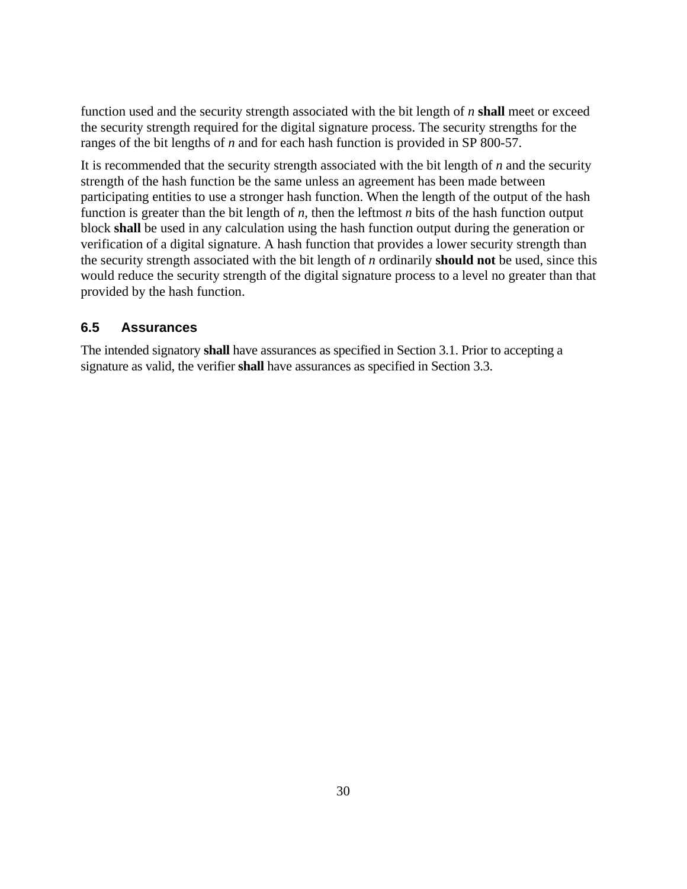function used and the security strength associated with the bit length of *n* **shall** meet or exceed the security strength required for the digital signature process. The security strengths for the ranges of the bit lengths of *n* and for each hash function is provided in SP 800-57.

It is recommended that the security strength associated with the bit length of *n* and the security strength of the hash function be the same unless an agreement has been made between participating entities to use a stronger hash function. When the length of the output of the hash function is greater than the bit length of *n*, then the leftmost *n* bits of the hash function output block **shall** be used in any calculation using the hash function output during the generation or verification of a digital signature. A hash function that provides a lower security strength than the security strength associated with the bit length of *n* ordinarily **should not** be used, since this would reduce the security strength of the digital signature process to a level no greater than that provided by the hash function.

### **6.5 Assurances**

The intended signatory **shall** have assurances as specified in Section 3.1. Prior to accepting a signature as valid, the verifier **shall** have assurances as specified in Section 3.3.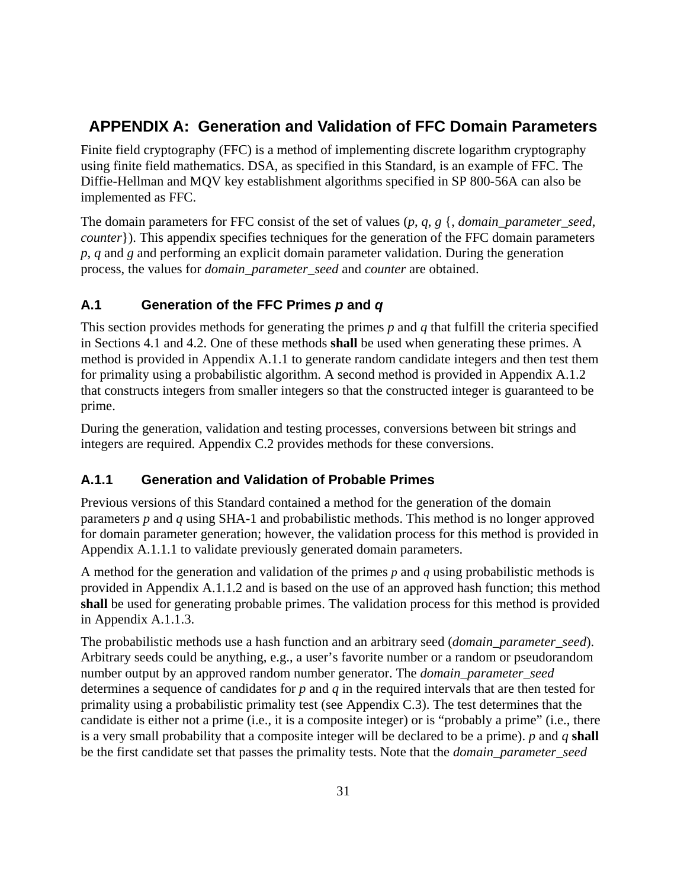# **APPENDIX A: Generation and Validation of FFC Domain Parameters**

Finite field cryptography (FFC) is a method of implementing discrete logarithm cryptography using finite field mathematics. DSA, as specified in this Standard, is an example of FFC. The Diffie-Hellman and MQV key establishment algorithms specified in SP 800-56A can also be implemented as FFC.

The domain parameters for FFC consist of the set of values (*p*, *q*, *g* {, *domain\_parameter\_seed*, *counter*}). This appendix specifies techniques for the generation of the FFC domain parameters *p*, *q* and *g* and performing an explicit domain parameter validation. During the generation process, the values for *domain\_parameter\_seed* and *counter* are obtained.

# **A.1 Generation of the FFC Primes** *p* **and** *q*

This section provides methods for generating the primes *p* and *q* that fulfill the criteria specified in Sections 4.1 and 4.2. One of these methods **shall** be used when generating these primes. A method is provided in Appendix A.1.1 to generate random candidate integers and then test them for primality using a probabilistic algorithm. A second method is provided in Appendix A.1.2 that constructs integers from smaller integers so that the constructed integer is guaranteed to be prime.

During the generation, validation and testing processes, conversions between bit strings and integers are required. Appendix C.2 provides methods for these conversions.

# **A.1.1 Generation and Validation of Probable Primes**

Previous versions of this Standard contained a method for the generation of the domain parameters *p* and *q* using SHA-1 and probabilistic methods. This method is no longer approved for domain parameter generation; however, the validation process for this method is provided in Appendix A.1.1.1 to validate previously generated domain parameters.

A method for the generation and validation of the primes *p* and *q* using probabilistic methods is provided in Appendix A.1.1.2 and is based on the use of an approved hash function; this method **shall** be used for generating probable primes. The validation process for this method is provided in Appendix A.1.1.3.

The probabilistic methods use a hash function and an arbitrary seed (*domain\_parameter*\_*seed*). Arbitrary seeds could be anything, e.g., a user's favorite number or a random or pseudorandom number output by an approved random number generator. The *domain\_parameter*\_*seed* determines a sequence of candidates for *p* and *q* in the required intervals that are then tested for primality using a probabilistic primality test (see Appendix C.3). The test determines that the candidate is either not a prime (i.e., it is a composite integer) or is "probably a prime" (i.e., there is a very small probability that a composite integer will be declared to be a prime). *p* and *q* **shall** be the first candidate set that passes the primality tests. Note that the *domain\_parameter\_seed*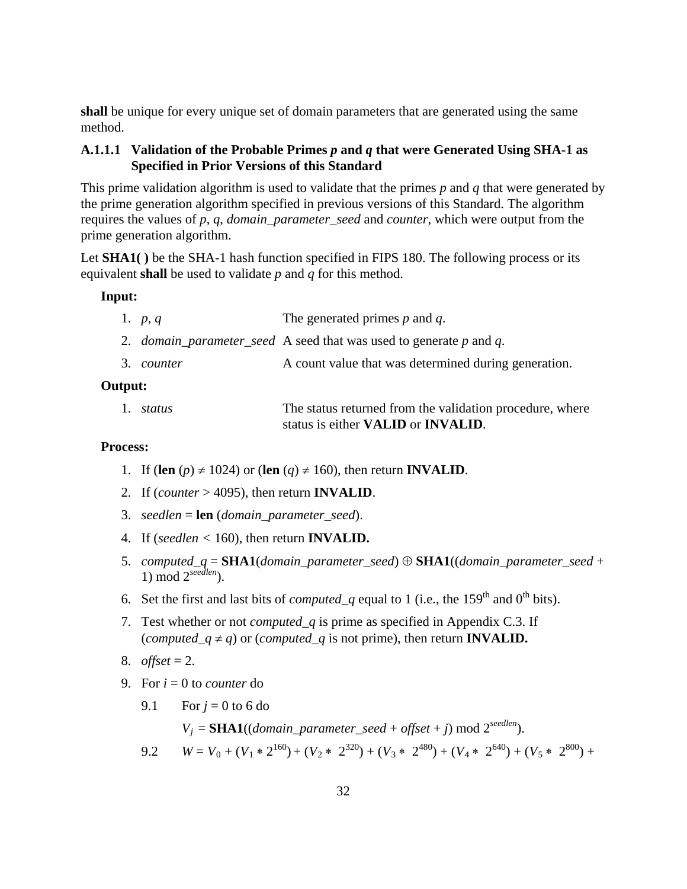**shall** be unique for every unique set of domain parameters that are generated using the same method.

#### **A.1.1.1 Validation of the Probable Primes** *p* **and** *q* **that were Generated Using SHA-1 as Specified in Prior Versions of this Standard**

This prime validation algorithm is used to validate that the primes *p* and *q* that were generated by the prime generation algorithm specified in previous versions of this Standard. The algorithm requires the values of *p*, *q*, *domain\_parameter\_seed* and *counter*, which were output from the prime generation algorithm.

Let **SHA1(**) be the SHA-1 hash function specified in FIPS 180. The following process or its equivalent **shall** be used to validate *p* and *q* for this method.

#### **Input:**

| The generated primes $p$ and $q$ .<br>1. $p, q$ |  |
|-------------------------------------------------|--|
|-------------------------------------------------|--|

- 2. *domain\_parameter\_seed* A seed that was used to generate *p* and *q*.
- 3. *counter* A count value that was determined during generation.

#### **Output:**

| 1. <i>status</i> | The status returned from the validation procedure, where |
|------------------|----------------------------------------------------------|
|                  | status is either <b>VALID</b> or <b>INVALID</b> .        |

#### **Process:**

- 1. If (len  $(p) \neq 1024$ ) or (len  $(q) \neq 160$ ), then return **INVALID**.
- 2. If (*counter* > 4095), then return **INVALID**.
- 3. *seedlen* = **len** (*domain\_parameter\_seed*).
- 4. If (*seedlen <* 160), then return **INVALID.**
- 5. *computed\_q* = **SHA1**(*domain\_parameter\_seed*) ⊕ **SHA1**((*domain\_parameter\_seed* + 1) mod 2*seedlen*).
- 6. Set the first and last bits of *computed* q equal to 1 (i.e., the 159<sup>th</sup> and 0<sup>th</sup> bits).
- 7. Test whether or not *computed\_q* is prime as specified in Appendix C.3. If (*computed\_q*  $\neq$  *q*) or (*computed\_q* is not prime), then return **INVALID.**
- 8. *offset* = 2.
- 9. For  $i = 0$  to *counter* do
	- 9.1 For  $i = 0$  to 6 do

 $V_i = \mathbf{SHA1}((domain\_parameter\_seed + offset + j) \mod 2^{seedlen}).$ 

9.2 
$$
W = V_0 + (V_1 * 2^{160}) + (V_2 * 2^{320}) + (V_3 * 2^{480}) + (V_4 * 2^{640}) + (V_5 * 2^{800}) +
$$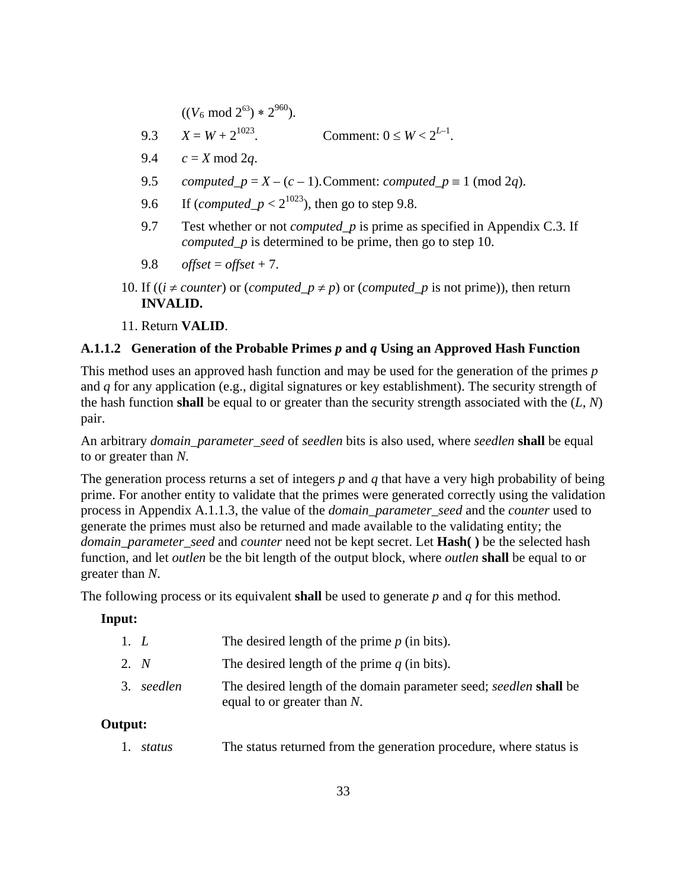$((V_6 \text{ mod } 2^{63}) * 2^{960}).$ 

- 9.3  $X = W + 2^{1023}$ . Comment:  $0 \le W < 2^{L-1}$ .
- 9.4  $c = X \mod 2q$ .
- 9.5 *computed\_p* =  $X (c 1)$ . Comment: *computed\_p* = 1 (mod 2*q*).
- 9.6 If (*computed\_p* <  $2^{1023}$ ), then go to step 9.8.
- 9.7 Test whether or not *computed\_p* is prime as specified in Appendix C.3. If *computed\_p* is determined to be prime, then go to step 10.
- 9.8 *offset* = *offset* + 7.
- 10. If (( $i \neq counter$ ) or (*computed\_p*  $\neq$  *p*) or (*computed\_p* is not prime)), then return **INVALID.**
- 11. Return **VALID**.

#### **A.1.1.2 Generation of the Probable Primes** *p* **and** *q* **Using an Approved Hash Function**

This method uses an approved hash function and may be used for the generation of the primes *p* and *q* for any application (e.g., digital signatures or key establishment). The security strength of the hash function **shall** be equal to or greater than the security strength associated with the (*L*, *N*) pair.

An arbitrary *domain\_parameter\_seed* of *seedlen* bits is also used, where *seedlen* **shall** be equal to or greater than *N*.

The generation process returns a set of integers *p* and *q* that have a very high probability of being prime. For another entity to validate that the primes were generated correctly using the validation process in Appendix A.1.1.3, the value of the *domain\_parameter\_seed* and the *counter* used to generate the primes must also be returned and made available to the validating entity; the *domain\_parameter\_seed* and *counter* need not be kept secret. Let **Hash( )** be the selected hash function, and let *outlen* be the bit length of the output block, where *outlen* **shall** be equal to or greater than *N*.

The following process or its equivalent **shall** be used to generate *p* and *q* for this method.

#### **Input:**

| 1. L |            | The desired length of the prime $p$ (in bits).                                                             |
|------|------------|------------------------------------------------------------------------------------------------------------|
| 2. N |            | The desired length of the prime $q$ (in bits).                                                             |
|      | 3. seedlen | The desired length of the domain parameter seed; <i>seedlen</i> shall be<br>equal to or greater than $N$ . |

#### **Output:**

1. *status* The status returned from the generation procedure, where status is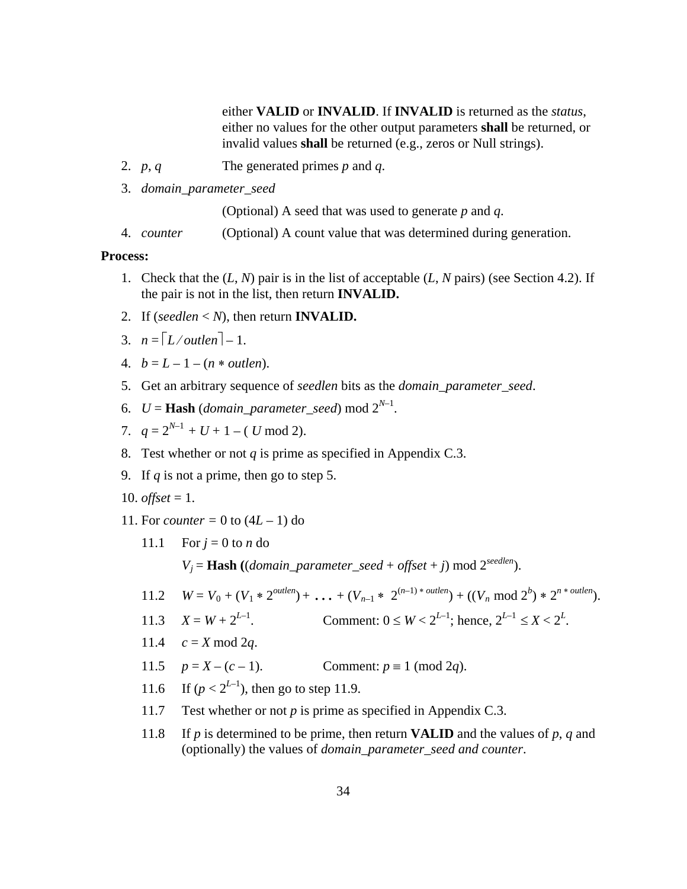either **VALID** or **INVALID**. If **INVALID** is returned as the *status*, either no values for the other output parameters **shall** be returned, or invalid values **shall** be returned (e.g., zeros or Null strings).

- 2. *p*, *q* The generated primes *p* and *q*.
- 3. *domain\_parameter\_seed*

(Optional) A seed that was used to generate *p* and *q*.

4. *counter* (Optional) A count value that was determined during generation.

#### **Process:**

- 1. Check that the (*L*, *N*) pair is in the list of acceptable (*L*, *N* pairs) (see Section 4.2). If the pair is not in the list, then return **INVALID.**
- 2. If (*seedlen*  $\lt N$ ), then return **INVALID.**
- 3.  $n = \lceil L/$ *outlen* $\rceil 1$ .
- 4.  $b = L 1 (n * outlen).$
- 5. Get an arbitrary sequence of *seedlen* bits as the *domain\_parameter\_seed*.
- 6.  $U =$  **Hash** (*domain\_parameter\_seed*) mod  $2^{N-1}$ .
- 7.  $q = 2^{N-1} + U + 1 (U \mod 2)$ .
- 8. Test whether or not *q* is prime as specified in Appendix C.3.
- 9. If *q* is not a prime, then go to step 5.
- 10. *offset* = 1.
- 11. For *counter* = 0 to  $(4L 1)$  do
	- 11.1 For  $j = 0$  to *n* do

 $V_i =$  **Hash** ((*domain\_parameter\_seed* + *offset* + *j*) mod 2<sup>*seedlen*</sup>).

11.2 
$$
W = V_0 + (V_1 * 2^{\text{outlen}}) + ... + (V_{n-1} * 2^{(n-1)*\text{outlen}}) + ((V_n \text{ mod } 2^b) * 2^{n*\text{outlen}}).
$$

- 11.3  $X = W + 2^{L-1}$ . Comment:  $0 \le W < 2^{L-1}$ ; hence,  $2^{L-1} \le X < 2^L$ .
- 11.4  $c = X \mod 2q$ .
- 11.5  $p = X (c 1)$ . Comment:  $p \equiv 1 \pmod{2q}$ .
- 11.6 If  $(p < 2^{L-1})$ , then go to step 11.9.
- 11.7 Test whether or not *p* is prime as specified in Appendix C.3.
- 11.8 If *p* is determined to be prime, then return **VALID** and the values of *p*, *q* and (optionally) the values of *domain\_parameter\_seed and counter*.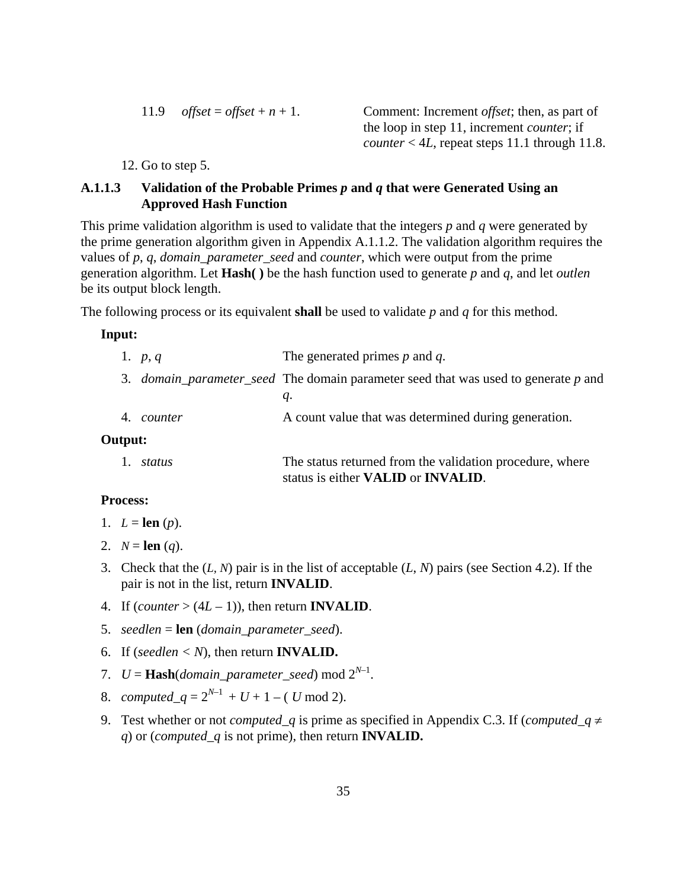11.9 *offset* = *offset* +  $n + 1$ . Comment: Increment *offset*; then, as part of the loop in step 11, increment *counter*; if *counter*  $< 4L$ , repeat steps 11.1 through 11.8.

12. Go to step 5.

## **A.1.1.3 Validation of the Probable Primes** *p* **and** *q* **that were Generated Using an Approved Hash Function**

This prime validation algorithm is used to validate that the integers *p* and *q* were generated by the prime generation algorithm given in Appendix A.1.1.2. The validation algorithm requires the values of *p*, *q*, *domain\_parameter\_seed* and *counter*, which were output from the prime generation algorithm. Let **Hash( )** be the hash function used to generate *p* and *q*, and let *outlen* be its output block length.

The following process or its equivalent **shall** be used to validate *p* and *q* for this method.

#### **Input:**

|         | 1. $p, q$         | The generated primes $p$ and $q$ .                                                                            |
|---------|-------------------|---------------------------------------------------------------------------------------------------------------|
|         |                   | 3. <i>domain_parameter_seed</i> The domain parameter seed that was used to generate p and                     |
|         |                   | q.                                                                                                            |
|         | 4. <i>counter</i> | A count value that was determined during generation.                                                          |
| Output: |                   |                                                                                                               |
|         | status            | The status returned from the validation procedure, where<br>status is either <b>VALID</b> or <b>INVALID</b> . |

#### **Process:**

- 1.  $L = \text{len}(p)$ .
- 2.  $N = \text{len}(q)$ .
- 3. Check that the (*L, N*) pair is in the list of acceptable (*L*, *N*) pairs (see Section 4.2). If the pair is not in the list, return **INVALID**.
- 4. If  $\text{(counter} > (4L-1))$ , then return **INVALID**.
- 5. *seedlen* = **len** (*domain\_parameter\_seed*).
- 6. If (*seedlen*  $\langle N \rangle$ , then return **INVALID.**
- 7.  $U =$  **Hash**(*domain\_parameter\_seed*) mod  $2^{N-1}$ .
- 8. *computed\_q* =  $2^{N-1}$  + *U* + 1 (*U* mod 2).
- 9. Test whether or not *computed\_q* is prime as specified in Appendix C.3. If (*computed\_q*  $\neq$ *q*) or (*computed\_q* is not prime), then return **INVALID.**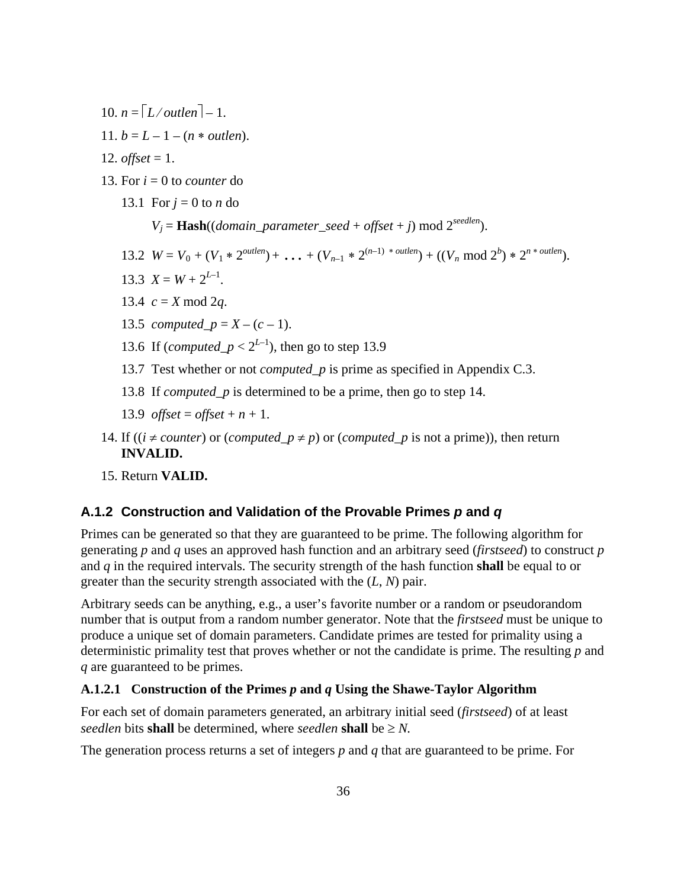- 10.  $n = \lceil L/$  *outlen*  $\rceil 1$ .
- 11.  $b = L 1 (n * outlen)$ .
- 12. *offset* = 1.
- 13. For  $i = 0$  to *counter* do
	- 13.1 For  $i = 0$  to *n* do
		- $V_j =$ **Hash**((*domain\_parameter\_seed* + *offset* + *j*) mod 2<sup>*seedlen*).</sup>
	- 13.2  $W = V_0 + (V_1 * 2^{outlen}) + ... + (V_{n-1} * 2^{(n-1) * outlen}) + ((V_n \text{ mod } 2^b) * 2^{n * outlen}).$
	- 13.3  $X = W + 2^{L-1}$ .
	- 13.4  $c = X \mod 2q$ .
	- 13.5 *computed\_p* =  $X (c 1)$ .
	- 13.6 If (*computed\_p* <  $2^{L-1}$ ), then go to step 13.9
	- 13.7 Test whether or not *computed\_p* is prime as specified in Appendix C.3.
	- 13.8 If *computed\_p* is determined to be a prime, then go to step 14.
	- 13.9 *offset* = *offset* +  $n + 1$ .
- 14. If (( $i \neq counter$ ) or (*computed\_p*  $\neq$  *p*) or (*computed\_p* is not a prime)), then return **INVALID.**
- 15. Return **VALID.**

#### **A.1.2 Construction and Validation of the Provable Primes** *p* **and** *q*

Primes can be generated so that they are guaranteed to be prime. The following algorithm for generating *p* and *q* uses an approved hash function and an arbitrary seed (*firstseed*) to construct *p* and *q* in the required intervals. The security strength of the hash function **shall** be equal to or greater than the security strength associated with the (*L*, *N*) pair.

Arbitrary seeds can be anything, e.g., a user's favorite number or a random or pseudorandom number that is output from a random number generator. Note that the *firstseed* must be unique to produce a unique set of domain parameters. Candidate primes are tested for primality using a deterministic primality test that proves whether or not the candidate is prime. The resulting *p* and *q* are guaranteed to be primes.

#### **A.1.2.1 Construction of the Primes** *p* **and** *q* **Using the Shawe-Taylor Algorithm**

For each set of domain parameters generated, an arbitrary initial seed (*firstseed*) of at least *seedlen* bits **shall** be determined, where *seedlen* **shall** be  $\geq N$ .

The generation process returns a set of integers *p* and *q* that are guaranteed to be prime. For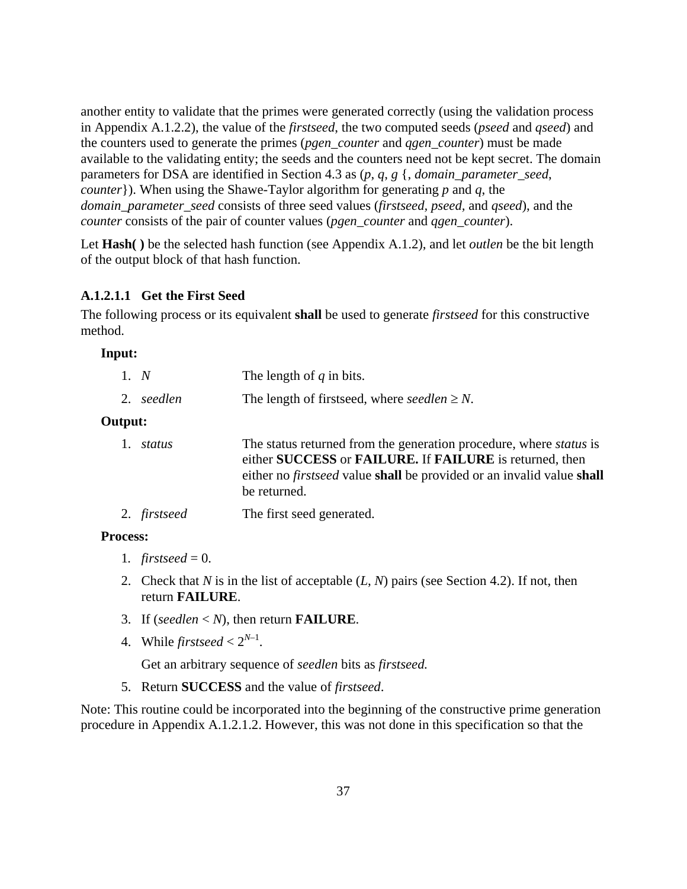another entity to validate that the primes were generated correctly (using the validation process in Appendix A.1.2.2), the value of the *firstseed*, the two computed seeds (*pseed* and *qseed*) and the counters used to generate the primes (*pgen\_counter* and *qgen\_counter*) must be made available to the validating entity; the seeds and the counters need not be kept secret. The domain parameters for DSA are identified in Section 4.3 as (*p*, *q*, *g* {, *domain\_parameter\_seed*, *counter*}). When using the Shawe-Taylor algorithm for generating *p* and *q*, the *domain\_parameter\_seed* consists of three seed values (*firstseed, pseed,* and *qseed*), and the *counter* consists of the pair of counter values (*pgen\_counter* and *qgen\_counter*).

Let **Hash( )** be the selected hash function (see Appendix A.1.2), and let *outlen* be the bit length of the output block of that hash function.

#### **A.1.2.1.1 Get the First Seed**

The following process or its equivalent **shall** be used to generate *firstseed* for this constructive method.

#### **Input:**

| 1. N           | The length of $q$ in bits.                                                                                                                                                                                                           |
|----------------|--------------------------------------------------------------------------------------------------------------------------------------------------------------------------------------------------------------------------------------|
| 2. seedlen     | The length of firstseed, where seedlen $\geq N$ .                                                                                                                                                                                    |
| <b>Output:</b> |                                                                                                                                                                                                                                      |
| status         | The status returned from the generation procedure, where <i>status</i> is<br>either SUCCESS or FAILURE. If FAILURE is returned, then<br>either no <i>firstseed</i> value shall be provided or an invalid value shall<br>be returned. |

2. *firstseed* The first seed generated.

#### **Process:**

- 1.  $firstseed = 0$ .
- 2. Check that *N* is in the list of acceptable (*L*, *N*) pairs (see Section 4.2). If not, then return **FAILURE**.
- 3. If (*seedlen* < *N*), then return **FAILURE**.
- 4. While *firstseed*  $\lt 2^{N-1}$ .

Get an arbitrary sequence of *seedlen* bits as *firstseed.*

5. Return **SUCCESS** and the value of *firstseed*.

Note: This routine could be incorporated into the beginning of the constructive prime generation procedure in Appendix A.1.2.1.2. However, this was not done in this specification so that the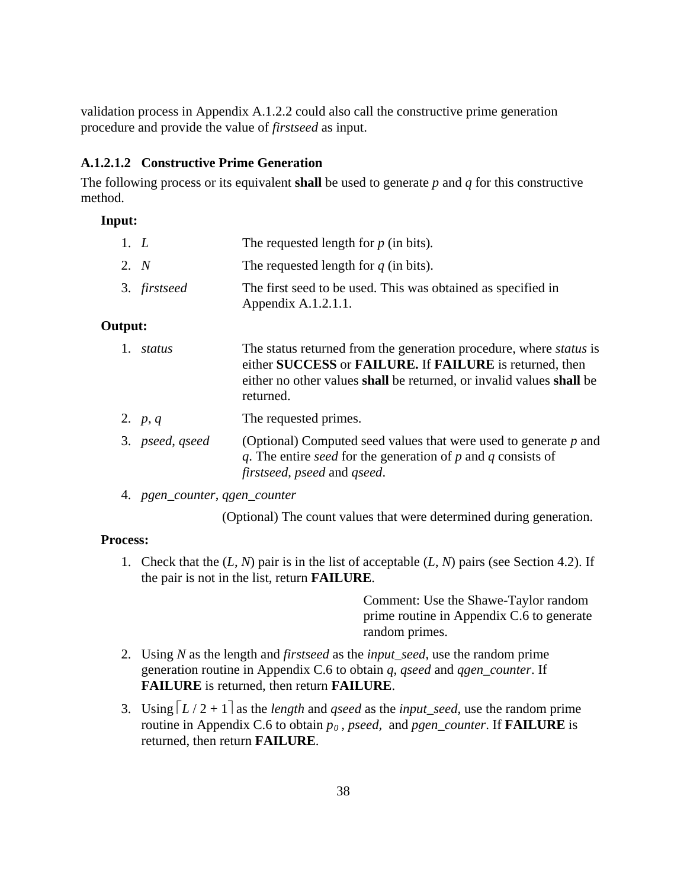validation process in Appendix A.1.2.2 could also call the constructive prime generation procedure and provide the value of *firstseed* as input.

#### **A.1.2.1.2 Constructive Prime Generation**

The following process or its equivalent **shall** be used to generate *p* and *q* for this constructive method.

### **Input:**

| 1. $L$ |              | The requested length for $p$ (in bits).                                             |
|--------|--------------|-------------------------------------------------------------------------------------|
| 2. N   |              | The requested length for $q$ (in bits).                                             |
|        | 3. firstseed | The first seed to be used. This was obtained as specified in<br>Appendix A.1.2.1.1. |

#### **Output:**

| status          | The status returned from the generation procedure, where <i>status</i> is<br>either SUCCESS or FAILURE. If FAILURE is returned, then<br>either no other values shall be returned, or invalid values shall be<br>returned. |
|-----------------|---------------------------------------------------------------------------------------------------------------------------------------------------------------------------------------------------------------------------|
| 2. $p, q$       | The requested primes.                                                                                                                                                                                                     |
| 3. pseed, gseed | (Optional) Computed seed values that were used to generate $p$ and<br>q. The entire seed for the generation of $p$ and $q$ consists of<br>firstseed, pseed and gseed.                                                     |

4. *pgen\_counter*, *qgen\_counter*

(Optional) The count values that were determined during generation.

#### **Process:**

1. Check that the (*L*, *N*) pair is in the list of acceptable (*L*, *N*) pairs (see Section 4.2). If the pair is not in the list, return **FAILURE**.

> Comment: Use the Shawe-Taylor random prime routine in Appendix C.6 to generate random primes.

- 2. Using *N* as the length and *firstseed* as the *input\_seed*, use the random prime generation routine in Appendix C.6 to obtain *q*, *qseed* and *qgen\_counter*. If **FAILURE** is returned, then return **FAILURE**.
- 3. Using  $\lceil L/2 + 1 \rceil$  as the *length* and *qseed* as the *input\_seed*, use the random prime routine in Appendix C.6 to obtain  $p_0$ , *pseed*, and *pgen\_counter*. If **FAILURE** is returned, then return **FAILURE**.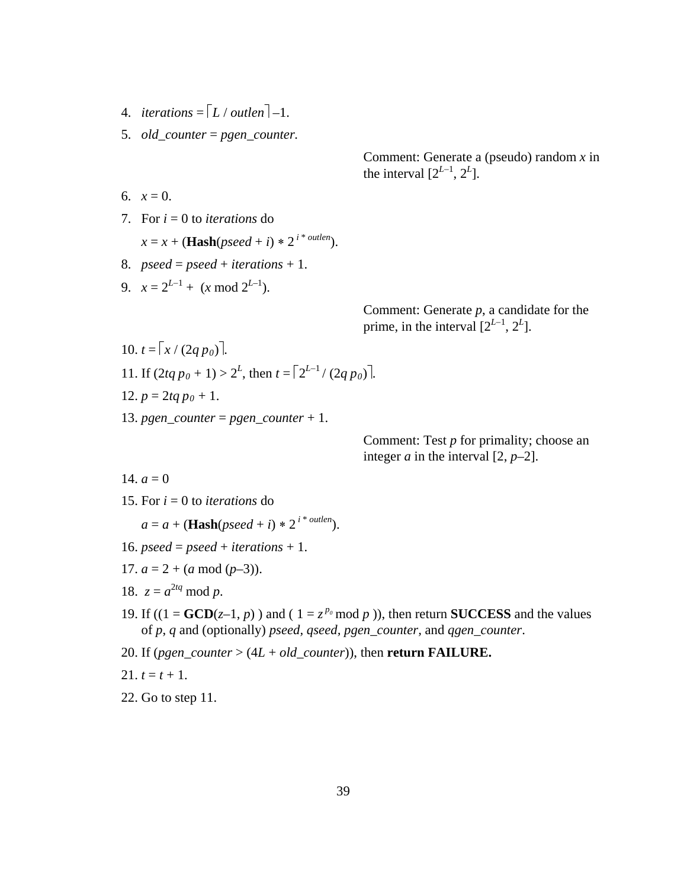- 4. *iterations* =  $\lceil L / \text{outlen} \rceil 1$ .
- 5. *old\_counter* = *pgen\_counter.*

6.  $x = 0$ .

7. For *i* = 0 to *iterations* do

$$
x = x + (\textbf{Hash}(pseed + i) * 2^{i * \text{outlen}}).
$$

- 8.  $pseed = pseed + iterations + 1$ .
- 9.  $x = 2^{L-1} + (x \mod 2^{L-1}).$

Comment: Generate *p*, a candidate for the prime, in the interval  $[2^{L-1}, 2^L]$ .

Comment: Generate a (pseudo) random *x* in

the interval  $[2^{L-1}, 2^L]$ .

11. If 
$$
(2tq p_0 + 1) > 2^L
$$
, then  $t = \lceil 2^{L-1} / (2q p_0) \rceil$ .

12. 
$$
p = 2tq p_0 + 1
$$
.

 $10. t = \frac{x}{(2a p_0)}$ .

13. *pgen\_counter* = *pgen\_counter* + 1.

Comment: Test *p* for primality; choose an integer  $a$  in the interval  $[2, p-2]$ .

14.  $a = 0$ 

15. For  $i = 0$  to *iterations* do

 $a = a + (Hash(pseed + i) * 2^{i * \text{outlen}}).$ 

- 16.  $pseed = pseed + iterations + 1$ .
- 17.  $a = 2 + (a \mod (p-3))$ .
- 18.  $z = a^{2tq} \mod p$ .
- 19. If  $((1 = GCD(z-1, p))$  and  $(1 = z^{p_0} \mod p)$ , then return **SUCCESS** and the values of *p*, *q* and (optionally) *pseed, qseed, pgen\_counter,* and *qgen\_counter*.
- 20. If (*pgen\_counter* > (4*L* + *old\_counter*)), then **return FAILURE.**

$$
21. t = t + 1.
$$

22. Go to step 11.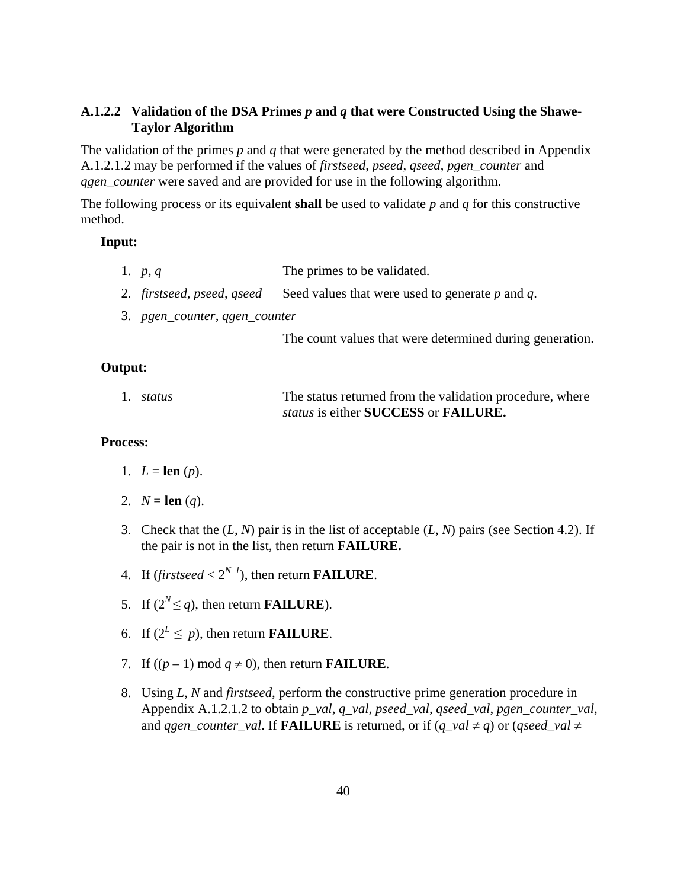### **A.1.2.2 Validation of the DSA Primes** *p* **and** *q* **that were Constructed Using the Shawe-Taylor Algorithm**

The validation of the primes *p* and *q* that were generated by the method described in Appendix A.1.2.1.2 may be performed if the values of *firstseed*, *pseed*, *qseed*, *pgen\_counter* and *ggen\_counter* were saved and are provided for use in the following algorithm.

The following process or its equivalent **shall** be used to validate *p* and *q* for this constructive method.

#### **Input:**

- 1. *p*, *q* The primes to be validated.
- 2. *firstseed, pseed*, *qseed* Seed values that were used to generate *p* and *q*.
- 3. *pgen\_counter*, *qgen\_counter*

The count values that were determined during generation.

#### **Output:**

| 1. <i>status</i> | The status returned from the validation procedure, where |
|------------------|----------------------------------------------------------|
|                  | status is either SUCCESS or FAILURE.                     |

#### **Process:**

- 1.  $L = \text{len}(p)$ .
- 2.  $N = \text{len}(q)$ .
- 3. Check that the (*L*, *N*) pair is in the list of acceptable (*L*, *N*) pairs (see Section 4.2). If the pair is not in the list, then return **FAILURE.**
- 4. If  $(\textit{firstseed} < 2^{N-1})$ , then return **FAILURE**.
- 5. If  $(2^N \leq q)$ , then return **FAILURE**).
- 6. If  $(2^L \leq p)$ , then return **FAILURE**.
- 7. If  $((p-1) \mod q \neq 0)$ , then return **FAILURE**.
- 8. Using *L*, *N* and *firstseed*, perform the constructive prime generation procedure in Appendix A.1.2.1.2 to obtain *p\_val*, *q\_val*, *pseed\_val*, *qseed\_val*, *pgen\_counter\_val*, and *qgen\_counter\_val*. If **FAILURE** is returned, or if  $(q_{val} \neq q)$  or  $(q_{seed\_val} \neq q)$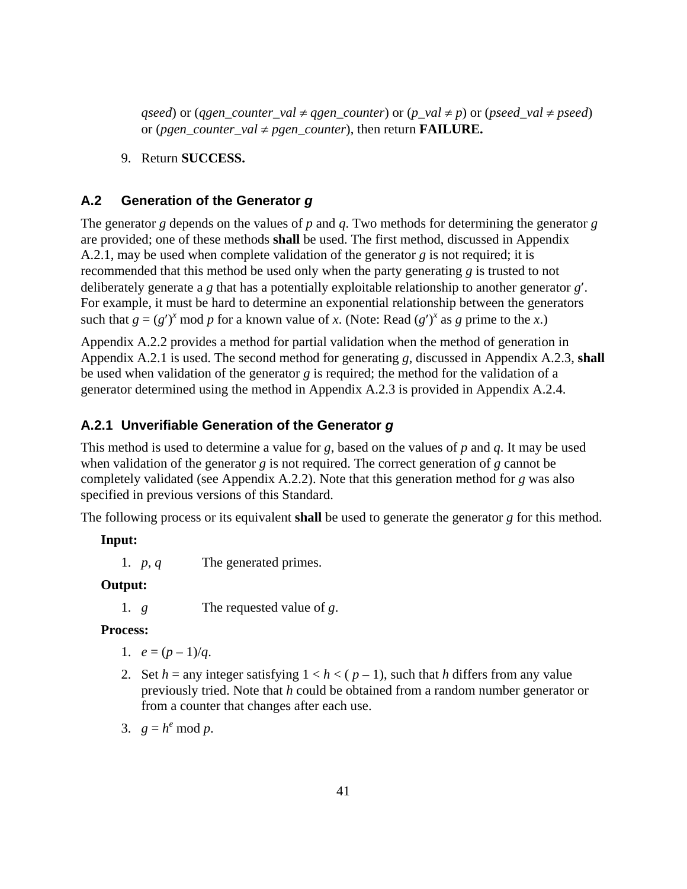*qseed*) or (*qgen\_counter\_val*  $\neq$  *qgen\_counter*) or (*p\_val*  $\neq$  *p*) or (*pseed\_val*  $\neq$  *pseed*) or (*pgen\_counter\_val*  $\neq$  *pgen\_counter*), then return **FAILURE.** 

9. Return **SUCCESS.**

### **A.2 Generation of the Generator** *g*

The generator *g* depends on the values of *p* and *q*. Two methods for determining the generator *g* are provided; one of these methods **shall** be used. The first method, discussed in Appendix A.2.1, may be used when complete validation of the generator *g* is not required; it is recommended that this method be used only when the party generating *g* is trusted to not deliberately generate a *g* that has a potentially exploitable relationship to another generator *g*′. For example, it must be hard to determine an exponential relationship between the generators such that  $g = (g')^x \mod p$  for a known value of *x*. (Note: Read  $(g')^x$  as *g* prime to the *x*.)

Appendix A.2.2 provides a method for partial validation when the method of generation in Appendix A.2.1 is used. The second method for generating *g*, discussed in Appendix A.2.3, **shall** be used when validation of the generator *g* is required; the method for the validation of a generator determined using the method in Appendix A.2.3 is provided in Appendix A.2.4.

#### **A.2.1 Unverifiable Generation of the Generator** *g*

This method is used to determine a value for *g*, based on the values of *p* and *q*. It may be used when validation of the generator *g* is not required. The correct generation of *g* cannot be completely validated (see Appendix A.2.2). Note that this generation method for *g* was also specified in previous versions of this Standard.

The following process or its equivalent **shall** be used to generate the generator *g* for this method.

#### **Input:**

1. *p*, *q* The generated primes.

#### **Output:**

1. *g* The requested value of *g*.

#### **Process:**

- 1.  $e = (p-1)/q$ .
- 2. Set  $h =$  any integer satisfying  $1 < h < (p 1)$ , such that *h* differs from any value previously tried. Note that *h* could be obtained from a random number generator or from a counter that changes after each use.
- 3.  $g = h^e \mod p$ .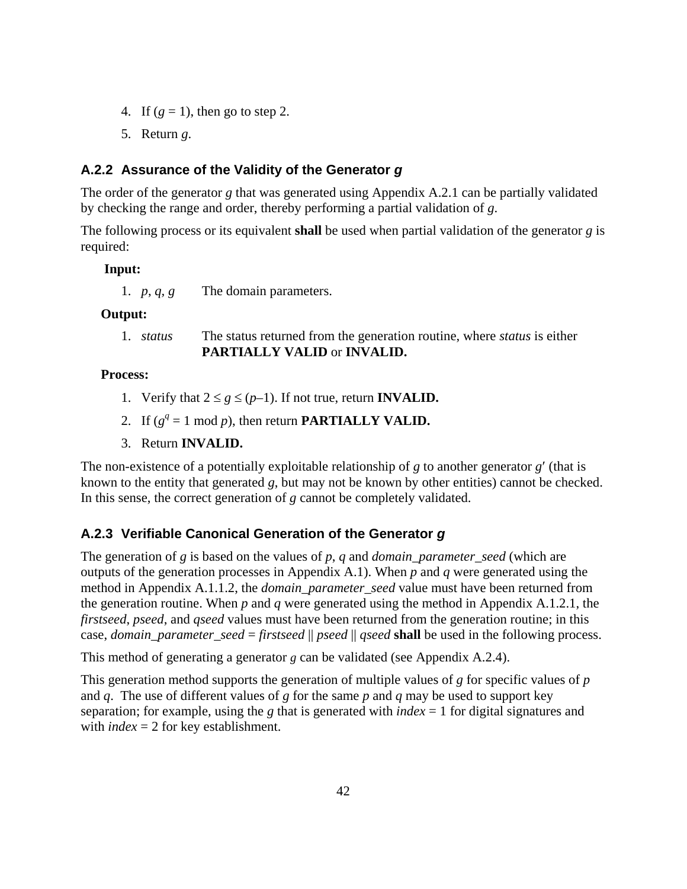- 4. If  $(g = 1)$ , then go to step 2.
- 5. Return *g*.

# **A.2.2 Assurance of the Validity of the Generator** *g*

The order of the generator *g* that was generated using Appendix A.2.1 can be partially validated by checking the range and order, thereby performing a partial validation of *g*.

The following process or its equivalent **shall** be used when partial validation of the generator *g* is required:

### **Input:**

1. *p*, *q, g* The domain parameters.

## **Output:**

1. *status* The status returned from the generation routine, where *status* is either **PARTIALLY VALID** or **INVALID.**

## **Process:**

- 1. Verify that  $2 \leq g \leq (p-1)$ . If not true, return **INVALID.**
- 2. If  $(g^q = 1 \text{ mod } p)$ , then return **PARTIALLY VALID.**
- 3. Return **INVALID.**

The non-existence of a potentially exploitable relationship of *g* to another generator *g*′ (that is known to the entity that generated *g*, but may not be known by other entities) cannot be checked. In this sense, the correct generation of *g* cannot be completely validated.

# **A.2.3 Verifiable Canonical Generation of the Generator** *g*

The generation of *g* is based on the values of *p*, *q* and *domain* parameter seed (which are outputs of the generation processes in Appendix A.1). When *p* and *q* were generated using the method in Appendix A.1.1.2, the *domain\_parameter\_seed* value must have been returned from the generation routine. When *p* and *q* were generated using the method in Appendix A.1.2.1, the *firstseed*, *pseed*, and *qseed* values must have been returned from the generation routine; in this case, *domain\_parameter\_seed* = *firstseed* || *pseed* || *qseed* **shall** be used in the following process.

This method of generating a generator  $g$  can be validated (see Appendix A.2.4).

This generation method supports the generation of multiple values of *g* for specific values of *p* and *q*. The use of different values of *g* for the same *p* and *q* may be used to support key separation; for example, using the *g* that is generated with *index* = 1 for digital signatures and with *index* = 2 for key establishment.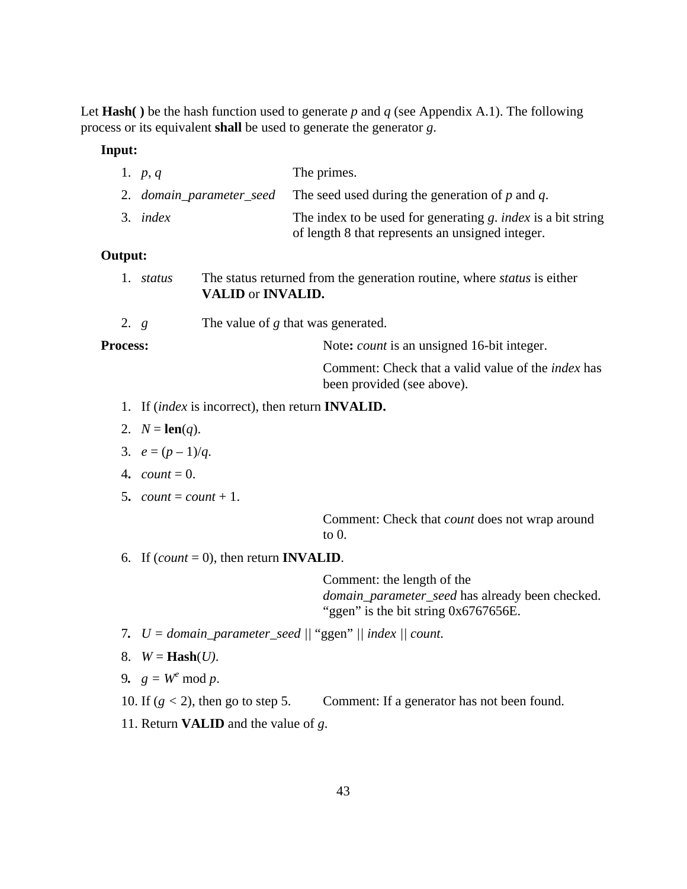Let **Hash( )** be the hash function used to generate *p* and *q* (see Appendix A.1). The following process or its equivalent **shall** be used to generate the generator *g*.

#### **Input:**

| 1. $p, q$ | The primes.                                                                                                             |
|-----------|-------------------------------------------------------------------------------------------------------------------------|
|           | 2. <i>domain_parameter_seed</i> The seed used during the generation of $p$ and $q$ .                                    |
| 3. index  | The index to be used for generating g. <i>index</i> is a bit string<br>of length 8 that represents an unsigned integer. |

#### **Output:**

- 1. *status* The status returned from the generation routine, where *status* is either **VALID** or **INVALID.**
- 2. *g* The value of *g* that was generated.

**Process:** Note: *count* is an unsigned 16-bit integer.

Comment: Check that a valid value of the *index* has been provided (see above).

- 1. If (*index* is incorrect), then return **INVALID.**
- 2.  $N = \text{len}(q)$ .
- 3.  $e = (p-1)/q$ .
- 4.  $count = 0$ .
- 5. *count* = *count* + 1.

Comment: Check that *count* does not wrap around to 0.

6. If  $\text{(count = 0)}$ , then return **INVALID**.

Comment: the length of the *domain\_parameter\_seed* has already been checked. "ggen" is the bit string 0x6767656E.

- 7*. U = domain\_parameter\_seed ||* "ggen" *|| index || count.*
- 8.  $W = \textbf{Hash}(U)$ .
- 9.  $g = W^e \mod p$ .
- 10. If  $(g < 2)$ , then go to step 5. Comment: If a generator has not been found.
- 11. Return **VALID** and the value of *g*.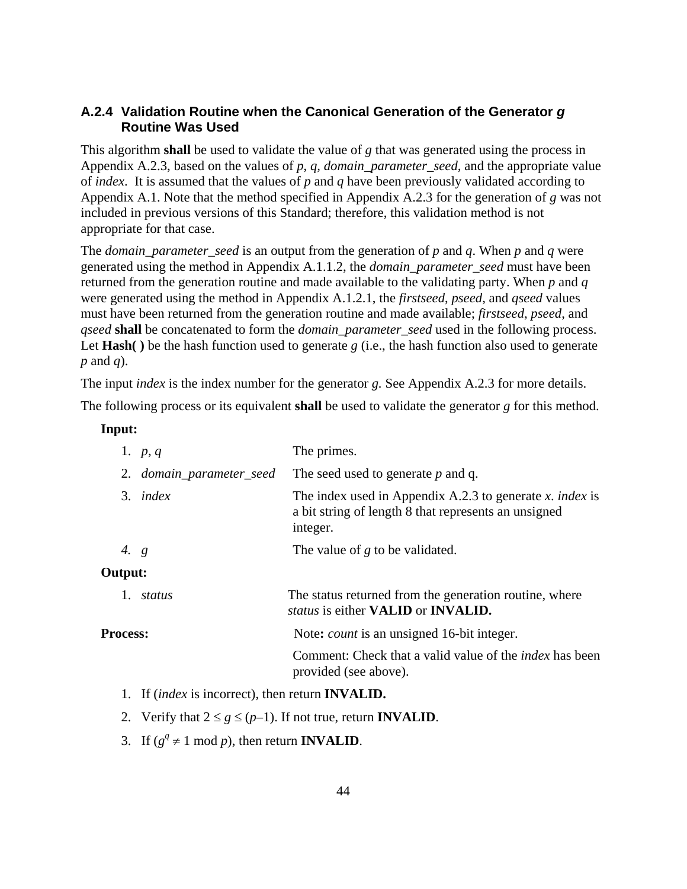# **A.2.4 Validation Routine when the Canonical Generation of the Generator** *g*  **Routine Was Used**

This algorithm **shall** be used to validate the value of *g* that was generated using the process in Appendix A.2.3, based on the values of *p*, *q, domain\_parameter\_seed,* and the appropriate value of *index*. It is assumed that the values of *p* and *q* have been previously validated according to Appendix A.1. Note that the method specified in Appendix A.2.3 for the generation of *g* was not included in previous versions of this Standard; therefore, this validation method is not appropriate for that case.

The *domain\_parameter\_seed* is an output from the generation of *p* and *q*. When *p* and *q* were generated using the method in Appendix A.1.1.2, the *domain\_parameter\_seed* must have been returned from the generation routine and made available to the validating party. When *p* and *q* were generated using the method in Appendix A.1.2.1, the *firstseed*, *pseed*, and *qseed* values must have been returned from the generation routine and made available; *firstseed*, *pseed*, and *qseed* **shall** be concatenated to form the *domain\_parameter\_seed* used in the following process. Let **Hash( )** be the hash function used to generate *g* (i.e., the hash function also used to generate *p* and *q*).

The input *index* is the index number for the generator *g.* See Appendix A.2.3 for more details.

The following process or its equivalent **shall** be used to validate the generator *g* for this method.

#### **Input:**

|                 | 1. $p, q$                                                      | The primes.                                                                                                                  |
|-----------------|----------------------------------------------------------------|------------------------------------------------------------------------------------------------------------------------------|
|                 | 2. domain_parameter_seed                                       | The seed used to generate $p$ and q.                                                                                         |
|                 | $3.$ index                                                     | The index used in Appendix A.2.3 to generate x. index is<br>a bit string of length 8 that represents an unsigned<br>integer. |
| 4. $g$          |                                                                | The value of $g$ to be validated.                                                                                            |
| Output:         |                                                                |                                                                                                                              |
|                 | 1. status                                                      | The status returned from the generation routine, where<br><i>status</i> is either <b>VALID</b> or <b>INVALID.</b>            |
| <b>Process:</b> |                                                                | Note: <i>count</i> is an unsigned 16-bit integer.                                                                            |
|                 |                                                                | Comment: Check that a valid value of the <i>index</i> has been<br>provided (see above).                                      |
|                 | 1. If <i>(index</i> is incorrect), then return <b>INVALID.</b> |                                                                                                                              |

- 2. Verify that  $2 \leq g \leq (p-1)$ . If not true, return **INVALID**.
- 3. If  $(g^q \neq 1 \mod p)$ , then return **INVALID**.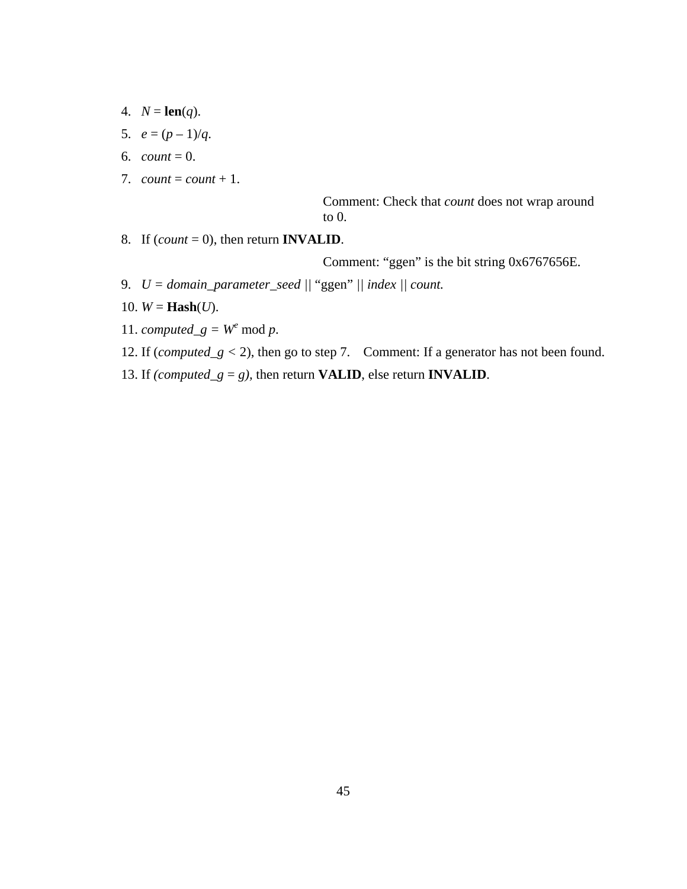- 4.  $N = \text{len}(q)$ .
- 5.  $e = (p-1)/q$ .
- 6. *count* = 0.
- 7. *count* = *count* + 1.

Comment: Check that *count* does not wrap around to 0.

8. If (*count* = 0), then return **INVALID**.

Comment: "ggen" is the bit string 0x6767656E.

- 9. *U = domain\_parameter\_seed ||* "ggen" *|| index || count.*
- 10.  $W = \textbf{Hash}(U)$ .
- 11. *computed\_g* =  $W^e$  mod *p*.
- 12. If (*computed\_g* < 2), then go to step 7. Comment: If a generator has not been found.
- 13. If *(computed\_g* = *g*), then return **VALID**, else return **INVALID**.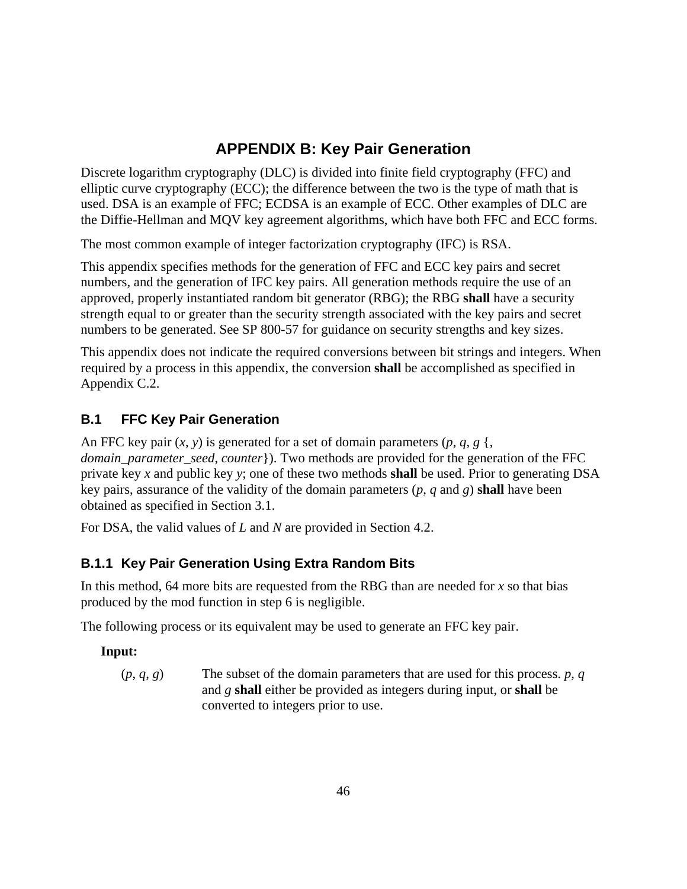# **APPENDIX B: Key Pair Generation**

Discrete logarithm cryptography (DLC) is divided into finite field cryptography (FFC) and elliptic curve cryptography (ECC); the difference between the two is the type of math that is used. DSA is an example of FFC; ECDSA is an example of ECC. Other examples of DLC are the Diffie-Hellman and MQV key agreement algorithms, which have both FFC and ECC forms.

The most common example of integer factorization cryptography (IFC) is RSA.

This appendix specifies methods for the generation of FFC and ECC key pairs and secret numbers, and the generation of IFC key pairs. All generation methods require the use of an approved, properly instantiated random bit generator (RBG); the RBG **shall** have a security strength equal to or greater than the security strength associated with the key pairs and secret numbers to be generated. See SP 800-57 for guidance on security strengths and key sizes.

This appendix does not indicate the required conversions between bit strings and integers. When required by a process in this appendix, the conversion **shall** be accomplished as specified in Appendix C.2.

# **B.1 FFC Key Pair Generation**

An FFC key pair  $(x, y)$  is generated for a set of domain parameters  $(p, q, g)$ , *domain parameter seed, counter*}). Two methods are provided for the generation of the FFC private key *x* and public key *y*; one of these two methods **shall** be used. Prior to generating DSA key pairs, assurance of the validity of the domain parameters (*p*, *q* and *g*) **shall** have been obtained as specified in Section 3.1.

For DSA, the valid values of *L* and *N* are provided in Section 4.2.

# **B.1.1 Key Pair Generation Using Extra Random Bits**

In this method, 64 more bits are requested from the RBG than are needed for *x* so that bias produced by the mod function in step 6 is negligible.

The following process or its equivalent may be used to generate an FFC key pair.

# **Input:**

 $(p, q, g)$  The subset of the domain parameters that are used for this process. *p*, *q* and *g* **shall** either be provided as integers during input, or **shall** be converted to integers prior to use.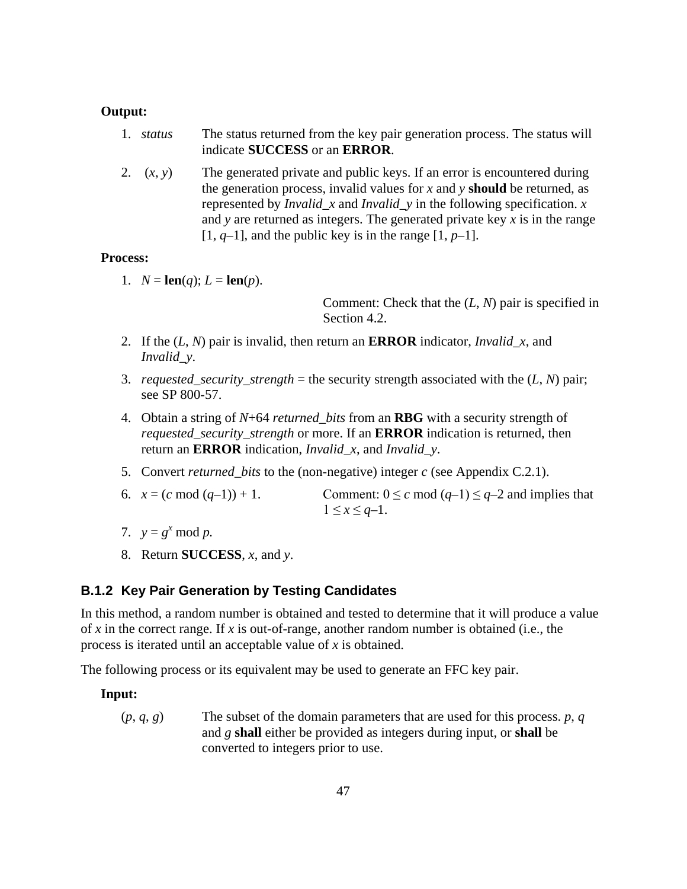#### **Output:**

- 1. *status* The status returned from the key pair generation process. The status will indicate **SUCCESS** or an **ERROR**.
- 2. (*x*, *y*) The generated private and public keys. If an error is encountered during the generation process, invalid values for  $x$  and  $y$  **should** be returned, as represented by *Invalid\_x* and *Invalid\_y* in the following specification. *x* and *y* are returned as integers. The generated private key *x* is in the range  $[1, q-1]$ , and the public key is in the range  $[1, p-1]$ .

#### **Process:**

1.  $N = \text{len}(q)$ ;  $L = \text{len}(p)$ .

Comment: Check that the (*L*, *N*) pair is specified in Section 4.2.

- 2. If the (*L*, *N*) pair is invalid, then return an **ERROR** indicator, *Invalid\_x*, and *Invalid\_y*.
- 3. *requested\_security\_strength* = the security strength associated with the (*L*, *N*) pair; see SP 800-57.
- 4. Obtain a string of *N*+64 *returned\_bits* from an **RBG** with a security strength of *requested\_security\_strength* or more. If an **ERROR** indication is returned, then return an **ERROR** indication, *Invalid\_x*, and *Invalid\_y*.
- 5. Convert *returned\_bits* to the (non-negative) integer *c* (see Appendix C.2.1).
- 6.  $x = (c \mod (q-1)) + 1$ . Comment:  $0 \leq c \mod (q-1) \leq q-2$  and implies that  $1 \leq x \leq q-1$ .
- 7.  $y = g^x \mod p$ .
- 8. Return **SUCCESS**, *x*, and *y*.

#### **B.1.2 Key Pair Generation by Testing Candidates**

In this method, a random number is obtained and tested to determine that it will produce a value of *x* in the correct range. If *x* is out-of-range, another random number is obtained (i.e., the process is iterated until an acceptable value of *x* is obtained.

The following process or its equivalent may be used to generate an FFC key pair.

#### **Input:**

 $(p, q, g)$  The subset of the domain parameters that are used for this process. *p*, *q* and *g* **shall** either be provided as integers during input, or **shall** be converted to integers prior to use.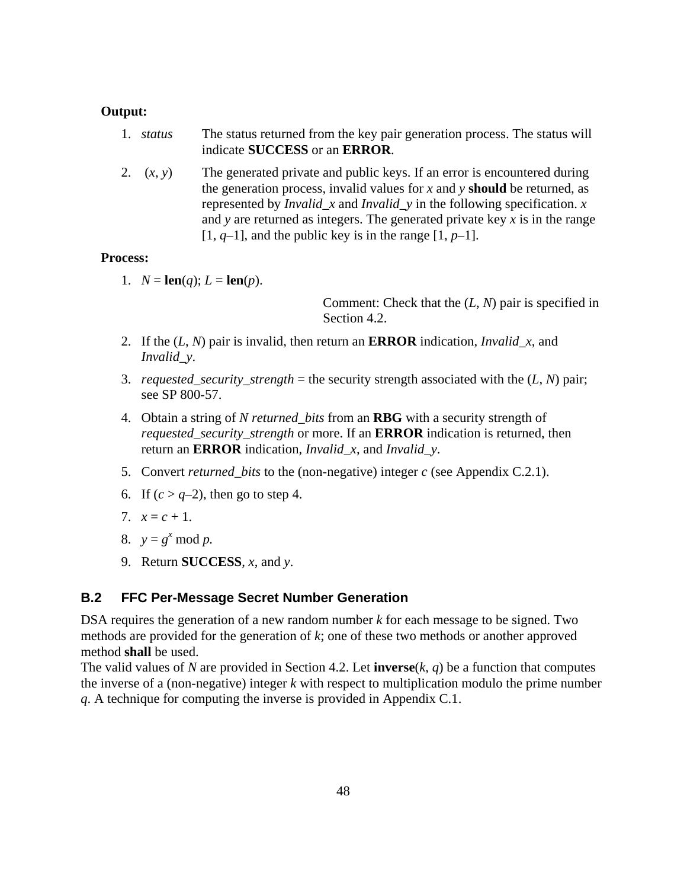#### **Output:**

- 1. *status* The status returned from the key pair generation process. The status will indicate **SUCCESS** or an **ERROR**.
- 2. (*x*, *y*) The generated private and public keys. If an error is encountered during the generation process, invalid values for *x* and *y* **should** be returned, as represented by *Invalid\_x* and *Invalid\_y* in the following specification. *x* and *y* are returned as integers. The generated private key *x* is in the range  $[1, q-1]$ , and the public key is in the range  $[1, p-1]$ .

#### **Process:**

1.  $N = \text{len}(q)$ ;  $L = \text{len}(p)$ .

Comment: Check that the (*L*, *N*) pair is specified in Section 4.2.

- 2. If the (*L*, *N*) pair is invalid, then return an **ERROR** indication, *Invalid\_x*, and *Invalid\_y*.
- 3. *requested\_security\_strength* = the security strength associated with the (*L*, *N*) pair; see SP 800-57.
- 4. Obtain a string of *N returned\_bits* from an **RBG** with a security strength of *requested\_security\_strength* or more. If an **ERROR** indication is returned, then return an **ERROR** indication, *Invalid\_x*, and *Invalid\_y*.
- 5. Convert *returned\_bits* to the (non-negative) integer *c* (see Appendix C.2.1).
- 6. If  $(c > a-2)$ , then go to step 4.
- 7.  $x = c + 1$ .
- 8.  $y = g^x \mod p$ .
- 9. Return **SUCCESS**, *x*, and *y*.

### **B.2 FFC Per-Message Secret Number Generation**

DSA requires the generation of a new random number *k* for each message to be signed. Two methods are provided for the generation of *k*; one of these two methods or another approved method **shall** be used.

The valid values of *N* are provided in Section 4.2. Let **inverse**( $k$ ,  $q$ ) be a function that computes the inverse of a (non-negative) integer *k* with respect to multiplication modulo the prime number *q*. A technique for computing the inverse is provided in Appendix C.1.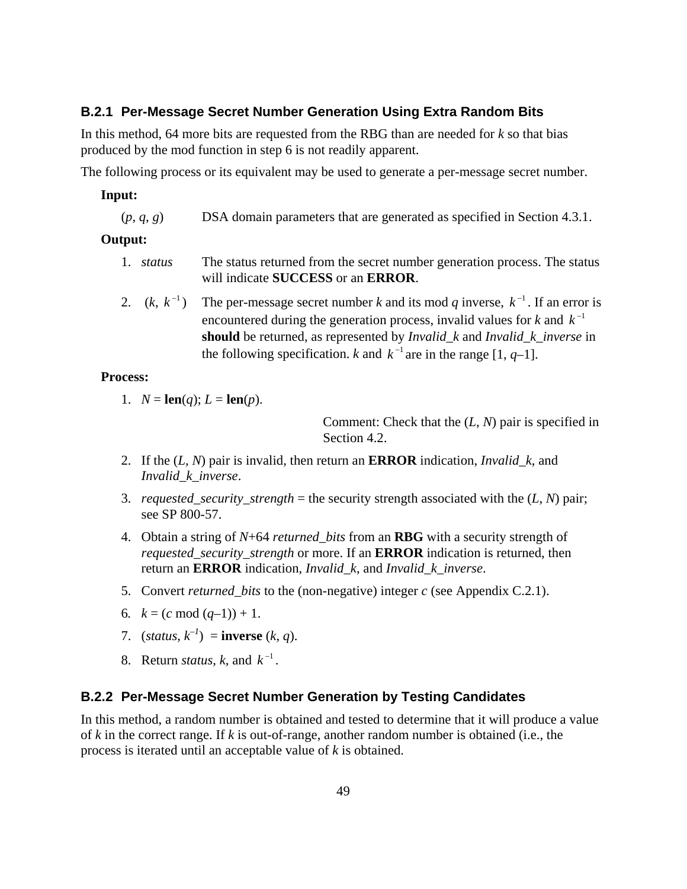### **B.2.1 Per-Message Secret Number Generation Using Extra Random Bits**

In this method, 64 more bits are requested from the RBG than are needed for *k* so that bias produced by the mod function in step 6 is not readily apparent.

The following process or its equivalent may be used to generate a per-message secret number.

#### **Input:**

(*p*, *q*, *g*) DSA domain parameters that are generated as specified in Section 4.3.1.

#### **Output:**

- 1. *status* The status returned from the secret number generation process. The status will indicate **SUCCESS** or an **ERROR**.
- 2.  $(k, k^{-1})$  The per-message secret number k and its mod q inverse,  $k^{-1}$ . If an error is encountered during the generation process, invalid values for  $k$  and  $k^{-1}$ **should** be returned, as represented by *Invalid\_k* and *Invalid\_k\_inverse* in the following specification. *k* and  $k^{-1}$  are in the range [1, *q*-1].

#### **Process:**

1. 
$$
N = len(q); L = len(p).
$$

Comment: Check that the (*L*, *N*) pair is specified in Section 4.2.

- 2. If the (*L*, *N*) pair is invalid, then return an **ERROR** indication, *Invalid\_k*, and *Invalid\_k*\_*inverse*.
- 3. *requested\_security\_strength* = the security strength associated with the  $(L, N)$  pair; see SP 800-57.
- 4. Obtain a string of *N*+64 *returned\_bits* from an **RBG** with a security strength of *requested\_security\_strength* or more. If an **ERROR** indication is returned, then return an **ERROR** indication, *Invalid\_k*, and *Invalid\_k*\_*inverse*.
- 5. Convert *returned\_bits* to the (non-negative) integer *c* (see Appendix C.2.1).
- 6*.*  $k = (c \mod (q-1)) + 1$ .
- 7.  $(status, k^{-1}) = inverse (k, q)$ .
- 8. Return *status*, *k*, and  $k^{-1}$ .

#### **B.2.2 Per-Message Secret Number Generation by Testing Candidates**

In this method, a random number is obtained and tested to determine that it will produce a value of *k* in the correct range. If *k* is out-of-range, another random number is obtained (i.e., the process is iterated until an acceptable value of *k* is obtained.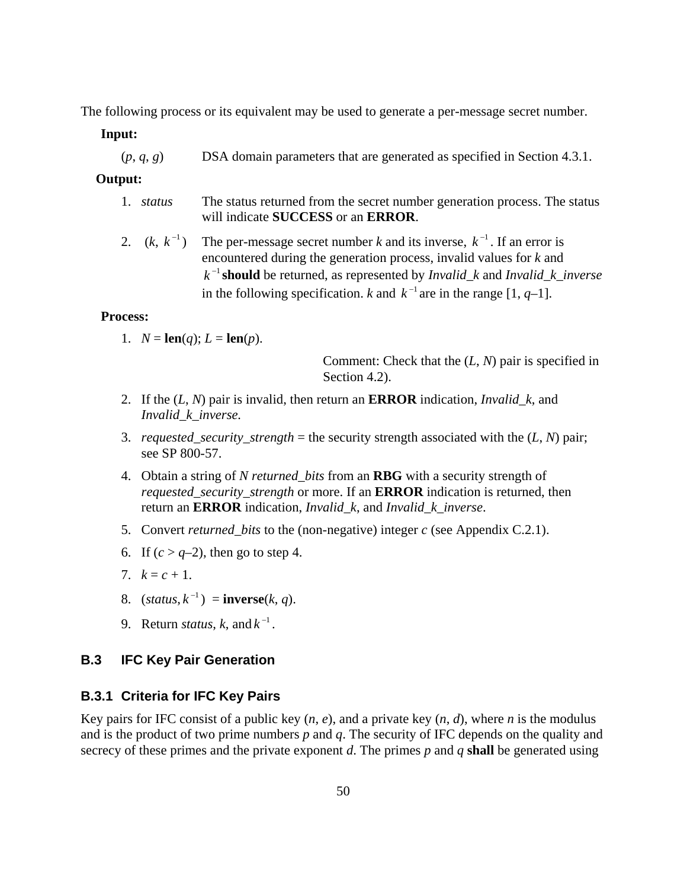The following process or its equivalent may be used to generate a per-message secret number.

**Input:** 

(*p*, *q*, *g*) DSA domain parameters that are generated as specified in Section 4.3.1.

#### **Output:**

- 1. *status* The status returned from the secret number generation process. The status will indicate **SUCCESS** or an **ERROR**.
- 2.  $(k, k^{-1})$  The per-message secret number k and its inverse,  $k^{-1}$ . If an error is encountered during the generation process, invalid values for *k* and  $k^{-1}$  **should** be returned, as represented by *Invalid* k and *Invalid* k *inverse* in the following specification. *k* and  $k^{-1}$  are in the range [1, *q*-1].

#### **Process:**

1.  $N = \text{len}(q)$ ;  $L = \text{len}(p)$ .

Comment: Check that the (*L*, *N*) pair is specified in Section 4.2).

- 2. If the (*L*, *N*) pair is invalid, then return an **ERROR** indication, *Invalid\_k*, and *Invalid\_k\_inverse.*
- 3. *requested\_security\_strength* = the security strength associated with the  $(L, N)$  pair; see SP 800-57.
- 4. Obtain a string of *N returned\_bits* from an **RBG** with a security strength of *requested\_security\_strength* or more. If an **ERROR** indication is returned, then return an **ERROR** indication, *Invalid\_k*, and *Invalid\_k\_inverse*.
- 5. Convert *returned\_bits* to the (non-negative) integer *c* (see Appendix C.2.1).
- 6. If  $(c > q-2)$ , then go to step 4.
- 7.  $k = c + 1$ .
- 8. (*status*,  $k^{-1}$ ) = **inverse**(*k*, *q*).
- 9. Return *status*, *k*, and  $k^{-1}$ .

## **B.3 IFC Key Pair Generation**

#### **B.3.1 Criteria for IFC Key Pairs**

Key pairs for IFC consist of a public key  $(n, e)$ , and a private key  $(n, d)$ , where *n* is the modulus and is the product of two prime numbers *p* and *q*. The security of IFC depends on the quality and secrecy of these primes and the private exponent *d*. The primes *p* and *q* **shall** be generated using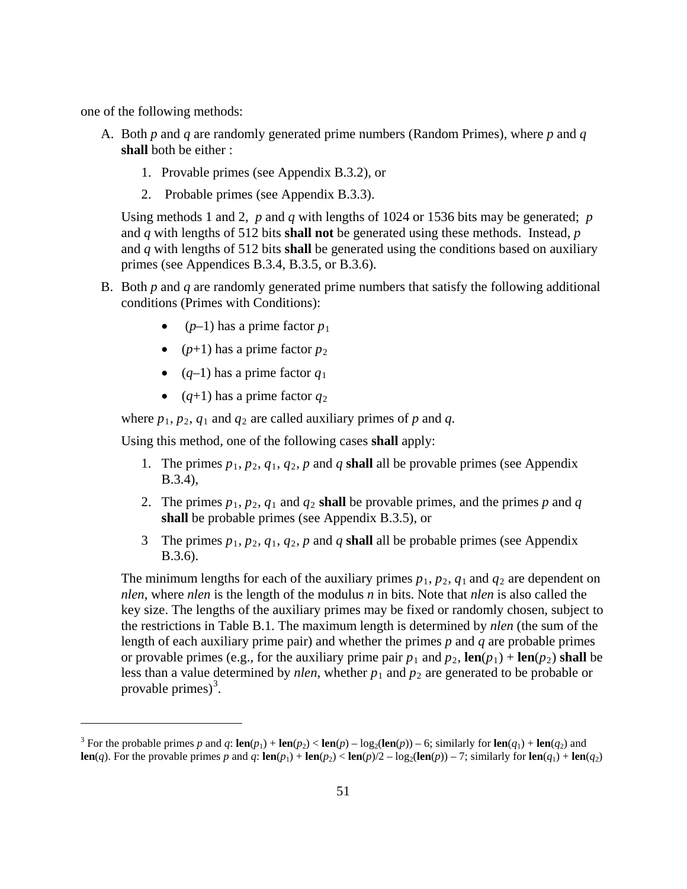one of the following methods:

 $\overline{a}$ 

- A. Both *p* and *q* are randomly generated prime numbers (Random Primes), where *p* and *q* **shall** both be either :
	- 1. Provable primes (see Appendix B.3.2), or
	- 2. Probable primes (see Appendix B.3.3).

Using methods 1 and 2, *p* and *q* with lengths of 1024 or 1536 bits may be generated; *p*  and *q* with lengths of 512 bits **shall not** be generated using these methods. Instead, *p*  and *q* with lengths of 512 bits **shall** be generated using the conditions based on auxiliary primes (see Appendices B.3.4, B.3.5, or B.3.6).

- B. Both *p* and *q* are randomly generated prime numbers that satisfy the following additional conditions (Primes with Conditions):
	- $(p-1)$  has a prime factor  $p_1$
	- ( $p+1$ ) has a prime factor  $p_2$
	- $(q-1)$  has a prime factor  $q_1$
	- $(q+1)$  has a prime factor  $q_2$

where  $p_1$ ,  $p_2$ ,  $q_1$  and  $q_2$  are called auxiliary primes of  $p$  and  $q$ .

Using this method, one of the following cases **shall** apply:

- 1. The primes  $p_1$ ,  $p_2$ ,  $q_1$ ,  $q_2$ ,  $p$  and  $q$  **shall** all be provable primes (see Appendix B.3.4),
- 2. The primes  $p_1, p_2, q_1$  and  $q_2$  **shall** be provable primes, and the primes p and q **shall** be probable primes (see Appendix B.3.5), or
- 3 The primes  $p_1$ ,  $p_2$ ,  $q_1$ ,  $q_2$ ,  $p$  and  $q$  **shall** all be probable primes (see Appendix B.3.6).

The minimum lengths for each of the auxiliary primes  $p_1$ ,  $p_2$ ,  $q_1$  and  $q_2$  are dependent on *nlen*, where *nlen* is the length of the modulus *n* in bits. Note that *nlen* is also called the key size. The lengths of the auxiliary primes may be fixed or randomly chosen, subject to the restrictions in Table B.1. The maximum length is determined by *nlen* (the sum of the length of each auxiliary prime pair) and whether the primes *p* and *q* are probable primes or provable primes (e.g., for the auxiliary prime pair  $p_1$  and  $p_2$ ,  $\text{len}(p_1) + \text{len}(p_2)$  shall be less than a value determined by *nlen*, whether  $p_1$  and  $p_2$  are generated to be probable or provable primes) $3$ .

<span id="page-59-0"></span><sup>&</sup>lt;sup>3</sup> For the probable primes *p* and *q*: **len**(*p*<sub>1</sub>) + **len**(*p*<sub>2</sub>) < **len**(*p*) – log<sub>2</sub>(**len**(*p*)) – 6; similarly for **len**(*q*<sub>1</sub>) + **len**(*q*<sub>2</sub>) and **len**(q). For the provable primes p and q:  $\text{len}(p_1) + \text{len}(p_2) < \text{len}(p)/2 - \log_2(\text{len}(p)) - 7$ ; similarly for  $\text{len}(q_1) + \text{len}(q_2)$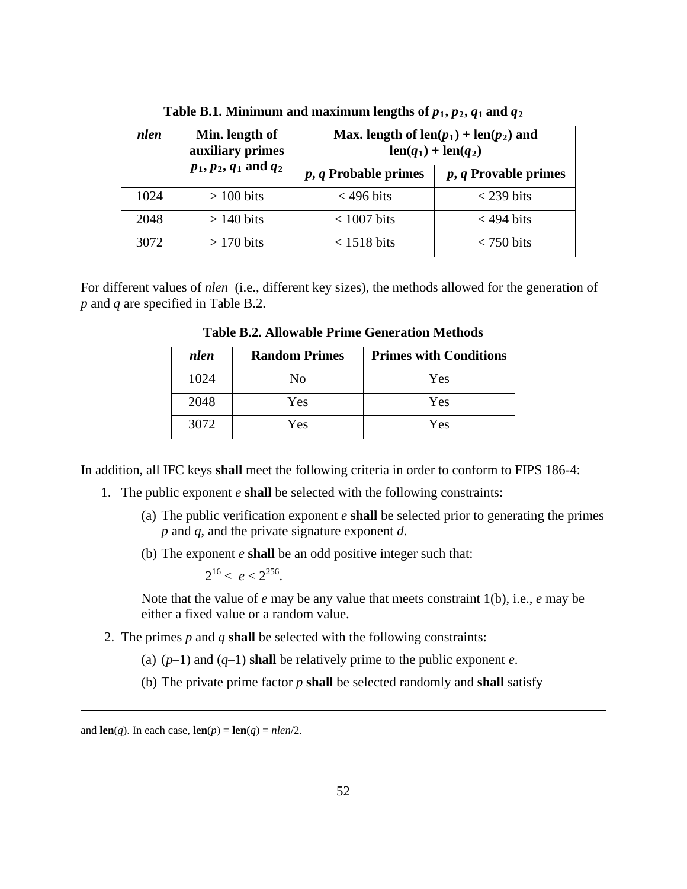| nlen | Min. length of<br>auxiliary primes |                        | Max. length of $len(p_1) + len(p_2)$ and<br>$len(q_1) + len(q_2)$ |
|------|------------------------------------|------------------------|-------------------------------------------------------------------|
|      | $p_1, p_2, q_1$ and $q_2$          | $p, q$ Probable primes | $p, q$ Provable primes                                            |
| 1024 | $> 100$ bits                       | $<$ 496 bits           | $<$ 239 bits                                                      |
| 2048 | $> 140$ bits                       | $< 1007$ bits          | $<$ 494 bits                                                      |
| 3072 | $> 170$ bits                       | $<$ 1518 bits          | $<$ 750 bits                                                      |

Table B.1. Minimum and maximum lengths of  $p_1$ ,  $p_2$ ,  $q_1$  and  $q_2$ 

For different values of *nlen* (i.e., different key sizes), the methods allowed for the generation of *p* and *q* are specified in Table B.2.

| nlen | <b>Random Primes</b> | <b>Primes with Conditions</b> |
|------|----------------------|-------------------------------|
| 1024 | No                   | Yes                           |
| 2048 | Yes                  | Yes                           |
| 3072 | Yes                  | Yes                           |

**Table B.2. Allowable Prime Generation Methods**

In addition, all IFC keys **shall** meet the following criteria in order to conform to FIPS 186-4:

- 1. The public exponent *e* **shall** be selected with the following constraints:
	- (a) The public verification exponent *e* **shall** be selected prior to generating the primes *p* and *q*, and the private signature exponent *d*.
	- (b) The exponent *e* **shall** be an odd positive integer such that:

 $2^{16} < e < 2^{256}$ .

Note that the value of *e* may be any value that meets constraint 1(b), i.e., *e* may be either a fixed value or a random value.

- 2. The primes *p* and *q* **shall** be selected with the following constraints:
	- (a)  $(p-1)$  and  $(q-1)$  **shall** be relatively prime to the public exponent *e*.
	- (b) The private prime factor *p* **shall** be selected randomly and **shall** satisfy

 $\overline{a}$ 

and **len**(*q*). In each case, **len**(*p*) = **len**(*q*) = *nlen*/2.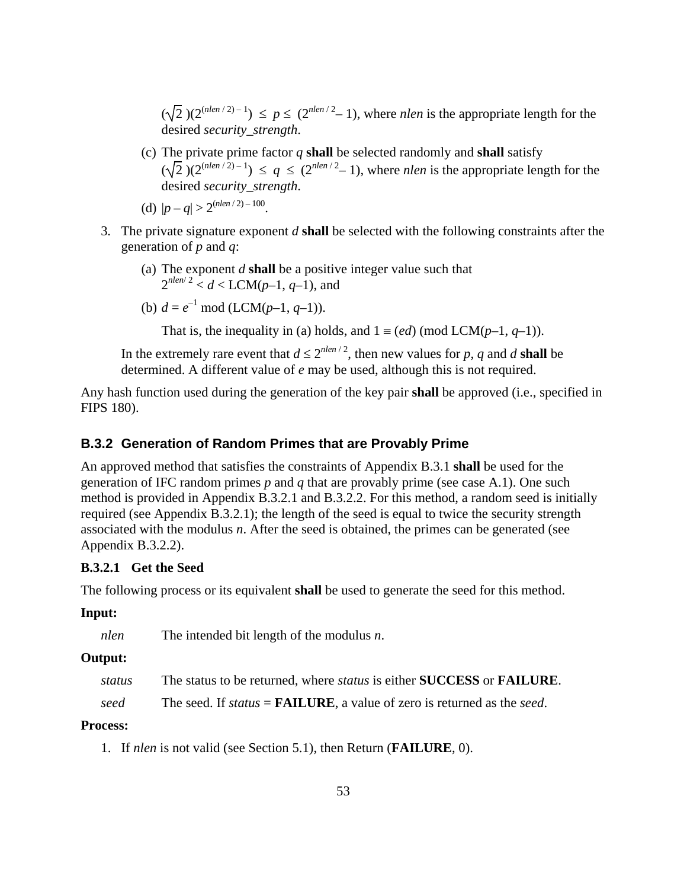$(\sqrt{2})(2^{(nlen/2)-1}) \le p \le (2^{nlen/2}-1)$ , where *nlen* is the appropriate length for the desired *security\_strength*.

- (c) The private prime factor *q* **shall** be selected randomly and **shall** satisfy  $(\sqrt{2})(2^{(nlen/2)-1}) \leq q \leq (2^{nlen/2}-1)$ , where *nlen* is the appropriate length for the desired *security\_strength*.
- (d)  $|p q| > 2^{(nlen/2) 100}$ .
- 3. The private signature exponent *d* **shall** be selected with the following constraints after the generation of *p* and *q*:
	- (a) The exponent *d* **shall** be a positive integer value such that  $2^{nlen/2} < d < LCM(p-1, q-1)$ , and
	- (b)  $d = e^{-1} \mod(LCM(p-1, q-1)).$

That is, the inequality in (a) holds, and  $1 \equiv (ed) \pmod{LCM(p-1, q-1)}$ .

In the extremely rare event that  $d \leq 2^{n \cdot \ln n/2}$ , then new values for *p*, *q* and *d* **shall** be determined. A different value of *e* may be used, although this is not required.

Any hash function used during the generation of the key pair **shall** be approved (i.e., specified in FIPS 180).

#### **B.3.2 Generation of Random Primes that are Provably Prime**

An approved method that satisfies the constraints of Appendix B.3.1 **shall** be used for the generation of IFC random primes *p* and *q* that are provably prime (see case A.1). One such method is provided in Appendix B.3.2.1 and B.3.2.2. For this method, a random seed is initially required (see Appendix B.3.2.1); the length of the seed is equal to twice the security strength associated with the modulus *n*. After the seed is obtained, the primes can be generated (see Appendix B.3.2.2).

#### **B.3.2.1 Get the Seed**

The following process or its equivalent **shall** be used to generate the seed for this method.

#### **Input:**

*nlen* The intended bit length of the modulus *n*.

#### **Output:**

| status | The status to be returned, where <i>status</i> is either <b>SUCCESS</b> or <b>FAILURE</b> . |  |  |  |  |
|--------|---------------------------------------------------------------------------------------------|--|--|--|--|
|--------|---------------------------------------------------------------------------------------------|--|--|--|--|

*seed* The seed. If *status* = **FAILURE**, a value of zero is returned as the *seed*.

#### **Process:**

1. If *nlen* is not valid (see Section 5.1), then Return (**FAILURE**, 0).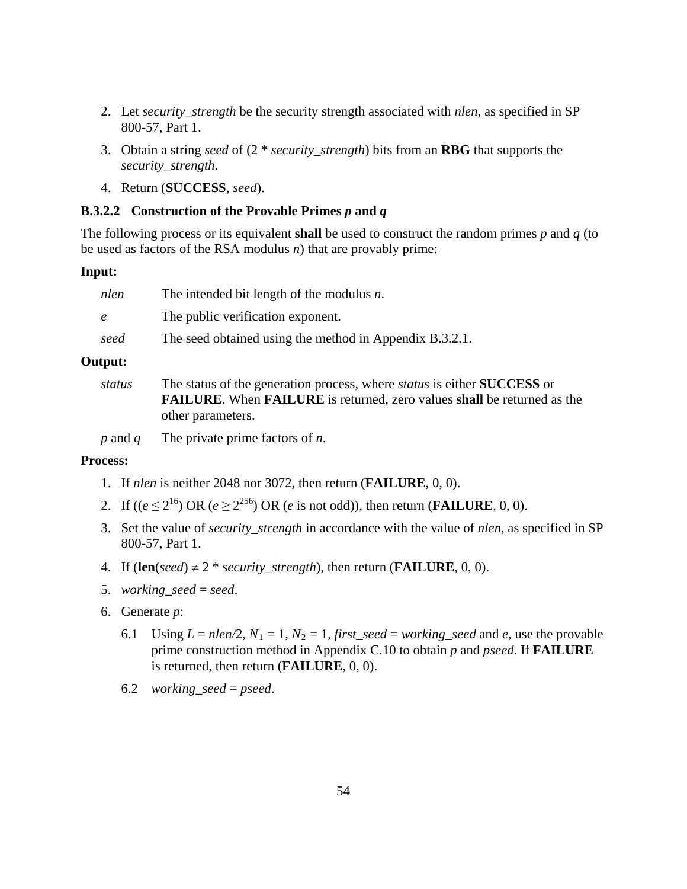- 2. Let *security\_strength* be the security strength associated with *nlen*, as specified in SP 800-57, Part 1.
- 3. Obtain a string *seed* of (2 \* *security\_strength*) bits from an **RBG** that supports the *security\_strength*.
- 4. Return (**SUCCESS**, *seed*).

#### **B.3.2.2 Construction of the Provable Primes** *p* **and** *q*

The following process or its equivalent **shall** be used to construct the random primes *p* and *q* (to be used as factors of the RSA modulus *n*) that are provably prime:

#### **Input:**

| nlen       | The intended bit length of the modulus $n$ .            |
|------------|---------------------------------------------------------|
| $\epsilon$ | The public verification exponent.                       |
| seed       | The seed obtained using the method in Appendix B.3.2.1. |
|            |                                                         |

### **Output:**

*status* The status of the generation process, where *status* is either **SUCCESS** or **FAILURE**. When **FAILURE** is returned, zero values **shall** be returned as the other parameters.

*p* and *q* The private prime factors of *n*.

#### **Process:**

- 1. If *nlen* is neither 2048 nor 3072, then return (**FAILURE**, 0, 0).
- 2. If  $((e \le 2^{16}) \text{ OR } (e \ge 2^{256}) \text{ OR } (e \text{ is not odd})),$  then return (**FAILURE**, 0, 0).
- 3. Set the value of *security\_strength* in accordance with the value of *nlen*, as specified in SP 800-57, Part 1.
- 4. If  $(\text{len}(seed) \neq 2 * security\_strength)$ , then return (**FAILURE**, 0, 0).
- 5. *working\_seed* = *seed*.
- 6. Generate *p*:
	- 6.1 Using  $L = nlen/2$ ,  $N_1 = 1$ ,  $N_2 = 1$ , *first\_seed* = *working\_seed* and *e*, use the provable prime construction method in Appendix C.10 to obtain *p* and *pseed*. If **FAILURE** is returned, then return (**FAILURE**, 0, 0).
	- 6.2 *working\_seed* = *pseed*.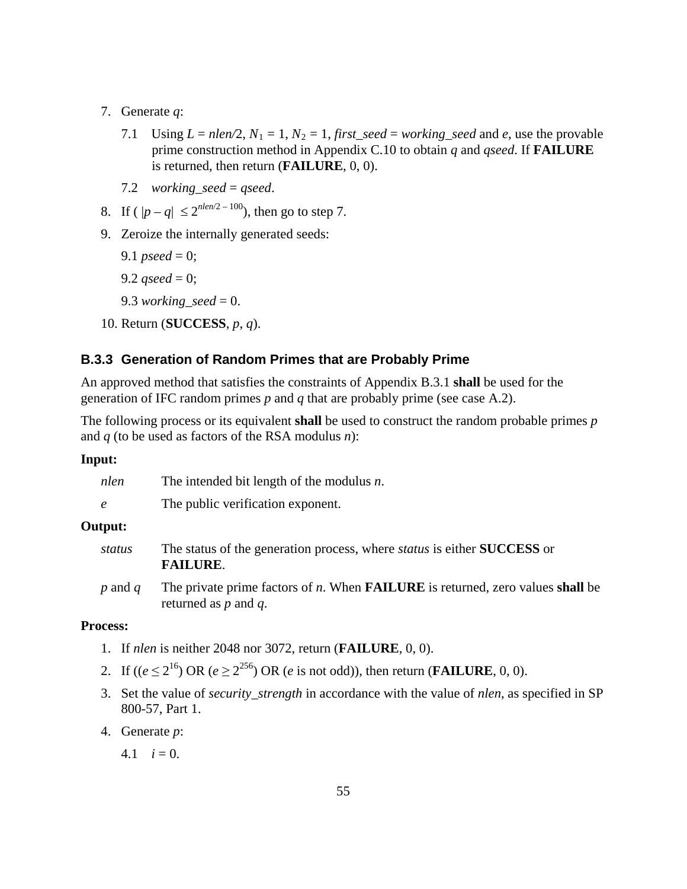- 7. Generate *q*:
	- 7.1 Using  $L = nlen/2$ ,  $N_1 = 1$ ,  $N_2 = 1$ , *first\_seed* = *working\_seed* and *e*, use the provable prime construction method in Appendix C.10 to obtain *q* and *qseed*. If **FAILURE** is returned, then return (**FAILURE**, 0, 0).
	- 7.2 *working\_seed* = *qseed*.
- 8. If  $(|p q| \le 2^{n len/2 100})$ , then go to step 7.
- 9. Zeroize the internally generated seeds:
	- 9.1 *pseed* = 0;
	- 9.2  $\textit{qseed} = 0$ ;
	- 9.3 *working\_seed* = 0.
- 10. Return (**SUCCESS**, *p*, *q*).

### **B.3.3 Generation of Random Primes that are Probably Prime**

An approved method that satisfies the constraints of Appendix B.3.1 **shall** be used for the generation of IFC random primes *p* and *q* that are probably prime (see case A.2).

The following process or its equivalent **shall** be used to construct the random probable primes *p* and *q* (to be used as factors of the RSA modulus *n*):

#### **Input:**

| nlen            | The intended bit length of the modulus $n$ .                                                                                 |
|-----------------|------------------------------------------------------------------------------------------------------------------------------|
| $\epsilon$      | The public verification exponent.                                                                                            |
| Output:         |                                                                                                                              |
| status          | The status of the generation process, where <i>status</i> is either <b>SUCCESS</b> or<br><b>FAILURE.</b>                     |
| $p$ and $q$     | The private prime factors of $n$ . When <b>FAILURE</b> is returned, zero values <b>shall</b> be<br>returned as $p$ and $q$ . |
| <b>Process:</b> |                                                                                                                              |

- 1. If *nlen* is neither 2048 nor 3072, return (**FAILURE**, 0, 0).
- 2. If  $((e \le 2^{16}) \text{ OR } (e \ge 2^{256}) \text{ OR } (e \text{ is not odd})),$  then return (**FAILURE**, 0, 0).
- 3. Set the value of *security\_strength* in accordance with the value of *nlen*, as specified in SP 800-57, Part 1.
- 4. Generate *p*:
	- 4.1  $i = 0$ .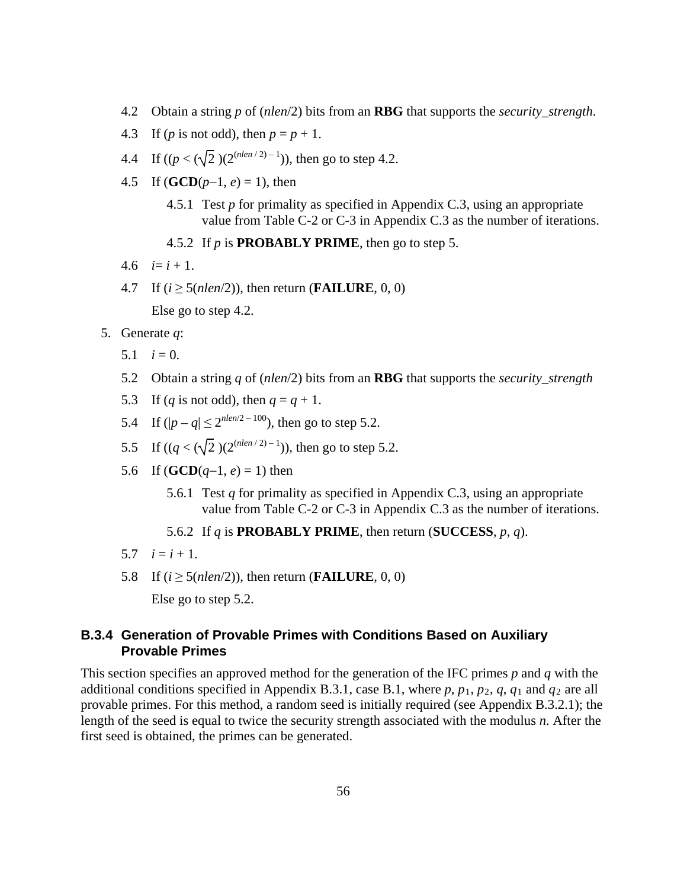- 4.2 Obtain a string *p* of (*nlen*/2) bits from an **RBG** that supports the *security\_strength*.
- 4.3 If (*p* is not odd), then  $p = p + 1$ .
- 4.4 If  $((p < (\sqrt{2}) (2^{(nlen/2)-1}))$ , then go to step 4.2.
- 4.5 If  $(GCD(p-1, e) = 1)$ , then
	- 4.5.1 Test *p* for primality as specified in Appendix C.3, using an appropriate value from Table C-2 or C-3 in Appendix C.3 as the number of iterations.
	- 4.5.2 If *p* is **PROBABLY PRIME**, then go to step 5.
- $4.6 \quad i = i + 1$ .
- 4.7 If  $(i \ge 5(nlen/2))$ , then return (**FAILURE**, 0, 0)

Else go to step 4.2.

- 5. Generate *q*:
	- 5.1  $i = 0$ .
	- 5.2 Obtain a string *q* of (*nlen*/2) bits from an **RBG** that supports the *security\_strength*
	- 5.3 If (*q* is not odd), then  $q = q + 1$ .
	- 5.4 If  $(|p q| \le 2^{n \cdot len/2 100})$ , then go to step 5.2.
	- 5.5 If  $((q < (\sqrt{2}) (2^{(nlen/2)-1}))$ , then go to step 5.2.
	- 5.6 If (**GCD** $(q-1, e) = 1$ ) then
		- 5.6.1 Test *q* for primality as specified in Appendix C.3, using an appropriate value from Table C-2 or C-3 in Appendix C.3 as the number of iterations.
		- 5.6.2 If *q* is **PROBABLY PRIME**, then return (**SUCCESS**, *p*, *q*).
	- 5.7  $i = i + 1$ .
	- 5.8 If  $(i \ge 5(nlen/2))$ , then return (**FAILURE**, 0, 0)

Else go to step 5.2.

## **B.3.4 Generation of Provable Primes with Conditions Based on Auxiliary Provable Primes**

This section specifies an approved method for the generation of the IFC primes *p* and *q* with the additional conditions specified in Appendix B.3.1, case B.1, where  $p$ ,  $p_1$ ,  $p_2$ ,  $q$ ,  $q_1$  and  $q_2$  are all provable primes. For this method, a random seed is initially required (see Appendix B.3.2.1); the length of the seed is equal to twice the security strength associated with the modulus *n*. After the first seed is obtained, the primes can be generated.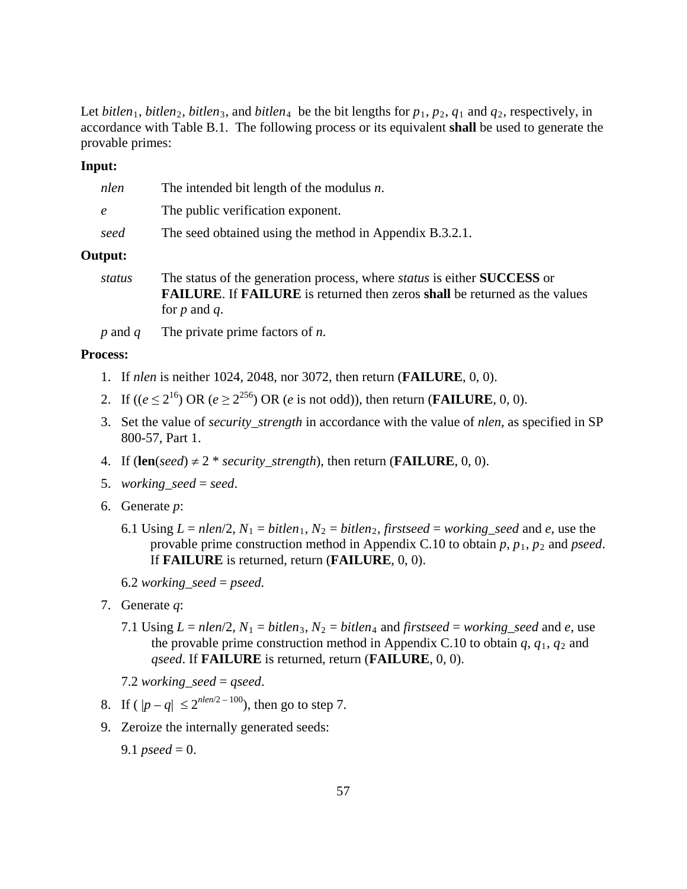Let *bitlen*<sub>1</sub>, *bitlen*<sub>2</sub>, *bitlen*<sub>3</sub>, and *bitlen*<sub>4</sub> be the bit lengths for  $p_1, p_2, q_1$  and  $q_2$ , respectively, in accordance with Table B.1. The following process or its equivalent **shall** be used to generate the provable primes:

#### **Input:**

| nlen          | The intended bit length of the modulus $n$ .                                   |
|---------------|--------------------------------------------------------------------------------|
| $\epsilon$    | The public verification exponent.                                              |
| seed          | The seed obtained using the method in Appendix B.3.2.1.                        |
| Output:       |                                                                                |
| <i>status</i> | The status of the generation process, where status is either <b>SHCCESS</b> or |

- *status* The status of the generation process, where *status* is either **SUCCESS** or **FAILURE**. If **FAILURE** is returned then zeros **shall** be returned as the values for *p* and *q*.
- *p* and *q* The private prime factors of *n*.

#### **Process:**

- 1. If *nlen* is neither 1024, 2048, nor 3072, then return (**FAILURE**, 0, 0).
- 2. If  $((e \le 2^{16})$  OR  $(e \ge 2^{256})$  OR  $(e \text{ is not odd})$ , then return (**FAILURE**, 0, 0).
- 3. Set the value of *security\_strength* in accordance with the value of *nlen*, as specified in SP 800-57, Part 1.
- 4. If  $(\text{len}(seed) \neq 2 * security\_strength)$ , then return (**FAILURE**, 0, 0).
- 5. *working\_seed* = *seed*.
- 6. Generate *p*:
	- 6.1 Using  $L = nlen/2$ ,  $N_1 = bitlen_1$ ,  $N_2 = bitlen_2$ , *firstseed* = *working\_seed* and *e*, use the provable prime construction method in Appendix C.10 to obtain  $p$ ,  $p_1$ ,  $p_2$  and *pseed*. If **FAILURE** is returned, return (**FAILURE**, 0, 0).
	- 6.2 *working\_seed* = *pseed.*
- 7. Generate *q*:
	- 7.1 Using  $L = nlen/2$ ,  $N_1 = bitlen_3$ ,  $N_2 = bitlen_4$  and *firstseed* = *working\_seed* and *e*, use the provable prime construction method in Appendix C.10 to obtain  $q$ ,  $q_1$ ,  $q_2$  and *qseed*. If **FAILURE** is returned, return (**FAILURE**, 0, 0).
	- 7.2 *working\_seed* = *qseed*.
- 8. If  $(|p q| \leq 2^{n \cdot len/2 100})$ , then go to step 7.
- 9. Zeroize the internally generated seeds:
	- 9.1 *pseed* = 0.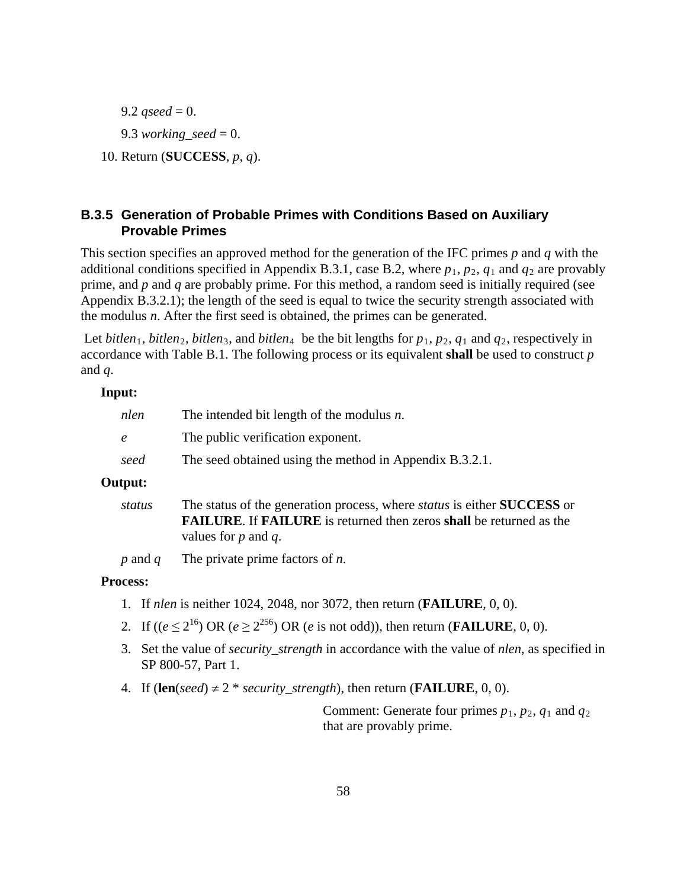9.2 *gseed* = 0. 9.3 *working\_seed* = 0. 10. Return (**SUCCESS**, *p*, *q*).

# **B.3.5 Generation of Probable Primes with Conditions Based on Auxiliary Provable Primes**

This section specifies an approved method for the generation of the IFC primes *p* and *q* with the additional conditions specified in Appendix B.3.1, case B.2, where  $p_1$ ,  $p_2$ ,  $q_1$  and  $q_2$  are provably prime, and *p* and *q* are probably prime. For this method, a random seed is initially required (see Appendix B.3.2.1); the length of the seed is equal to twice the security strength associated with the modulus *n*. After the first seed is obtained, the primes can be generated.

Let *bitlen*<sub>1</sub>, *bitlen*<sub>2</sub>, *bitlen*<sub>3</sub>, and *bitlen*<sub>4</sub> be the bit lengths for  $p_1$ ,  $p_2$ ,  $q_1$  and  $q_2$ , respectively in accordance with Table B.1. The following process or its equivalent **shall** be used to construct *p* and *q*.

#### **Input:**

| nlen       | The intended bit length of the modulus $n$ .                                                                                                                                                                  |
|------------|---------------------------------------------------------------------------------------------------------------------------------------------------------------------------------------------------------------|
| $\epsilon$ | The public verification exponent.                                                                                                                                                                             |
| seed       | The seed obtained using the method in Appendix B.3.2.1.                                                                                                                                                       |
| Output:    |                                                                                                                                                                                                               |
| status     | The status of the generation process, where <i>status</i> is either <b>SUCCESS</b> or<br><b>FAILURE.</b> If <b>FAILURE</b> is returned then zeros <b>shall</b> be returned as the<br>values for $p$ and $q$ . |

*p* and *q* The private prime factors of *n*.

#### **Process:**

- 1. If *nlen* is neither 1024, 2048, nor 3072, then return (**FAILURE**, 0, 0).
- 2. If  $((e \le 2^{16}) \text{ OR } (e \ge 2^{256}) \text{ OR } (e \text{ is not odd})),$  then return (**FAILURE**, 0, 0).
- 3. Set the value of *security\_strength* in accordance with the value of *nlen*, as specified in SP 800-57, Part 1.
- 4. If  $$

Comment: Generate four primes  $p_1$ ,  $p_2$ ,  $q_1$  and  $q_2$ that are provably prime.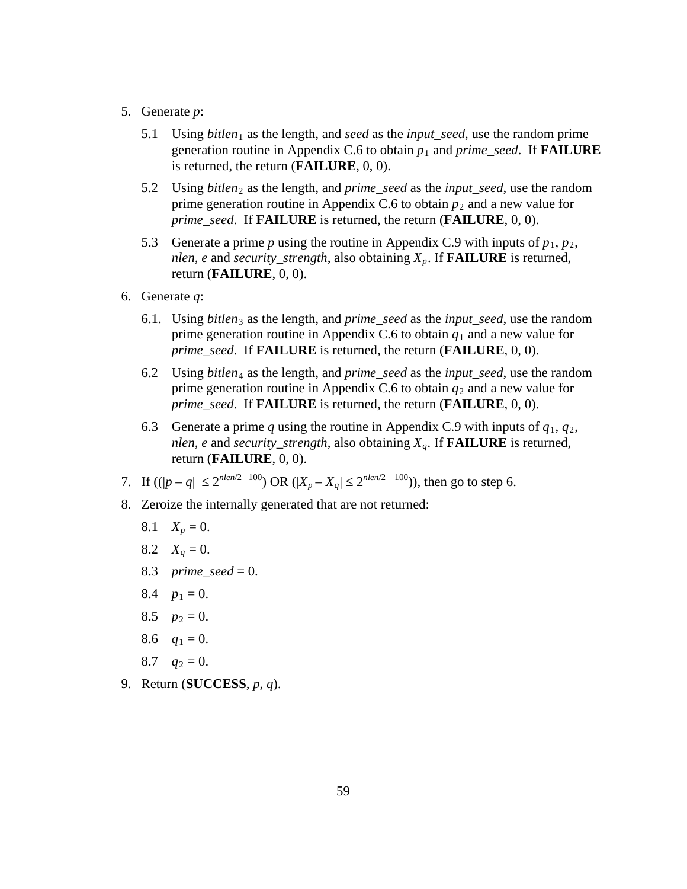- 5. Generate *p*:
	- 5.1 Using *bitlen*<sup>1</sup> as the length, and *seed* as the *input\_seed*, use the random prime generation routine in Appendix C.6 to obtain  $p_1$  and *prime seed*. If **FAILURE** is returned, the return (**FAILURE**, 0, 0).
	- 5.2 Using *bitlen*<sup>2</sup> as the length, and *prime\_seed* as the *input\_seed*, use the random prime generation routine in Appendix C.6 to obtain  $p_2$  and a new value for *prime\_seed*. If **FAILURE** is returned, the return (**FAILURE**, 0, 0).
	- 5.3 Generate a prime *p* using the routine in Appendix C.9 with inputs of  $p_1, p_2$ , *nlen, e* and *security\_strength*, also obtaining *Xp*. If **FAILURE** is returned, return (**FAILURE**, 0, 0).
- 6. Generate *q*:
	- 6.1. Using *bitlen*<sup>3</sup> as the length, and *prime*\_*seed* as the *input\_seed*, use the random prime generation routine in Appendix C.6 to obtain  $q_1$  and a new value for *prime\_seed*. If **FAILURE** is returned, the return (**FAILURE**, 0, 0).
	- 6.2 Using *bitlen*<sup>4</sup> as the length, and *prime\_seed* as the *input\_seed*, use the random prime generation routine in Appendix C.6 to obtain  $q_2$  and a new value for *prime\_seed*. If **FAILURE** is returned, the return (**FAILURE**, 0, 0).
	- 6.3 Generate a prime *q* using the routine in Appendix C.9 with inputs of  $q_1, q_2$ , *nlen, e* and *security\_strength*, also obtaining *Xq.* If **FAILURE** is returned, return (**FAILURE**, 0, 0).
- 7. If  $((|p q| \le 2^{nlen/2 100}) \text{ OR } (|X_p X_q| \le 2^{nlen/2 100})$ , then go to step 6.
- 8. Zeroize the internally generated that are not returned:
	- 8.1  $X_p = 0$ .
	- 8.2  $X_q = 0$ .
	- 8.3 *prime\_seed* = 0.
	- 8.4  $p_1 = 0$ .
	- 8.5  $p_2 = 0$ .
	- 8.6  $q_1 = 0$ .
	- 8.7  $q_2 = 0$ .
- 9. Return (**SUCCESS**, *p*, *q*).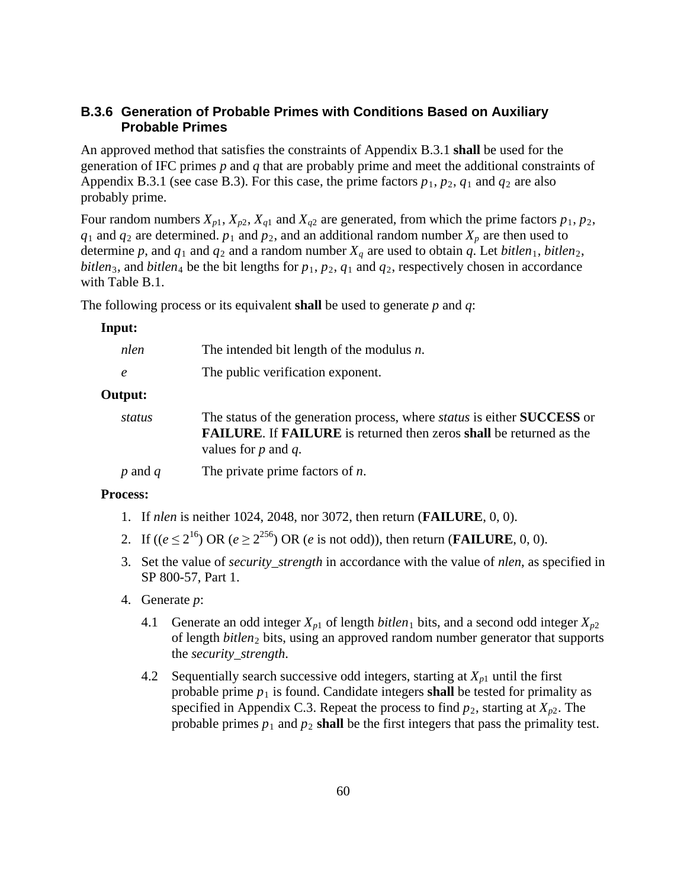## **B.3.6 Generation of Probable Primes with Conditions Based on Auxiliary Probable Primes**

An approved method that satisfies the constraints of Appendix B.3.1 **shall** be used for the generation of IFC primes *p* and *q* that are probably prime and meet the additional constraints of Appendix B.3.1 (see case B.3). For this case, the prime factors  $p_1$ ,  $p_2$ ,  $q_1$  and  $q_2$  are also probably prime.

Four random numbers  $X_{p1}$ ,  $X_{p2}$ ,  $X_{q1}$  and  $X_{q2}$  are generated, from which the prime factors  $p_1$ ,  $p_2$ ,  $q_1$  and  $q_2$  are determined.  $p_1$  and  $p_2$ , and an additional random number  $X_p$  are then used to determine p, and  $q_1$  and  $q_2$  and a random number  $X_q$  are used to obtain q. Let *bitlen*<sub>1</sub>, *bitlen*<sub>2</sub>, *bitlen*<sub>3</sub>, and *bitlen*<sub>4</sub> be the bit lengths for  $p_1$ ,  $p_2$ ,  $q_1$  and  $q_2$ , respectively chosen in accordance with Table B.1.

The following process or its equivalent **shall** be used to generate *p* and *q*:

#### **Input:**

| nlen        | The intended bit length of the modulus $n$ .                                                                                                                                                                  |  |
|-------------|---------------------------------------------------------------------------------------------------------------------------------------------------------------------------------------------------------------|--|
| $\epsilon$  | The public verification exponent.                                                                                                                                                                             |  |
| Output:     |                                                                                                                                                                                                               |  |
| status      | The status of the generation process, where <i>status</i> is either <b>SUCCESS</b> or<br><b>FAILURE.</b> If <b>FAILURE</b> is returned then zeros <b>shall</b> be returned as the<br>values for $p$ and $q$ . |  |
| $p$ and $q$ | The private prime factors of $n$ .                                                                                                                                                                            |  |

#### **Process:**

- 1. If *nlen* is neither 1024, 2048, nor 3072, then return (**FAILURE**, 0, 0).
- 2. If  $((e \le 2^{16}) \text{ OR } (e \ge 2^{256}) \text{ OR } (e \text{ is not odd})),$  then return (**FAILURE**, 0, 0).
- 3. Set the value of *security\_strength* in accordance with the value of *nlen*, as specified in SP 800-57, Part 1.
- 4. Generate *p*:
	- 4.1 Generate an odd integer  $X_{p1}$  of length *bitlen*<sub>1</sub> bits, and a second odd integer  $X_{p2}$ of length *bitlen*<sup>2</sup> bits, using an approved random number generator that supports the *security\_strength*.
	- 4.2 Sequentially search successive odd integers, starting at  $X_{p1}$  until the first probable prime  $p_1$  is found. Candidate integers **shall** be tested for primality as specified in Appendix C.3. Repeat the process to find  $p_2$ , starting at  $X_{p2}$ . The probable primes  $p_1$  and  $p_2$  **shall** be the first integers that pass the primality test.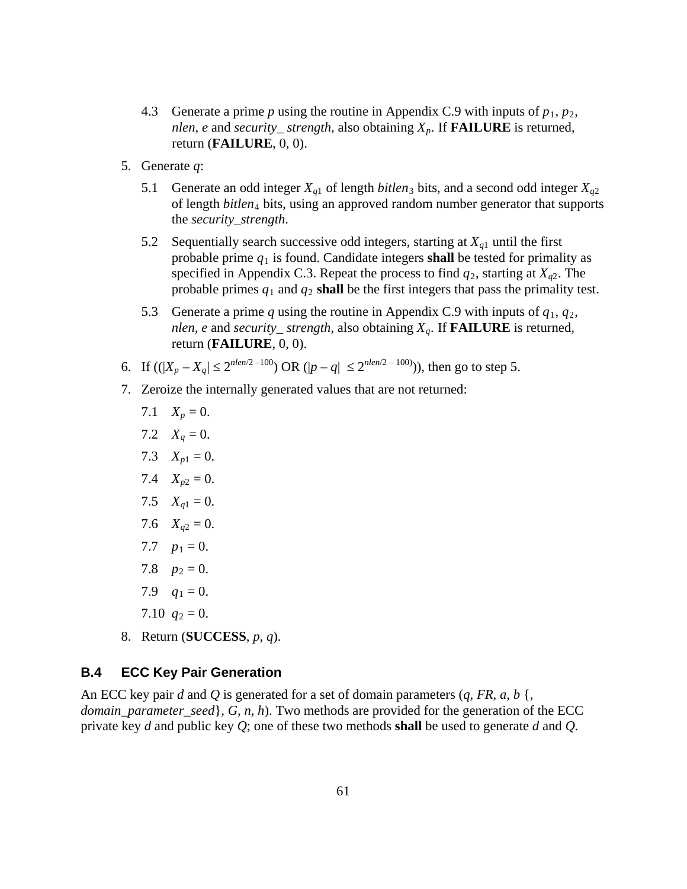- 4.3 Generate a prime *p* using the routine in Appendix C.9 with inputs of  $p_1, p_2$ , *nlen*, *e* and *security\_ strength*, also obtaining *Xp.* If **FAILURE** is returned, return (**FAILURE**, 0, 0).
- 5. Generate *q*:
	- 5.1 Generate an odd integer  $X_{q1}$  of length *bitlen*<sub>3</sub> bits, and a second odd integer  $X_{q2}$ of length *bitlen*<sup>4</sup> bits, using an approved random number generator that supports the *security\_strength*.
	- 5.2 Sequentially search successive odd integers, starting at  $X_{q1}$  until the first probable prime  $q_1$  is found. Candidate integers **shall** be tested for primality as specified in Appendix C.3. Repeat the process to find  $q_2$ , starting at  $X_{q2}$ . The probable primes  $q_1$  and  $q_2$  **shall** be the first integers that pass the primality test.
	- 5.3 Generate a prime *q* using the routine in Appendix C.9 with inputs of  $q_1, q_2$ , *nlen, e* and *security\_ strength*, also obtaining *Xq.* If **FAILURE** is returned, return (**FAILURE**, 0, 0).
- 6. If  $((|X_p X_q| \le 2^{nlen/2 100}) \text{ OR } (|p q| \le 2^{nlen/2 100})\text{), then go to step 5.}$
- 7. Zeroize the internally generated values that are not returned:
	- 7.1  $X_p = 0$ .
	- 7.2  $X_q = 0$ .
	- 7.3  $X_{p1} = 0$ .
	- 7.4  $X_{p2} = 0$ .
	- 7.5  $X_{a1} = 0$ .
	- 7.6  $X_{q2} = 0$ .
	- 7.7  $p_1 = 0$ .
	- 7.8  $p_2 = 0$ .
	- 7.9  $q_1 = 0$ .
	- 7.10  $q_2 = 0$ .
- 8. Return (**SUCCESS**, *p*, *q*).

#### **B.4 ECC Key Pair Generation**

An ECC key pair *d* and *Q* is generated for a set of domain parameters (*q, FR, a, b* {, *domain\_parameter\_seed*}*, G, n, h*). Two methods are provided for the generation of the ECC private key *d* and public key *Q*; one of these two methods **shall** be used to generate *d* and *Q*.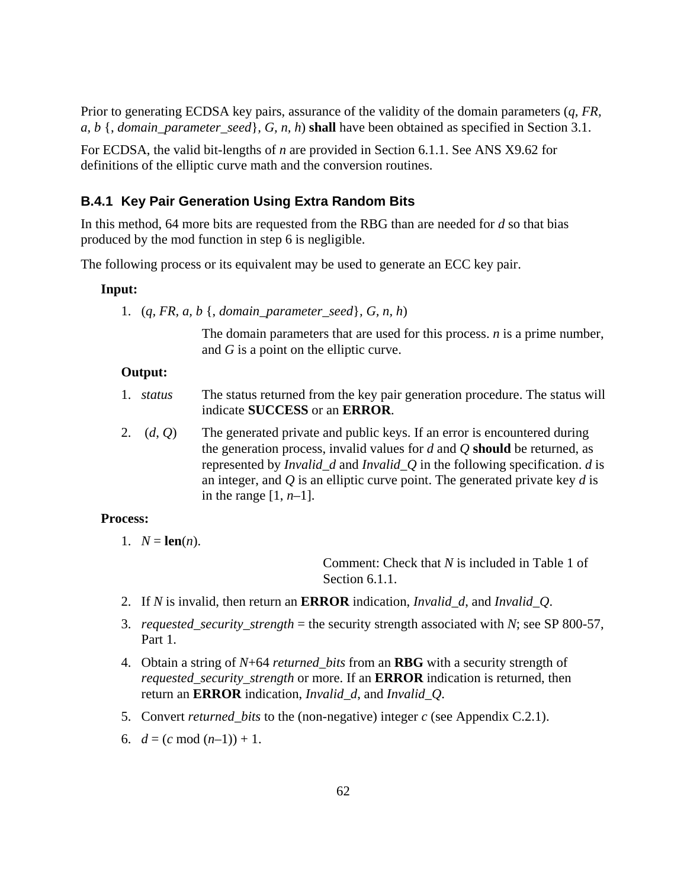Prior to generating ECDSA key pairs, assurance of the validity of the domain parameters (*q, FR, a, b* {, *domain\_parameter\_seed*}*, G, n, h*) **shall** have been obtained as specified in Section 3.1.

For ECDSA, the valid bit-lengths of *n* are provided in Section 6.1.1. See ANS X9.62 for definitions of the elliptic curve math and the conversion routines.

#### **B.4.1 Key Pair Generation Using Extra Random Bits**

In this method, 64 more bits are requested from the RBG than are needed for *d* so that bias produced by the mod function in step 6 is negligible.

The following process or its equivalent may be used to generate an ECC key pair.

#### **Input:**

1. (*q, FR, a, b* {, *domain\_parameter\_seed*}*, G, n, h*)

The domain parameters that are used for this process. *n* is a prime number, and *G* is a point on the elliptic curve.

#### **Output:**

- 1. *status* The status returned from the key pair generation procedure. The status will indicate **SUCCESS** or an **ERROR**.
- 2. (*d*, *Q*) The generated private and public keys. If an error is encountered during the generation process, invalid values for *d* and *Q* **should** be returned, as represented by *Invalid\_d* and *Invalid\_Q* in the following specification. *d* is an integer, and *Q* is an elliptic curve point. The generated private key *d* is in the range [1, *n*–1].

#### **Process:**

1.  $N = \text{len}(n)$ .

Comment: Check that *N* is included in Table 1 of Section 6.1.1.

- 2. If *N* is invalid, then return an **ERROR** indication, *Invalid\_d*, and *Invalid\_Q*.
- 3. *requested\_security\_strength* = the security strength associated with *N*; see SP 800-57, Part 1.
- 4. Obtain a string of *N*+64 *returned\_bits* from an **RBG** with a security strength of *requested\_security\_strength* or more. If an **ERROR** indication is returned, then return an **ERROR** indication, *Invalid\_d*, and *Invalid\_Q*.
- 5. Convert *returned\_bits* to the (non-negative) integer *c* (see Appendix C.2.1).
- 6.  $d = (c \mod (n-1)) + 1$ .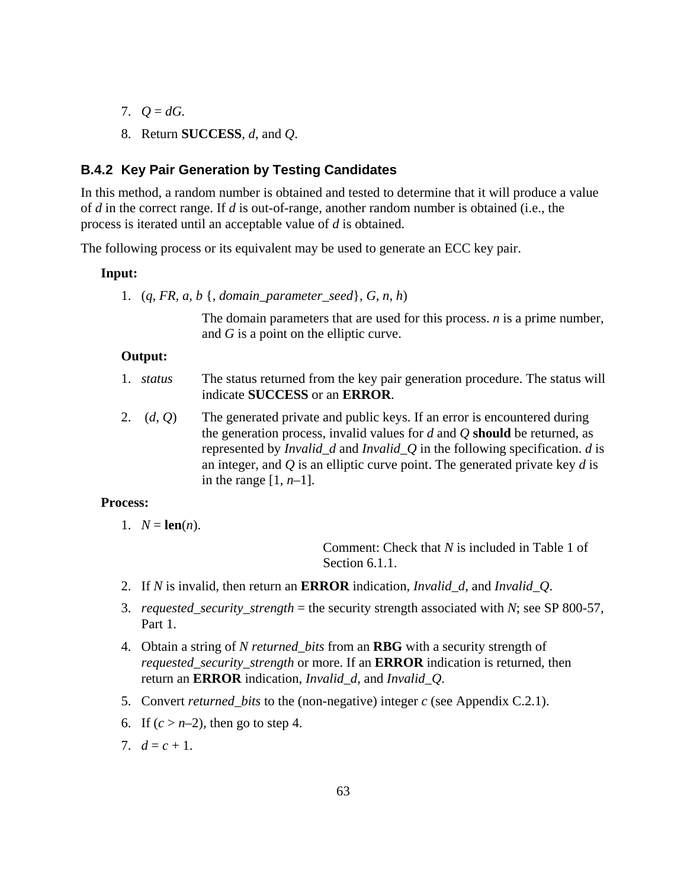- 7.  $Q = dG$ .
- 8. Return **SUCCESS**, *d*, and *Q*.

### **B.4.2 Key Pair Generation by Testing Candidates**

In this method, a random number is obtained and tested to determine that it will produce a value of *d* in the correct range. If *d* is out-of-range, another random number is obtained (i.e., the process is iterated until an acceptable value of *d* is obtained.

The following process or its equivalent may be used to generate an ECC key pair.

#### **Input:**

1. (*q, FR, a, b* {, *domain\_parameter\_seed*}*, G, n, h*)

The domain parameters that are used for this process. *n* is a prime number, and *G* is a point on the elliptic curve.

#### **Output:**

- 1. *status* The status returned from the key pair generation procedure. The status will indicate **SUCCESS** or an **ERROR**.
- 2. (*d*, *Q*) The generated private and public keys. If an error is encountered during the generation process, invalid values for *d* and *Q* **should** be returned, as represented by *Invalid\_d* and *Invalid\_Q* in the following specification. *d* is an integer, and *Q* is an elliptic curve point. The generated private key *d* is in the range [1, *n*–1].

#### **Process:**

1.  $N = \text{len}(n)$ .

Comment: Check that *N* is included in Table 1 of Section 6.1.1.

- 2. If *N* is invalid, then return an **ERROR** indication, *Invalid\_d*, and *Invalid\_Q*.
- 3. *requested\_security\_strength* = the security strength associated with *N*; see SP 800-57, Part 1.
- 4. Obtain a string of *N returned\_bits* from an **RBG** with a security strength of *requested\_security\_strength* or more. If an **ERROR** indication is returned, then return an **ERROR** indication, *Invalid\_d*, and *Invalid\_Q*.
- 5. Convert *returned\_bits* to the (non-negative) integer *c* (see Appendix C.2.1).
- 6. If  $(c > n-2)$ , then go to step 4.
- 7.  $d = c + 1$ .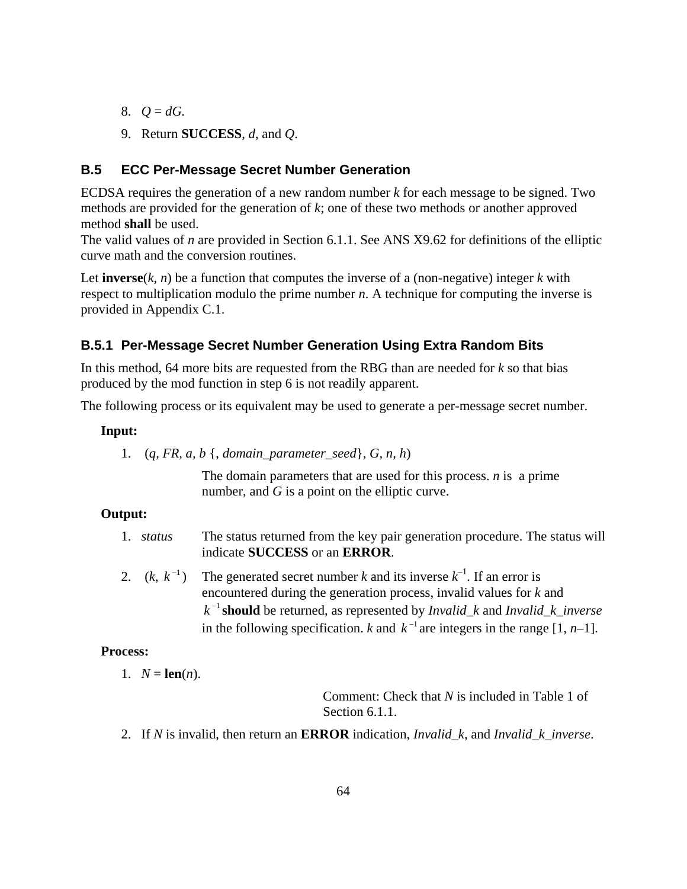- 8.  $Q = dG$ .
- 9. Return **SUCCESS**, *d*, and *Q*.

## **B.5 ECC Per-Message Secret Number Generation**

ECDSA requires the generation of a new random number *k* for each message to be signed. Two methods are provided for the generation of *k*; one of these two methods or another approved method **shall** be used.

The valid values of *n* are provided in Section 6.1.1. See ANS X9.62 for definitions of the elliptic curve math and the conversion routines.

Let **inverse** $(k, n)$  be a function that computes the inverse of a (non-negative) integer  $k$  with respect to multiplication modulo the prime number *n*. A technique for computing the inverse is provided in Appendix C.1.

## **B.5.1 Per-Message Secret Number Generation Using Extra Random Bits**

In this method, 64 more bits are requested from the RBG than are needed for *k* so that bias produced by the mod function in step 6 is not readily apparent.

The following process or its equivalent may be used to generate a per-message secret number.

#### **Input:**

1. (*q, FR, a, b* {, *domain\_parameter\_seed*}*, G, n, h*)

The domain parameters that are used for this process. *n* is a prime number, and *G* is a point on the elliptic curve.

#### **Output:**

- 1. *status* The status returned from the key pair generation procedure. The status will indicate **SUCCESS** or an **ERROR**.
- 2.  $(k, k^{-1})$  The generated secret number *k* and its inverse  $k^{-1}$ . If an error is encountered during the generation process, invalid values for *k* and <sup>−</sup><sup>1</sup> *k* **should** be returned, as represented by *Invalid\_k* and *Invalid\_k\_inverse* in the following specification. *k* and  $k^{-1}$  are integers in the range [1, *n*–1].

## **Process:**

1. 
$$
N = \text{len}(n)
$$
.

Comment: Check that *N* is included in Table 1 of Section 6.1.1.

2. If *N* is invalid, then return an **ERROR** indication, *Invalid\_k*, and *Invalid\_k*\_*inverse*.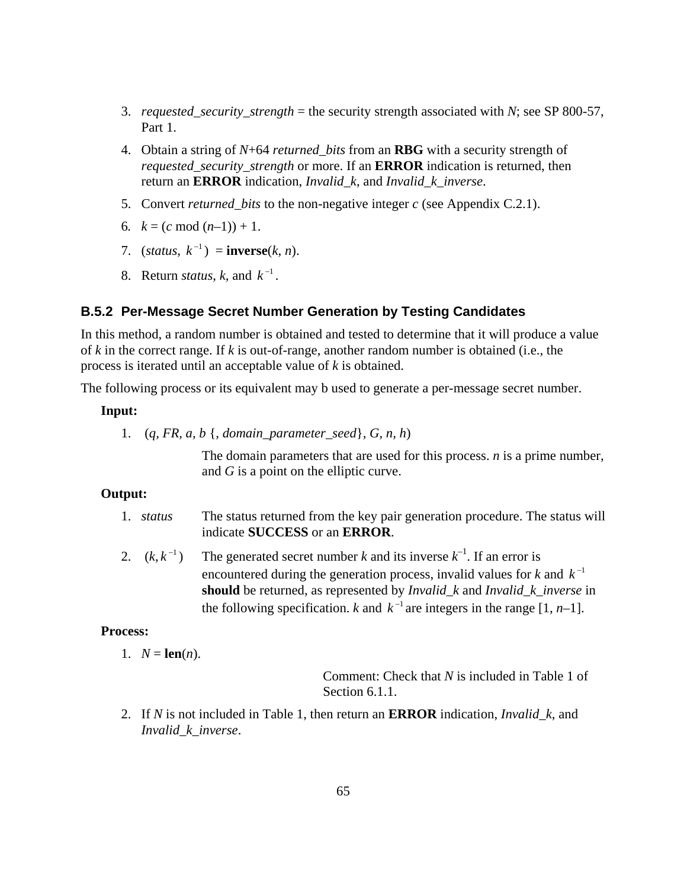- 3. *requested\_security\_strength* = the security strength associated with *N*; see SP 800-57, Part 1.
- 4. Obtain a string of *N*+64 *returned\_bits* from an **RBG** with a security strength of *requested security strength* or more. If an **ERROR** indication is returned, then return an **ERROR** indication, *Invalid\_k*, and *Invalid\_k*\_*inverse*.
- 5. Convert *returned\_bits* to the non-negative integer *c* (see Appendix C.2.1).
- 6*.*  $k = (c \mod (n-1)) + 1$ .
- 7. (*status*,  $k^{-1}$ ) = **inverse**(*k*, *n*).
- 8. Return *status*, *k*, and  $k^{-1}$ .

### **B.5.2 Per-Message Secret Number Generation by Testing Candidates**

In this method, a random number is obtained and tested to determine that it will produce a value of *k* in the correct range. If *k* is out-of-range, another random number is obtained (i.e., the process is iterated until an acceptable value of *k* is obtained.

The following process or its equivalent may b used to generate a per-message secret number.

## **Input:**

1. (*q, FR, a, b* {, *domain\_parameter\_seed*}*, G, n, h*)

The domain parameters that are used for this process. *n* is a prime number*,*  and *G* is a point on the elliptic curve.

### **Output:**

- 1. *status* The status returned from the key pair generation procedure. The status will indicate **SUCCESS** or an **ERROR**.
- 2.  $(k, k^{-1})$  The generated secret number *k* and its inverse  $k^{-1}$ . If an error is encountered during the generation process, invalid values for  $k$  and  $k^{-1}$ **should** be returned, as represented by *Invalid\_k* and *Invalid\_k\_inverse* in the following specification. *k* and  $k^{-1}$  are integers in the range [1, *n*–1].

## **Process:**

1.  $N = \text{len}(n)$ .

Comment: Check that *N* is included in Table 1 of Section 6.1.1.

2. If *N* is not included in Table 1, then return an **ERROR** indication, *Invalid\_k*, and *Invalid\_k\_inverse*.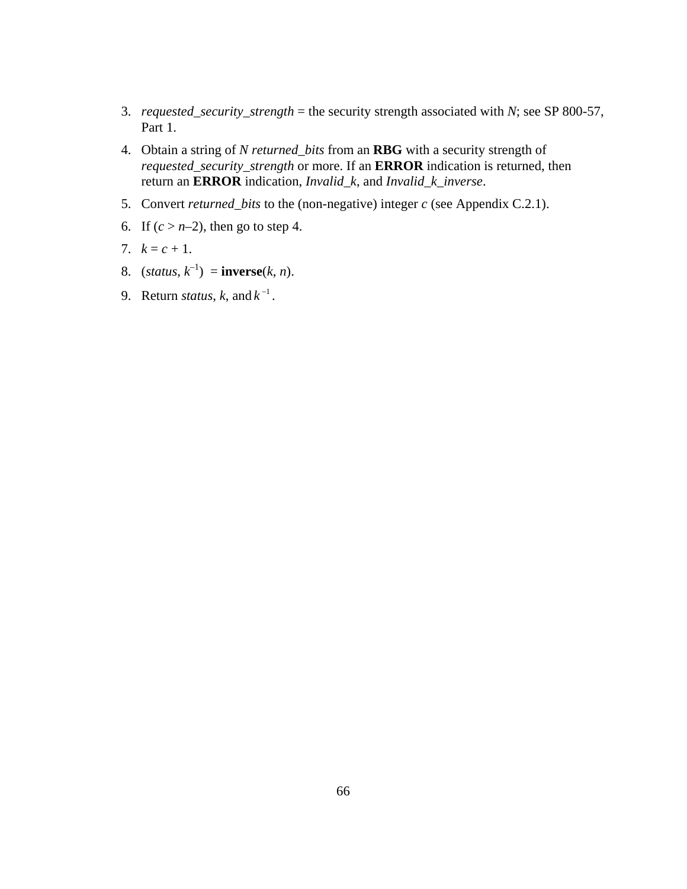- 3. *requested\_security\_strength* = the security strength associated with *N*; see SP 800-57, Part 1.
- 4. Obtain a string of *N returned\_bits* from an **RBG** with a security strength of *requested\_security\_strength* or more. If an **ERROR** indication is returned, then return an **ERROR** indication, *Invalid\_k*, and *Invalid\_k\_inverse*.
- 5. Convert *returned\_bits* to the (non-negative) integer *c* (see Appendix C.2.1).
- 6. If  $(c > n-2)$ , then go to step 4.
- 7.  $k = c + 1$ .
- 8.  $(status, k^{-1}) = inverse(k, n).$
- 9. Return *status*, *k*, and  $k^{-1}$ .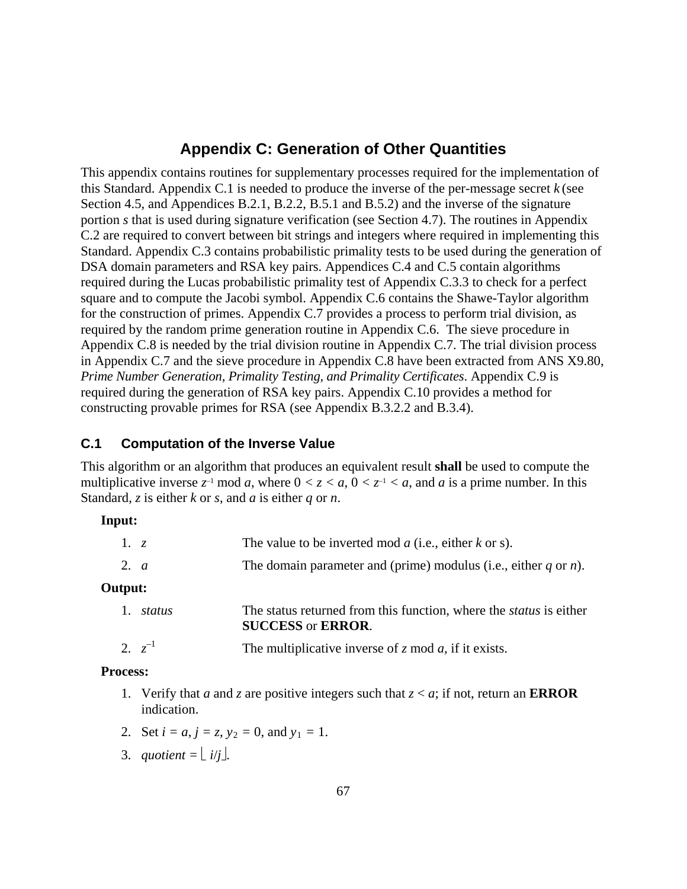# **Appendix C: Generation of Other Quantities**

This appendix contains routines for supplementary processes required for the implementation of this Standard. Appendix C.1 is needed to produce the inverse of the per-message secret *k* (see Section 4.5, and Appendices B.2.1, B.2.2, B.5.1 and B.5.2) and the inverse of the signature portion *s* that is used during signature verification (see Section 4.7). The routines in Appendix C.2 are required to convert between bit strings and integers where required in implementing this Standard. Appendix C.3 contains probabilistic primality tests to be used during the generation of DSA domain parameters and RSA key pairs. Appendices C.4 and C.5 contain algorithms required during the Lucas probabilistic primality test of Appendix C.3.3 to check for a perfect square and to compute the Jacobi symbol. Appendix C.6 contains the Shawe-Taylor algorithm for the construction of primes. Appendix C.7 provides a process to perform trial division, as required by the random prime generation routine in Appendix C.6. The sieve procedure in Appendix C.8 is needed by the trial division routine in Appendix C.7. The trial division process in Appendix C.7 and the sieve procedure in Appendix C.8 have been extracted from ANS X9.80, *Prime Number Generation, Primality Testing, and Primality Certificates*. Appendix C.9 is required during the generation of RSA key pairs. Appendix C.10 provides a method for constructing provable primes for RSA (see Appendix B.3.2.2 and B.3.4).

## **C.1 Computation of the Inverse Value**

This algorithm or an algorithm that produces an equivalent result **shall** be used to compute the multiplicative inverse  $z^{-1}$  mod *a*, where  $0 < z < a$ ,  $0 < z^{-1} < a$ , and *a* is a prime number. In this Standard, *z* is either *k* or *s*, and *a* is either *q* or *n*.

### **Input:**

| 1. z   |             | The value to be inverted mod $a$ (i.e., either $k$ or s).                                                     |  |  |
|--------|-------------|---------------------------------------------------------------------------------------------------------------|--|--|
| 2. $a$ |             | The domain parameter and (prime) modulus (i.e., either $q$ or $n$ ).                                          |  |  |
|        | Output:     |                                                                                                               |  |  |
|        | status      | The status returned from this function, where the <i>status</i> is either<br><b>SUCCESS</b> or <b>ERROR</b> . |  |  |
|        | 2. $z^{-1}$ | The multiplicative inverse of $z \mod a$ , if it exists.                                                      |  |  |

### **Process:**

- 1. Verify that *a* and *z* are positive integers such that  $z < a$ ; if not, return an **ERROR** indication.
- 2. Set  $i = a$ ,  $j = z$ ,  $y_2 = 0$ , and  $y_1 = 1$ .
- 3. *quotient* =  $\lfloor i/i \rfloor$ .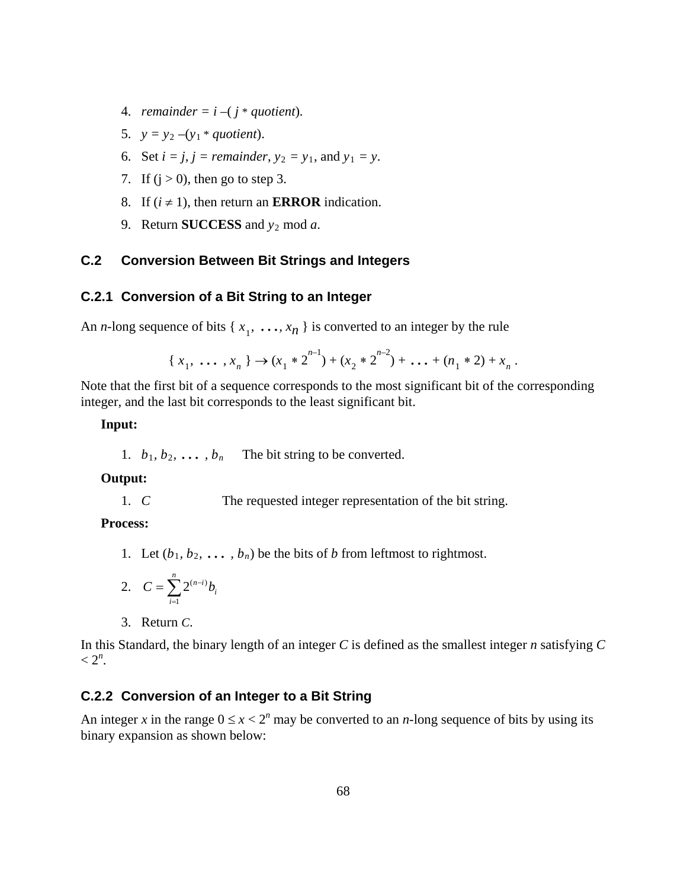- 4. *remainder* =  $i (j * quotient)$ *.*
- 5.  $y = y_2 (y_1 * quotient)$ .
- 6. Set  $i = j$ ,  $j = remainder$ ,  $y_2 = y_1$ , and  $y_1 = y$ .
- 7. If  $(j > 0)$ , then go to step 3.
- 8. If  $(i \neq 1)$ , then return an **ERROR** indication.
- 9. Return **SUCCESS** and *y*<sup>2</sup> mod *a*.

# **C.2 Conversion Between Bit Strings and Integers**

## **C.2.1 Conversion of a Bit String to an Integer**

An *n*-long sequence of bits { $x_1$ , ...,  $x_n$ } is converted to an integer by the rule

$$
\{x_1, \ldots, x_n\} \to (x_1 * 2^{n-1}) + (x_2 * 2^{n-2}) + \ldots + (n_1 * 2) + x_n.
$$

Note that the first bit of a sequence corresponds to the most significant bit of the corresponding integer, and the last bit corresponds to the least significant bit.

#### **Input:**

1.  $b_1, b_2, \ldots, b_n$  The bit string to be converted.

## **Output:**

1. *C* The requested integer representation of the bit string.

**Process:**

1. Let  $(b_1, b_2, \ldots, b_n)$  be the bits of *b* from leftmost to rightmost.

2. 
$$
C = \sum_{i=1}^{n} 2^{(n-i)} b_i
$$

3. Return *C*.

In this Standard, the binary length of an integer *C* is defined as the smallest integer *n* satisfying *C*  $< 2^n$ .

## **C.2.2 Conversion of an Integer to a Bit String**

An integer *x* in the range  $0 \le x < 2^n$  may be converted to an *n*-long sequence of bits by using its binary expansion as shown below: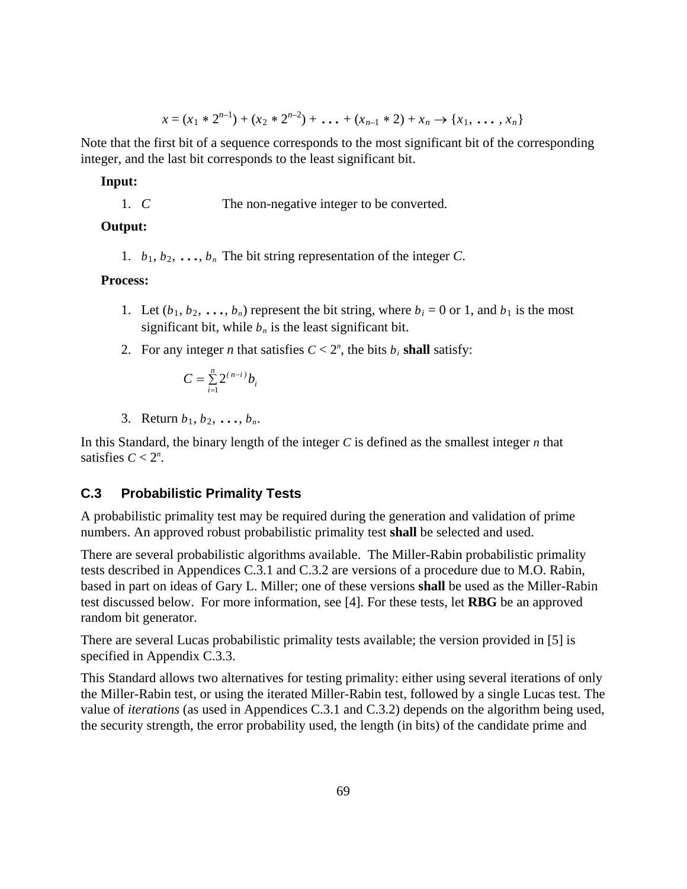$$
x = (x_1 * 2^{n-1}) + (x_2 * 2^{n-2}) + \ldots + (x_{n-1} * 2) + x_n \rightarrow \{x_1, \ldots, x_n\}
$$

Note that the first bit of a sequence corresponds to the most significant bit of the corresponding integer, and the last bit corresponds to the least significant bit.

#### **Input:**

1. *C* The non-negative integer to be converted.

### **Output:**

1.  $b_1, b_2, \ldots, b_n$  The bit string representation of the integer *C*.

## **Process:**

- 1. Let  $(b_1, b_2, \ldots, b_n)$  represent the bit string, where  $b_i = 0$  or 1, and  $b_1$  is the most significant bit, while  $b_n$  is the least significant bit.
- 2. For any integer *n* that satisfies  $C < 2^n$ , the bits  $b_i$  shall satisfy:

$$
C = \sum_{i=1}^{n} 2^{(n-i)} b_i
$$

3. Return  $b_1, b_2, ..., b_n$ .

In this Standard, the binary length of the integer *C* is defined as the smallest integer *n* that satisfies  $C < 2^n$ .

## **C.3 Probabilistic Primality Tests**

A probabilistic primality test may be required during the generation and validation of prime numbers. An approved robust probabilistic primality test **shall** be selected and used.

There are several probabilistic algorithms available. The Miller-Rabin probabilistic primality tests described in Appendices C.3.1 and C.3.2 are versions of a procedure due to M.O. Rabin, based in part on ideas of Gary L. Miller; one of these versions **shall** be used as the Miller-Rabin test discussed below. For more information, see [4]. For these tests, let **RBG** be an approved random bit generator.

There are several Lucas probabilistic primality tests available; the version provided in [5] is specified in Appendix C.3.3.

This Standard allows two alternatives for testing primality: either using several iterations of only the Miller-Rabin test, or using the iterated Miller-Rabin test, followed by a single Lucas test. The value of *iterations* (as used in Appendices C.3.1 and C.3.2) depends on the algorithm being used, the security strength, the error probability used, the length (in bits) of the candidate prime and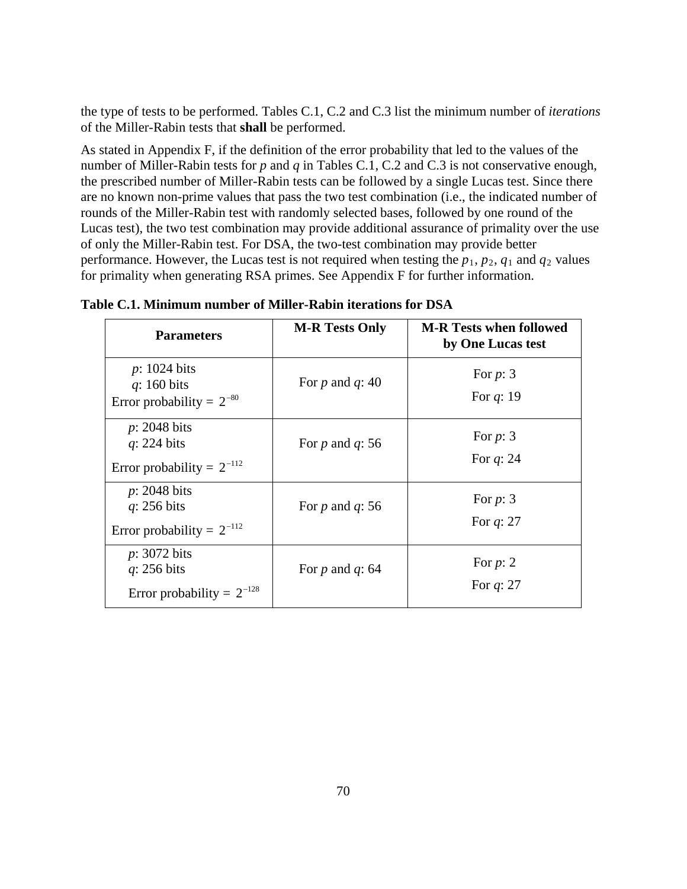the type of tests to be performed. Tables C.1, C.2 and C.3 list the minimum number of *iterations* of the Miller-Rabin tests that **shall** be performed.

As stated in Appendix F, if the definition of the error probability that led to the values of the number of Miller-Rabin tests for *p* and *q* in Tables C.1, C.2 and C.3 is not conservative enough, the prescribed number of Miller-Rabin tests can be followed by a single Lucas test. Since there are no known non-prime values that pass the two test combination (i.e., the indicated number of rounds of the Miller-Rabin test with randomly selected bases, followed by one round of the Lucas test), the two test combination may provide additional assurance of primality over the use of only the Miller-Rabin test. For DSA, the two-test combination may provide better performance. However, the Lucas test is not required when testing the  $p_1$ ,  $p_2$ ,  $q_1$  and  $q_2$  values for primality when generating RSA primes. See Appendix F for further information.

| <b>Parameters</b>                                                         | <b>M-R Tests Only</b> | <b>M-R</b> Tests when followed<br>by One Lucas test |
|---------------------------------------------------------------------------|-----------------------|-----------------------------------------------------|
| $p: 1024$ bits<br>$q: 160$ bits<br>Error probability = $2^{-80}$          | For p and q: 40       | For $p: 3$<br>For $q: 19$                           |
| $p: 2048$ bits<br>$q: 224$ bits<br>Error probability = $2^{-112}$         | For $p$ and $q$ : 56  | For $p: 3$<br>For $q: 24$                           |
| $p: 2048$ bits<br>$q: 256$ bits<br>Error probability = $2^{-112}$         | For $p$ and $q$ : 56  | For $p: 3$<br>For $q: 27$                           |
| $p: 3072$ bits<br>$q: 256 \text{ bits}$<br>Error probability = $2^{-128}$ | For $p$ and $q$ : 64  | For $p: 2$<br>For $q: 27$                           |

| Table C.1. Minimum number of Miller-Rabin iterations for DSA |  |  |  |
|--------------------------------------------------------------|--|--|--|
|--------------------------------------------------------------|--|--|--|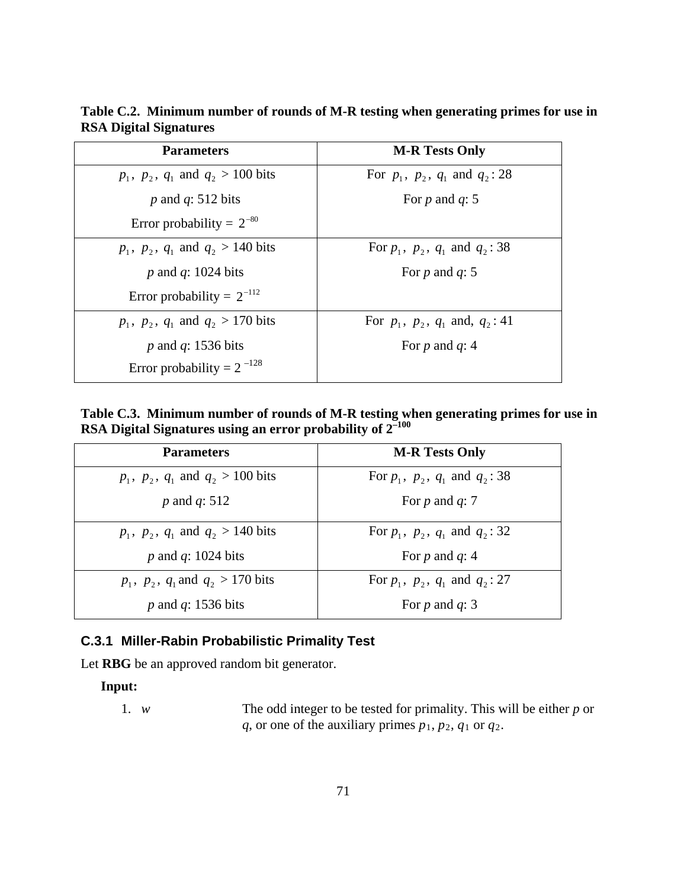| <b>Parameters</b>                    | <b>M-R Tests Only</b>                     |
|--------------------------------------|-------------------------------------------|
| $p_1, p_2, q_1$ and $q_2 > 100$ bits | For $p_1$ , $p_2$ , $q_1$ and $q_2$ : 28  |
| p and $q: 512$ bits                  | For p and $q: 5$                          |
| Error probability = $2^{-80}$        |                                           |
| $p_1, p_2, q_1$ and $q_2 > 140$ bits | For $p_1$ , $p_2$ , $q_1$ and $q_2$ : 38  |
| p and q: 1024 bits                   | For p and $q: 5$                          |
| Error probability = $2^{-112}$       |                                           |
| $p_1, p_2, q_1$ and $q_2 > 170$ bits | For $p_1$ , $p_2$ , $q_1$ and, $q_2$ : 41 |
| $p$ and $q$ : 1536 bits              | For p and $q: 4$                          |
| Error probability = $2^{-128}$       |                                           |

**Table C.2. Minimum number of rounds of M-R testing when generating primes for use in RSA Digital Signatures**

**Table C.3. Minimum number of rounds of M-R testing when generating primes for use in RSA Digital Signatures using an error probability of 2–100**

| <b>Parameters</b>                    | <b>M-R Tests Only</b>                    |
|--------------------------------------|------------------------------------------|
| $p_1, p_2, q_1$ and $q_2 > 100$ bits | For $p_1$ , $p_2$ , $q_1$ and $q_2$ : 38 |
| p and q: $512$                       | For p and $q:7$                          |
| $p_1, p_2, q_1$ and $q_2 > 140$ bits | For $p_1$ , $p_2$ , $q_1$ and $q_2$ : 32 |
| p and q: 1024 bits                   | For $p$ and $q: 4$                       |
| $p_1, p_2, q_1$ and $q_2 > 170$ bits | For $p_1$ , $p_2$ , $q_1$ and $q_2$ : 27 |
| p and q: 1536 bits                   | For p and $q: 3$                         |

# **C.3.1 Miller-Rabin Probabilistic Primality Test**

Let **RBG** be an approved random bit generator.

### **Input:**

1. *w* The odd integer to be tested for primality. This will be either *p* or *q*, or one of the auxiliary primes  $p_1$ ,  $p_2$ ,  $q_1$  or  $q_2$ .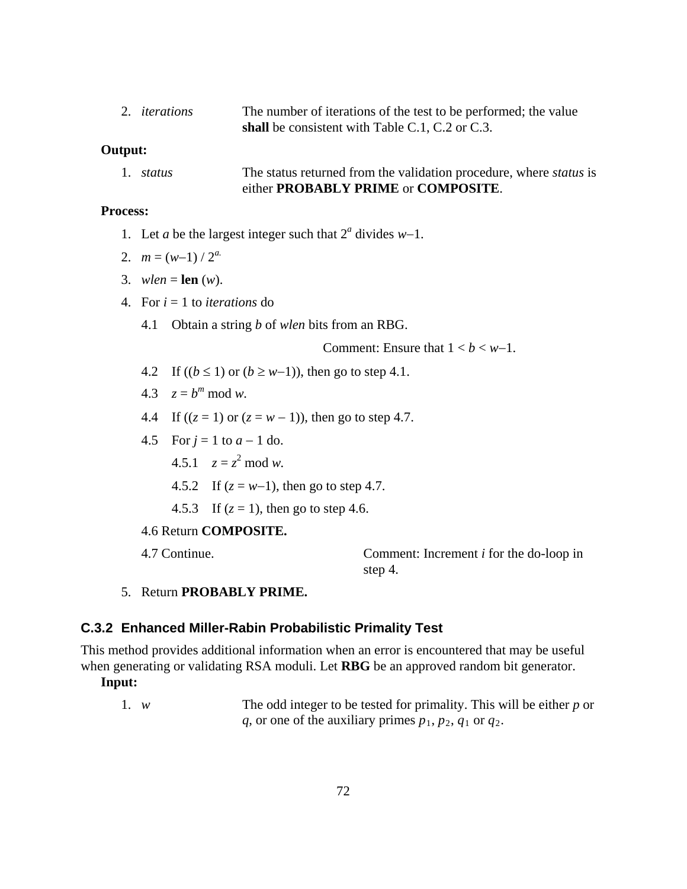2. *iterations* The number of iterations of the test to be performed; the value **shall** be consistent with Table C.1, C.2 or C.3.

#### **Output:**

1. *status* The status returned from the validation procedure, where *status* is either **PROBABLY PRIME** or **COMPOSITE**.

### **Process:**

- 1. Let *a* be the largest integer such that 2*<sup>a</sup>* divides *w*−1.
- 2.  $m = (w-1)/2^a$
- 3. *wlen* = **len** (*w*).
- 4. For *i* = 1 to *iterations* do
	- 4.1 Obtain a string *b* of *wlen* bits from an RBG.

Comment: Ensure that  $1 < b < w-1$ .

- 4.2 If  $((b \le 1)$  or  $(b \ge w-1)$ ), then go to step 4.1.
- 4.3  $z = b^m \mod w$ .
- 4.4 If  $((z = 1)$  or  $(z = w 1)$ ), then go to step 4.7.
- 4.5 For *j* = 1 to *a* − 1 do.
	- 4.5.1  $z = z^2 \mod w$ .
	- 4.5.2 If  $(z = w-1)$ , then go to step 4.7.
	- 4.5.3 If  $(z = 1)$ , then go to step 4.6.

## 4.6 Return **COMPOSITE.**

4.7 Continue. Comment: Increment *i* for the do-loop in step 4.

5. Return **PROBABLY PRIME.**

#### **C.3.2 Enhanced Miller-Rabin Probabilistic Primality Test**

This method provides additional information when an error is encountered that may be useful when generating or validating RSA moduli. Let **RBG** be an approved random bit generator.

### **Input:**

1. *w* The odd integer to be tested for primality. This will be either *p* or *q*, or one of the auxiliary primes  $p_1$ ,  $p_2$ ,  $q_1$  or  $q_2$ .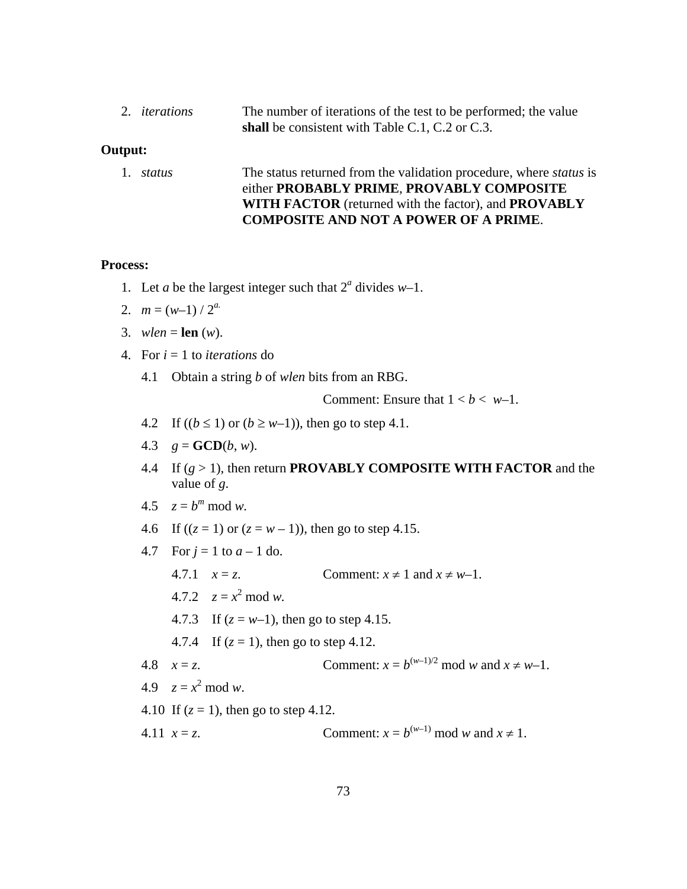| 2. <i>iterations</i> | The number of iterations of the test to be performed; the value |
|----------------------|-----------------------------------------------------------------|
|                      | shall be consistent with Table C.1, C.2 or C.3.                 |

#### **Output:**

1. *status* The status returned from the validation procedure, where *status* is either **PROBABLY PRIME**, **PROVABLY COMPOSITE WITH FACTOR** (returned with the factor), and **PROVABLY COMPOSITE AND NOT A POWER OF A PRIME**.

#### **Process:**

- 1. Let *a* be the largest integer such that  $2^a$  divides  $w-1$ .
- 2.  $m = (w-1)/2^a$
- 3. *wlen* = **len** (*w*).
- 4. For *i* = 1 to *iterations* do
	- 4.1 Obtain a string *b* of *wlen* bits from an RBG.

Comment: Ensure that  $1 < b < w-1$ .

- 4.2 If  $((b \le 1)$  or  $(b \ge w-1)$ ), then go to step 4.1.
- 4.3  $g = GCD(b, w)$ .
- 4.4 If (*g* > 1), then return **PROVABLY COMPOSITE WITH FACTOR** and the value of *g*.

$$
4.5 \quad z = b^m \bmod w.
$$

- 4.6 If  $((z = 1)$  or  $(z = w 1)$ ), then go to step 4.15.
- 4.7 For  $j = 1$  to  $a 1$  do.
	- 4.7.1  $x = z$ . Comment:  $x \ne 1$  and  $x \ne w-1$ .
	- 4.7.2  $z = x^2 \mod w$ .
	- 4.7.3 If  $(z = w-1)$ , then go to step 4.15.
	- 4.7.4 If  $(z = 1)$ , then go to step 4.12.
- 4.8  $x = z$ . Comment:  $x = b^{(w-1)/2} \text{ mod } w$  and  $x \neq w-1$ .
- 4.9  $z = x^2 \mod w$ .
- 4.10 If  $(z = 1)$ , then go to step 4.12.
- 4.11  $x = z$ . Comment:  $x = b^{(w-1)} \mod w$  and  $x \ne 1$ .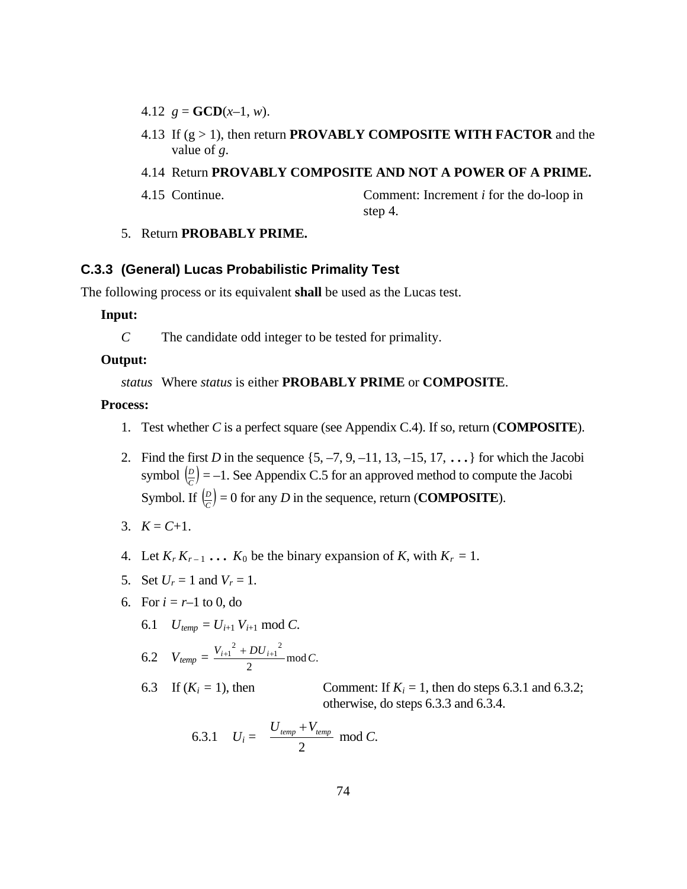- 4.12  $g = GCD(x-1, w)$ .
- 4.13 If (g > 1), then return **PROVABLY COMPOSITE WITH FACTOR** and the value of *g*.

#### 4.14 Return **PROVABLY COMPOSITE AND NOT A POWER OF A PRIME.**

4.15 Continue. Comment: Increment *i* for the do-loop in step 4.

#### 5. Return **PROBABLY PRIME.**

#### **C.3.3 (General) Lucas Probabilistic Primality Test**

The following process or its equivalent **shall** be used as the Lucas test.

## **Input:**

*C* The candidate odd integer to be tested for primality.

### **Output:**

*status* Where *status* is either **PROBABLY PRIME** or **COMPOSITE**.

### **Process:**

- 1. Test whether *C* is a perfect square (see Appendix C.4). If so, return (**COMPOSITE**).
- 2. Find the first *D* in the sequence  $\{5, -7, 9, -11, 13, -15, 17, \ldots\}$  for which the Jacobi symbol  $\left(\frac{D}{C}\right) = -1$ . See Appendix C.5 for an approved method to compute the Jacobi Symbol. If  $\left(\frac{D}{C}\right) = 0$  for any *D* in the sequence, return (**COMPOSITE**).
- 3.  $K = C+1$ .
- 4. Let  $K_r K_{r-1} \ldots K_0$  be the binary expansion of K, with  $K_r = 1$ .
- 5. Set  $U_r = 1$  and  $V_r = 1$ .
- 6. For  $i = r-1$  to 0, do
	- 6.1  $U_{temp} = U_{i+1} V_{i+1} \text{ mod } C.$

6.2 
$$
V_{temp} = \frac{V_{i+1}^2 + DU_{i+1}^2}{2} \mod C.
$$

6.3 If  $(K_i = 1)$ , then Comment: If  $K_i = 1$ , then do steps 6.3.1 and 6.3.2; otherwise, do steps 6.3.3 and 6.3.4.

6.3.1 
$$
U_i = \frac{U_{temp} + V_{temp}}{2} \mod C
$$
.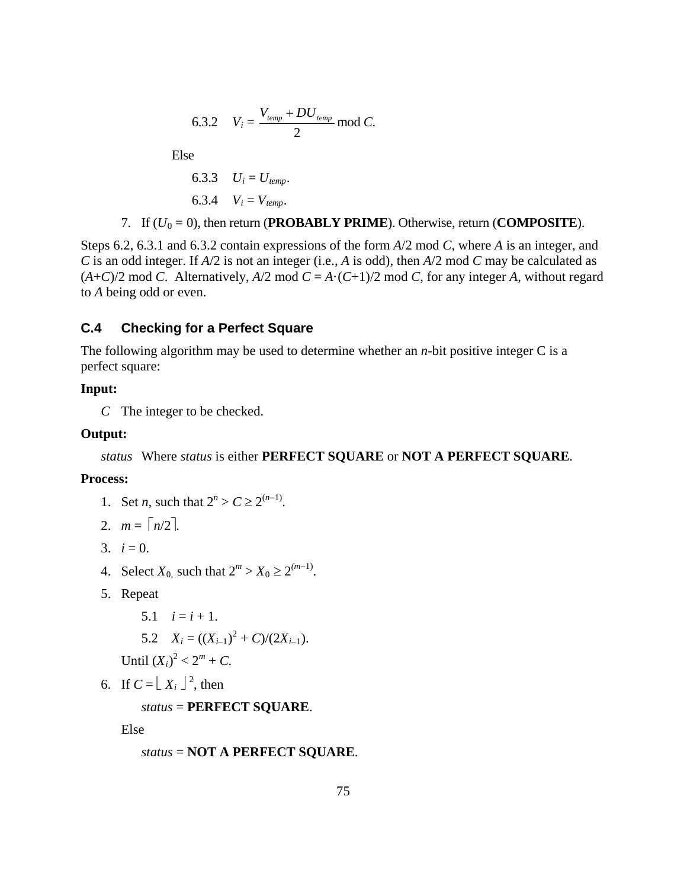6.3.2 
$$
V_i = \frac{V_{temp} + DU_{temp}}{2} \mod C.
$$

Else

6.3.3 
$$
U_i = U_{temp}
$$
.  
6.3.4  $V_i = V_{temp}$ .

7. If  $(U_0 = 0)$ , then return (**PROBABLY PRIME**). Otherwise, return (**COMPOSITE**).

Steps 6.2, 6.3.1 and 6.3.2 contain expressions of the form *A*/2 mod *C*, where *A* is an integer, and *C* is an odd integer. If *A*/2 is not an integer (i.e., *A* is odd), then *A*/2 mod *C* may be calculated as  $(A+C)/2$  mod *C*. Alternatively,  $A/2$  mod  $C = A \cdot (C+1)/2$  mod *C*, for any integer *A*, without regard to *A* being odd or even.

## **C.4 Checking for a Perfect Square**

The following algorithm may be used to determine whether an *n*-bit positive integer C is a perfect square:

## **Input:**

*C* The integer to be checked.

### **Output:**

*status* Where *status* is either **PERFECT SQUARE** or **NOT A PERFECT SQUARE**.

#### **Process:**

- 1. Set *n*, such that  $2^n > C \ge 2^{(n-1)}$ .
- 2.  $m = \lceil n/2 \rceil$ .
- 3.  $i = 0$ .
- 4. Select  $X_0$  such that  $2^m > X_0 \ge 2^{(m-1)}$ .
- 5. Repeat
	- 5.1  $i = i + 1$ .

5.2 
$$
X_i = ((X_{i-1})^2 + C)/(2X_{i-1}).
$$

Until  $(X_i)^2 < 2^m + C$ .

6. If  $C = \lfloor X_i \rfloor^2$ , then

## *status* = **PERFECT SQUARE**.

Else

*status* = **NOT A PERFECT SQUARE**.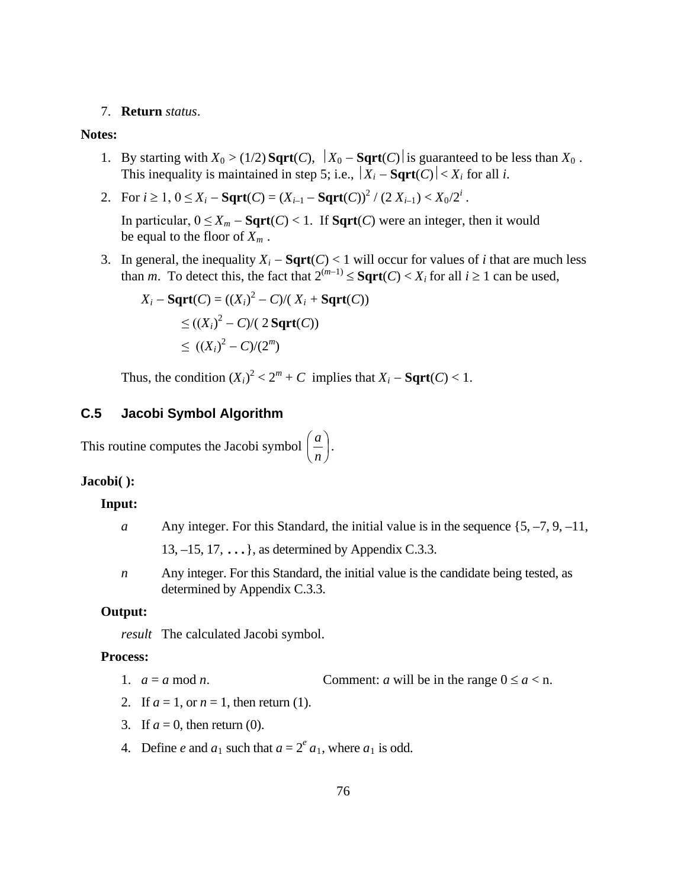#### 7. **Return** *status*.

#### **Notes:**

- 1. By starting with  $X_0 > (1/2)$  **Sqrt**(*C*),  $|X_0 \text{Sqrt}(C)|$  is guaranteed to be less than  $X_0$ . This inequality is maintained in step 5; i.e.,  $|X_i - \text{Sqrt}(C)| < X_i$  for all *i*.
- 2. For  $i \geq 1$ ,  $0 \leq X_i$  **Sqrt** $(C) = (X_{i-1} \text{Sqrt}(C))^2 / (2 X_{i-1}) < X_0/2^i$ .

In particular,  $0 \le X_m - \text{Sqrt}(C) < 1$ . If  $\text{Sqrt}(C)$  were an integer, then it would be equal to the floor of  $X_m$ .

3. In general, the inequality  $X_i - \text{Sqrt}(C) < 1$  will occur for values of *i* that are much less than *m*. To detect this, the fact that  $2^{(m-1)} \leq$  **Sqrt**(*C*) < *X<sub>i</sub>* for all  $i \geq 1$  can be used,

$$
X_i - \text{Sqrt}(C) = ((X_i)^2 - C)/(X_i + \text{Sqrt}(C))
$$
  
\n
$$
\leq ((X_i)^2 - C)/(2 \text{Sqrt}(C))
$$
  
\n
$$
\leq ((X_i)^2 - C)/(2^m)
$$

Thus, the condition  $(X_i)^2 < 2^m + C$  implies that  $X_i - \text{Sqrt}(C) < 1$ .

## **C.5 Jacobi Symbol Algorithm**

This routine computes the Jacobi symbol  $\left| \frac{a}{b} \right|$ J  $\left(\frac{a}{a}\right)$  $\setminus$ ſ *n*  $\left(\frac{a}{a}\right)$ .

# **Jacobi( ):**

#### **Input:**

- *a* Any integer. For this Standard, the initial value is in the sequence  $\{5, -7, 9, -11,$ 13,  $-15$ , 17,  $\dots$ }, as determined by Appendix C.3.3.
- *n* Any integer. For this Standard, the initial value is the candidate being tested, as determined by Appendix C.3.3.

#### **Output:**

*result* The calculated Jacobi symbol.

### **Process:**

- 1.  $a = a \mod n$ . Comment: *a* will be in the range  $0 \le a < n$ .
- 2. If  $a = 1$ , or  $n = 1$ , then return (1).
- 3. If  $a = 0$ , then return (0).
- 4. Define *e* and  $a_1$  such that  $a = 2^e a_1$ , where  $a_1$  is odd.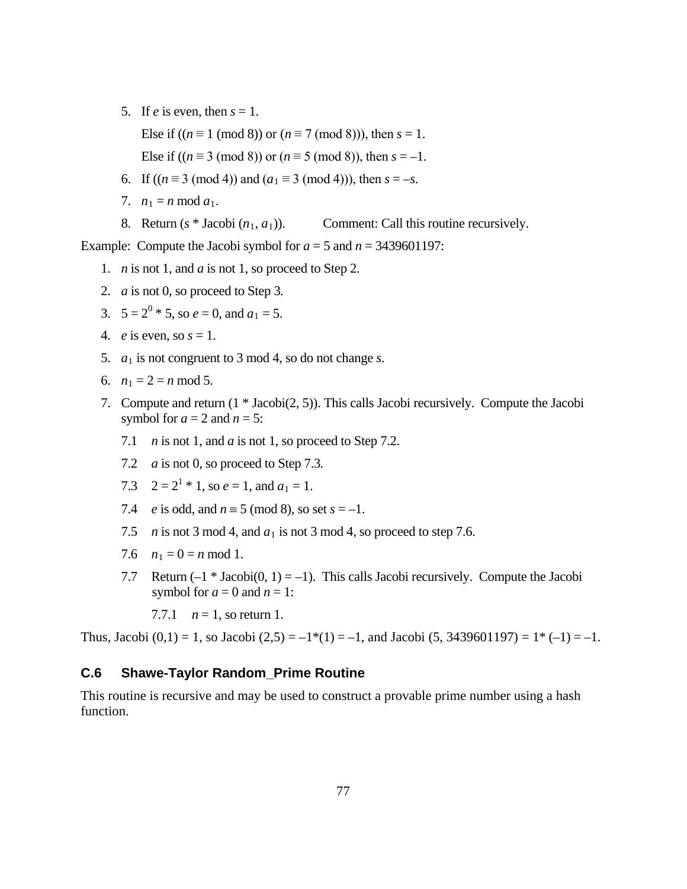5. If *e* is even, then  $s = 1$ .

Else if  $((n \equiv 1 \pmod{8})$  or  $(n \equiv 7 \pmod{8})$ , then  $s = 1$ .

Else if  $((n \equiv 3 \pmod{8})$  or  $(n \equiv 5 \pmod{8})$ , then  $s = -1$ .

- 6. If  $((n \equiv 3 \pmod{4})$  and  $(a_1 \equiv 3 \pmod{4})$ , then  $s = -s$ .
- 7.  $n_1 = n \mod a_1$ .
- 8. Return  $(s * Jacobi (n_1, a_1))$ . Comment: Call this routine recursively.

Example: Compute the Jacobi symbol for  $a = 5$  and  $n = 3439601197$ :

- 1. *n* is not 1, and *a* is not 1, so proceed to Step 2.
- 2. *a* is not 0, so proceed to Step 3*.*
- 3.  $5 = 2^0 * 5$ , so  $e = 0$ , and  $a_1 = 5$ .
- 4. *e* is even, so  $s = 1$ .
- 5. *a*<sup>1</sup> is not congruent to 3 mod 4, so do not change *s*.
- 6.  $n_1 = 2 = n \mod 5$ .
- 7. Compute and return (1 \* Jacobi(2, 5)). This calls Jacobi recursively. Compute the Jacobi symbol for  $a = 2$  and  $n = 5$ :
	- 7.1 *n* is not 1, and *a* is not 1, so proceed to Step 7.2.
	- 7.2 *a* is not 0, so proceed to Step 7.3*.*
	- 7.3  $2 = 2^1 * 1$ , so  $e = 1$ , and  $a_1 = 1$ .
	- 7.4 *e* is odd, and  $n \equiv 5 \pmod{8}$ , so set  $s = -1$ .
	- 7.5 *n* is not 3 mod 4, and  $a_1$  is not 3 mod 4, so proceed to step 7.6.
	- 7.6  $n_1 = 0 = n \text{ mod } 1$ .
	- 7.7 Return  $(-1 * Jacobi(0, 1) = -1)$ . This calls Jacobi recursively. Compute the Jacobi symbol for  $a = 0$  and  $n = 1$ :

7.7.1  $n = 1$ , so return 1.

Thus, Jacobi  $(0,1) = 1$ , so Jacobi  $(2,5) = -1*(1) = -1$ , and Jacobi  $(5, 3439601197) = 1*(-1) = -1$ .

### **C.6 Shawe-Taylor Random\_Prime Routine**

This routine is recursive and may be used to construct a provable prime number using a hash function.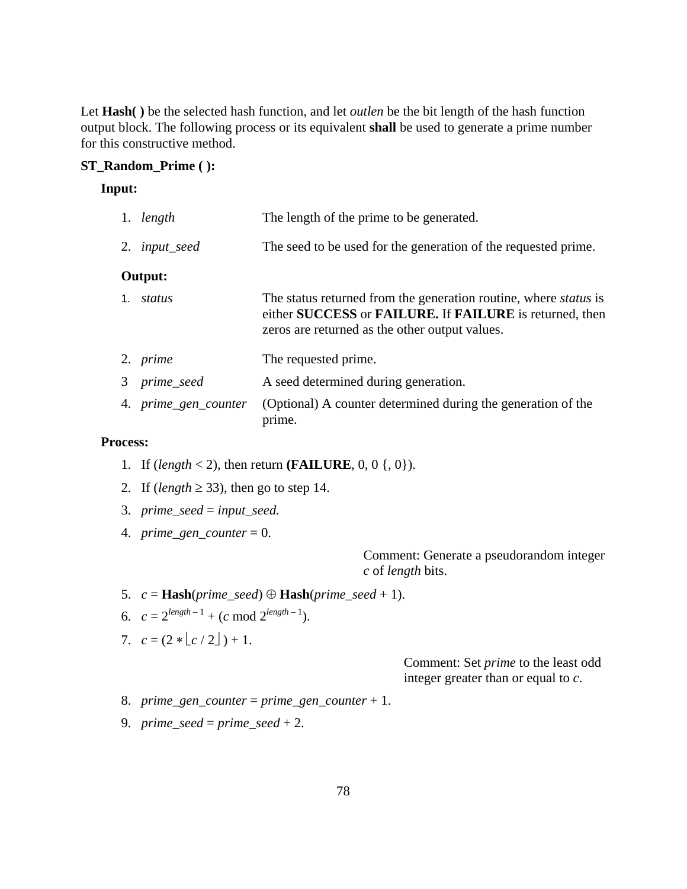Let **Hash( )** be the selected hash function, and let *outlen* be the bit length of the hash function output block. The following process or its equivalent **shall** be used to generate a prime number for this constructive method.

### **ST\_Random\_Prime ( ):**

## **Input:**

| 1. length            | The length of the prime to be generated.                                                                                                                                             |
|----------------------|--------------------------------------------------------------------------------------------------------------------------------------------------------------------------------------|
| 2. <i>input_seed</i> | The seed to be used for the generation of the requested prime.                                                                                                                       |
| Output:              |                                                                                                                                                                                      |
| 1. <i>status</i>     | The status returned from the generation routine, where <i>status</i> is<br>either SUCCESS or FAILURE. If FAILURE is returned, then<br>zeros are returned as the other output values. |
| 2. <i>prime</i>      | The requested prime.                                                                                                                                                                 |
| 3 prime_seed         | A seed determined during generation.                                                                                                                                                 |
| 4. prime_gen_counter | (Optional) A counter determined during the generation of the<br>prime.                                                                                                               |

### **Process:**

- 1. If  $(length < 2)$ , then return **(FAILURE**, 0, 0 {, 0}).
- 2. If (*length*  $\geq$  33), then go to step 14.
- 3. *prime\_seed* = *input\_seed.*
- 4. *prime\_gen\_counter* = 0.

Comment: Generate a pseudorandom integer *c* of *length* bits.

- 5.  $c = \text{Hash}(prime\_seed) \oplus \text{Hash}(prime\_seed + 1).$
- 6.  $c = 2^{length-1} + (c \mod 2^{length-1}).$
- 7.  $c = (2 * |c / 2|) + 1$ .

Comment: Set *prime* to the least odd integer greater than or equal to *c*.

- 8. *prime\_gen\_counter* = *prime\_gen\_counter* + 1.
- 9. *prime*  $seed = prime\_seed + 2$ .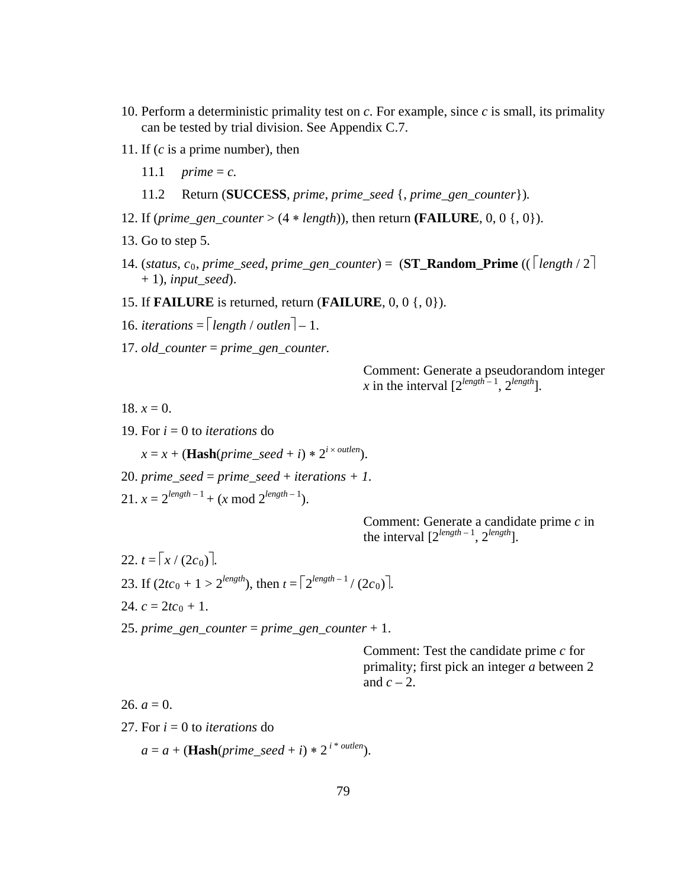- 10. Perform a deterministic primality test on *c*. For example, since *c* is small, its primality can be tested by trial division. See Appendix C.7.
- 11. If (*c* is a prime number), then
	- 11.1 *prime* = *c.*
	- 11.2 Return (**SUCCESS**, *prime*, *prime\_seed* {, *prime\_gen\_counter*})*.*
- 12. If (*prime\_gen\_counter* >  $(4 * length)$ ), then return **(FAILURE**, 0, 0 {, 0}).
- 13. Go to step 5.
- 14. (*status*,  $c_0$ , *prime\_seed*, *prime\_gen\_counter* $) = (\mathbf{ST\_Random\_Prime} (( \lceil length / 2 \rceil$  $+$  1), *input* seed).
- 15. If **FAILURE** is returned, return (**FAILURE**, 0, 0 {, 0}).
- 16. *iterations*  $=$   $\lceil \text{length} / \text{outlen} \rceil 1$ .
- 17. *old\_counter* = *prime\_gen\_counter.*

Comment: Generate a pseudorandom integer *x* in the interval  $[2^{length-1}, 2^{length}]$ .

18.  $x = 0$ .

19. For *i* = 0 to *iterations* do

 $x = x + (\textbf{Hash}(prime\_seed + i) * 2^{i \times outlen}).$ 

- 20. *prime\_seed* = *prime\_seed* + *iterations* + 1.
- 21.  $x = 2^{length-1} + (x \mod 2^{length-1}).$

Comment: Generate a candidate prime *c* in the interval [2*length* – <sup>1</sup> , 2*length*].

 $22. t = [x/(2c_0)].$ 23. If  $(2tc_0 + 1 > 2^{length})$ , then  $t = \lceil 2^{length-1}/(2c_0) \rceil$ . 24.  $c = 2tc_0 + 1$ .

25. *prime\_gen\_counter* = *prime\_gen\_counter* + 1.

Comment: Test the candidate prime *c* for primality; first pick an integer *a* between 2 and  $c - 2$ .

26.  $a = 0$ .

27. For  $i = 0$  to *iterations* do

 $a = a + (\textbf{Hash}(prime\_seed + i) * 2^{i * \textit{outlen}}).$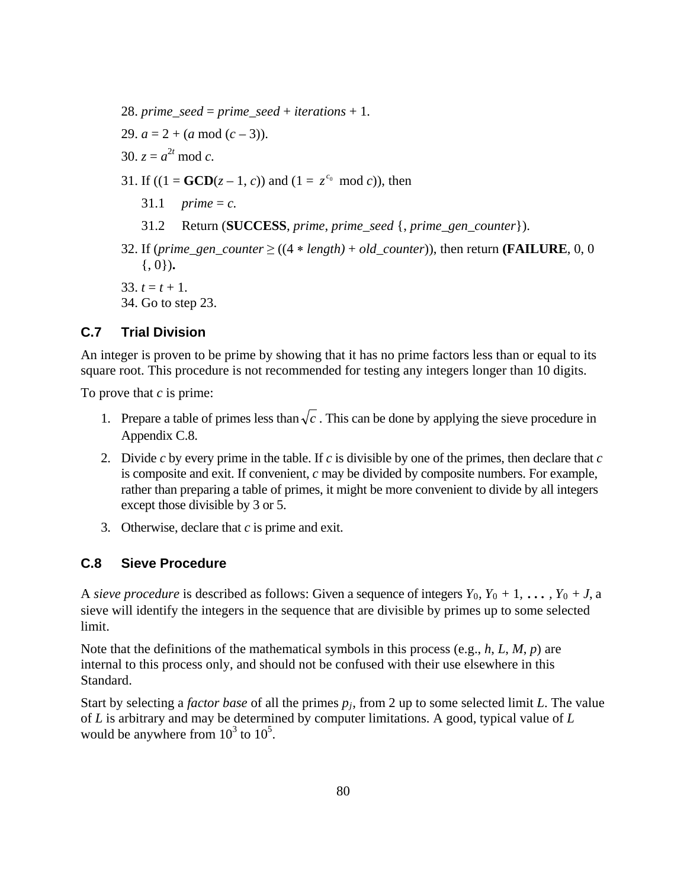- 28. *prime\_seed* = *prime\_seed* + *iterations* + 1.
- 29.  $a = 2 + (a \mod (c 3))$ .
- 30.  $z = a^{2t} \mod c$ .
- 31. If  $((1 = \text{GCD}(z 1, c))$  and  $(1 = z^{c_0} \mod c)$ , then
	- 31.1 *prime* = *c*.
	- 31.2 Return (**SUCCESS**, *prime*, *prime\_seed* {, *prime\_gen\_counter*}).
- 32. If (*prime\_gen\_counter*  $\geq$  ((4 \* *length)* + *old\_counter*)), then return **(FAILURE**, 0, 0 {, 0})**.**

33.  $t = t + 1$ .

34. Go to step 23.

# **C.7 Trial Division**

An integer is proven to be prime by showing that it has no prime factors less than or equal to its square root. This procedure is not recommended for testing any integers longer than 10 digits.

To prove that *c* is prime:

- 1. Prepare a table of primes less than  $\sqrt{c}$ . This can be done by applying the sieve procedure in Appendix C.8.
- 2. Divide *c* by every prime in the table. If *c* is divisible by one of the primes, then declare that *c* is composite and exit. If convenient, *c* may be divided by composite numbers. For example, rather than preparing a table of primes, it might be more convenient to divide by all integers except those divisible by 3 or 5.
- 3. Otherwise, declare that *c* is prime and exit.

## **C.8 Sieve Procedure**

A *sieve procedure* is described as follows: Given a sequence of integers  $Y_0$ ,  $Y_0 + 1$ , ...,  $Y_0 + J$ , a sieve will identify the integers in the sequence that are divisible by primes up to some selected limit.

Note that the definitions of the mathematical symbols in this process (e.g., *h*, *L*, *M*, *p*) are internal to this process only, and should not be confused with their use elsewhere in this Standard.

Start by selecting a *factor base* of all the primes *pj*, from 2 up to some selected limit *L*. The value of *L* is arbitrary and may be determined by computer limitations. A good, typical value of *L* would be anywhere from  $10^3$  to  $10^5$ .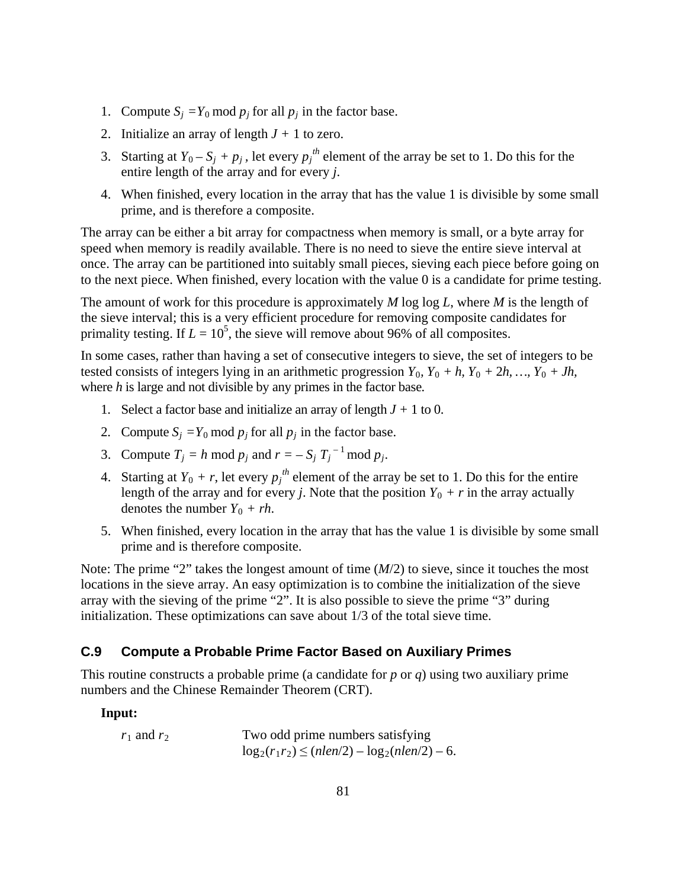- 1. Compute  $S_i = Y_0 \text{ mod } p_j$  for all  $p_j$  in the factor base.
- 2. Initialize an array of length  $J + 1$  to zero.
- 3. Starting at  $Y_0 S_j + p_j$ , let every  $p_j^{th}$  element of the array be set to 1. Do this for the entire length of the array and for every *j*.
- 4. When finished, every location in the array that has the value 1 is divisible by some small prime, and is therefore a composite.

The array can be either a bit array for compactness when memory is small, or a byte array for speed when memory is readily available. There is no need to sieve the entire sieve interval at once. The array can be partitioned into suitably small pieces, sieving each piece before going on to the next piece. When finished, every location with the value 0 is a candidate for prime testing.

The amount of work for this procedure is approximately *M* log log *L*, where *M* is the length of the sieve interval; this is a very efficient procedure for removing composite candidates for primality testing. If  $L = 10^5$ , the sieve will remove about 96% of all composites.

In some cases, rather than having a set of consecutive integers to sieve, the set of integers to be tested consists of integers lying in an arithmetic progression  $Y_0$ ,  $Y_0 + h$ ,  $Y_0 + 2h$ , ...,  $Y_0 + Jh$ , where *h* is large and not divisible by any primes in the factor base*.*

- 1. Select a factor base and initialize an array of length  $J + 1$  to 0.
- 2. Compute  $S_j = Y_0 \text{ mod } p_j$  for all  $p_j$  in the factor base.
- 3. Compute  $T_j = h \mod p_j$  and  $r = -S_j T_j^{-1} \mod p_j$ .
- 4. Starting at  $Y_0 + r$ , let every  $p_j^{th}$  element of the array be set to 1. Do this for the entire length of the array and for every *j*. Note that the position  $Y_0 + r$  in the array actually denotes the number  $Y_0 + rh$ .
- 5. When finished, every location in the array that has the value 1 is divisible by some small prime and is therefore composite.

Note: The prime "2" takes the longest amount of time (*M*/2) to sieve, since it touches the most locations in the sieve array. An easy optimization is to combine the initialization of the sieve array with the sieving of the prime "2". It is also possible to sieve the prime "3" during initialization. These optimizations can save about 1/3 of the total sieve time.

## **C.9 Compute a Probable Prime Factor Based on Auxiliary Primes**

This routine constructs a probable prime (a candidate for *p* or *q*) using two auxiliary prime numbers and the Chinese Remainder Theorem (CRT).

## **Input:**

 $r_1$  and  $r_2$  Two odd prime numbers satisfying  $log_2(r_1r_2) \leq (nlen/2) - log_2(nlen/2) - 6.$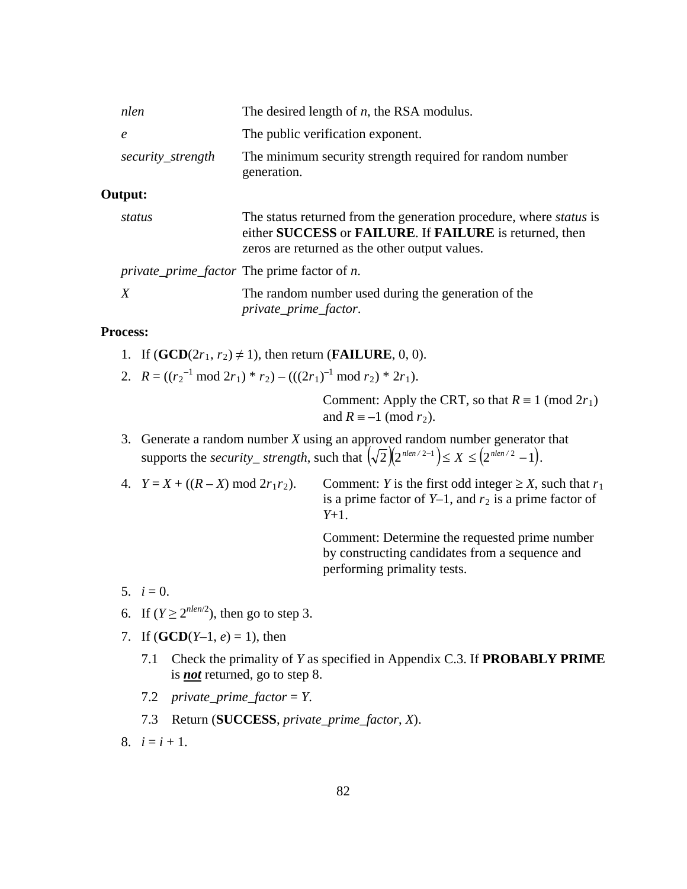| nlen              | The desired length of $n$ , the RSA modulus.                                                                                                                                           |
|-------------------|----------------------------------------------------------------------------------------------------------------------------------------------------------------------------------------|
| $\epsilon$        | The public verification exponent.                                                                                                                                                      |
| security_strength | The minimum security strength required for random number<br>generation.                                                                                                                |
| Output:           |                                                                                                                                                                                        |
| status            | The status returned from the generation procedure, where <i>status</i> is<br>either SUCCESS or FAILURE. If FAILURE is returned, then<br>zeros are returned as the other output values. |
|                   | <i>private_prime_factor</i> The prime factor of <i>n</i> .                                                                                                                             |
| X                 | The random number used during the generation of the<br><i>private_prime_factor.</i>                                                                                                    |

#### **Process:**

- 1. If  $(\mathbf{GCD}(2r_1, r_2) \neq 1)$ , then return (**FAILURE**, 0, 0).
- 2.  $R = ((r_2^{-1} \mod 2r_1) * r_2) (((2r_1)^{-1} \mod r_2) * 2r_1).$

Comment: Apply the CRT, so that  $R \equiv 1 \pmod{2r_1}$ and  $R \equiv -1 \pmod{r_2}$ .

- 3. Generate a random number *X* using an approved random number generator that supports the *security\_strength*, such that  $(\sqrt{2})(2^{nlen/2-1}) \le X \le (2^{nlen/2}-1)$ .
- 4.  $Y = X + ((R X) \mod 2r_1r_2)$ . Comment: *Y* is the first odd integer  $\geq X$ , such that  $r_1$ is a prime factor of  $Y-1$ , and  $r_2$  is a prime factor of *Y*+1.

Comment: Determine the requested prime number by constructing candidates from a sequence and performing primality tests.

- 5.  $i = 0$ .
- 6. If  $(Y \ge 2^{nlen/2})$ , then go to step 3.
- 7. If  $(GCD(Y-1, e) = 1)$ , then
	- 7.1 Check the primality of *Y* as specified in Appendix C.3. If **PROBABLY PRIME** is *not* returned, go to step 8.
	- 7.2 *private\_prime\_factor* = *Y*.
	- 7.3 Return (**SUCCESS**, *private\_prime\_factor*, *X*).
- 8.  $i = i + 1$ .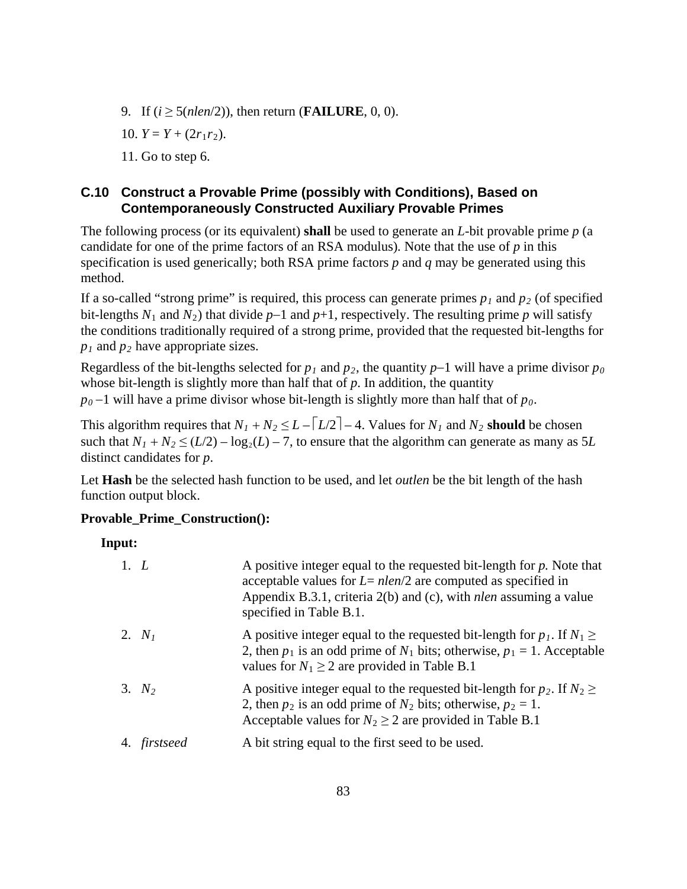- 9. If  $(i \ge 5(nlen/2))$ , then return (**FAILURE**, 0, 0).
- 10.  $Y = Y + (2r_1r_2)$ .

11. Go to step 6.

# **C.10 Construct a Provable Prime (possibly with Conditions), Based on Contemporaneously Constructed Auxiliary Provable Primes**

The following process (or its equivalent) **shall** be used to generate an *L*-bit provable prime *p* (a candidate for one of the prime factors of an RSA modulus)*.* Note that the use of *p* in this specification is used generically; both RSA prime factors *p* and *q* may be generated using this method.

If a so-called "strong prime" is required, this process can generate primes  $p_1$  and  $p_2$  (of specified bit-lengths  $N_1$  and  $N_2$ ) that divide  $p-1$  and  $p+1$ , respectively. The resulting prime  $p$  will satisfy the conditions traditionally required of a strong prime, provided that the requested bit-lengths for  $p_1$  and  $p_2$  have appropriate sizes.

Regardless of the bit-lengths selected for  $p_1$  and  $p_2$ , the quantity  $p-1$  will have a prime divisor  $p_0$ whose bit-length is slightly more than half that of *p*. In addition, the quantity

 $p_0$  −1 will have a prime divisor whose bit-length is slightly more than half that of  $p_0$ .

This algorithm requires that  $N_1 + N_2 \le L - \lfloor L/2 \rfloor - 4$ . Values for  $N_1$  and  $N_2$  **should** be chosen such that  $N_1 + N_2 \le (L/2) - \log_2(L) - 7$ , to ensure that the algorithm can generate as many as 5*L* distinct candidates for *p*.

Let **Hash** be the selected hash function to be used, and let *outlen* be the bit length of the hash function output block.

## **Provable\_Prime\_Construction():**

## **Input:**

| 1. L         | A positive integer equal to the requested bit-length for $p$ . Note that<br>acceptable values for $L = nlen/2$ are computed as specified in<br>Appendix B.3.1, criteria $2(b)$ and (c), with <i>nlen</i> assuming a value<br>specified in Table B.1. |
|--------------|------------------------------------------------------------------------------------------------------------------------------------------------------------------------------------------------------------------------------------------------------|
| 2. $N_I$     | A positive integer equal to the requested bit-length for $p_1$ . If $N_1 \geq$<br>2, then $p_1$ is an odd prime of $N_1$ bits; otherwise, $p_1 = 1$ . Acceptable<br>values for $N_1 \geq 2$ are provided in Table B.1                                |
| 3. $N_2$     | A positive integer equal to the requested bit-length for $p_2$ . If $N_2 \geq$<br>2, then $p_2$ is an odd prime of $N_2$ bits; otherwise, $p_2 = 1$ .<br>Acceptable values for $N_2 \geq 2$ are provided in Table B.1                                |
| 4. firstseed | A bit string equal to the first seed to be used.                                                                                                                                                                                                     |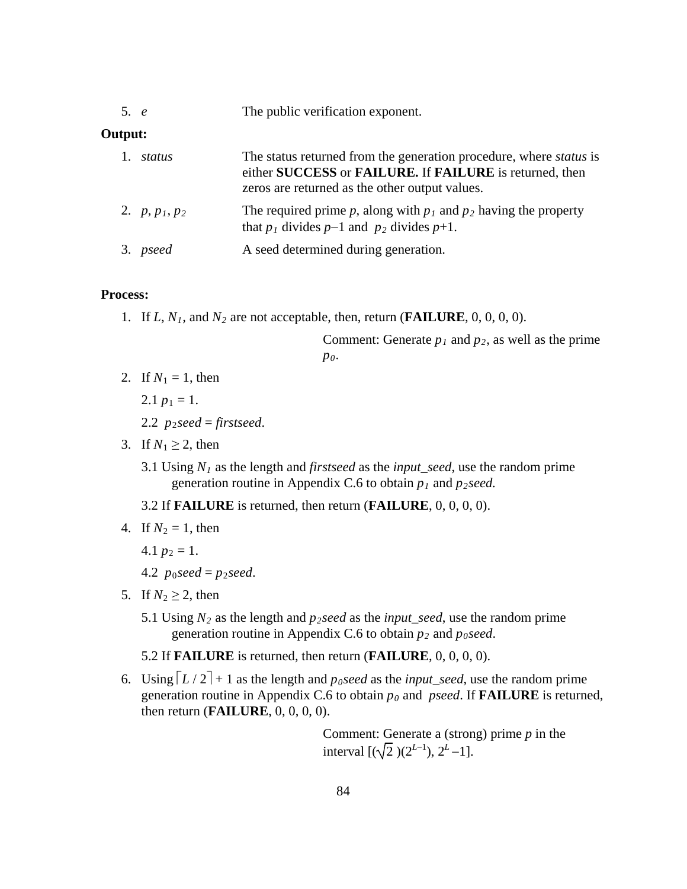| 5. e | The public verification exponent. |  |
|------|-----------------------------------|--|
|------|-----------------------------------|--|

## **Output:**

| 1. status        | The status returned from the generation procedure, where <i>status</i> is<br>either SUCCESS or FAILURE. If FAILURE is returned, then<br>zeros are returned as the other output values. |
|------------------|----------------------------------------------------------------------------------------------------------------------------------------------------------------------------------------|
| 2. $p, p_1, p_2$ | The required prime p, along with $p_1$ and $p_2$ having the property<br>that $p_1$ divides $p-1$ and $p_2$ divides $p+1$ .                                                             |
| 3. pseed         | A seed determined during generation.                                                                                                                                                   |

### **Process:**

1. If  $L, N_1$ , and  $N_2$  are not acceptable, then, return (**FAILURE**, 0, 0, 0, 0).

Comment: Generate  $p_1$  and  $p_2$ , as well as the prime *p0*.

2. If  $N_1 = 1$ , then

2.1  $p_1 = 1$ .

- 2.2  $p_2$ *seed* = *firstseed*.
- 3. If  $N_1 \geq 2$ , then
	- 3.1 Using *N1* as the length and *firstseed* as the *input\_seed*, use the random prime generation routine in Appendix C.6 to obtain *p1* and *p2seed.*

3.2 If **FAILURE** is returned, then return (**FAILURE**, 0, 0, 0, 0).

4. If  $N_2 = 1$ , then

4.1  $p_2 = 1$ .

- 4.2  $p_0$ *seed* =  $p_2$ *seed*.
- 5. If  $N_2 > 2$ , then
	- 5.1 Using  $N_2$  as the length and  $p_2$  *seed* as the *input\_seed*, use the random prime generation routine in Appendix C.6 to obtain  $p_2$  and  $p_0$  seed.

5.2 If **FAILURE** is returned, then return (**FAILURE**, 0, 0, 0, 0).

6. Using  $\lceil L/2 \rceil + 1$  as the length and *p<sub>0</sub>seed* as the *input\_seed*, use the random prime generation routine in Appendix C.6 to obtain *p0* and *pseed*. If **FAILURE** is returned, then return (**FAILURE**, 0, 0, 0, 0).

> Comment: Generate a (strong) prime *p* in the interval  $[(\sqrt{2})(2^{L-1}), 2^L-1]$ .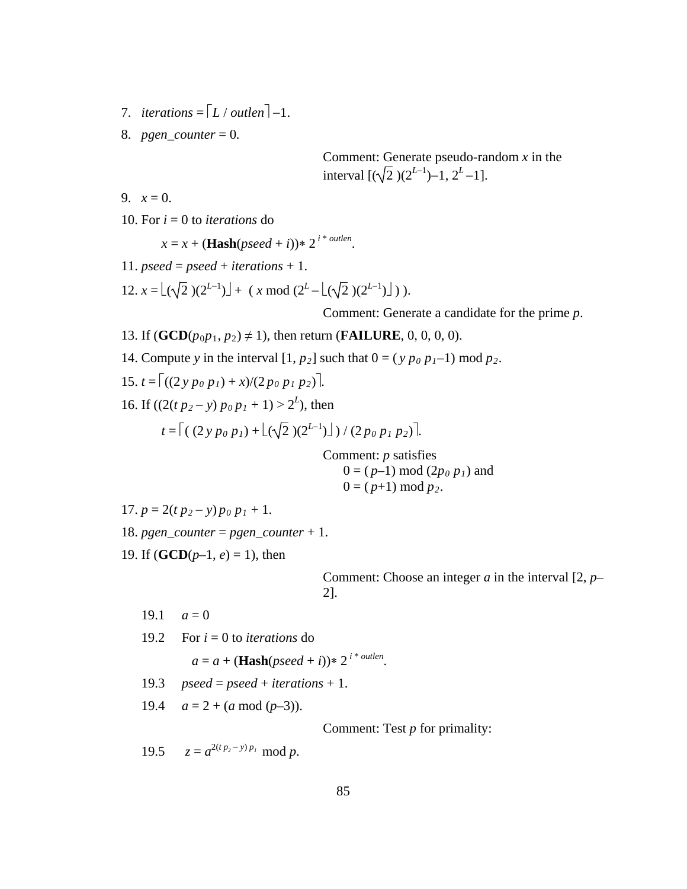- 7. *iterations* =  $\lceil L / \text{outlen} \rceil 1$ .
- 8. *pgen\_counter* = 0*.*

Comment: Generate pseudo-random *x* in the interval  $[(\sqrt{2})(2^{L-1})-1, 2^L-1].$ 

9.  $x = 0$ .

10. For *i* = 0 to *iterations* do

 $x = x + (\textbf{Hash}(pseed + i)) * 2^{i * \text{outlen}}$ .

- 11.  $pseed = pseed + iterations + 1$ .
- 12.  $x = \lfloor (\sqrt{2})(2^{L-1}) \rfloor + (x \mod (2^L \lfloor (\sqrt{2})(2^{L-1}) \rfloor)).$

Comment: Generate a candidate for the prime *p*.

- 13. If  $(GCD(p_0p_1, p_2) \neq 1)$ , then return (**FAILURE**, 0, 0, 0, 0).
- 14. Compute *y* in the interval  $[1, p_2]$  such that  $0 = (y p_0 p_1 1) \text{ mod } p_2$ .
- 15.  $t = \left[ \frac{(2 \gamma p_0 p_1) + x}{2 \rho_0 p_1 p_2} \right].$
- 16. If  $((2(t p_2 y) p_0 p_1 + 1) > 2^L)$ , then

$$
t = \left[ ( (2 y p_0 p_1) + \lfloor (\sqrt{2}) (2^{L-1}) \rfloor ) / (2 p_0 p_1 p_2) \right].
$$

Comment: *p* satisfies  $0 = (p-1) \mod (2p_0 p_1)$  and  $0 = (p+1) \bmod p_2$ .

17. 
$$
p = 2(t p_2 - y) p_0 p_1 + 1.
$$

- 18.  $pgen\_counter = pgen\_counter + 1$ .
- 19. If  $(GCD(p-1, e) = 1)$ , then

Comment: Choose an integer *a* in the interval [2, *p*– 2].

19.1  $a=0$ 

19.2 For 
$$
i = 0
$$
 to *iterations* do

 $a = a + (\textbf{Hash}(pseed + i)) * 2^{i * \text{outlen}}.$ 

19.3  $pseed = pseed + iterations + 1$ .

19.4  $a = 2 + (a \mod (p-3))$ .

Comment: Test *p* for primality:

19.5  $z = a^{2(t p_2 - y) p_1} \mod p$ .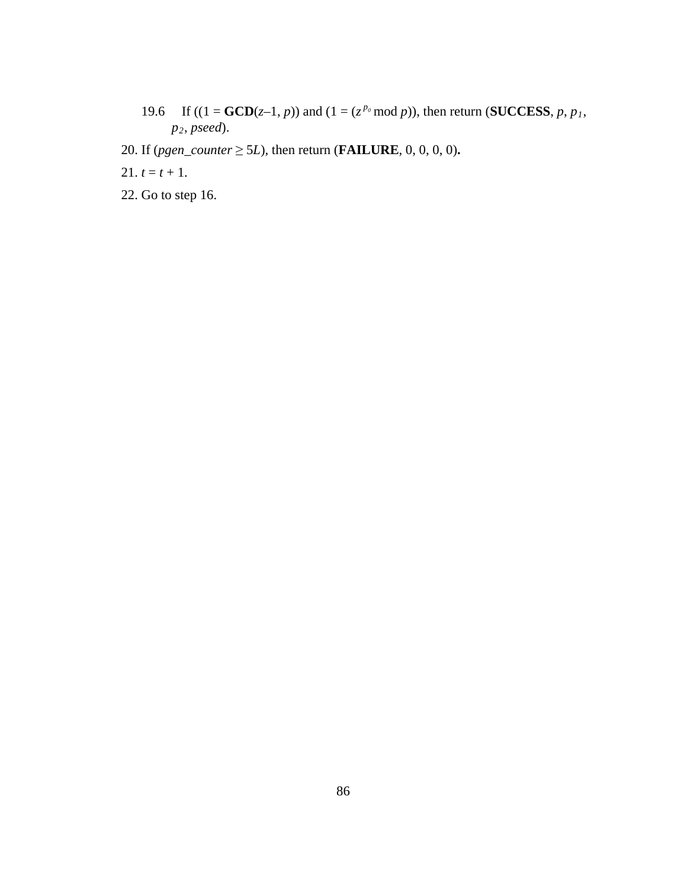- 19.6 If  $((1 = \text{GCD}(z-1, p))$  and  $(1 = (z^{p_0} \text{ mod } p))$ , then return (**SUCCESS**, *p*, *p*<sub>1</sub>, *p2*, *pseed*).
- 20. If (*pgen\_counter*  $\geq$  5*L*), then return (**FAILURE**, 0, 0, 0, 0).
- 21.  $t = t + 1$ .
- 22. Go to step 16.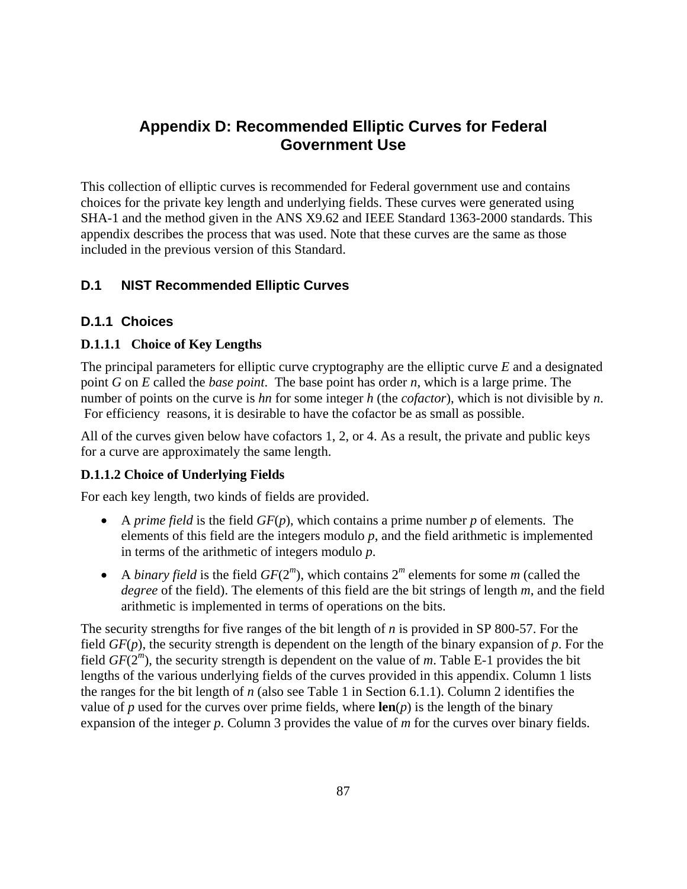# **Appendix D: Recommended Elliptic Curves for Federal Government Use**

This collection of elliptic curves is recommended for Federal government use and contains choices for the private key length and underlying fields. These curves were generated using SHA-1 and the method given in the ANS X9.62 and IEEE Standard 1363-2000 standards. This appendix describes the process that was used. Note that these curves are the same as those included in the previous version of this Standard.

# **D.1 NIST Recommended Elliptic Curves**

## **D.1.1 Choices**

## **D.1.1.1 Choice of Key Lengths**

The principal parameters for elliptic curve cryptography are the elliptic curve *E* and a designated point *G* on *E* called the *base point*. The base point has order *n*, which is a large prime. The number of points on the curve is *hn* for some integer *h* (the *cofactor*), which is not divisible by *n*. For efficiency reasons, it is desirable to have the cofactor be as small as possible.

All of the curves given below have cofactors 1, 2, or 4. As a result, the private and public keys for a curve are approximately the same length.

### **D.1.1.2 Choice of Underlying Fields**

For each key length, two kinds of fields are provided.

- A *prime field* is the field *GF*(*p*), which contains a prime number *p* of elements. The elements of this field are the integers modulo *p*, and the field arithmetic is implemented in terms of the arithmetic of integers modulo *p*.
- A *binary field* is the field  $GF(2<sup>m</sup>)$ , which contains  $2<sup>m</sup>$  elements for some *m* (called the *degree* of the field). The elements of this field are the bit strings of length *m*, and the field arithmetic is implemented in terms of operations on the bits.

The security strengths for five ranges of the bit length of *n* is provided in SP 800-57. For the field *GF*(*p*), the security strength is dependent on the length of the binary expansion of *p*. For the field *GF*(2*<sup>m</sup>*), the security strength is dependent on the value of *m*. Table E-1 provides the bit lengths of the various underlying fields of the curves provided in this appendix. Column 1 lists the ranges for the bit length of *n* (also see Table 1 in Section 6.1.1). Column 2 identifies the value of *p* used for the curves over prime fields, where  $len(p)$  is the length of the binary expansion of the integer *p*. Column 3 provides the value of *m* for the curves over binary fields.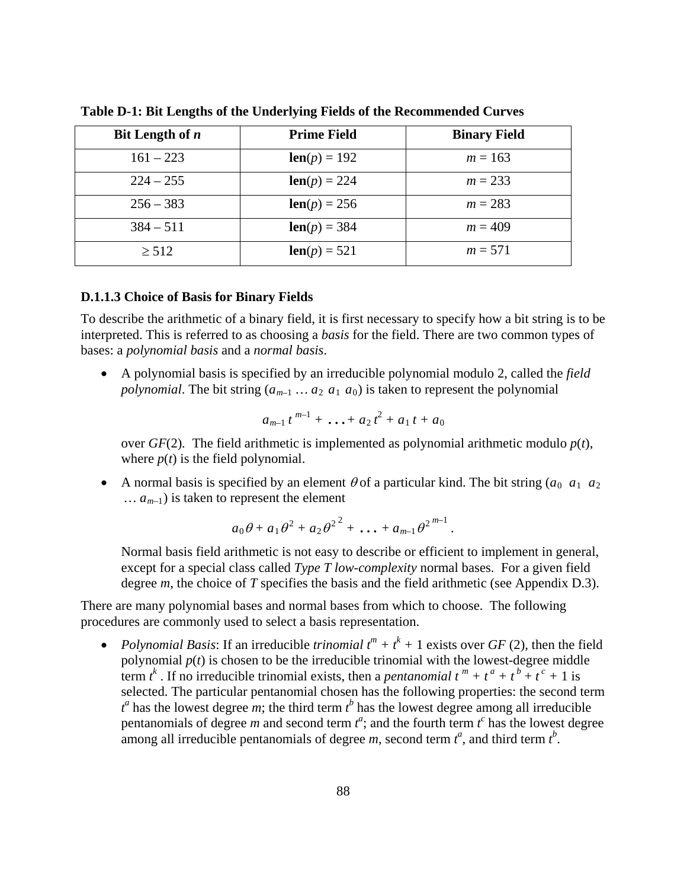| Bit Length of $n$ | <b>Prime Field</b>     | <b>Binary Field</b> |
|-------------------|------------------------|---------------------|
| $161 - 223$       | <b>len</b> $(p) = 192$ | $m = 163$           |
| $224 - 255$       | $len(p) = 224$         | $m = 233$           |
| $256 - 383$       | $len(p) = 256$         | $m = 283$           |
| $384 - 511$       | $len(p) = 384$         | $m = 409$           |
| $\geq 512$        | $len(p) = 521$         | $m = 571$           |

**Table D-1: Bit Lengths of the Underlying Fields of the Recommended Curves**

#### **D.1.1.3 Choice of Basis for Binary Fields**

To describe the arithmetic of a binary field, it is first necessary to specify how a bit string is to be interpreted. This is referred to as choosing a *basis* for the field. There are two common types of bases: a *polynomial basis* and a *normal basis*.

• A polynomial basis is specified by an irreducible polynomial modulo 2, called the *field polynomial*. The bit string  $(a_{m-1} \ldots a_2 a_1 a_0)$  is taken to represent the polynomial

$$
a_{m-1} t^{m-1} + \ldots + a_2 t^2 + a_1 t + a_0
$$

over  $GF(2)$ . The field arithmetic is implemented as polynomial arithmetic modulo  $p(t)$ , where  $p(t)$  is the field polynomial.

• A normal basis is specified by an element  $\theta$  of a particular kind. The bit string  $(a_0, a_1, a_2)$ *… am–*1) is taken to represent the element

$$
a_0\theta + a_1\theta^2 + a_2\theta^2^2 + \dots + a_{m-1}\theta^{2^{m-1}}.
$$

Normal basis field arithmetic is not easy to describe or efficient to implement in general, except for a special class called *Type T low-complexity* normal bases. For a given field degree *m*, the choice of *T* specifies the basis and the field arithmetic (see Appendix D.3).

There are many polynomial bases and normal bases from which to choose. The following procedures are commonly used to select a basis representation.

• *Polynomial Basis:* If an irreducible *trinomial*  $t^m + t^k + 1$  exists over *GF* (2)*,* then the field polynomial  $p(t)$  is chosen to be the irreducible trinomial with the lowest-degree middle term  $t^k$ . If no irreducible trinomial exists, then a *pentanomial*  $t^m + t^a + t^b + t^c + 1$  is selected. The particular pentanomial chosen has the following properties: the second term  $t^a$  has the lowest degree *m*; the third term  $t^b$  has the lowest degree among all irreducible pentanomials of degree *m* and second term  $t^a$ ; and the fourth term  $t^c$  has the lowest degree among all irreducible pentanomials of degree *m*, second term  $t^a$ , and third term  $t^b$ .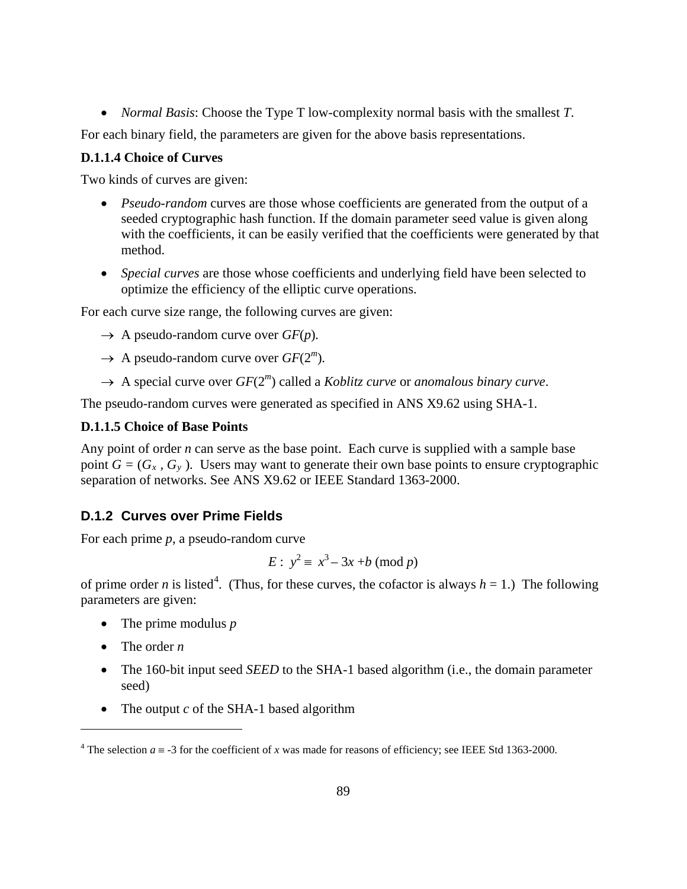• *Normal Basis*: Choose the Type T low-complexity normal basis with the smallest *T*.

For each binary field, the parameters are given for the above basis representations.

## **D.1.1.4 Choice of Curves**

Two kinds of curves are given:

- *Pseudo-random* curves are those whose coefficients are generated from the output of a seeded cryptographic hash function. If the domain parameter seed value is given along with the coefficients, it can be easily verified that the coefficients were generated by that method.
- *Special curves* are those whose coefficients and underlying field have been selected to optimize the efficiency of the elliptic curve operations.

For each curve size range, the following curves are given:

- $\rightarrow$  A pseudo-random curve over  $GF(p)$ .
- $\rightarrow$  A pseudo-random curve over *GF*(2<sup>*m*</sup>).
- $\rightarrow$  A special curve over  $GF(2^m)$  called a *Koblitz curve* or *anomalous binary curve*.

The pseudo-random curves were generated as specified in ANS X9.62 using SHA-1.

## **D.1.1.5 Choice of Base Points**

Any point of order *n* can serve as the base point. Each curve is supplied with a sample base point  $G = (G_x, G_y)$ . Users may want to generate their own base points to ensure cryptographic separation of networks. See ANS X9.62 or IEEE Standard 1363-2000.

# **D.1.2 Curves over Prime Fields**

For each prime *p*, a pseudo-random curve

$$
E: y^2 \equiv x^3 - 3x + b \pmod{p}
$$

of prime order *n* is listed<sup>[4](#page-97-0)</sup>. (Thus, for these curves, the cofactor is always  $h = 1$ .) The following parameters are given:

- The prime modulus *p*
- The order *n*

 $\overline{a}$ 

- The 160-bit input seed *SEED* to the SHA-1 based algorithm (i.e., the domain parameter seed)
- The output *c* of the SHA-1 based algorithm

<span id="page-97-0"></span><sup>&</sup>lt;sup>4</sup> The selection  $a \equiv -3$  for the coefficient of *x* was made for reasons of efficiency; see IEEE Std 1363-2000.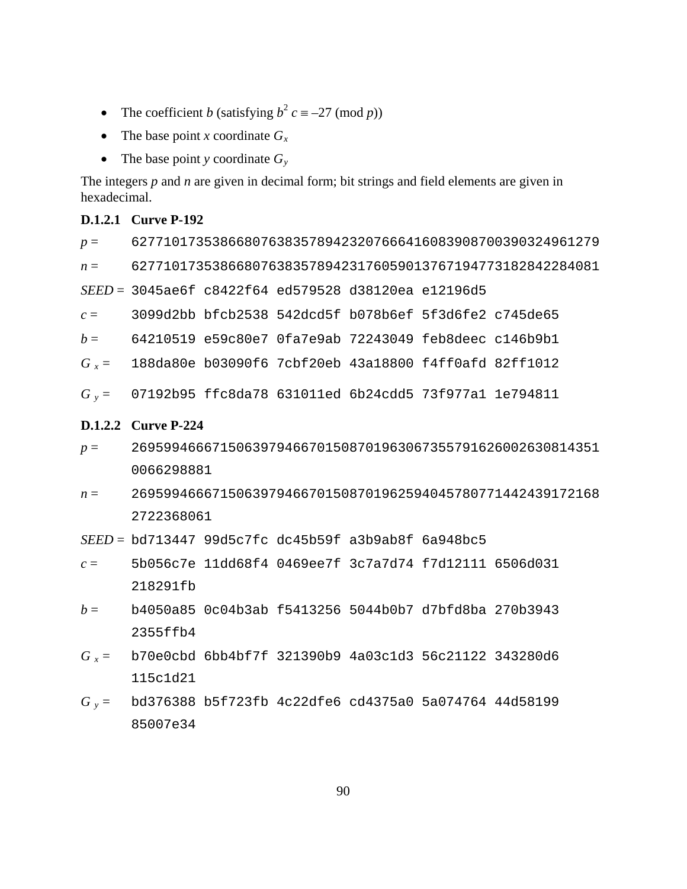- The coefficient *b* (satisfying  $b^2 c \equiv -27 \pmod{p}$ )
- The base point *x* coordinate  $G_x$
- The base point *y* coordinate  $G_v$

The integers *p* and *n* are given in decimal form; bit strings and field elements are given in hexadecimal.

## **D.1.2.1 Curve P-192**

*p* = 6277101735386680763835789423207666416083908700390324961279 *n* = 6277101735386680763835789423176059013767194773182842284081

*SEED* = 3045ae6f c8422f64 ed579528 d38120ea e12196d5

- *c* = 3099d2bb bfcb2538 542dcd5f b078b6ef 5f3d6fe2 c745de65
- *b* = 64210519 e59c80e7 0fa7e9ab 72243049 feb8deec c146b9b1
- *G x* = 188da80e b03090f6 7cbf20eb 43a18800 f4ff0afd 82ff1012
- *G y* = 07192b95 ffc8da78 631011ed 6b24cdd5 73f977a1 1e794811

#### **D.1.2.2 Curve P-224**

- *p* = 2695994666715063979466701508701963067355791626002630814351 0066298881
- *n* = 2695994666715063979466701508701962594045780771442439172168 2722368061

*SEED* = bd713447 99d5c7fc dc45b59f a3b9ab8f 6a948bc5

- *c* = 5b056c7e 11dd68f4 0469ee7f 3c7a7d74 f7d12111 6506d031 218291fb
- *b* = b4050a85 0c04b3ab f5413256 5044b0b7 d7bfd8ba 270b3943 2355ffb4
- *G x* = b70e0cbd 6bb4bf7f 321390b9 4a03c1d3 56c21122 343280d6 115c1d21
- *G y* = bd376388 b5f723fb 4c22dfe6 cd4375a0 5a074764 44d58199 85007e34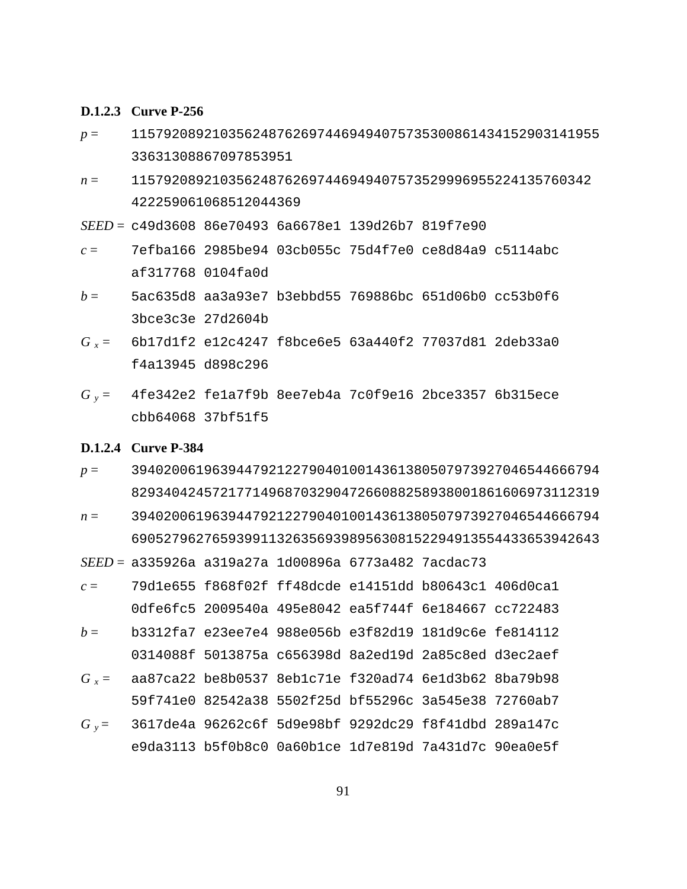#### **D.1.2.3 Curve P-256**

- *p* = 1157920892103562487626974469494075735300861434152903141955 33631308867097853951
- *n* = 115792089210356248762697446949407573529996955224135760342 422259061068512044369

*SEED* = c49d3608 86e70493 6a6678e1 139d26b7 819f7e90

- *c* = 7efba166 2985be94 03cb055c 75d4f7e0 ce8d84a9 c5114abc af317768 0104fa0d
- *b* = 5ac635d8 aa3a93e7 b3ebbd55 769886bc 651d06b0 cc53b0f6 3bce3c3e 27d2604b
- *G x* = 6b17d1f2 e12c4247 f8bce6e5 63a440f2 77037d81 2deb33a0 f4a13945 d898c296
- *G y* = 4fe342e2 fe1a7f9b 8ee7eb4a 7c0f9e16 2bce3357 6b315ece cbb64068 37bf51f5

#### **D.1.2.4 Curve P-384**

- *p* = 3940200619639447921227904010014361380507973927046544666794 8293404245721771496870329047266088258938001861606973112319
- *n* = 3940200619639447921227904010014361380507973927046544666794 6905279627659399113263569398956308152294913554433653942643

*SEED* = a335926a a319a27a 1d00896a 6773a482 7acdac73

- *c* = 79d1e655 f868f02f ff48dcde e14151dd b80643c1 406d0ca1 0dfe6fc5 2009540a 495e8042 ea5f744f 6e184667 cc722483
- *b* = b3312fa7 e23ee7e4 988e056b e3f82d19 181d9c6e fe814112 0314088f 5013875a c656398d 8a2ed19d 2a85c8ed d3ec2aef
- *G x* = aa87ca22 be8b0537 8eb1c71e f320ad74 6e1d3b62 8ba79b98 59f741e0 82542a38 5502f25d bf55296c 3a545e38 72760ab7
- *G y* = 3617de4a 96262c6f 5d9e98bf 9292dc29 f8f41dbd 289a147c e9da3113 b5f0b8c0 0a60b1ce 1d7e819d 7a431d7c 90ea0e5f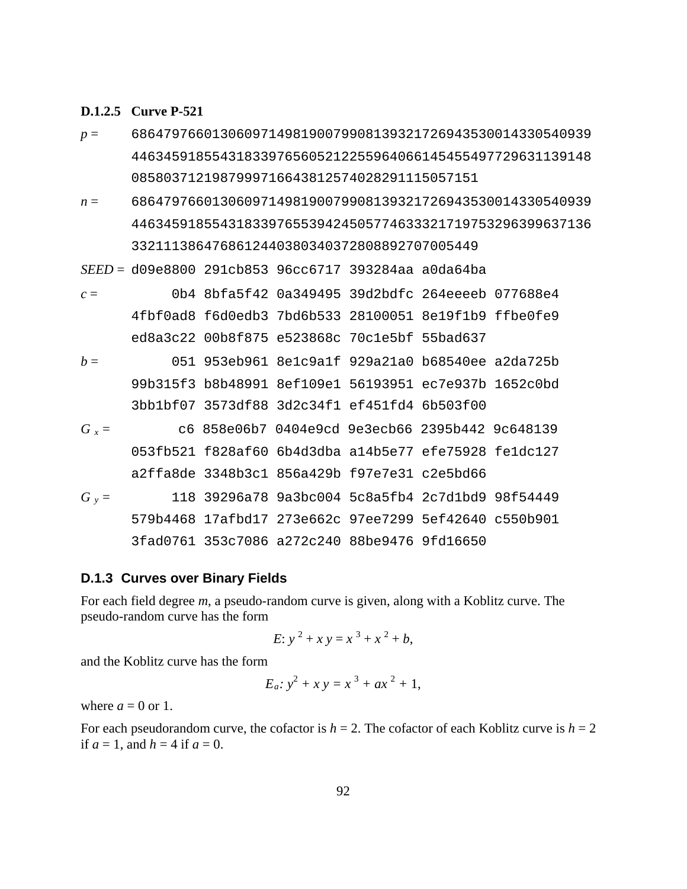#### **D.1.2.5 Curve P-521**

- *p* = 686479766013060971498190079908139321726943530014330540939 446345918554318339765605212255964066145455497729631139148 0858037121987999716643812574028291115057151
- *n* = 686479766013060971498190079908139321726943530014330540939 446345918554318339765539424505774633321719753296399637136 3321113864768612440380340372808892707005449

*SEED* = d09e8800 291cb853 96cc6717 393284aa a0da64ba

- *c* = 0b4 8bfa5f42 0a349495 39d2bdfc 264eeeeb 077688e4 4fbf0ad8 f6d0edb3 7bd6b533 28100051 8e19f1b9 ffbe0fe9 ed8a3c22 00b8f875 e523868c 70c1e5bf 55bad637
- *b* = 051 953eb961 8e1c9a1f 929a21a0 b68540ee a2da725b 99b315f3 b8b48991 8ef109e1 56193951 ec7e937b 1652c0bd 3bb1bf07 3573df88 3d2c34f1 ef451fd4 6b503f00 *G x* = c6 858e06b7 0404e9cd 9e3ecb66 2395b442 9c648139
- 053fb521 f828af60 6b4d3dba a14b5e77 efe75928 fe1dc127 a2ffa8de 3348b3c1 856a429b f97e7e31 c2e5bd66 *G y* = 118 39296a78 9a3bc004 5c8a5fb4 2c7d1bd9 98f54449 579b4468 17afbd17 273e662c 97ee7299 5ef42640 c550b901 3fad0761 353c7086 a272c240 88be9476 9fd16650

### **D.1.3 Curves over Binary Fields**

For each field degree *m*, a pseudo-random curve is given, along with a Koblitz curve. The pseudo-random curve has the form

$$
E: y^2 + xy = x^3 + x^2 + b,
$$

and the Koblitz curve has the form

$$
E_a: y^2 + xy = x^3 + ax^2 + 1,
$$

where  $a = 0$  or 1.

For each pseudorandom curve, the cofactor is  $h = 2$ . The cofactor of each Koblitz curve is  $h = 2$ if  $a = 1$ , and  $h = 4$  if  $a = 0$ .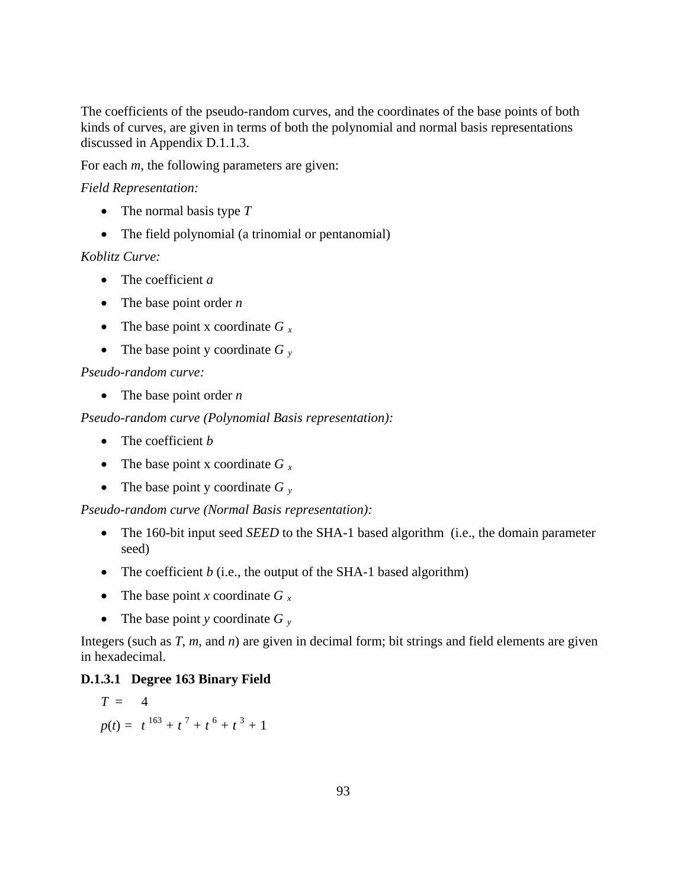The coefficients of the pseudo-random curves, and the coordinates of the base points of both kinds of curves, are given in terms of both the polynomial and normal basis representations discussed in Appendix D.1.1.3.

For each *m*, the following parameters are given:

## *Field Representation:*

- The normal basis type *T*
- The field polynomial (a trinomial or pentanomial)

## *Koblitz Curve:*

- The coefficient *a*
- The base point order *n*
- The base point x coordinate *G x*
- The base point y coordinate *G y*

## *Pseudo-random curve:*

• The base point order *n*

*Pseudo-random curve (Polynomial Basis representation):* 

- The coefficient *b*
- The base point x coordinate *G* x
- The base point y coordinate *G y*

*Pseudo-random curve (Normal Basis representation):* 

- The 160-bit input seed *SEED* to the SHA-1 based algorithm (i.e., the domain parameter seed)
- The coefficient *b* (i.e., the output of the SHA-1 based algorithm)
- The base point *x* coordinate  $G_x$
- The base point *y* coordinate *G y*

Integers (such as *T*, *m*, and *n*) are given in decimal form; bit strings and field elements are given in hexadecimal.

### **D.1.3.1 Degree 163 Binary Field**

$$
T = 4
$$
  
 
$$
p(t) = t^{163} + t^7 + t^6 + t^3 + 1
$$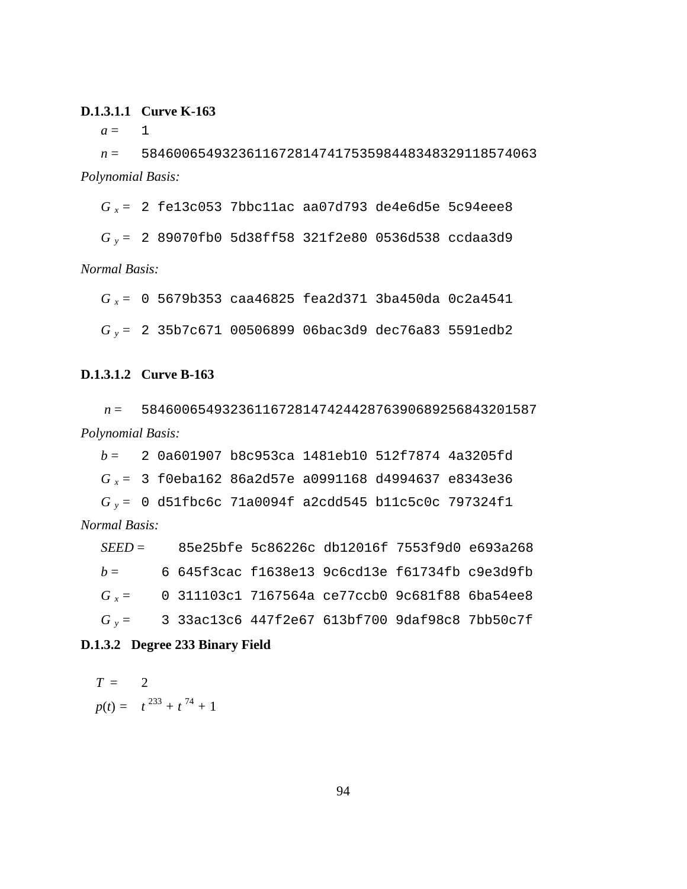## **D.1.3.1.1 Curve K-163**

 $a = 1$ 

*n* = 5846006549323611672814741753598448348329118574063 *Polynomial Basis:*

*G x* = 2 fe13c053 7bbc11ac aa07d793 de4e6d5e 5c94eee8

*G y* = 2 89070fb0 5d38ff58 321f2e80 0536d538 ccdaa3d9

*Normal Basis:*

*G x* = 0 5679b353 caa46825 fea2d371 3ba450da 0c2a4541

*G y* = 2 35b7c671 00506899 06bac3d9 dec76a83 5591edb2

#### **D.1.3.1.2 Curve B-163**

*n* = 5846006549323611672814742442876390689256843201587 *Polynomial Basis:* 

*b* = 2 0a601907 b8c953ca 1481eb10 512f7874 4a3205fd *G x* = 3 f0eba162 86a2d57e a0991168 d4994637 e8343e36 *G y* = 0 d51fbc6c 71a0094f a2cdd545 b11c5c0c 797324f1

*Normal Basis:* 

*SEED* = 85e25bfe 5c86226c db12016f 7553f9d0 e693a268 *b* = 6 645f3cac f1638e13 9c6cd13e f61734fb c9e3d9fb *G x* = 0 311103c1 7167564a ce77ccb0 9c681f88 6ba54ee8 *G y* = 3 33ac13c6 447f2e67 613bf700 9daf98c8 7bb50c7f

#### **D.1.3.2 Degree 233 Binary Field**

$$
T = 2
$$
  
 
$$
p(t) = t^{233} + t^{74} + 1
$$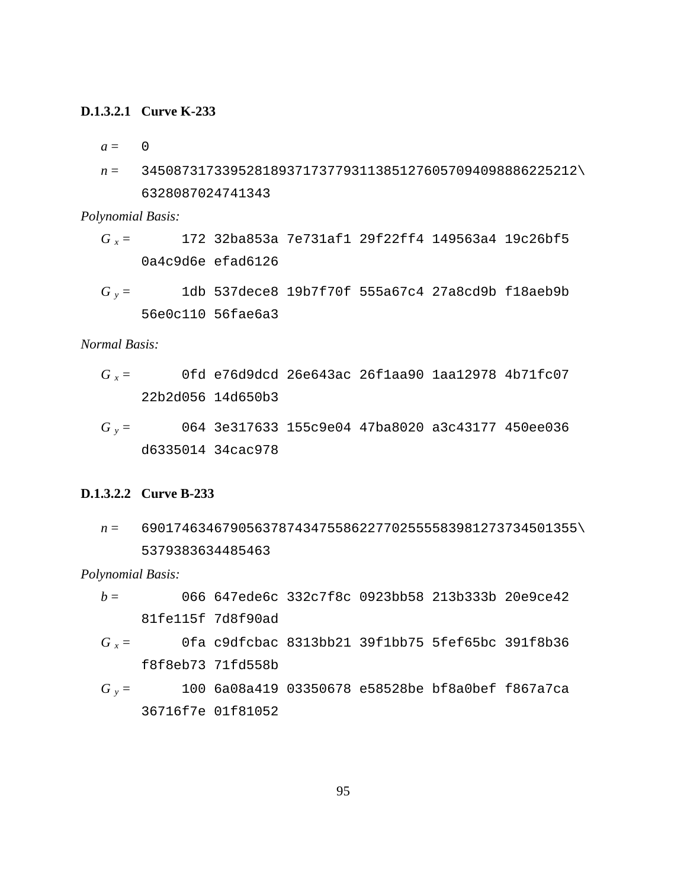## **D.1.3.2.1 Curve K-233**

 $a = 0$ 

*n* = 345087317339528189371737793113851276057094098886225212\ 6328087024741343

*Polynomial Basis:*

- *G x* = 172 32ba853a 7e731af1 29f22ff4 149563a4 19c26bf5 0a4c9d6e efad6126
- *G y* = 1db 537dece8 19b7f70f 555a67c4 27a8cd9b f18aeb9b 56e0c110 56fae6a3

*Normal Basis:*

- *G x* = 0fd e76d9dcd 26e643ac 26f1aa90 1aa12978 4b71fc07 22b2d056 14d650b3
- *G y* = 064 3e317633 155c9e04 47ba8020 a3c43177 450ee036 d6335014 34cac978

### **D.1.3.2.2 Curve B-233**

*n* = 690174634679056378743475586227702555583981273734501355\ 5379383634485463

*Polynomial Basis:* 

- *b* = 066 647ede6c 332c7f8c 0923bb58 213b333b 20e9ce42 81fe115f 7d8f90ad
- *G x* = 0fa c9dfcbac 8313bb21 39f1bb75 5fef65bc 391f8b36 f8f8eb73 71fd558b
- *G y* = 100 6a08a419 03350678 e58528be bf8a0bef f867a7ca 36716f7e 01f81052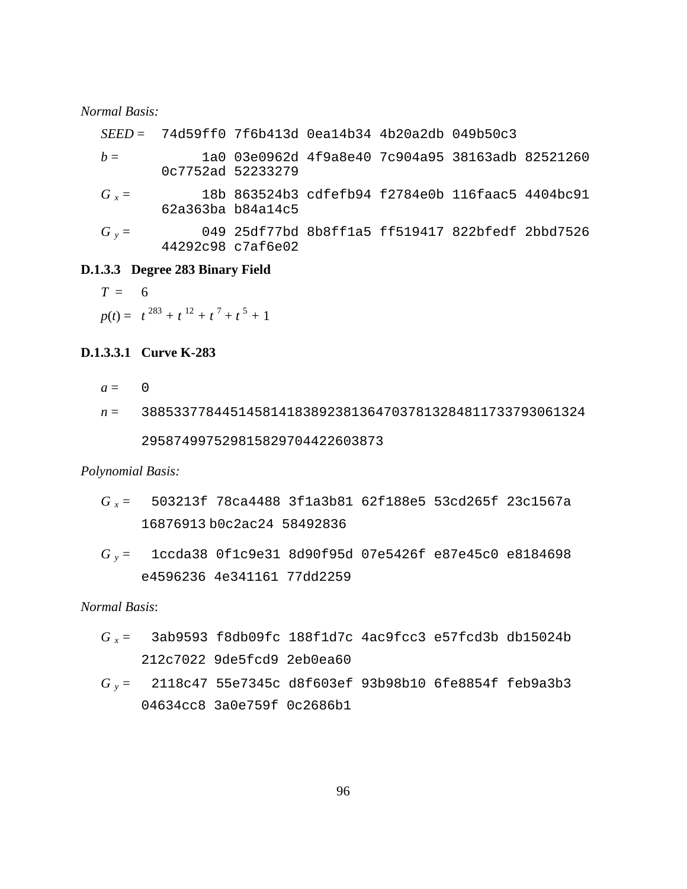#### *Normal Basis:*

|         |                   | $SEED = 74d59ff0 7f6b413d 0ea14b34 4b20a2db 049b50c3$ |  |  |
|---------|-------------------|-------------------------------------------------------|--|--|
| $h =$   | 0c7752ad 52233279 | la0 03e0962d 4f9a8e40 7c904a95 38163adb 82521260      |  |  |
| $G_r =$ | 62a363ba b84a14c5 | 18b 863524b3 cdfefb94 f2784e0b 116faac5 4404bc91      |  |  |
| $G_v =$ | 44292c98 c7af6e02 | 049 25df77bd 8b8ff1a5 ff519417 822bfedf 2bbd7526      |  |  |

# **D.1.3.3 Degree 283 Binary Field**

$$
T = 6
$$

 $p(t) = t^{283} + t^{12} + t^{7} + t^{5} + 1$ 

# **D.1.3.3.1 Curve K-283**

 $a = 0$ 

*n* = 3885337784451458141838923813647037813284811733793061324 295874997529815829704422603873

#### *Polynomial Basis:*

- *G x* = 503213f 78ca4488 3f1a3b81 62f188e5 53cd265f 23c1567a 16876913 b0c2ac24 58492836
- *G y* = 1ccda38 0f1c9e31 8d90f95d 07e5426f e87e45c0 e8184698 e4596236 4e341161 77dd2259

*Normal Basis*:

- *G x* = 3ab9593 f8db09fc 188f1d7c 4ac9fcc3 e57fcd3b db15024b 212c7022 9de5fcd9 2eb0ea60
- *G y* = 2118c47 55e7345c d8f603ef 93b98b10 6fe8854f feb9a3b3 04634cc8 3a0e759f 0c2686b1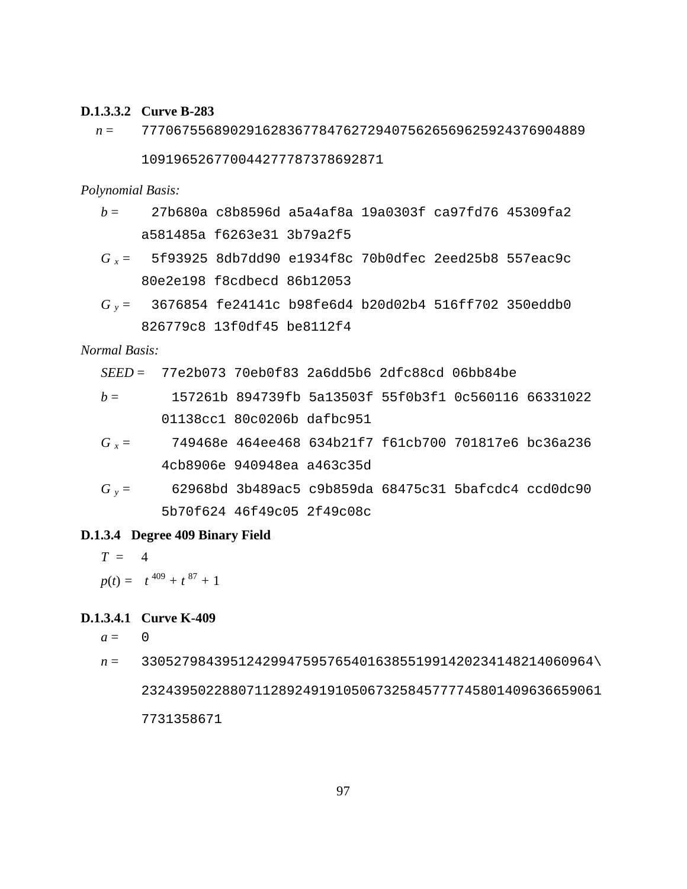### **D.1.3.3.2 Curve B-283**

*n* = 7770675568902916283677847627294075626569625924376904889

109196526770044277787378692871

*Polynomial Basis:* 

- *b* = 27b680a c8b8596d a5a4af8a 19a0303f ca97fd76 45309fa2 a581485a f6263e31 3b79a2f5
- *G x* = 5f93925 8db7dd90 e1934f8c 70b0dfec 2eed25b8 557eac9c 80e2e198 f8cdbecd 86b12053
- *G y* = 3676854 fe24141c b98fe6d4 b20d02b4 516ff702 350eddb0 826779c8 13f0df45 be8112f4

*Normal Basis:* 

*SEED* = 77e2b073 70eb0f83 2a6dd5b6 2dfc88cd 06bb84be

- *b* = 157261b 894739fb 5a13503f 55f0b3f1 0c560116 66331022 01138cc1 80c0206b dafbc951
- *G x* = 749468e 464ee468 634b21f7 f61cb700 701817e6 bc36a236 4cb8906e 940948ea a463c35d
- *G y* = 62968bd 3b489ac5 c9b859da 68475c31 5bafcdc4 ccd0dc90 5b70f624 46f49c05 2f49c08c

#### **D.1.3.4 Degree 409 Binary Field**

$$
T = 4
$$
  
 
$$
p(t) = t^{409} + t^{87} + 1
$$

## **D.1.3.4.1 Curve K-409**

 $a = 0$ 

*n* = 33052798439512429947595765401638551991420234148214060964\ 232439502288071128924919105067325845777745801409636659061 7731358671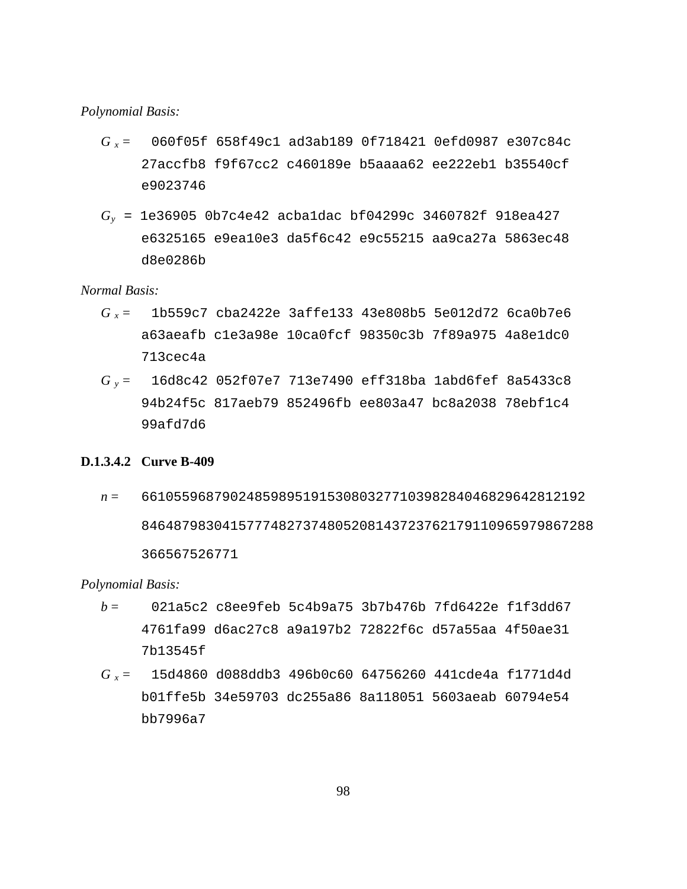#### *Polynomial Basis:*

- *G x* = 060f05f 658f49c1 ad3ab189 0f718421 0efd0987 e307c84c 27accfb8 f9f67cc2 c460189e b5aaaa62 ee222eb1 b35540cf e9023746
- *Gy* = 1e36905 0b7c4e42 acba1dac bf04299c 3460782f 918ea427 e6325165 e9ea10e3 da5f6c42 e9c55215 aa9ca27a 5863ec48 d8e0286b

*Normal Basis:*

- *G x* = 1b559c7 cba2422e 3affe133 43e808b5 5e012d72 6ca0b7e6 a63aeafb c1e3a98e 10ca0fcf 98350c3b 7f89a975 4a8e1dc0 713cec4a
- *G y* = 16d8c42 052f07e7 713e7490 eff318ba 1abd6fef 8a5433c8 94b24f5c 817aeb79 852496fb ee803a47 bc8a2038 78ebf1c4 99afd7d6

#### **D.1.3.4.2 Curve B-409**

*n* = 6610559687902485989519153080327710398284046829642812192 84648798304157774827374805208143723762179110965979867288 366567526771

#### *Polynomial Basis:*

- *b* = 021a5c2 c8ee9feb 5c4b9a75 3b7b476b 7fd6422e f1f3dd67 4761fa99 d6ac27c8 a9a197b2 72822f6c d57a55aa 4f50ae31 7b13545f
- *G x* = 15d4860 d088ddb3 496b0c60 64756260 441cde4a f1771d4d b01ffe5b 34e59703 dc255a86 8a118051 5603aeab 60794e54 bb7996a7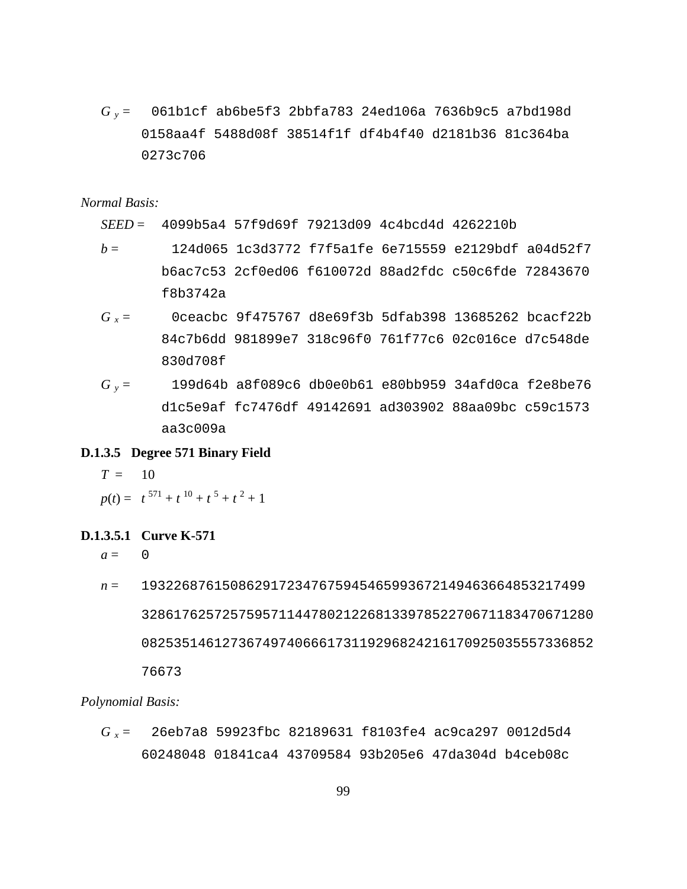*G y* = 061b1cf ab6be5f3 2bbfa783 24ed106a 7636b9c5 a7bd198d 0158aa4f 5488d08f 38514f1f df4b4f40 d2181b36 81c364ba 0273c706

*Normal Basis:* 

*SEED* = 4099b5a4 57f9d69f 79213d09 4c4bcd4d 4262210b

- *b* = 124d065 1c3d3772 f7f5a1fe 6e715559 e2129bdf a04d52f7 b6ac7c53 2cf0ed06 f610072d 88ad2fdc c50c6fde 72843670 f8b3742a
- *G x* = 0ceacbc 9f475767 d8e69f3b 5dfab398 13685262 bcacf22b 84c7b6dd 981899e7 318c96f0 761f77c6 02c016ce d7c548de 830d708f
- *G y* = 199d64b a8f089c6 db0e0b61 e80bb959 34afd0ca f2e8be76 d1c5e9af fc7476df 49142691 ad303902 88aa09bc c59c1573 aa3c009a

## **D.1.3.5 Degree 571 Binary Field**

 $T = 10$ 

$$
p(t) = t^{571} + t^{10} + t^5 + t^2 + 1
$$

## **D.1.3.5.1 Curve K-571**

 $a = 0$ 

*n* = 1932268761508629172347675945465993672149463664853217499 32861762572575957114478021226813397852270671183470671280 08253514612736749740666173119296824216170925035557336852 76673

*Polynomial Basis:*

*G x* = 26eb7a8 59923fbc 82189631 f8103fe4 ac9ca297 0012d5d4 60248048 01841ca4 43709584 93b205e6 47da304d b4ceb08c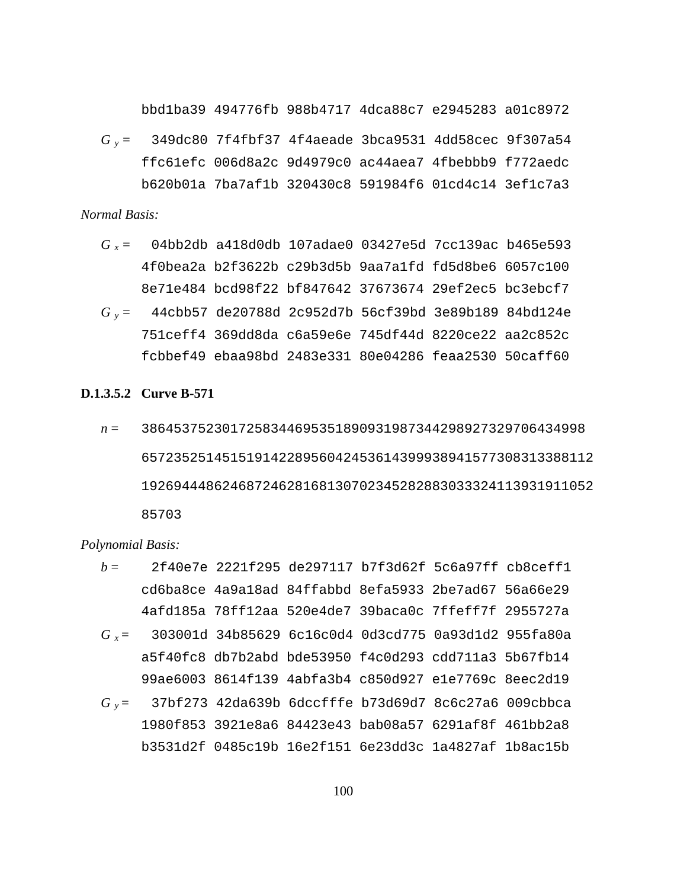bbd1ba39 494776fb 988b4717 4dca88c7 e2945283 a01c8972

*G y* = 349dc80 7f4fbf37 4f4aeade 3bca9531 4dd58cec 9f307a54 ffc61efc 006d8a2c 9d4979c0 ac44aea7 4fbebbb9 f772aedc b620b01a 7ba7af1b 320430c8 591984f6 01cd4c14 3ef1c7a3

#### *Normal Basis:*

- *G x* = 04bb2db a418d0db 107adae0 03427e5d 7cc139ac b465e593 4f0bea2a b2f3622b c29b3d5b 9aa7a1fd fd5d8be6 6057c100 8e71e484 bcd98f22 bf847642 37673674 29ef2ec5 bc3ebcf7
- *G y* = 44cbb57 de20788d 2c952d7b 56cf39bd 3e89b189 84bd124e 751ceff4 369dd8da c6a59e6e 745df44d 8220ce22 aa2c852c fcbbef49 ebaa98bd 2483e331 80e04286 feaa2530 50caff60

#### **D.1.3.5.2 Curve B-571**

*n* = 3864537523017258344695351890931987344298927329706434998 65723525145151914228956042453614399938941577308313388112 19269444862468724628168130702345282883033324113931911052 85703

#### *Polynomial Basis:*

*b* = 2f40e7e 2221f295 de297117 b7f3d62f 5c6a97ff cb8ceff1 cd6ba8ce 4a9a18ad 84ffabbd 8efa5933 2be7ad67 56a66e29 4afd185a 78ff12aa 520e4de7 39baca0c 7ffeff7f 2955727a *G x* = 303001d 34b85629 6c16c0d4 0d3cd775 0a93d1d2 955fa80a a5f40fc8 db7b2abd bde53950 f4c0d293 cdd711a3 5b67fb14 99ae6003 8614f139 4abfa3b4 c850d927 e1e7769c 8eec2d19 *G y* = 37bf273 42da639b 6dccfffe b73d69d7 8c6c27a6 009cbbca 1980f853 3921e8a6 84423e43 bab08a57 6291af8f 461bb2a8 b3531d2f 0485c19b 16e2f151 6e23dd3c 1a4827af 1b8ac15b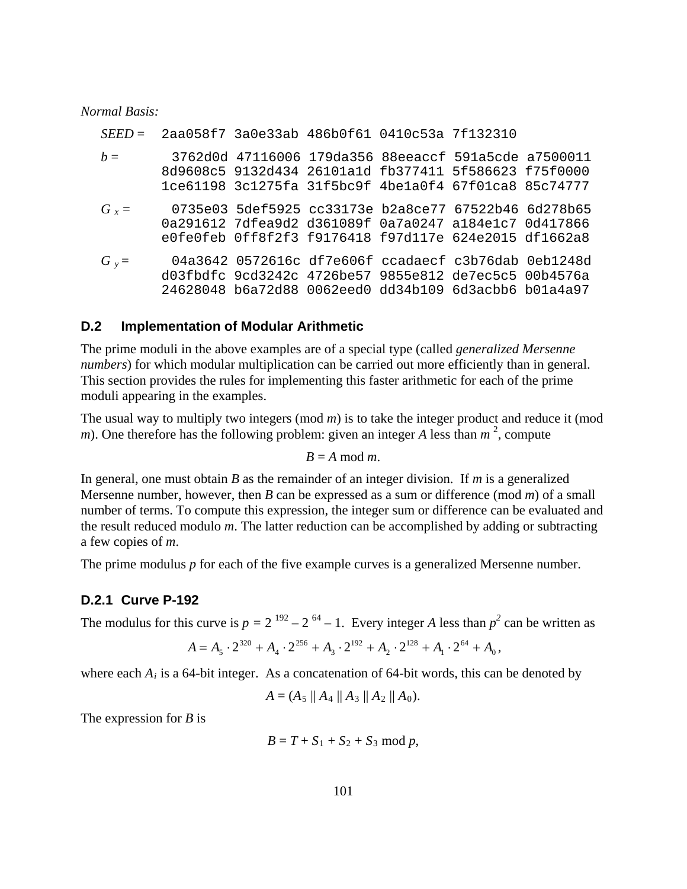#### *Normal Basis:*

|         | $SEED =$ 2aa058f7 3a0e33ab 486b0f61 0410c53a 7f132310 |  |                                                                                                                                                                        |  |
|---------|-------------------------------------------------------|--|------------------------------------------------------------------------------------------------------------------------------------------------------------------------|--|
| $b =$   |                                                       |  | 3762d0d 47116006 179da356 88eeaccf 591a5cde a7500011<br>8d9608c5 9132d434 26101a1d fb377411 5f586623 f75f0000<br>1ce61198 3c1275fa 31f5bc9f 4be1a0f4 67f01ca8 85c74777 |  |
| $G_r =$ |                                                       |  | 0735e03 5def5925 cc33173e b2a8ce77 67522b46 6d278b65<br>0a291612 7dfea9d2 d361089f 0a7a0247 a184e1c7 0d417866<br>e0fe0feb 0ff8f2f3 f9176418 f97d117e 624e2015 df1662a8 |  |
| $G_v =$ |                                                       |  | 04a3642 0572616c df7e606f ccadaecf c3b76dab 0eb1248d<br>d03fbdfc 9cd3242c 4726be57 9855e812 de7ec5c5 00b4576a<br>24628048 b6a72d88 0062eed0 dd34b109 6d3acbb6 b01a4a97 |  |

#### **D.2 Implementation of Modular Arithmetic**

The prime moduli in the above examples are of a special type (called *generalized Mersenne numbers*) for which modular multiplication can be carried out more efficiently than in general. This section provides the rules for implementing this faster arithmetic for each of the prime moduli appearing in the examples.

The usual way to multiply two integers (mod *m*) is to take the integer product and reduce it (mod *m*). One therefore has the following problem: given an integer *A* less than  $m<sup>2</sup>$ , compute

$$
B=A \bmod m.
$$

In general, one must obtain *B* as the remainder of an integer division. If *m* is a generalized Mersenne number, however, then *B* can be expressed as a sum or difference (mod *m*) of a small number of terms. To compute this expression, the integer sum or difference can be evaluated and the result reduced modulo *m*. The latter reduction can be accomplished by adding or subtracting a few copies of *m*.

The prime modulus *p* for each of the five example curves is a generalized Mersenne number.

#### **D.2.1 Curve P-192**

The modulus for this curve is  $p = 2^{192} - 2^{64} - 1$ . Every integer *A* less than  $p^2$  can be written as

$$
A = A_5 \cdot 2^{320} + A_4 \cdot 2^{256} + A_3 \cdot 2^{192} + A_2 \cdot 2^{128} + A_1 \cdot 2^{64} + A_0,
$$

where each  $A_i$  is a 64-bit integer. As a concatenation of 64-bit words, this can be denoted by

$$
A = (A_5 \parallel A_4 \parallel A_3 \parallel A_2 \parallel A_0).
$$

The expression for *B* is

$$
B=T+S_1+S_2+S_3 \bmod p,
$$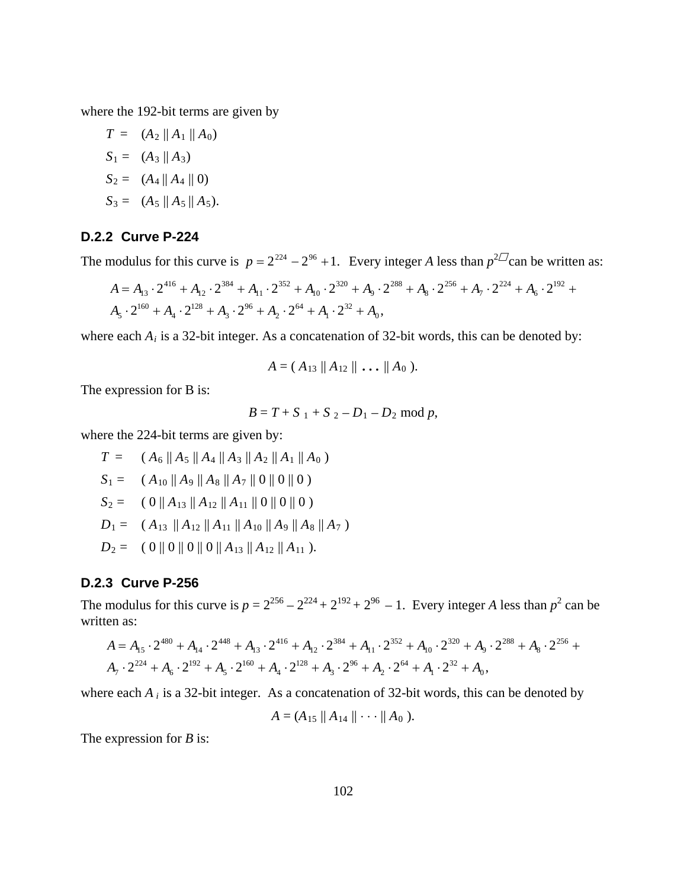where the 192-bit terms are given by

$$
T = (A_2 || A_1 || A_0)
$$
  
\n
$$
S_1 = (A_3 || A_3)
$$
  
\n
$$
S_2 = (A_4 || A_4 || 0)
$$
  
\n
$$
S_3 = (A_5 || A_5 || A_5).
$$

## **D.2.2 Curve P-224**

The modulus for this curve is  $p = 2^{224} - 2^{96} + 1$ . Every integer *A* less than  $p^{2D}$ can be written as:

$$
A = A_{13} \cdot 2^{416} + A_{12} \cdot 2^{384} + A_{11} \cdot 2^{352} + A_{10} \cdot 2^{320} + A_9 \cdot 2^{288} + A_8 \cdot 2^{256} + A_7 \cdot 2^{224} + A_6 \cdot 2^{192} + A_5 \cdot 2^{160} + A_4 \cdot 2^{128} + A_3 \cdot 2^{96} + A_2 \cdot 2^{64} + A_1 \cdot 2^{32} + A_0,
$$

where each  $A_i$  is a 32-bit integer. As a concatenation of 32-bit words, this can be denoted by:

$$
A=(A_{13}\,\|\,A_{12}\,\|\,\ldots\,\|A_0\,).
$$

The expression for B is:

$$
B = T + S_1 + S_2 - D_1 - D_2 \mod p,
$$

where the 224-bit terms are given by:

$$
T = (A_6 || A_5 || A_4 || A_3 || A_2 || A_1 || A_0)
$$
  
\n
$$
S_1 = (A_{10} || A_9 || A_8 || A_7 || 0 || 0 || 0)
$$
  
\n
$$
S_2 = (0 || A_{13} || A_{12} || A_{11} || 0 || 0 || 0)
$$
  
\n
$$
D_1 = (A_{13} || A_{12} || A_{11} || A_{10} || A_9 || A_8 || A_7)
$$
  
\n
$$
D_2 = (0 || 0 || 0 || 0 || A_{13} || A_{12} || A_{11}).
$$

### **D.2.3 Curve P-256**

The modulus for this curve is  $p = 2^{256} - 2^{224} + 2^{192} + 2^{96} - 1$ . Every integer *A* less than  $p^2$  can be written as:

$$
A = A_{15} \cdot 2^{480} + A_{14} \cdot 2^{448} + A_{13} \cdot 2^{416} + A_{12} \cdot 2^{384} + A_{11} \cdot 2^{352} + A_{10} \cdot 2^{320} + A_9 \cdot 2^{288} + A_8 \cdot 2^{256} + A_7 \cdot 2^{224} + A_6 \cdot 2^{192} + A_5 \cdot 2^{160} + A_4 \cdot 2^{128} + A_3 \cdot 2^{96} + A_2 \cdot 2^{64} + A_1 \cdot 2^{32} + A_0,
$$

where each  $A_i$  is a 32-bit integer. As a concatenation of 32-bit words, this can be denoted by

$$
A=(A_{15}\,\|\,A_{14}\,\|\cdot\cdot\cdot\,\|A_0\,).
$$

The expression for *B* is: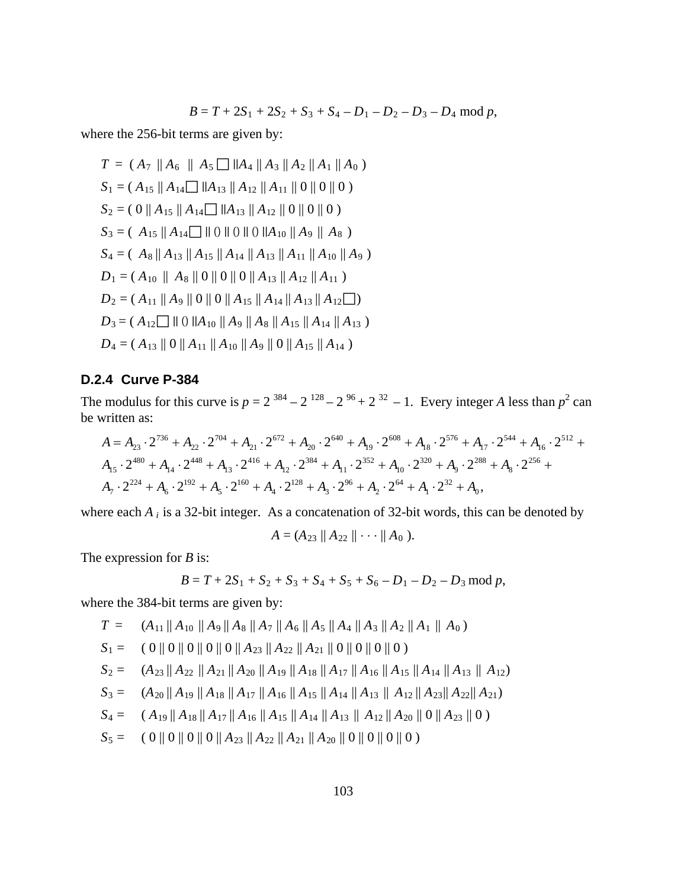$$
B = T + 2S_1 + 2S_2 + S_3 + S_4 - D_1 - D_2 - D_3 - D_4 \mod p,
$$

where the 256-bit terms are given by:

$$
T = (A_7 || A_6 || A_5 \square || A_4 || A_3 || A_2 || A_1 || A_0)
$$
  
\n
$$
S_1 = (A_{15} || A_{14} \square || A_{13} || A_{12} || A_{11} || 0 || 0 || 0)
$$
  
\n
$$
S_2 = (0 || A_{15} || A_{14} \square || A_{13} || A_{12} || 0 || 0 || 0)
$$
  
\n
$$
S_3 = (A_{15} || A_{14} \square || 0 || 0 || 0 || A_{10} || A_9 || A_8)
$$
  
\n
$$
S_4 = (A_8 || A_{13} || A_{15} || A_{14} || A_{13} || A_{11} || A_{10} || A_9)
$$
  
\n
$$
D_1 = (A_{10} || A_8 || 0 || 0 || 0 || A_{13} || A_{12} || A_{11})
$$
  
\n
$$
D_2 = (A_{11} || A_9 || 0 || 0 || A_{15} || A_{14} || A_{13} || A_{12} \square)
$$
  
\n
$$
D_3 = (A_{12} \square || 0 || A_{10} || A_9 || A_8 || A_{15} || A_{14} || A_{13})
$$
  
\n
$$
D_4 = (A_{13} || 0 || A_{11} || A_{10} || A_9 || 0 || A_{15} || A_{14})
$$

# **D.2.4 Curve P-384**

The modulus for this curve is  $p = 2^{384} - 2^{128} - 2^{96} + 2^{32} - 1$ . Every integer *A* less than  $p^2$  can be written as:

$$
A = A_{23} \cdot 2^{736} + A_{22} \cdot 2^{704} + A_{21} \cdot 2^{672} + A_{20} \cdot 2^{640} + A_{19} \cdot 2^{608} + A_{18} \cdot 2^{576} + A_{17} \cdot 2^{544} + A_{16} \cdot 2^{512} + A_{15} \cdot 2^{480} + A_{14} \cdot 2^{448} + A_{13} \cdot 2^{416} + A_{12} \cdot 2^{384} + A_{11} \cdot 2^{352} + A_{10} \cdot 2^{320} + A_{9} \cdot 2^{288} + A_{8} \cdot 2^{256} + A_{7} \cdot 2^{224} + A_{6} \cdot 2^{192} + A_{5} \cdot 2^{160} + A_{4} \cdot 2^{128} + A_{3} \cdot 2^{96} + A_{2} \cdot 2^{64} + A_{1} \cdot 2^{32} + A_{0},
$$

where each *A i* is a 32-bit integer. As a concatenation of 32-bit words, this can be denoted by

$$
A=(A_{23}\,\|\,A_{22}\,\|\cdots\,\|A_0\,).
$$

The expression for *B* is:

$$
B = T + 2S_1 + S_2 + S_3 + S_4 + S_5 + S_6 - D_1 - D_2 - D_3 \mod p,
$$

where the 384-bit terms are given by:

$$
T = (A_{11} || A_{10} || A_9 || A_8 || A_7 || A_6 || A_5 || A_4 || A_3 || A_2 || A_1 || A_0)
$$
  
\n
$$
S_1 = (0 || 0 || 0 || 0 || 0 || A_{23} || A_{22} || A_{21} || 0 || 0 || 0 || 0)
$$
  
\n
$$
S_2 = (A_{23} || A_{22} || A_{21} || A_{20} || A_{19} || A_{18} || A_{17} || A_{16} || A_{15} || A_{14} || A_{13} || A_{12})
$$
  
\n
$$
S_3 = (A_{20} || A_{19} || A_{18} || A_{17} || A_{16} || A_{15} || A_{14} || A_{13} || A_{12} || A_{22} || A_{21})
$$
  
\n
$$
S_4 = (A_{19} || A_{18} || A_{17} || A_{16} || A_{15} || A_{14} || A_{13} || A_{12} || A_{20} || 0 || A_{23} || 0)
$$
  
\n
$$
S_5 = (0 || 0 || 0 || 0 || A_{23} || A_{22} || A_{21} || A_{20} || 0 || 0 || 0)
$$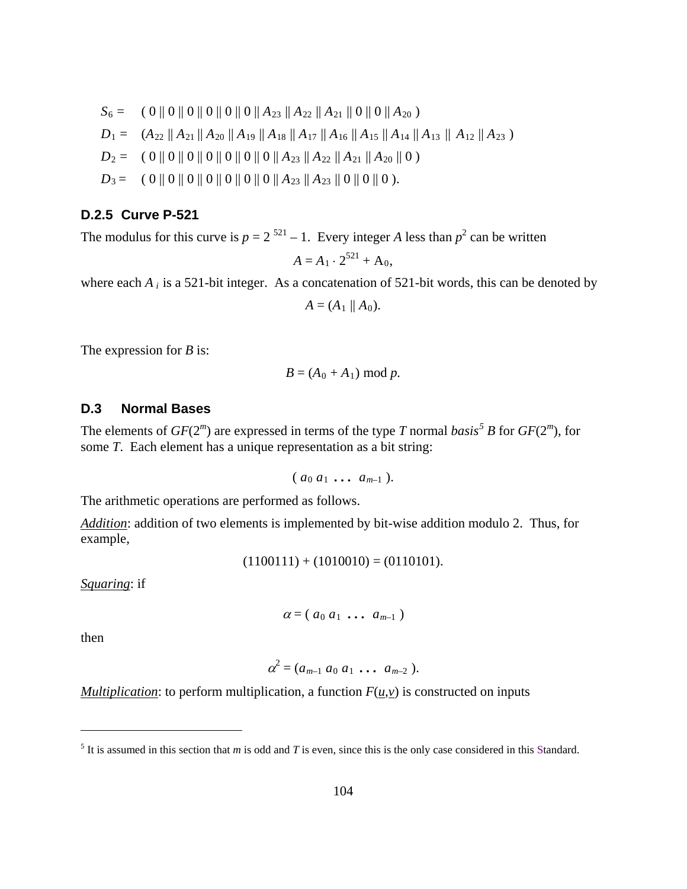$$
S_6 = (0 || 0 || 0 || 0 || 0 || 0 || A_{23} || A_{22} || A_{21} || 0 || 0 || A_{20})
$$
  
\n
$$
D_1 = (A_{22} || A_{21} || A_{20} || A_{19} || A_{18} || A_{17} || A_{16} || A_{15} || A_{14} || A_{13} || A_{12} || A_{23})
$$
  
\n
$$
D_2 = (0 || 0 || 0 || 0 || 0 || 0 || 0 || A_{23} || A_{22} || A_{21} || A_{20} || 0)
$$
  
\n
$$
D_3 = (0 || 0 || 0 || 0 || 0 || 0 || 0 || A_{23} || A_{22} || 0 || 0 || 0).
$$

#### **D.2.5 Curve P-521**

The modulus for this curve is  $p = 2^{521} - 1$ . Every integer *A* less than  $p^2$  can be written

$$
A = A_1 \cdot 2^{521} + A_0,
$$

where each  $A_i$  is a 521-bit integer. As a concatenation of 521-bit words, this can be denoted by

$$
A=(A_1\parallel A_0).
$$

The expression for *B* is:

$$
B = (A_0 + A_1) \bmod p.
$$

## **D.3 Normal Bases**

The elements of  $GF(2<sup>m</sup>)$  are expressed in terms of the type *T* normal *basis*<sup>[5](#page-112-0)</sup> *B* for  $GF(2<sup>m</sup>)$ , for some *T*. Each element has a unique representation as a bit string:

$$
(a_0 a_1 \ldots a_{m-1}).
$$

The arithmetic operations are performed as follows.

*Addition*: addition of two elements is implemented by bit-wise addition modulo 2. Thus, for example,

$$
(1100111) + (1010010) = (0110101).
$$

*Squaring*: if

$$
\alpha = (a_0 a_1 \ldots a_{m-1})
$$

then

 $\overline{a}$ 

$$
\alpha^2 = (a_{m-1} \ a_0 \ a_1 \ \dots \ a_{m-2}).
$$

*Multiplication*: to perform multiplication, a function  $F(\mu, \nu)$  is constructed on inputs

<span id="page-112-0"></span> $<sup>5</sup>$  It is assumed in this section that *m* is odd and *T* is even, since this is the only case considered in this Standard.</sup>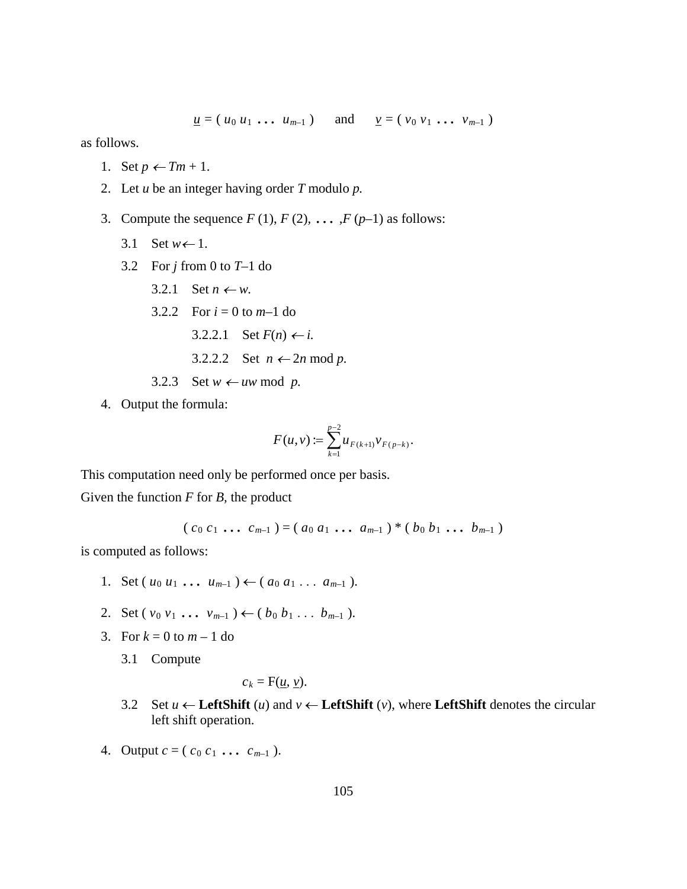$u = (u_0 u_1 ... u_{m-1})$  and  $v = (v_0 v_1 ... v_{m-1})$ 

as follows.

- 1. Set  $p \leftarrow Tm + 1$ .
- 2. Let *u* be an integer having order *T* modulo *p.*
- 3. Compute the sequence  $F(1)$ ,  $F(2)$ ,  $\dots$ ,  $F(p-1)$  as follows:
	- 3.1 Set  $w \leftarrow 1$ .
	- 3.2 For *j* from 0 to *T*–1 do
		- 3.2.1 Set  $n \leftarrow w$ .
		- 3.2.2 For  $i = 0$  to  $m-1$  do
			- 3.2.2.1 Set *F*(*n*) ← *i*.

3.2.2.2 Set 
$$
n \leftarrow 2n \mod p
$$
.

- 3.2.3 Set  $w \leftarrow uw \mod p$ .
- 4. Output the formula:

$$
F(u,v) := \sum_{k=1}^{p-2} u_{F(k+1)} v_{F(p-k)}.
$$

This computation need only be performed once per basis.

Given the function *F* for *B,* the product

 $(c_0 c_1 \ldots c_{m-1}) = (a_0 a_1 \ldots a_{m-1}) * (b_0 b_1 \ldots b_{m-1})$ 

is computed as follows:

- 1. Set  $(u_0 u_1 \ldots u_{m-1}) \leftarrow (a_0 a_1 \ldots a_{m-1}).$
- 2. Set  $(v_0 v_1 \ldots v_{m-1}) \leftarrow (b_0 b_1 \ldots b_{m-1}).$
- 3. For  $k = 0$  to  $m 1$  do
	- 3.1 Compute

$$
c_k = F(\underline{u}, \underline{v}).
$$

- 3.2 Set *u* ← **LeftShift** (*u*) and *v* ← **LeftShift** (*v*), where **LeftShift** denotes the circular left shift operation.
- 4. Output  $c = (c_0 c_1 \ldots c_{m-1})$ .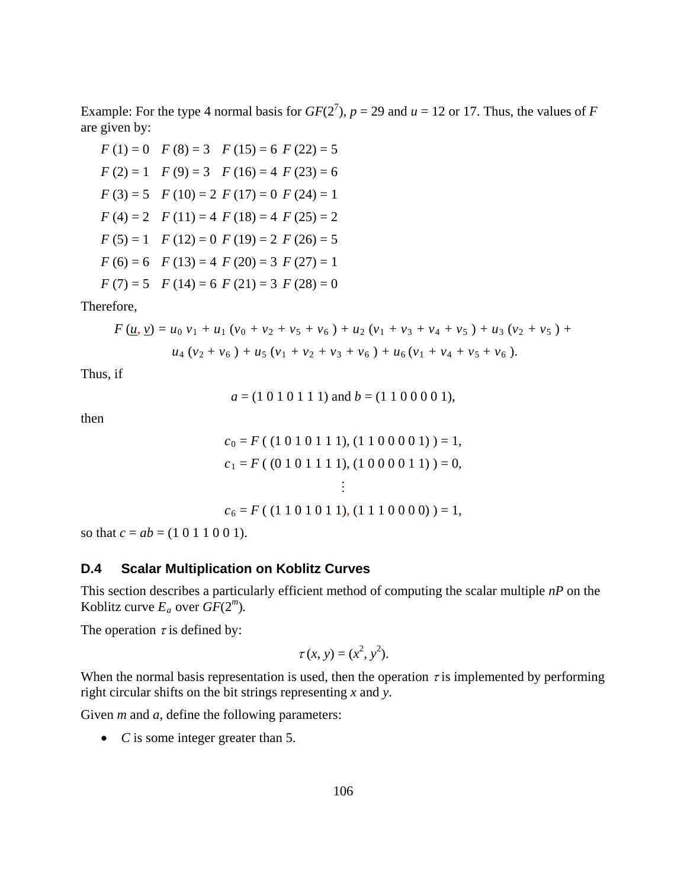Example: For the type 4 normal basis for  $GF(2^7)$ ,  $p = 29$  and  $u = 12$  or 17. Thus, the values of *F* are given by:

$$
F(1) = 0 \quad F(8) = 3 \quad F(15) = 6 \quad F(22) = 5
$$
\n
$$
F(2) = 1 \quad F(9) = 3 \quad F(16) = 4 \quad F(23) = 6
$$
\n
$$
F(3) = 5 \quad F(10) = 2 \quad F(17) = 0 \quad F(24) = 1
$$
\n
$$
F(4) = 2 \quad F(11) = 4 \quad F(18) = 4 \quad F(25) = 2
$$
\n
$$
F(5) = 1 \quad F(12) = 0 \quad F(19) = 2 \quad F(26) = 5
$$
\n
$$
F(6) = 6 \quad F(13) = 4 \quad F(20) = 3 \quad F(27) = 1
$$
\n
$$
F(7) = 5 \quad F(14) = 6 \quad F(21) = 3 \quad F(28) = 0
$$

Therefore,

$$
F(\underline{u}, \underline{v}) = u_0 v_1 + u_1 (v_0 + v_2 + v_5 + v_6) + u_2 (v_1 + v_3 + v_4 + v_5) + u_3 (v_2 + v_5) + u_4 (v_2 + v_6) + u_5 (v_1 + v_2 + v_3 + v_6) + u_6 (v_1 + v_4 + v_5 + v_6).
$$

Thus, if

 $a = (1 0 1 0 1 1 1)$  and  $b = (1 1 0 0 0 0 1)$ ,

then

$$
c_0 = F ((1 0 1 0 1 1 1), (1 1 0 0 0 0 1)) = 1,
$$
  
\n
$$
c_1 = F ((0 1 0 1 1 1 1), (1 0 0 0 0 1 1)) = 0,
$$
  
\n
$$
\vdots
$$
  
\n
$$
c_6 = F ((1 1 0 1 0 1 1), (1 1 1 0 0 0 0)) = 1,
$$

so that *c* = *ab* = (1 0 1 1 0 0 1).

# **D.4 Scalar Multiplication on Koblitz Curves**

This section describes a particularly efficient method of computing the scalar multiple *nP* on the Koblitz curve  $E_a$  over  $GF(2^m)$ .

The operation  $\tau$  is defined by:

$$
\tau(x, y) = (x^2, y^2).
$$

When the normal basis representation is used, then the operation  $\tau$  is implemented by performing right circular shifts on the bit strings representing *x* and *y*.

Given *m* and *a*, define the following parameters:

• *C* is some integer greater than 5.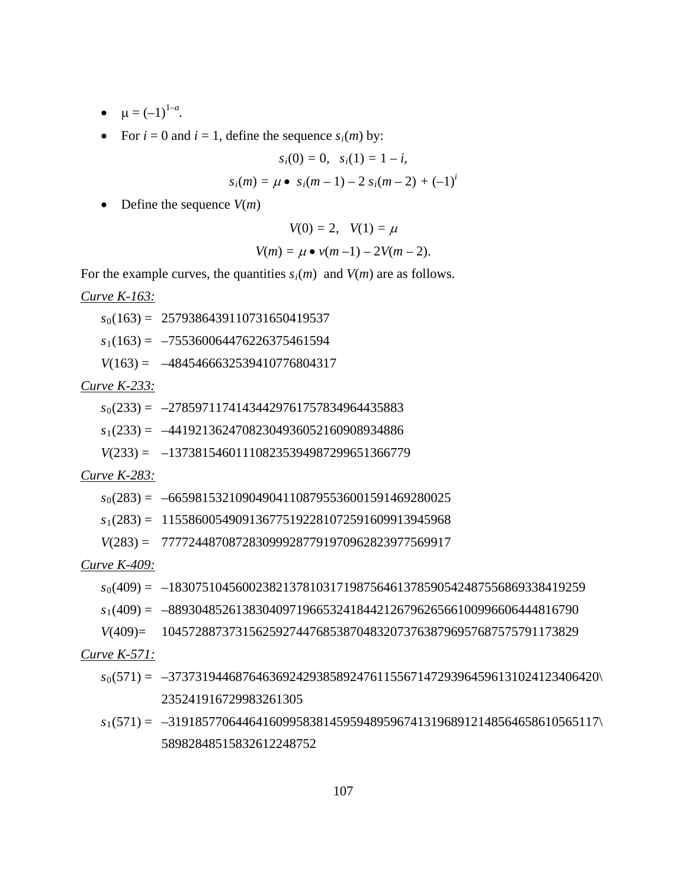- $\mu = (-1)^{1-a}$ .
- For  $i = 0$  and  $i = 1$ , define the sequence  $s_i(m)$  by:

$$
s_i(0) = 0, \quad s_i(1) = 1 - i,
$$

$$
s_i(m) = \mu \bullet s_i(m-1) - 2 s_i(m-2) + (-1)^i
$$

• Define the sequence *V*(*m*)

$$
V(0) = 2, \quad V(1) = \mu
$$
  

$$
V(m) = \mu \bullet \nu(m-1) - 2V(m-2).
$$

For the example curves, the quantities  $s_i(m)$  and  $V(m)$  are as follows.

*Curve K-163:*

*s*0(163) = 2579386439110731650419537

*s*1(163) = –755360064476226375461594

*V*(163) = –4845466632539410776804317

## *Curve K-233:*

- *s*0(233) = –27859711741434429761757834964435883
- *s*1(233) = –44192136247082304936052160908934886
- *V*(233) = –137381546011108235394987299651366779

## *Curve K-283:*

- *s*0(283) = –665981532109049041108795536001591469280025
- *s*1(283) = 1155860054909136775192281072591609913945968
- *V*(283) = 7777244870872830999287791970962823977569917

#### *Curve K-409:*

- *s*0(409) = –18307510456002382137810317198756461378590542487556869338419259
- *s*1(409) = –8893048526138304097196653241844212679626566100996606444816790
- *V*(409)= 10457288737315625927447685387048320737638796957687575791173829

## *Curve K-571:*

- *s*0(571) = –3737319446876463692429385892476115567147293964596131024123406420\ 235241916729983261305
- *s*1(571) = –3191857706446416099583814595948959674131968912148564658610565117\ 58982848515832612248752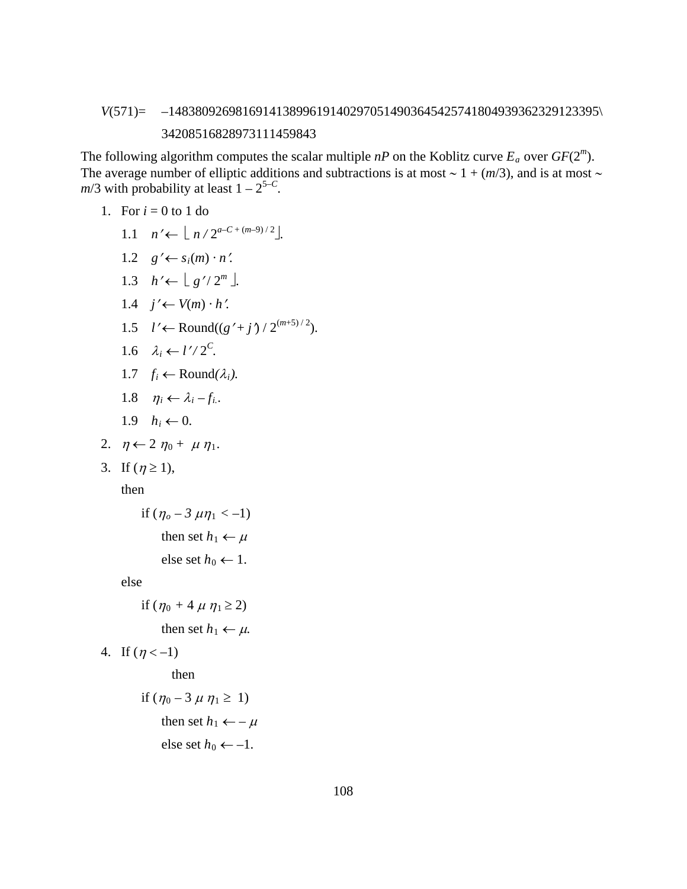# *V*(571)= –1483809269816914138996191402970514903645425741804939362329123395\ 34208516828973111459843

The following algorithm computes the scalar multiple  $nP$  on the Koblitz curve  $E_a$  over  $GF(2^m)$ . The average number of elliptic additions and subtractions is at most ∼ 1 + (*m*/3), and is at most ∼  $m/3$  with probability at least  $1 - 2^{5-C}$ .

1. For 
$$
i = 0
$$
 to 1 do

- 1.1  $n' \leftarrow \lfloor n/2^{a-C + (m-9)/2} \rfloor$ .
- 1.2  $g' \leftarrow s_i(m) \cdot n'$ .
- 1.3  $h' \leftarrow \lfloor g'/2^m \rfloor$ .
- 1.4  $j' \leftarrow V(m) \cdot h'$ .
- 1.5 *l'* ← Round( $(g' + j') / 2^{(m+5)/2}$ ).
- 1.6  $\lambda_i \leftarrow l'/2^C$ .
- 1.7 *f<sub>i</sub>* ← Round $(\lambda_i)$ .
- 1.8  $\eta_i \leftarrow \lambda_i f_i$ .
- 1.9  $h_i \leftarrow 0$ .
- 2.  $\eta \leftarrow 2 \eta_0 + \mu \eta_1$ .
- 3. If  $(\eta \ge 1)$ ,

then

if 
$$
(\eta_o - 3 \mu \eta_1 < -1)
$$
  
then set  $h_1 \leftarrow \mu$   
else set  $h_0 \leftarrow 1$ .

else

if 
$$
(\eta_0 + 4 \mu \eta_1 \ge 2)
$$
  
then set  $h_1 \leftarrow \mu$ .

4. If  $(\eta < -1)$ 

then

if 
$$
(\eta_0 - 3 \mu \eta_1 \ge 1)
$$
  
then set  $h_1 \leftarrow -\mu$   
else set  $h_0 \leftarrow -1$ .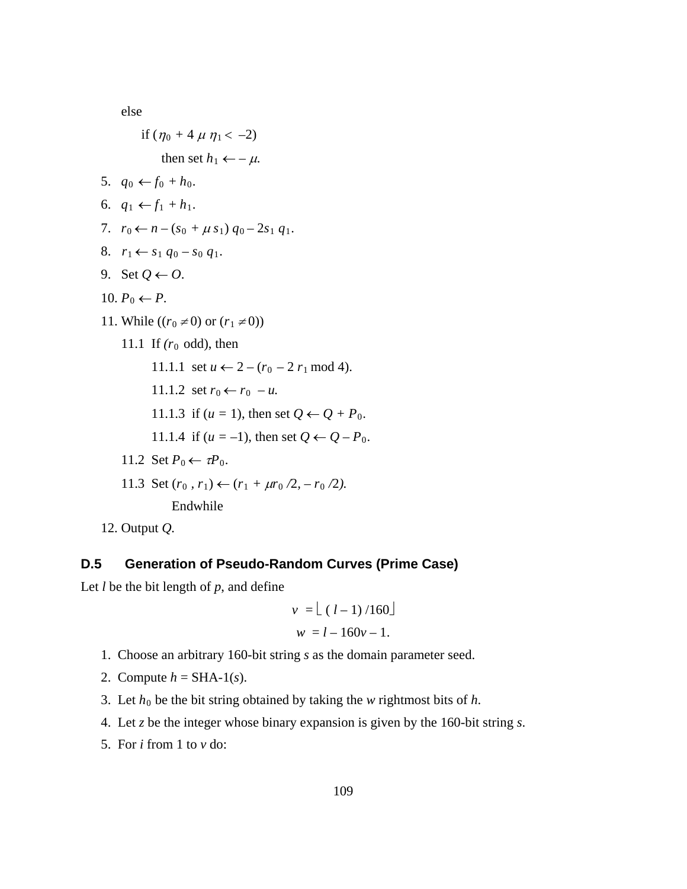else

if 
$$
(\eta_0 + 4 \mu \eta_1 < -2)
$$
  
\nthen set  $h_1 \leftarrow -\mu$ .  
\n5.  $q_0 \leftarrow f_0 + h_0$ .  
\n6.  $q_1 \leftarrow f_1 + h_1$ .  
\n7.  $r_0 \leftarrow n - (s_0 + \mu s_1) q_0 - 2s_1 q_1$ .  
\n8.  $r_1 \leftarrow s_1 q_0 - s_0 q_1$ .  
\n9. Set  $Q \leftarrow O$ .  
\n10.  $P_0 \leftarrow P$ .  
\n11. While  $((r_0 \neq 0) \text{ or } (r_1 \neq 0))$   
\n11.1 If  $(r_0 \text{ odd})$ , then  
\n11.1.1 set  $u \leftarrow 2 - (r_0 - 2 r_1 \text{ mod } 4)$ .  
\n11.1.2 set  $r_0 \leftarrow r_0 - u$ .  
\n11.1.3 if  $(u = 1)$ , then set  $Q \leftarrow Q + P_0$ .  
\n11.1.4 if  $(u = -1)$ , then set  $Q \leftarrow Q - P_0$ .  
\n11.2 Set  $P_0 \leftarrow \tau P_0$ .  
\n11.3 Set  $(r_0, r_1) \leftarrow (r_1 + \mu r_0 / 2, -r_0 / 2)$ .  
\nEndwhile

12. Output *Q.*

# **D.5 Generation of Pseudo-Random Curves (Prime Case)**

Let  $l$  be the bit length of  $p$ , and define

$$
v = \lfloor (l-1)/160 \rfloor
$$
  

$$
w = l - 160v - 1.
$$

- 1. Choose an arbitrary 160-bit string *s* as the domain parameter seed.
- 2. Compute  $h = SHA-1(s)$ .
- 3. Let  $h_0$  be the bit string obtained by taking the *w* rightmost bits of  $h$ .
- 4. Let *z* be the integer whose binary expansion is given by the 160-bit string *s*.
- 5. For *i* from 1 to *v* do: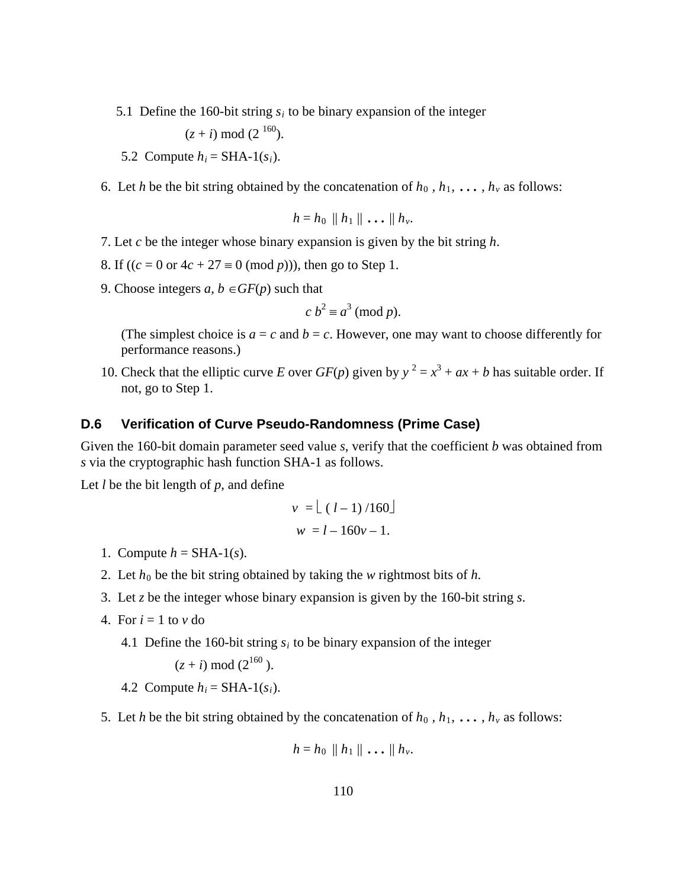5.1 Define the 160-bit string  $s_i$  to be binary expansion of the integer

 $(z + i) \mod (2^{160}).$ 

- 5.2 Compute  $h_i = SHA-1(s_i)$ .
- 6. Let *h* be the bit string obtained by the concatenation of  $h_0$ ,  $h_1$ , ...,  $h_v$  as follows:

$$
h=h_0\parallel h_1\parallel\ldots\parallel h_\nu.
$$

- 7. Let *c* be the integer whose binary expansion is given by the bit string *h*.
- 8. If  $((c = 0 \text{ or } 4c + 27 \equiv 0 \pmod{p}))$ , then go to Step 1.
- 9. Choose integers  $a, b \in GF(p)$  such that

$$
c b^2 \equiv a^3 \pmod{p}.
$$

(The simplest choice is  $a = c$  and  $b = c$ . However, one may want to choose differently for performance reasons.)

10. Check that the elliptic curve *E* over *GF*(*p*) given by  $y^2 = x^3 + ax + b$  has suitable order. If not, go to Step 1.

#### **D.6 Verification of Curve Pseudo-Randomness (Prime Case)**

Given the 160-bit domain parameter seed value *s*, verify that the coefficient *b* was obtained from *s* via the cryptographic hash function SHA-1 as follows.

Let *l* be the bit length of *p*, and define

$$
v = \lfloor (l-1)/160 \rfloor
$$
  

$$
w = l - 160v - 1.
$$

- 1. Compute  $h = SHA-1(s)$ .
- 2. Let  $h_0$  be the bit string obtained by taking the *w* rightmost bits of  $h$ .
- 3. Let *z* be the integer whose binary expansion is given by the 160-bit string *s*.
- 4. For  $i = 1$  to  $v$  do
	- 4.1 Define the 160-bit string  $s_i$  to be binary expansion of the integer

$$
(z + i) \mod (2^{160})
$$
.

- 4.2 Compute  $h_i = SHA-1(s_i)$ .
- 5. Let *h* be the bit string obtained by the concatenation of  $h_0$ ,  $h_1$ , ...,  $h_v$  as follows:

$$
h=h_0\parallel h_1\parallel\ldots\parallel h_\nu.
$$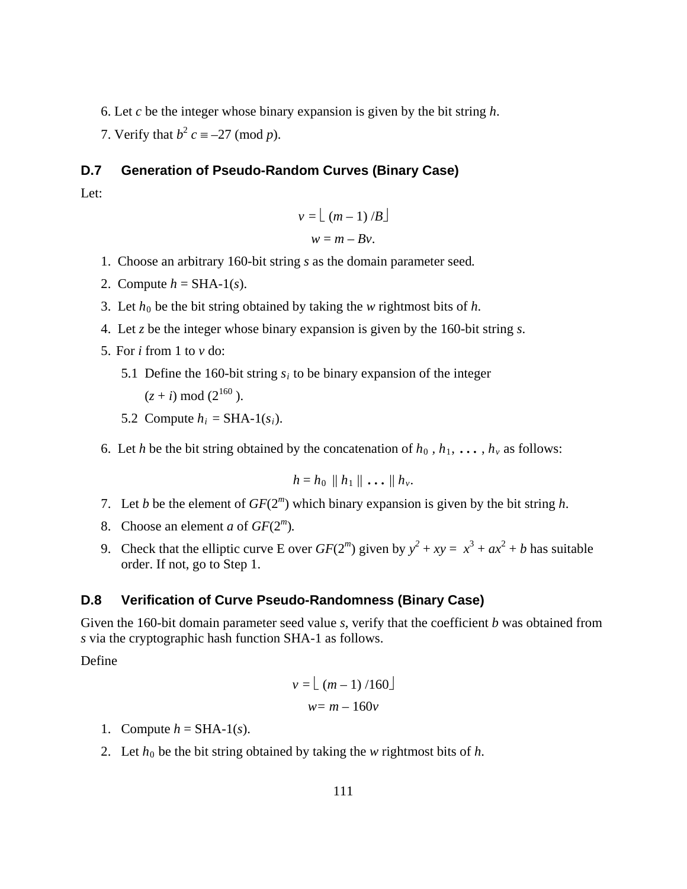- 6. Let *c* be the integer whose binary expansion is given by the bit string *h*.
- 7. Verify that  $b^2$  *c* = –27 (mod *p*).

### **D.7 Generation of Pseudo-Random Curves (Binary Case)**

Let:

$$
v = \lfloor (m-1)/B \rfloor
$$
  
 
$$
w = m - Bv.
$$

- 1. Choose an arbitrary 160-bit string *s* as the domain parameter seed*.*
- 2. Compute  $h = SHA-1(s)$ .
- 3. Let  $h_0$  be the bit string obtained by taking the *w* rightmost bits of  $h$ .
- 4. Let *z* be the integer whose binary expansion is given by the 160-bit string *s*.
- 5. For *i* from 1 to *v* do:
	- 5.1 Define the 160-bit string  $s_i$  to be binary expansion of the integer  $(z + i) \mod (2^{160})$ .
	- 5.2 Compute  $h_i = SHA-1(s_i)$ .

6. Let *h* be the bit string obtained by the concatenation of  $h_0$ ,  $h_1$ , ...,  $h_v$  as follows:

$$
h=h_0\parallel h_1\parallel\ldots\parallel h_\nu.
$$

- 7. Let *b* be the element of *GF*(2*<sup>m</sup>*) which binary expansion is given by the bit string *h*.
- 8. Choose an element *a* of *GF*(2*<sup>m</sup>*)*.*
- 9. Check that the elliptic curve E over  $GF(2^m)$  given by  $y^2 + xy = x^3 + ax^2 + b$  has suitable order. If not, go to Step 1.

#### **D.8 Verification of Curve Pseudo-Randomness (Binary Case)**

Given the 160-bit domain parameter seed value *s*, verify that the coefficient *b* was obtained from *s* via the cryptographic hash function SHA-1 as follows.

Define

$$
v = \lfloor (m-1)/160 \rfloor
$$
  

$$
w = m - 160v
$$

- 1. Compute  $h = SHA-1(s)$ .
- 2. Let  $h_0$  be the bit string obtained by taking the *w* rightmost bits of  $h$ .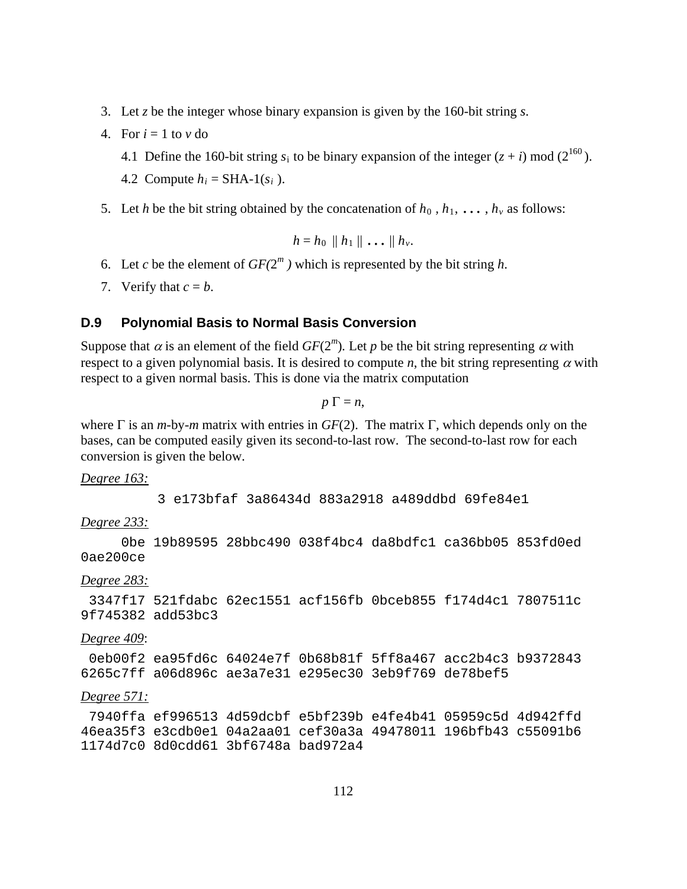- 3. Let *z* be the integer whose binary expansion is given by the 160-bit string *s*.
- 4. For  $i = 1$  to  $v$  do
	- 4.1 Define the 160-bit string  $s_i$  to be binary expansion of the integer  $(z + i)$  mod  $(2^{160})$ .
	- 4.2 Compute  $h_i = SHA-1(s_i)$ .
- 5. Let *h* be the bit string obtained by the concatenation of  $h_0$ ,  $h_1$ , ...,  $h_v$  as follows:

$$
h=h_0\parallel h_1\parallel\ldots\parallel h_\nu.
$$

- 6. Let *c* be the element of  $GF(2^m)$  which is represented by the bit string *h*.
- 7. Verify that  $c = b$ .

#### **D.9 Polynomial Basis to Normal Basis Conversion**

Suppose that  $\alpha$  is an element of the field  $GF(2<sup>m</sup>)$ . Let *p* be the bit string representing  $\alpha$  with respect to a given polynomial basis. It is desired to compute *n*, the bit string representing  $\alpha$  with respect to a given normal basis. This is done via the matrix computation

 $p \Gamma = n$ ,

where Γ is an *m-*by*-m* matrix with entries in *GF*(2). The matrix Γ, which depends only on the bases, can be computed easily given its second-to-last row. The second-to-last row for each conversion is given the below.

#### *Degree 163:*

3 e173bfaf 3a86434d 883a2918 a489ddbd 69fe84e1

## *Degree 233:*

 0be 19b89595 28bbc490 038f4bc4 da8bdfc1 ca36bb05 853fd0ed 0ae200ce

#### *Degree 283:*

3347f17 521fdabc 62ec1551 acf156fb 0bceb855 f174d4c1 7807511c 9f745382 add53bc3

#### *Degree 409*:

0eb00f2 ea95fd6c 64024e7f 0b68b81f 5ff8a467 acc2b4c3 b9372843 6265c7ff a06d896c ae3a7e31 e295ec30 3eb9f769 de78bef5

#### *Degree 571:*

7940ffa ef996513 4d59dcbf e5bf239b e4fe4b41 05959c5d 4d942ffd 46ea35f3 e3cdb0e1 04a2aa01 cef30a3a 49478011 196bfb43 c55091b6 1174d7c0 8d0cdd61 3bf6748a bad972a4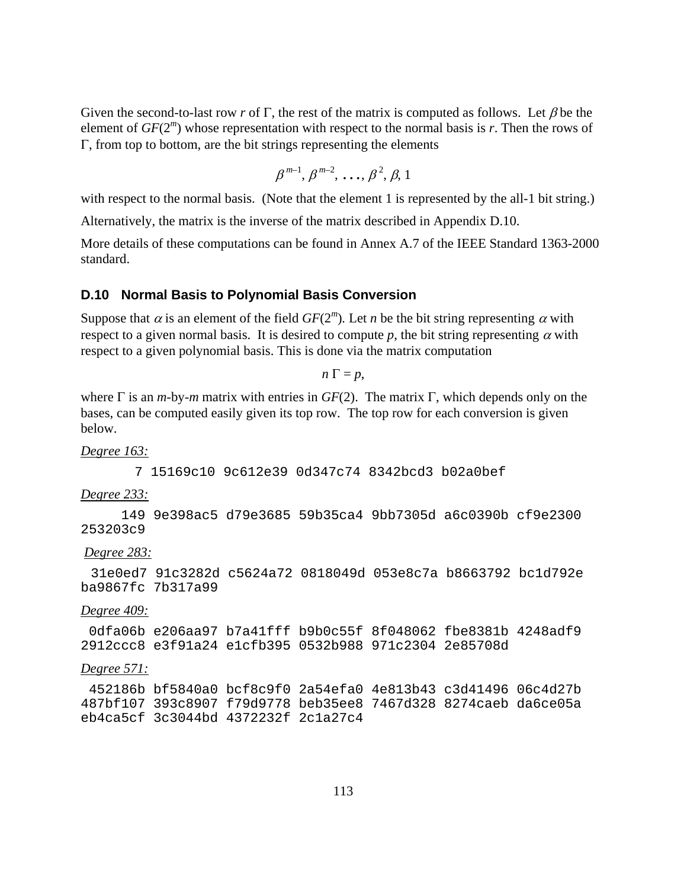Given the second-to-last row *r* of Γ, the rest of the matrix is computed as follows. Let  $\beta$  be the element of  $GF(2<sup>m</sup>)$  whose representation with respect to the normal basis is *r*. Then the rows of Γ, from top to bottom, are the bit strings representing the elements

$$
\beta^{m-1}, \beta^{m-2}, \ldots, \beta^2, \beta, 1
$$

with respect to the normal basis. (Note that the element 1 is represented by the all-1 bit string.)

Alternatively, the matrix is the inverse of the matrix described in Appendix D.10.

More details of these computations can be found in Annex A.7 of the IEEE Standard 1363-2000 standard.

#### **D.10 Normal Basis to Polynomial Basis Conversion**

Suppose that  $\alpha$  is an element of the field  $GF(2<sup>m</sup>)$ . Let *n* be the bit string representing  $\alpha$  with respect to a given normal basis. It is desired to compute p, the bit string representing  $\alpha$  with respect to a given polynomial basis. This is done via the matrix computation

 $n \Gamma = p$ ,

where Γ is an *m-*by*-m* matrix with entries in *GF*(2). The matrix Γ, which depends only on the bases, can be computed easily given its top row. The top row for each conversion is given below.

*Degree 163:* 

7 15169c10 9c612e39 0d347c74 8342bcd3 b02a0bef

*Degree 233:* 

 149 9e398ac5 d79e3685 59b35ca4 9bb7305d a6c0390b cf9e2300 253203c9

*Degree 283:* 

 31e0ed7 91c3282d c5624a72 0818049d 053e8c7a b8663792 bc1d792e ba9867fc 7b317a99

*Degree 409:* 

0dfa06b e206aa97 b7a41fff b9b0c55f 8f048062 fbe8381b 4248adf9 2912ccc8 e3f91a24 e1cfb395 0532b988 971c2304 2e85708d

#### *Degree 571:*

452186b bf5840a0 bcf8c9f0 2a54efa0 4e813b43 c3d41496 06c4d27b 487bf107 393c8907 f79d9778 beb35ee8 7467d328 8274caeb da6ce05a eb4ca5cf 3c3044bd 4372232f 2c1a27c4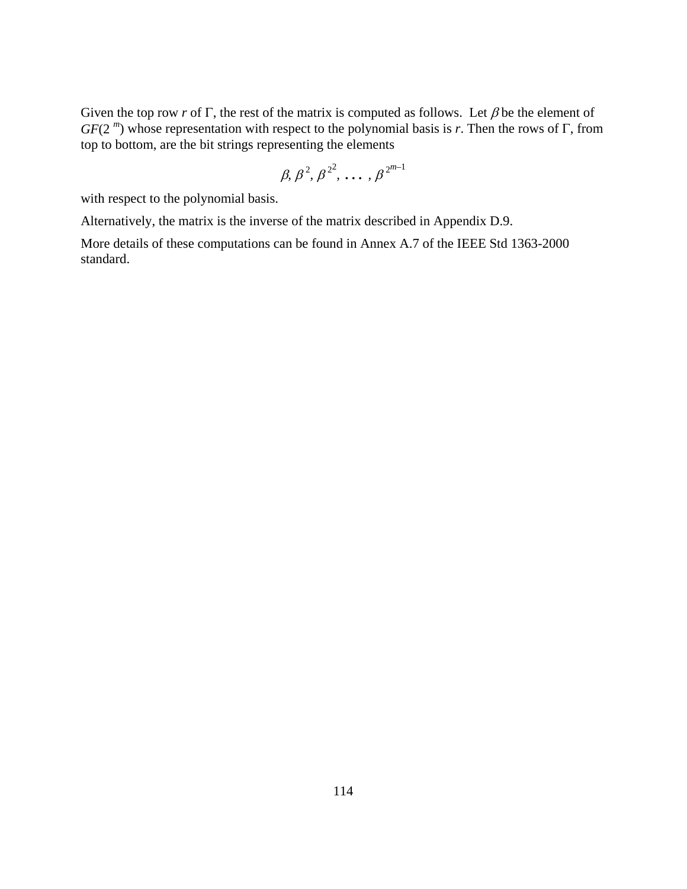Given the top row *r* of Γ, the rest of the matrix is computed as follows. Let  $\beta$  be the element of *GF*(2 *<sup>m</sup>*) whose representation with respect to the polynomial basis is *r*. Then the rows of Γ, from top to bottom, are the bit strings representing the elements

$$
\beta, \beta^2, \beta^{2^2}, \ldots, \beta^{2^{m-1}}
$$

with respect to the polynomial basis.

Alternatively, the matrix is the inverse of the matrix described in Appendix D.9.

More details of these computations can be found in Annex A.7 of the IEEE Std 1363-2000 standard.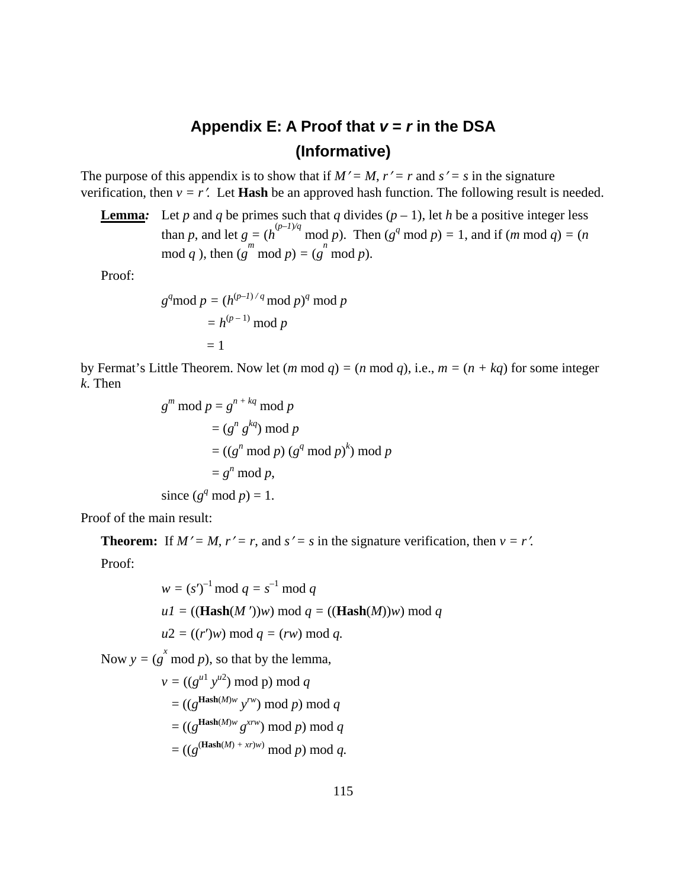# Appendix E: A Proof that  $v = r$  in the DSA **(Informative)**

The purpose of this appendix is to show that if  $M' = M$ ,  $r' = r$  and  $s' = s$  in the signature verification, then  $v = r'$ . Let **Hash** be an approved hash function. The following result is needed.

**Lemma**: Let *p* and *q* be primes such that *q* divides  $(p - 1)$ , let *h* be a positive integer less than *p*, and let  $g = (h^{(p-1)/q} \mod p)$ . Then  $(g^q \mod p) = 1$ , and if  $(m \mod q) = (n \mod q)$ .  $\text{mod } q$ , then  $(g^m \text{ mod } p) = (g^n \text{ mod } p)$ .

Proof:

$$
gq \mod p = (h(p-1)/q \mod p)q \mod p
$$

$$
= h(p-1) \mod p
$$

$$
= 1
$$

by Fermat's Little Theorem. Now let  $(m \mod q) = (n \mod q)$ , i.e.,  $m = (n + kq)$  for some integer *k*. Then

$$
g^{m} \mod p = g^{n+kq} \mod p
$$
  
=  $(g^{n} g^{kq}) \mod p$   
=  $((g^{n} \mod p) (g^{q} \mod p)^{k}) \mod p$   
=  $g^{n} \mod p$ ,  
since  $(g^{q} \mod p) = 1$ .

Proof of the main result:

**Theorem:** If  $M' = M$ ,  $r' = r$ , and  $s' = s$  in the signature verification, then  $v = r'$ . Proof:

$$
w = (s')^{-1} \mod q = s^{-1} \mod q
$$
  
 
$$
uI = ((\text{Hash}(M'))w) \mod q = ((\text{Hash}(M))w) \mod q
$$
  
 
$$
u2 = ((r')w) \mod q = (rw) \mod q.
$$

Now  $y = (g^x \mod p)$ , so that by the lemma,

$$
v = ((gu1 yu2) \bmod p) \bmod q
$$
  
= ((g<sup>Hash(M)</sup>w y<sup>rw</sup>) \bmod p) \bmod q  
= ((g<sup>Hash(M)</sup>w g<sup>xrw</sup>) \bmod p) \bmod q  
= ((g<sup>(Hash(M)</sup> + x<sup>p</sup>w) \bmod p) \bmod q.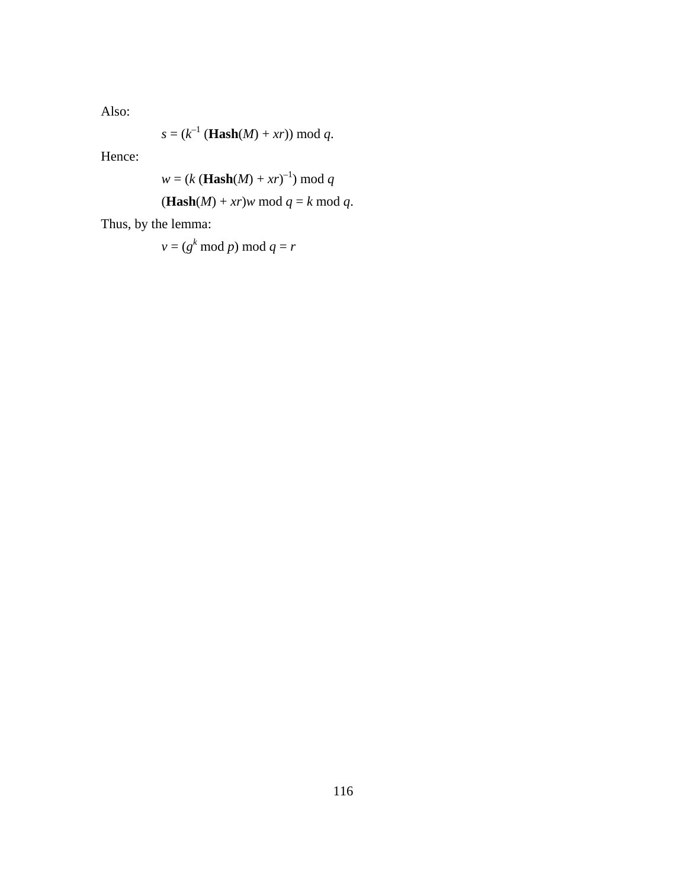Also:

$$
s = (k^{-1} (\textbf{Hash}(M) + xr)) \bmod q.
$$

Hence:

$$
w = (k (\text{Hash}(M) + xr)^{-1}) \bmod q
$$

$$
(\mathbf{Hash}(M) + xr)w \bmod q = k \bmod q.
$$

Thus, by the lemma:

$$
v = (g^k \bmod p) \bmod q = r
$$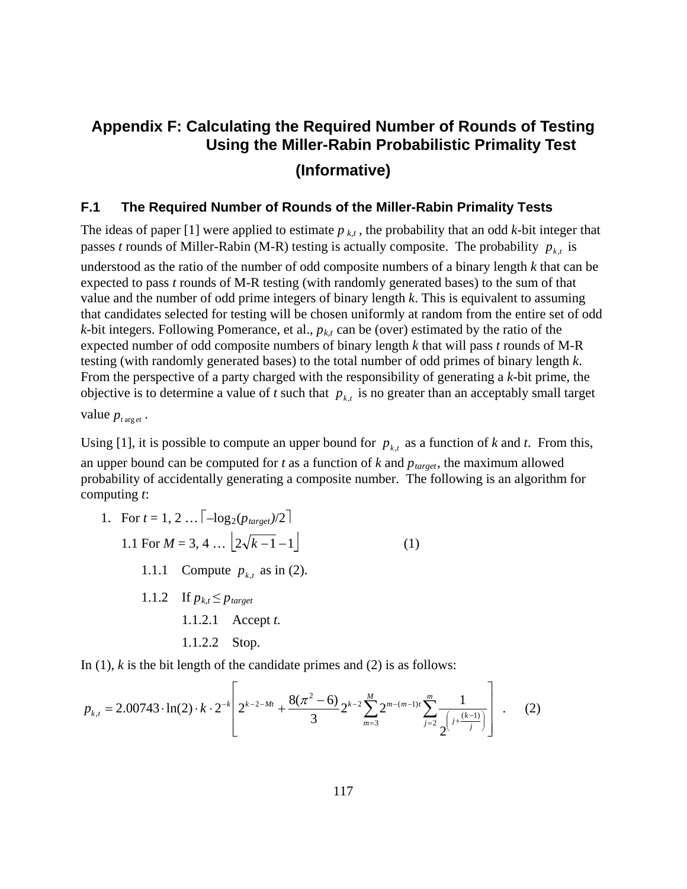# **Appendix F: Calculating the Required Number of Rounds of Testing Using the Miller-Rabin Probabilistic Primality Test (Informative)**

# **F.1 The Required Number of Rounds of the Miller-Rabin Primality Tests**

The ideas of paper [1] were applied to estimate  $p_{k,t}$ , the probability that an odd  $k$ -bit integer that passes *t* rounds of Miller-Rabin (M-R) testing is actually composite. The probability  $p_{k}$  is understood as the ratio of the number of odd composite numbers of a binary length *k* that can be expected to pass *t* rounds of M-R testing (with randomly generated bases) to the sum of that value and the number of odd prime integers of binary length *k*. This is equivalent to assuming that candidates selected for testing will be chosen uniformly at random from the entire set of odd  $k$ -bit integers. Following Pomerance, et al.,  $p_{kt}$  can be (over) estimated by the ratio of the expected number of odd composite numbers of binary length *k* that will pass *t* rounds of M-R testing (with randomly generated bases) to the total number of odd primes of binary length *k*. From the perspective of a party charged with the responsibility of generating a *k*-bit prime, the objective is to determine a value of *t* such that  $p_{k,t}$  is no greater than an acceptably small target

value  $p_{\text{target}}$ .

Using [1], it is possible to compute an upper bound for  $p_{k,t}$  as a function of *k* and *t*. From this, an upper bound can be computed for *t* as a function of *k* and  $p_{\text{target}}$ , the maximum allowed probability of accidentally generating a composite number. The following is an algorithm for computing *t*:

1. For  $t = 1, 2, ...$   $\left[ -\log_2(p_{\text{target}})/2 \right]$ 1.1 For  $M = 3, 4, \ldots | 2\sqrt{k-1} - 1 |$  (1) 1.1.1 Compute  $p_{k,t}$  as in (2). 1.1.2 If  $p_{k,t} \leq p_{\text{target}}$ 1.1.2.1 Accept *t.* 1.1.2.2 Stop.

In (1), *k* is the bit length of the candidate primes and (2) is as follows:

$$
p_{k,t} = 2.00743 \cdot \ln(2) \cdot k \cdot 2^{-k} \left[ 2^{k-2-Mt} + \frac{8(\pi^2 - 6)}{3} 2^{k-2} \sum_{m=3}^{M} 2^{m-(m-1)t} \sum_{j=2}^{m} \frac{1}{2^{\left(j + \frac{(k-1)}{j}\right)}} \right] \quad . \tag{2}
$$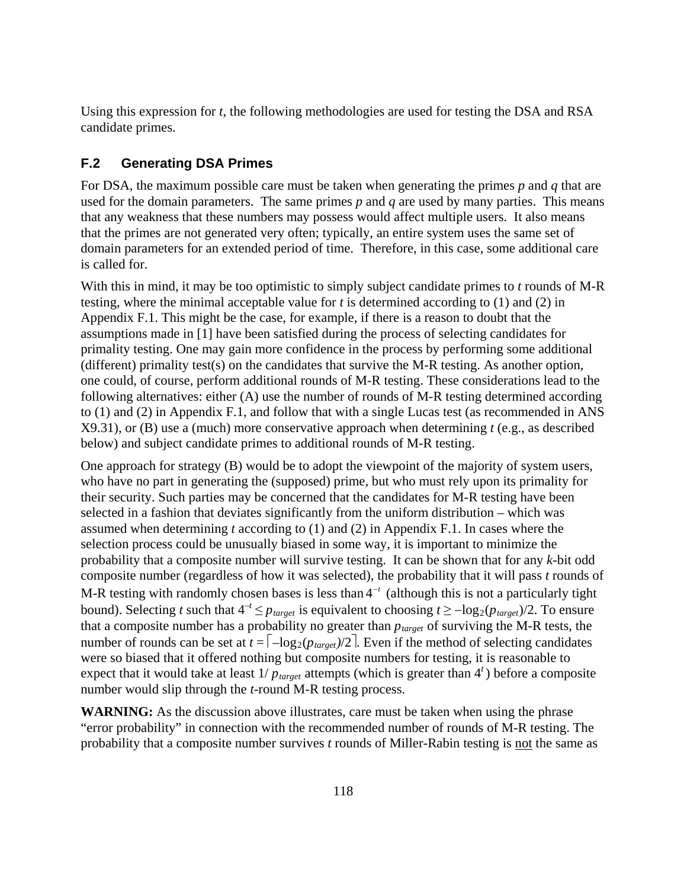Using this expression for *t*, the following methodologies are used for testing the DSA and RSA candidate primes.

# **F.2 Generating DSA Primes**

For DSA, the maximum possible care must be taken when generating the primes *p* and *q* that are used for the domain parameters. The same primes *p* and *q* are used by many parties. This means that any weakness that these numbers may possess would affect multiple users. It also means that the primes are not generated very often; typically, an entire system uses the same set of domain parameters for an extended period of time. Therefore, in this case, some additional care is called for.

With this in mind, it may be too optimistic to simply subject candidate primes to *t* rounds of M-R testing, where the minimal acceptable value for *t* is determined according to (1) and (2) in Appendix F.1. This might be the case, for example, if there is a reason to doubt that the assumptions made in [1] have been satisfied during the process of selecting candidates for primality testing. One may gain more confidence in the process by performing some additional (different) primality test(s) on the candidates that survive the M-R testing. As another option, one could, of course, perform additional rounds of M-R testing. These considerations lead to the following alternatives: either (A) use the number of rounds of M-R testing determined according to (1) and (2) in Appendix F.1, and follow that with a single Lucas test (as recommended in ANS X9.31), or (B) use a (much) more conservative approach when determining *t* (e.g., as described below) and subject candidate primes to additional rounds of M-R testing.

One approach for strategy (B) would be to adopt the viewpoint of the majority of system users, who have no part in generating the (supposed) prime, but who must rely upon its primality for their security. Such parties may be concerned that the candidates for M-R testing have been selected in a fashion that deviates significantly from the uniform distribution – which was assumed when determining *t* according to (1) and (2) in Appendix F.1. In cases where the selection process could be unusually biased in some way, it is important to minimize the probability that a composite number will survive testing. It can be shown that for any *k*-bit odd composite number (regardless of how it was selected), the probability that it will pass *t* rounds of M-R testing with randomly chosen bases is less than  $4^{-t}$  (although this is not a particularly tight bound). Selecting *t* such that  $4^{-t} \leq p_{\text{target}}$  is equivalent to choosing  $t \geq -\log_2(p_{\text{target}})/2$ . To ensure that a composite number has a probability no greater than  $p_{target}$  of surviving the M-R tests, the number of rounds can be set at  $t = \lceil -\log_2(p_{\text{target}})/2 \rceil$ . Even if the method of selecting candidates were so biased that it offered nothing but composite numbers for testing, it is reasonable to expect that it would take at least  $1/p_{\text{target}}$  attempts (which is greater than  $4<sup>t</sup>$ ) before a composite number would slip through the *t*-round M-R testing process.

**WARNING:** As the discussion above illustrates, care must be taken when using the phrase "error probability" in connection with the recommended number of rounds of M-R testing. The probability that a composite number survives *t* rounds of Miller-Rabin testing is not the same as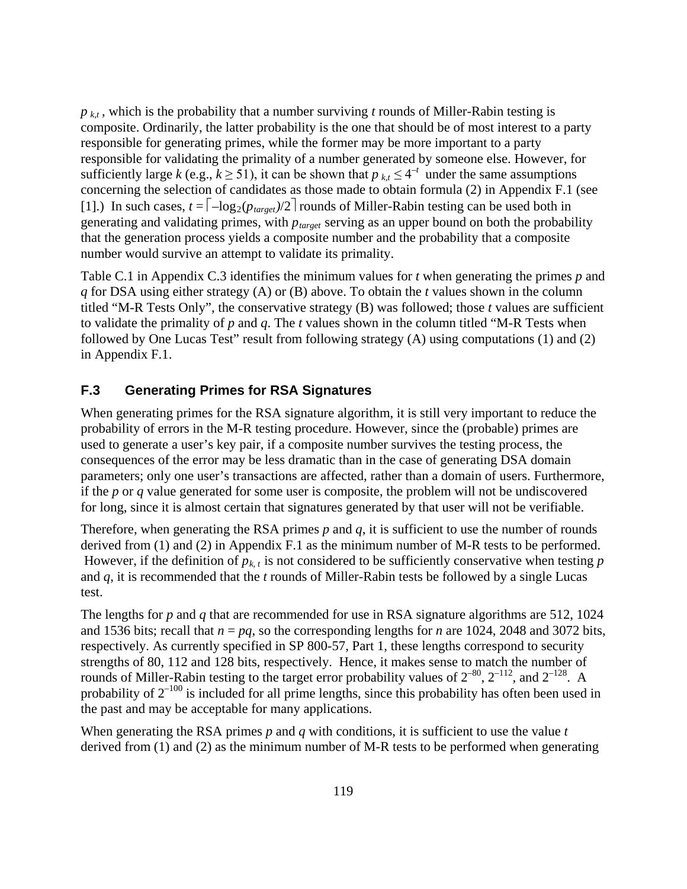$p_{kt}$ , which is the probability that a number surviving *t* rounds of Miller-Rabin testing is composite. Ordinarily, the latter probability is the one that should be of most interest to a party responsible for generating primes, while the former may be more important to a party responsible for validating the primality of a number generated by someone else. However, for sufficiently large *k* (e.g.,  $k \ge 51$ ), it can be shown that  $p_{k,t} \le 4^{-t}$  under the same assumptions concerning the selection of candidates as those made to obtain formula (2) in Appendix F.1 (see [1].) In such cases,  $t = \lceil -\log_2(p_{\text{target}})/2 \rceil$  rounds of Miller-Rabin testing can be used both in generating and validating primes, with  $p_{\text{target}}$  serving as an upper bound on both the probability that the generation process yields a composite number and the probability that a composite number would survive an attempt to validate its primality.

Table C.1 in Appendix C.3 identifies the minimum values for *t* when generating the primes *p* and *q* for DSA using either strategy (A) or (B) above. To obtain the *t* values shown in the column titled "M-R Tests Only", the conservative strategy (B) was followed; those *t* values are sufficient to validate the primality of *p* and *q*. The *t* values shown in the column titled "M-R Tests when followed by One Lucas Test" result from following strategy (A) using computations (1) and (2) in Appendix F.1.

# **F.3 Generating Primes for RSA Signatures**

When generating primes for the RSA signature algorithm, it is still very important to reduce the probability of errors in the M-R testing procedure. However, since the (probable) primes are used to generate a user's key pair, if a composite number survives the testing process, the consequences of the error may be less dramatic than in the case of generating DSA domain parameters; only one user's transactions are affected, rather than a domain of users. Furthermore, if the *p* or *q* value generated for some user is composite, the problem will not be undiscovered for long, since it is almost certain that signatures generated by that user will not be verifiable.

Therefore, when generating the RSA primes  $p$  and  $q$ , it is sufficient to use the number of rounds derived from (1) and (2) in Appendix F.1 as the minimum number of M-R tests to be performed. However, if the definition of  $p_{k,t}$  is not considered to be sufficiently conservative when testing  $p$ and *q*, it is recommended that the *t* rounds of Miller-Rabin tests be followed by a single Lucas test.

The lengths for *p* and *q* that are recommended for use in RSA signature algorithms are 512, 1024 and 1536 bits; recall that  $n = pq$ , so the corresponding lengths for *n* are 1024, 2048 and 3072 bits, respectively. As currently specified in SP 800-57, Part 1, these lengths correspond to security strengths of 80, 112 and 128 bits, respectively. Hence, it makes sense to match the number of rounds of Miller-Rabin testing to the target error probability values of  $2^{-80}$ ,  $2^{-112}$ , and  $2^{-128}$ . A probability of  $2^{-100}$  is included for all prime lengths, since this probability has often been used in the past and may be acceptable for many applications.

When generating the RSA primes *p* and *q* with conditions, it is sufficient to use the value *t* derived from (1) and (2) as the minimum number of M-R tests to be performed when generating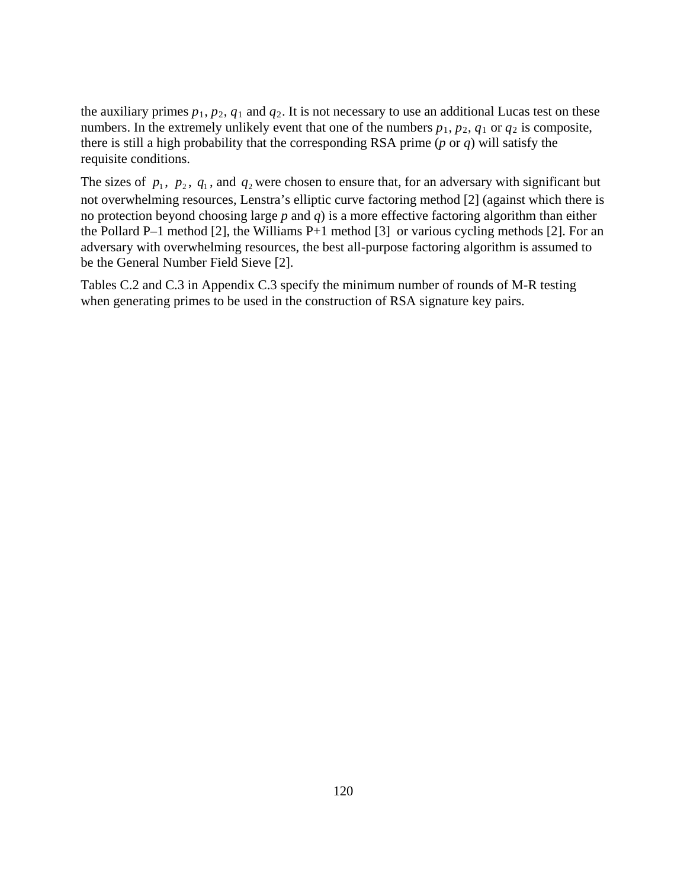the auxiliary primes  $p_1$ ,  $p_2$ ,  $q_1$  and  $q_2$ . It is not necessary to use an additional Lucas test on these numbers. In the extremely unlikely event that one of the numbers  $p_1$ ,  $p_2$ ,  $q_1$  or  $q_2$  is composite, there is still a high probability that the corresponding RSA prime (*p* or *q*) will satisfy the requisite conditions.

The sizes of  $p_1$ ,  $p_2$ ,  $q_1$ , and  $q_2$  were chosen to ensure that, for an adversary with significant but not overwhelming resources, Lenstra's elliptic curve factoring method [2] (against which there is no protection beyond choosing large *p* and *q*) is a more effective factoring algorithm than either the Pollard P–1 method [2], the Williams P+1 method [3] or various cycling methods [2]. For an adversary with overwhelming resources, the best all-purpose factoring algorithm is assumed to be the General Number Field Sieve [2].

Tables C.2 and C.3 in Appendix C.3 specify the minimum number of rounds of M-R testing when generating primes to be used in the construction of RSA signature key pairs.